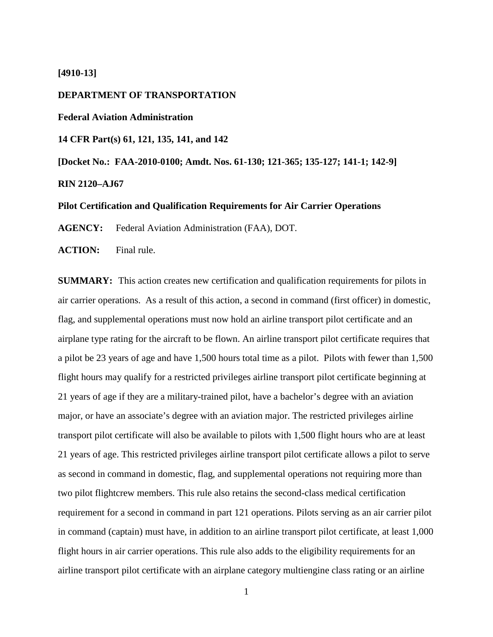### **[4910-13]**

#### **DEPARTMENT OF TRANSPORTATION**

**Federal Aviation Administration**

**14 CFR Part(s) 61, 121, 135, 141, and 142**

**[Docket No.: FAA-2010-0100; Amdt. Nos. 61-130; 121-365; 135-127; 141-1; 142-9]**

**RIN 2120–AJ67**

#### **Pilot Certification and Qualification Requirements for Air Carrier Operations**

**AGENCY:** Federal Aviation Administration (FAA), DOT.

**ACTION:** Final rule.

**SUMMARY:** This action creates new certification and qualification requirements for pilots in air carrier operations. As a result of this action, a second in command (first officer) in domestic, flag, and supplemental operations must now hold an airline transport pilot certificate and an airplane type rating for the aircraft to be flown. An airline transport pilot certificate requires that a pilot be 23 years of age and have 1,500 hours total time as a pilot. Pilots with fewer than 1,500 flight hours may qualify for a restricted privileges airline transport pilot certificate beginning at 21 years of age if they are a military-trained pilot, have a bachelor's degree with an aviation major, or have an associate's degree with an aviation major. The restricted privileges airline transport pilot certificate will also be available to pilots with 1,500 flight hours who are at least 21 years of age. This restricted privileges airline transport pilot certificate allows a pilot to serve as second in command in domestic, flag, and supplemental operations not requiring more than two pilot flightcrew members. This rule also retains the second-class medical certification requirement for a second in command in part 121 operations. Pilots serving as an air carrier pilot in command (captain) must have, in addition to an airline transport pilot certificate, at least 1,000 flight hours in air carrier operations. This rule also adds to the eligibility requirements for an airline transport pilot certificate with an airplane category multiengine class rating or an airline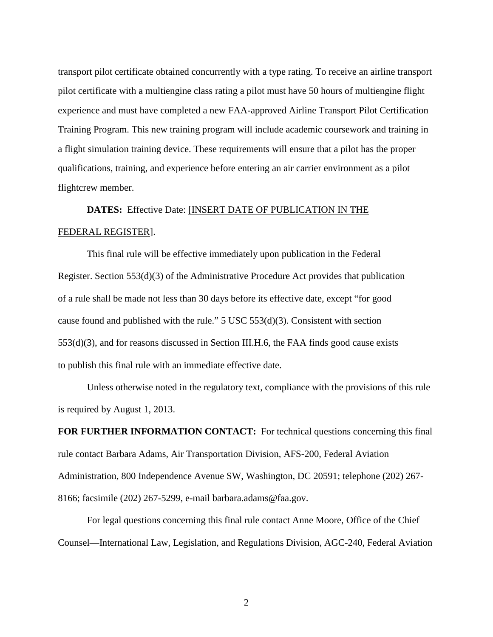transport pilot certificate obtained concurrently with a type rating. To receive an airline transport pilot certificate with a multiengine class rating a pilot must have 50 hours of multiengine flight experience and must have completed a new FAA-approved Airline Transport Pilot Certification Training Program. This new training program will include academic coursework and training in a flight simulation training device. These requirements will ensure that a pilot has the proper qualifications, training, and experience before entering an air carrier environment as a pilot flightcrew member.

# **DATES:** Effective Date: [INSERT DATE OF PUBLICATION IN THE FEDERAL REGISTER].

This final rule will be effective immediately upon publication in the Federal Register. Section 553(d)(3) of the Administrative Procedure Act provides that publication of a rule shall be made not less than 30 days before its effective date, except "for good cause found and published with the rule." 5 USC 553(d)(3). Consistent with section 553(d)(3), and for reasons discussed in Section III.H.6, the FAA finds good cause exists to publish this final rule with an immediate effective date.

Unless otherwise noted in the regulatory text, compliance with the provisions of this rule is required by August 1, 2013.

**FOR FURTHER INFORMATION CONTACT:** For technical questions concerning this final rule contact Barbara Adams, Air Transportation Division, AFS-200, Federal Aviation Administration, 800 Independence Avenue SW, Washington, DC 20591; telephone (202) 267- 8166; facsimile (202) 267-5299, e-mail barbara.adams@faa.gov.

For legal questions concerning this final rule contact Anne Moore, Office of the Chief Counsel—International Law, Legislation, and Regulations Division, AGC-240, Federal Aviation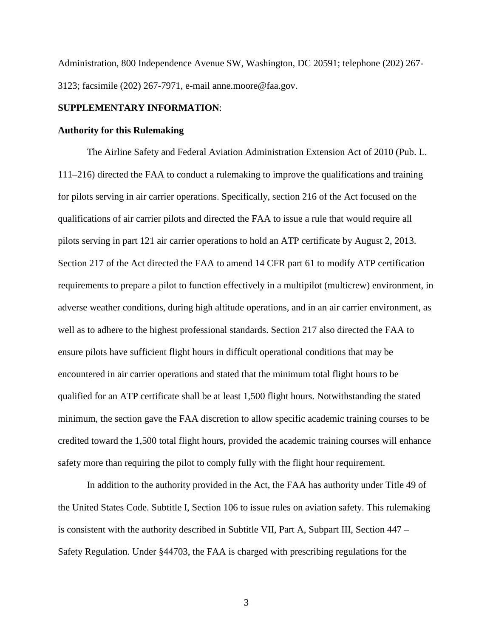Administration, 800 Independence Avenue SW, Washington, DC 20591; telephone (202) 267- 3123; facsimile (202) 267-7971, e-mail anne.moore@faa.gov.

## **SUPPLEMENTARY INFORMATION**:

#### **Authority for this Rulemaking**

The Airline Safety and Federal Aviation Administration Extension Act of 2010 (Pub. L. 111–216) directed the FAA to conduct a rulemaking to improve the qualifications and training for pilots serving in air carrier operations. Specifically, section 216 of the Act focused on the qualifications of air carrier pilots and directed the FAA to issue a rule that would require all pilots serving in part 121 air carrier operations to hold an ATP certificate by August 2, 2013. Section 217 of the Act directed the FAA to amend 14 CFR part 61 to modify ATP certification requirements to prepare a pilot to function effectively in a multipilot (multicrew) environment, in adverse weather conditions, during high altitude operations, and in an air carrier environment, as well as to adhere to the highest professional standards. Section 217 also directed the FAA to ensure pilots have sufficient flight hours in difficult operational conditions that may be encountered in air carrier operations and stated that the minimum total flight hours to be qualified for an ATP certificate shall be at least 1,500 flight hours. Notwithstanding the stated minimum, the section gave the FAA discretion to allow specific academic training courses to be credited toward the 1,500 total flight hours, provided the academic training courses will enhance safety more than requiring the pilot to comply fully with the flight hour requirement.

In addition to the authority provided in the Act, the FAA has authority under Title 49 of the United States Code. Subtitle I, Section 106 to issue rules on aviation safety. This rulemaking is consistent with the authority described in Subtitle VII, Part A, Subpart III, Section 447 – Safety Regulation. Under §44703, the FAA is charged with prescribing regulations for the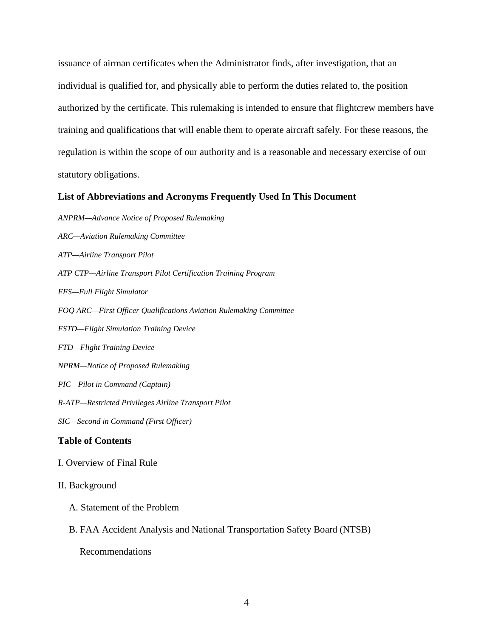issuance of airman certificates when the Administrator finds, after investigation, that an individual is qualified for, and physically able to perform the duties related to, the position authorized by the certificate. This rulemaking is intended to ensure that flightcrew members have training and qualifications that will enable them to operate aircraft safely. For these reasons, the regulation is within the scope of our authority and is a reasonable and necessary exercise of our statutory obligations.

## **List of Abbreviations and Acronyms Frequently Used In This Document**

*ANPRM—Advance Notice of Proposed Rulemaking ARC—Aviation Rulemaking Committee ATP—Airline Transport Pilot ATP CTP—Airline Transport Pilot Certification Training Program FFS—Full Flight Simulator FOQ ARC—First Officer Qualifications Aviation Rulemaking Committee FSTD—Flight Simulation Training Device FTD—Flight Training Device NPRM—Notice of Proposed Rulemaking PIC—Pilot in Command (Captain) R-ATP—Restricted Privileges Airline Transport Pilot SIC—Second in Command (First Officer)* **Table of Contents**

I. Overview of Final Rule

#### II. Background

- A. Statement of the Problem
- B. FAA Accident Analysis and National Transportation Safety Board (NTSB)

Recommendations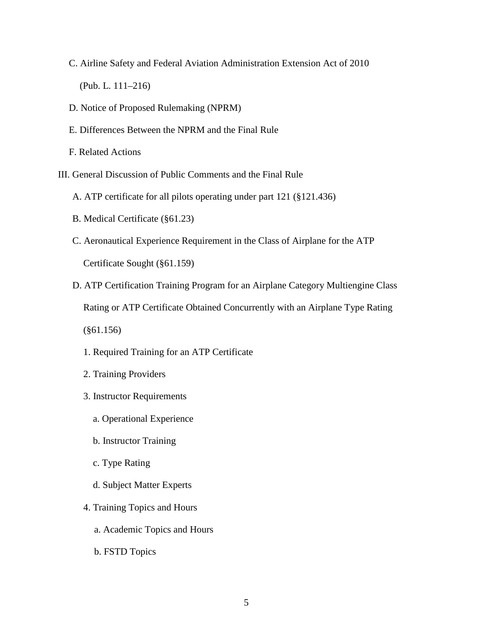- C. Airline Safety and Federal Aviation Administration Extension Act of 2010 (Pub. L. 111–216)
- D. Notice of Proposed Rulemaking (NPRM)
- E. Differences Between the NPRM and the Final Rule
- F. Related Actions
- III. General Discussion of Public Comments and the Final Rule
	- A. ATP certificate for all pilots operating under part 121 (§121.436)
	- B. Medical Certificate (§61.23)
	- C. Aeronautical Experience Requirement in the Class of Airplane for the ATP Certificate Sought (§61.159)
	- D. ATP Certification Training Program for an Airplane Category Multiengine Class Rating or ATP Certificate Obtained Concurrently with an Airplane Type Rating (§61.156)
		- 1. Required Training for an ATP Certificate
		- 2. Training Providers
		- 3. Instructor Requirements
			- a. Operational Experience
			- b. Instructor Training
			- c. Type Rating
			- d. Subject Matter Experts
		- 4. Training Topics and Hours
			- a. Academic Topics and Hours
			- b. FSTD Topics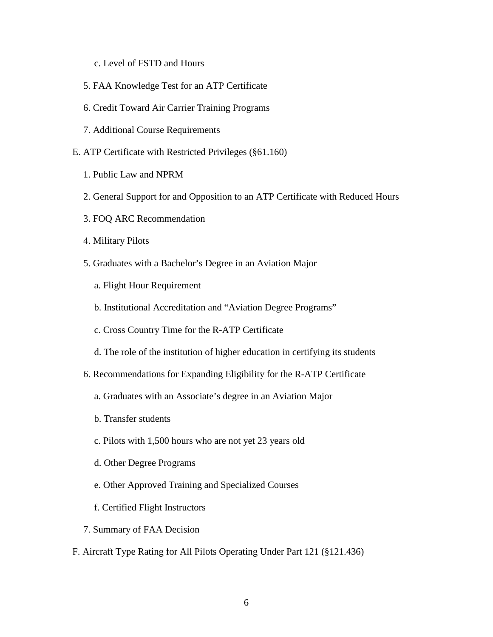- c. Level of FSTD and Hours
- 5. FAA Knowledge Test for an ATP Certificate
- 6. Credit Toward Air Carrier Training Programs
- 7. Additional Course Requirements
- E. ATP Certificate with Restricted Privileges (§61.160)
	- 1. Public Law and NPRM
	- 2. General Support for and Opposition to an ATP Certificate with Reduced Hours
	- 3. FOQ ARC Recommendation
	- 4. Military Pilots
	- 5. Graduates with a Bachelor's Degree in an Aviation Major
		- a. Flight Hour Requirement
		- b. Institutional Accreditation and "Aviation Degree Programs"
		- c. Cross Country Time for the R-ATP Certificate
		- d. The role of the institution of higher education in certifying its students
	- 6. Recommendations for Expanding Eligibility for the R-ATP Certificate
		- a. Graduates with an Associate's degree in an Aviation Major
		- b. Transfer students
		- c. Pilots with 1,500 hours who are not yet 23 years old
		- d. Other Degree Programs
		- e. Other Approved Training and Specialized Courses
		- f. Certified Flight Instructors
	- 7. Summary of FAA Decision
- F. Aircraft Type Rating for All Pilots Operating Under Part 121 (§121.436)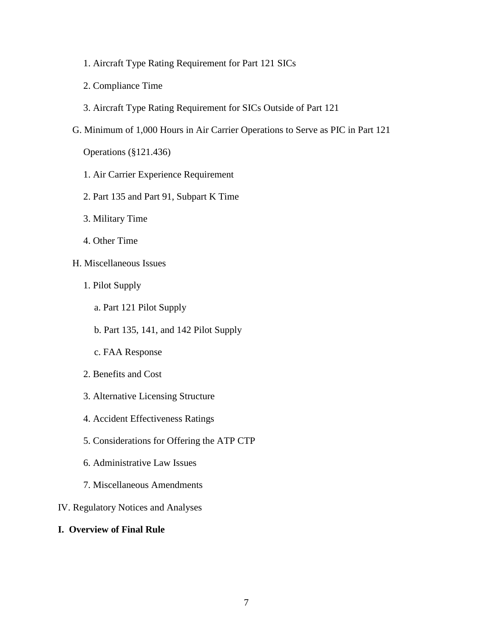- 1. Aircraft Type Rating Requirement for Part 121 SICs
- 2. Compliance Time
- 3. Aircraft Type Rating Requirement for SICs Outside of Part 121
- G. Minimum of 1,000 Hours in Air Carrier Operations to Serve as PIC in Part 121

Operations (§121.436)

- 1. Air Carrier Experience Requirement
- 2. Part 135 and Part 91, Subpart K Time
- 3. Military Time
- 4. Other Time
- H. Miscellaneous Issues
	- 1. Pilot Supply
		- a. Part 121 Pilot Supply
		- b. Part 135, 141, and 142 Pilot Supply
		- c. FAA Response
	- 2. Benefits and Cost
	- 3. Alternative Licensing Structure
	- 4. Accident Effectiveness Ratings
	- 5. Considerations for Offering the ATP CTP
	- 6. Administrative Law Issues
	- 7. Miscellaneous Amendments
- IV. Regulatory Notices and Analyses
- **I. Overview of Final Rule**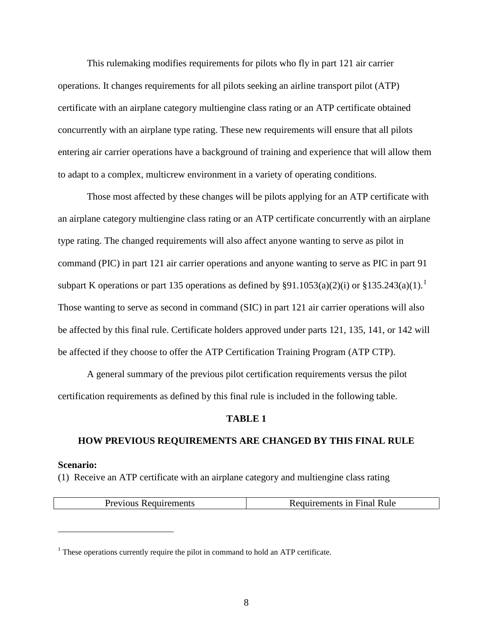This rulemaking modifies requirements for pilots who fly in part 121 air carrier operations. It changes requirements for all pilots seeking an airline transport pilot (ATP) certificate with an airplane category multiengine class rating or an ATP certificate obtained concurrently with an airplane type rating. These new requirements will ensure that all pilots entering air carrier operations have a background of training and experience that will allow them to adapt to a complex, multicrew environment in a variety of operating conditions.

Those most affected by these changes will be pilots applying for an ATP certificate with an airplane category multiengine class rating or an ATP certificate concurrently with an airplane type rating. The changed requirements will also affect anyone wanting to serve as pilot in command (PIC) in part 121 air carrier operations and anyone wanting to serve as PIC in part 91 subpart K operations or part [1](#page-7-0)35 operations as defined by  $\S91.1053(a)(2)(i)$  or  $\S135.243(a)(1).<sup>1</sup>$ Those wanting to serve as second in command (SIC) in part 121 air carrier operations will also be affected by this final rule. Certificate holders approved under parts 121, 135, 141, or 142 will be affected if they choose to offer the ATP Certification Training Program (ATP CTP).

A general summary of the previous pilot certification requirements versus the pilot certification requirements as defined by this final rule is included in the following table.

#### **TABLE 1**

#### **HOW PREVIOUS REQUIREMENTS ARE CHANGED BY THIS FINAL RULE**

### **Scenario:**

 $\overline{a}$ 

(1) Receive an ATP certificate with an airplane category and multiengine class rating

<span id="page-7-0"></span> $<sup>1</sup>$  These operations currently require the pilot in command to hold an ATP certificate.</sup>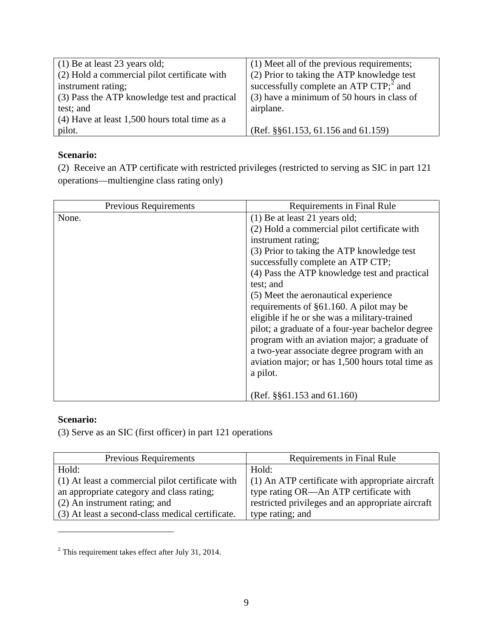| (1) Be at least 23 years old;                 | (1) Meet all of the previous requirements; |
|-----------------------------------------------|--------------------------------------------|
| (2) Hold a commercial pilot certificate with  | (2) Prior to taking the ATP knowledge test |
| instrument rating;                            | successfully complete an ATP $CTP$ ; and   |
| (3) Pass the ATP knowledge test and practical | (3) have a minimum of 50 hours in class of |
| test; and                                     | airplane.                                  |
| (4) Have at least 1,500 hours total time as a |                                            |
| pilot.                                        | $(Ref. \S § 61.153, 61.156, and 61.159)$   |

# **Scenario:**

(2) Receive an ATP certificate with restricted privileges (restricted to serving as SIC in part 121 operations—multiengine class rating only)

| Previous Requirements | <b>Requirements in Final Rule</b>                                                                                                                                                                                                                                                                                                                                                                                                                                                                                                                                                                             |  |
|-----------------------|---------------------------------------------------------------------------------------------------------------------------------------------------------------------------------------------------------------------------------------------------------------------------------------------------------------------------------------------------------------------------------------------------------------------------------------------------------------------------------------------------------------------------------------------------------------------------------------------------------------|--|
| None.                 | $(1)$ Be at least 21 years old;<br>(2) Hold a commercial pilot certificate with<br>instrument rating;<br>(3) Prior to taking the ATP knowledge test<br>successfully complete an ATP CTP;<br>(4) Pass the ATP knowledge test and practical<br>test; and<br>(5) Meet the aeronautical experience<br>requirements of §61.160. A pilot may be<br>eligible if he or she was a military-trained<br>pilot; a graduate of a four-year bachelor degree<br>program with an aviation major; a graduate of<br>a two-year associate degree program with an<br>aviation major; or has 1,500 hours total time as<br>a pilot. |  |
|                       | $(Ref. \S § 61.153 \text{ and } 61.160)$                                                                                                                                                                                                                                                                                                                                                                                                                                                                                                                                                                      |  |

# **Scenario:**

 $\overline{a}$ 

(3) Serve as an SIC (first officer) in part 121 operations

| <b>Previous Requirements</b>                     | Requirements in Final Rule                         |
|--------------------------------------------------|----------------------------------------------------|
| Hold:                                            | Hold:                                              |
| (1) At least a commercial pilot certificate with | $(1)$ An ATP certificate with appropriate aircraft |
| an appropriate category and class rating;        | type rating OR—An ATP certificate with             |
| (2) An instrument rating; and                    | restricted privileges and an appropriate aircraft  |
| (3) At least a second-class medical certificate. | type rating; and                                   |

<span id="page-8-0"></span><sup>2</sup> This requirement takes effect after July 31, 2014.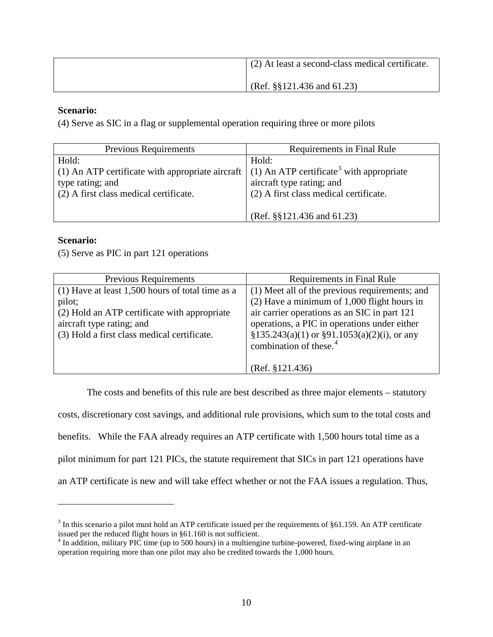| (2) At least a second-class medical certificate. |
|--------------------------------------------------|
| (Ref. $\S$ §121.436 and 61.23)                   |

# **Scenario:**

(4) Serve as SIC in a flag or supplemental operation requiring three or more pilots

| <b>Previous Requirements</b>                                                                            | Requirements in Final Rule              |
|---------------------------------------------------------------------------------------------------------|-----------------------------------------|
| Hold:                                                                                                   | Hold:                                   |
| (1) An ATP certificate with appropriate aircraft $(1)$ An ATP certificate <sup>3</sup> with appropriate |                                         |
| type rating; and                                                                                        | aircraft type rating; and               |
| (2) A first class medical certificate.                                                                  | (2) A first class medical certificate.  |
|                                                                                                         |                                         |
|                                                                                                         | $(Ref. \S\S121.436 \text{ and } 61.23)$ |

## **Scenario:**

 $\overline{a}$ 

(5) Serve as PIC in part 121 operations

| <b>Previous Requirements</b>                       | <b>Requirements in Final Rule</b>              |
|----------------------------------------------------|------------------------------------------------|
| $(1)$ Have at least 1,500 hours of total time as a | (1) Meet all of the previous requirements; and |
| pilot;                                             | $(2)$ Have a minimum of 1,000 flight hours in  |
| (2) Hold an ATP certificate with appropriate       | air carrier operations as an SIC in part 121   |
| aircraft type rating; and                          | operations, a PIC in operations under either   |
| (3) Hold a first class medical certificate.        | §135.243(a)(1) or §91.1053(a)(2)(i), or any    |
|                                                    | combination of these. <sup>4</sup>             |
|                                                    |                                                |
|                                                    | (Ref. §121.436)                                |

The costs and benefits of this rule are best described as three major elements – statutory costs, discretionary cost savings, and additional rule provisions, which sum to the total costs and benefits. While the FAA already requires an ATP certificate with 1,500 hours total time as a pilot minimum for part 121 PICs, the statute requirement that SICs in part 121 operations have an ATP certificate is new and will take effect whether or not the FAA issues a regulation. Thus,

<span id="page-9-0"></span><sup>&</sup>lt;sup>3</sup> In this scenario a pilot must hold an ATP certificate issued per the requirements of §61.159. An ATP certificate issued per the reduced flight hours in §61.160 is not sufficient.

<span id="page-9-1"></span><sup>&</sup>lt;sup>4</sup> In addition, military PIC time (up to 500 hours) in a multiengine turbine-powered, fixed-wing airplane in an operation requiring more than one pilot may also be credited towards the 1,000 hours.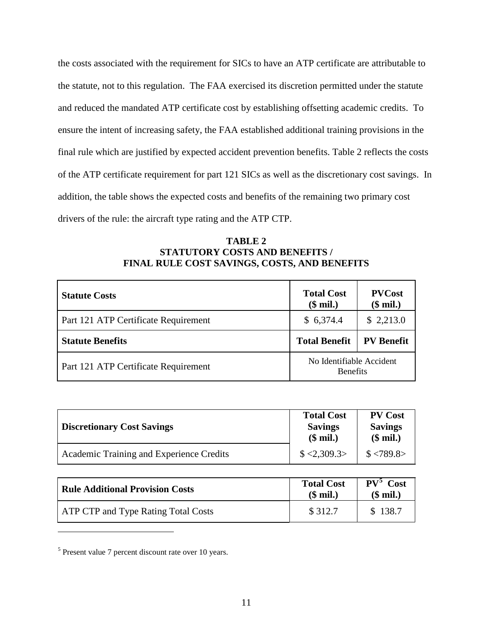the costs associated with the requirement for SICs to have an ATP certificate are attributable to the statute, not to this regulation. The FAA exercised its discretion permitted under the statute and reduced the mandated ATP certificate cost by establishing offsetting academic credits. To ensure the intent of increasing safety, the FAA established additional training provisions in the final rule which are justified by expected accident prevention benefits. Table 2 reflects the costs of the ATP certificate requirement for part 121 SICs as well as the discretionary cost savings. In addition, the table shows the expected costs and benefits of the remaining two primary cost drivers of the rule: the aircraft type rating and the ATP CTP.

**TABLE 2 STATUTORY COSTS AND BENEFITS / FINAL RULE COST SAVINGS, COSTS, AND BENEFITS**

| <b>Statute Costs</b>                 | <b>Total Cost</b><br>$$$ mil.)              | <b>PVCost</b><br>$$$ mil.) |
|--------------------------------------|---------------------------------------------|----------------------------|
| Part 121 ATP Certificate Requirement | \$6,374.4                                   | \$2,213.0                  |
| <b>Statute Benefits</b>              | <b>Total Benefit</b>                        | <b>PV</b> Benefit          |
| Part 121 ATP Certificate Requirement | No Identifiable Accident<br><b>Benefits</b> |                            |

| <b>Discretionary Cost Savings</b>        | <b>Total Cost</b><br><b>Savings</b><br>$$$ mil.) | <b>PV Cost</b><br><b>Savings</b><br>$$$ mil.) |
|------------------------------------------|--------------------------------------------------|-----------------------------------------------|
| Academic Training and Experience Credits | $\frac{$2,309.3>}{$                              | \$ < 789.8>                                   |

| <b>Rule Additional Provision Costs</b> | <b>Total Cost</b><br>$$$ mil.) | $PV^5$ Cost<br>$$$ mil.) |
|----------------------------------------|--------------------------------|--------------------------|
| ATP CTP and Type Rating Total Costs    | \$312.7                        | \$138.7                  |

<span id="page-10-0"></span><sup>5</sup> Present value 7 percent discount rate over 10 years.

 $\overline{a}$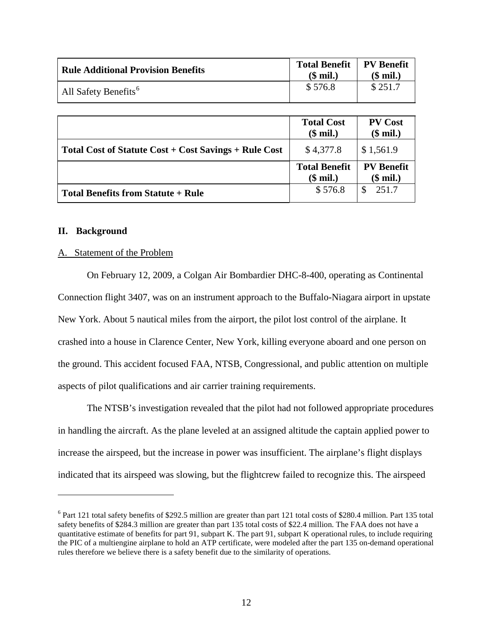| <b>Rule Additional Provision Benefits</b> | <b>Total Benefit</b><br>$$$ mil.) | <b>PV Benefit</b><br>$$$ mil.) |
|-------------------------------------------|-----------------------------------|--------------------------------|
| All Safety Benefits <sup>6</sup>          | \$576.8                           | \$251.7                        |

|                                                       | <b>Total Cost</b><br>$$$ mil.)    | <b>PV Cost</b><br>$$$ mil.)    |
|-------------------------------------------------------|-----------------------------------|--------------------------------|
| Total Cost of Statute Cost + Cost Savings + Rule Cost | \$4,377.8                         | \$1,561.9                      |
|                                                       | <b>Total Benefit</b><br>$$$ mil.) | <b>PV</b> Benefit<br>$$$ mil.) |
| <b>Total Benefits from Statute + Rule</b>             | \$576.8                           | 251.7                          |

## **II. Background**

 $\overline{a}$ 

## A. Statement of the Problem

On February 12, 2009, a Colgan Air Bombardier DHC-8-400, operating as Continental Connection flight 3407, was on an instrument approach to the Buffalo-Niagara airport in upstate New York. About 5 nautical miles from the airport, the pilot lost control of the airplane. It crashed into a house in Clarence Center, New York, killing everyone aboard and one person on the ground. This accident focused FAA, NTSB, Congressional, and public attention on multiple aspects of pilot qualifications and air carrier training requirements.

The NTSB's investigation revealed that the pilot had not followed appropriate procedures in handling the aircraft. As the plane leveled at an assigned altitude the captain applied power to increase the airspeed, but the increase in power was insufficient. The airplane's flight displays indicated that its airspeed was slowing, but the flightcrew failed to recognize this. The airspeed

<span id="page-11-0"></span><sup>6</sup> Part 121 total safety benefits of \$292.5 million are greater than part 121 total costs of \$280.4 million. Part 135 total safety benefits of \$284.3 million are greater than part 135 total costs of \$22.4 million. The FAA does not have a quantitative estimate of benefits for part 91, subpart K. The part 91, subpart K operational rules, to include requiring the PIC of a multiengine airplane to hold an ATP certificate, were modeled after the part 135 on-demand operational rules therefore we believe there is a safety benefit due to the similarity of operations.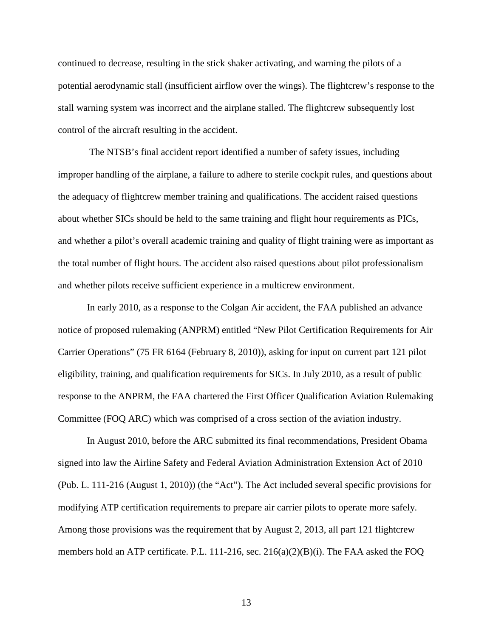continued to decrease, resulting in the stick shaker activating, and warning the pilots of a potential aerodynamic stall (insufficient airflow over the wings). The flightcrew's response to the stall warning system was incorrect and the airplane stalled. The flightcrew subsequently lost control of the aircraft resulting in the accident.

The NTSB's final accident report identified a number of safety issues, including improper handling of the airplane, a failure to adhere to sterile cockpit rules, and questions about the adequacy of flightcrew member training and qualifications. The accident raised questions about whether SICs should be held to the same training and flight hour requirements as PICs, and whether a pilot's overall academic training and quality of flight training were as important as the total number of flight hours. The accident also raised questions about pilot professionalism and whether pilots receive sufficient experience in a multicrew environment.

In early 2010, as a response to the Colgan Air accident, the FAA published an advance notice of proposed rulemaking (ANPRM) entitled "New Pilot Certification Requirements for Air Carrier Operations" (75 FR 6164 (February 8, 2010)), asking for input on current part 121 pilot eligibility, training, and qualification requirements for SICs. In July 2010, as a result of public response to the ANPRM, the FAA chartered the First Officer Qualification Aviation Rulemaking Committee (FOQ ARC) which was comprised of a cross section of the aviation industry.

In August 2010, before the ARC submitted its final recommendations, President Obama signed into law the Airline Safety and Federal Aviation Administration Extension Act of 2010 (Pub. L. 111-216 (August 1, 2010)) (the "Act"). The Act included several specific provisions for modifying ATP certification requirements to prepare air carrier pilots to operate more safely. Among those provisions was the requirement that by August 2, 2013, all part 121 flightcrew members hold an ATP certificate. P.L. 111-216, sec. 216(a)(2)(B)(i). The FAA asked the FOQ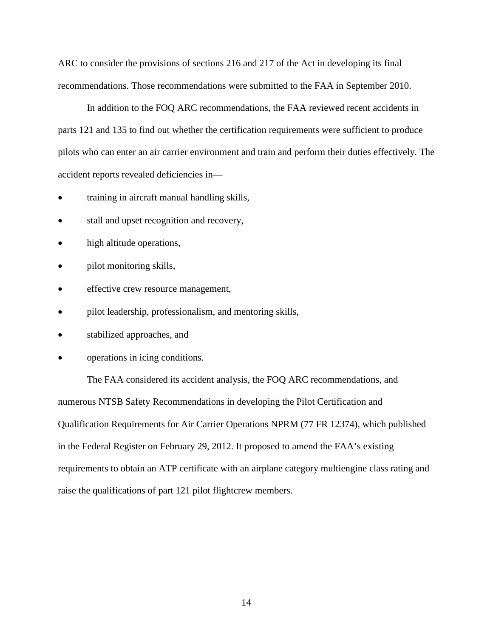ARC to consider the provisions of sections 216 and 217 of the Act in developing its final recommendations. Those recommendations were submitted to the FAA in September 2010.

In addition to the FOQ ARC recommendations, the FAA reviewed recent accidents in parts 121 and 135 to find out whether the certification requirements were sufficient to produce pilots who can enter an air carrier environment and train and perform their duties effectively. The accident reports revealed deficiencies in—

- training in aircraft manual handling skills,
- stall and upset recognition and recovery,
- high altitude operations,
- pilot monitoring skills,
- effective crew resource management,
- pilot leadership, professionalism, and mentoring skills,
- stabilized approaches, and
- operations in icing conditions.

The FAA considered its accident analysis, the FOQ ARC recommendations, and numerous NTSB Safety Recommendations in developing the Pilot Certification and Qualification Requirements for Air Carrier Operations NPRM (77 FR 12374), which published in the Federal Register on February 29, 2012. It proposed to amend the FAA's existing requirements to obtain an ATP certificate with an airplane category multiengine class rating and raise the qualifications of part 121 pilot flightcrew members.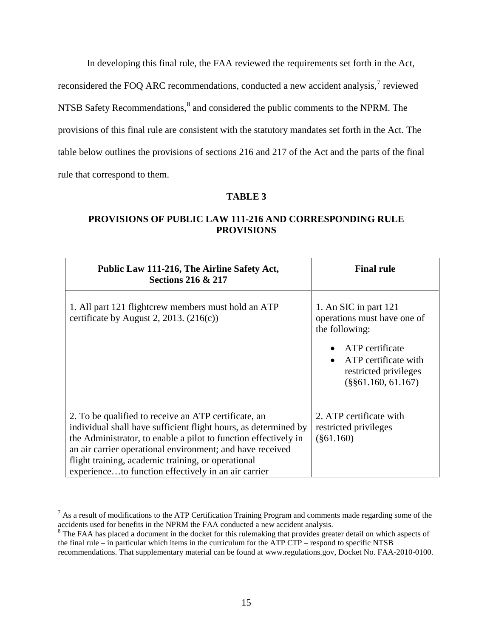In developing this final rule, the FAA reviewed the requirements set forth in the Act,

reconsidered the FOQ ARC recommendations, conducted a new accident analysis,<sup>[7](#page-14-0)</sup> reviewed

NTSB Safety Recommendations,<sup>[8](#page-14-1)</sup> and considered the public comments to the NPRM. The

provisions of this final rule are consistent with the statutory mandates set forth in the Act. The

table below outlines the provisions of sections 216 and 217 of the Act and the parts of the final

rule that correspond to them.

 $\overline{a}$ 

# **TABLE 3**

# **PROVISIONS OF PUBLIC LAW 111-216 AND CORRESPONDING RULE PROVISIONS**

| Public Law 111-216, The Airline Safety Act,<br><b>Sections 216 &amp; 217</b>                                                                                                                                                                                                                                                                                         | <b>Final rule</b>                                                                                                                                                   |
|----------------------------------------------------------------------------------------------------------------------------------------------------------------------------------------------------------------------------------------------------------------------------------------------------------------------------------------------------------------------|---------------------------------------------------------------------------------------------------------------------------------------------------------------------|
| 1. All part 121 flightcrew members must hold an ATP<br>certificate by August 2, 2013. $(216(c))$                                                                                                                                                                                                                                                                     | 1. An SIC in part 121<br>operations must have one of<br>the following:<br>ATP certificate<br>ATP certificate with<br>restricted privileges<br>$(\$§61.160, 61.167)$ |
| 2. To be qualified to receive an ATP certificate, an<br>individual shall have sufficient flight hours, as determined by<br>the Administrator, to enable a pilot to function effectively in<br>an air carrier operational environment; and have received<br>flight training, academic training, or operational<br>experienceto function effectively in an air carrier | 2. ATP certificate with<br>restricted privileges<br>$(\$61.160)$                                                                                                    |

<span id="page-14-0"></span> $<sup>7</sup>$  As a result of modifications to the ATP Certification Training Program and comments made regarding some of the</sup> accidents used for benefits in the NPRM the FAA conducted a new accident analysis.

<span id="page-14-1"></span><sup>&</sup>lt;sup>8</sup> The FAA has placed a document in the docket for this rulemaking that provides greater detail on which aspects of the final rule – in particular which items in the curriculum for the ATP CTP – respond to specific NTSB recommendations. That supplementary material can be found at www.regulations.gov, Docket No. FAA-2010-0100.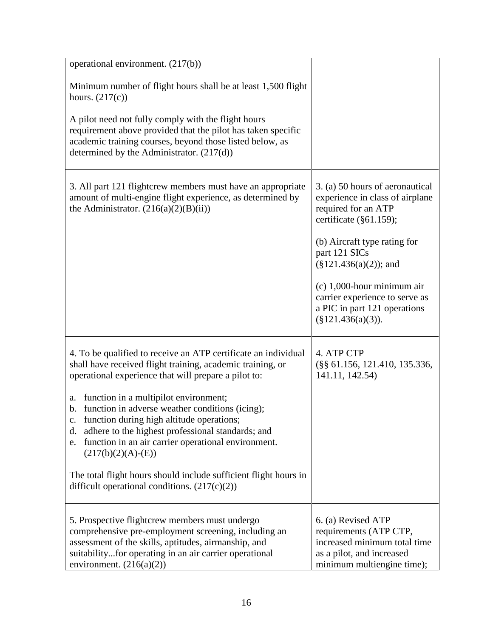| operational environment. (217(b))<br>Minimum number of flight hours shall be at least 1,500 flight<br>hours. $(217(c))$<br>A pilot need not fully comply with the flight hours<br>requirement above provided that the pilot has taken specific<br>academic training courses, beyond those listed below, as<br>determined by the Administrator. $(217(d))$                                                                                                                                                                                                                                                                    |                                                                                                                                                                                                                                                                                                                                  |
|------------------------------------------------------------------------------------------------------------------------------------------------------------------------------------------------------------------------------------------------------------------------------------------------------------------------------------------------------------------------------------------------------------------------------------------------------------------------------------------------------------------------------------------------------------------------------------------------------------------------------|----------------------------------------------------------------------------------------------------------------------------------------------------------------------------------------------------------------------------------------------------------------------------------------------------------------------------------|
| 3. All part 121 flightcrew members must have an appropriate<br>amount of multi-engine flight experience, as determined by<br>the Administrator. $(216(a)(2)(B)(ii))$                                                                                                                                                                                                                                                                                                                                                                                                                                                         | 3. (a) 50 hours of aeronautical<br>experience in class of airplane<br>required for an ATP<br>certificate $(\S61.159)$ ;<br>(b) Aircraft type rating for<br>part 121 SICs<br>$(\S 121.436(a)(2))$ ; and<br>$(c)$ 1,000-hour minimum air<br>carrier experience to serve as<br>a PIC in part 121 operations<br>$(\$121.436(a)(3)).$ |
| 4. To be qualified to receive an ATP certificate an individual<br>shall have received flight training, academic training, or<br>operational experience that will prepare a pilot to:<br>a. function in a multipilot environment;<br>b. function in adverse weather conditions (icing);<br>function during high altitude operations;<br>$\mathbf{c}$ .<br>adhere to the highest professional standards; and<br>d.<br>function in an air carrier operational environment.<br>e.<br>$(217(b)(2)(A)-(E))$<br>The total flight hours should include sufficient flight hours in<br>difficult operational conditions. $(217(c)(2))$ | 4. ATP CTP<br>(§§ 61.156, 121.410, 135.336,<br>141.11, 142.54)                                                                                                                                                                                                                                                                   |
| 5. Prospective flightcrew members must undergo<br>comprehensive pre-employment screening, including an<br>assessment of the skills, aptitudes, airmanship, and<br>suitabilityfor operating in an air carrier operational<br>environment. $(216(a)(2))$                                                                                                                                                                                                                                                                                                                                                                       | 6. (a) Revised ATP<br>requirements (ATP CTP,<br>increased minimum total time<br>as a pilot, and increased<br>minimum multiengine time);                                                                                                                                                                                          |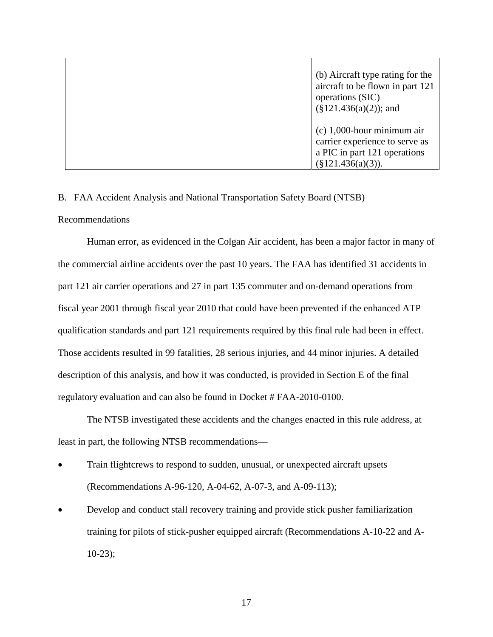| (b) Aircraft type rating for the<br>aircraft to be flown in part 121<br>operations (SIC)<br>$(\S 121.436(a)(2))$ ; and  |
|-------------------------------------------------------------------------------------------------------------------------|
| $(c)$ 1,000-hour minimum air<br>carrier experience to serve as<br>a PIC in part 121 operations<br>$(\S 121.436(a)(3)).$ |

## B. FAA Accident Analysis and National Transportation Safety Board (NTSB)

## Recommendations

Human error, as evidenced in the Colgan Air accident, has been a major factor in many of the commercial airline accidents over the past 10 years. The FAA has identified 31 accidents in part 121 air carrier operations and 27 in part 135 commuter and on-demand operations from fiscal year 2001 through fiscal year 2010 that could have been prevented if the enhanced ATP qualification standards and part 121 requirements required by this final rule had been in effect. Those accidents resulted in 99 fatalities, 28 serious injuries, and 44 minor injuries. A detailed description of this analysis, and how it was conducted, is provided in Section E of the final regulatory evaluation and can also be found in Docket # FAA-2010-0100.

The NTSB investigated these accidents and the changes enacted in this rule address, at least in part, the following NTSB recommendations—

- Train flightcrews to respond to sudden, unusual, or unexpected aircraft upsets (Recommendations A-96-120, A-04-62, A-07-3, and A-09-113);
- Develop and conduct stall recovery training and provide stick pusher familiarization training for pilots of stick-pusher equipped aircraft (Recommendations A-10-22 and A- $10-23$ ;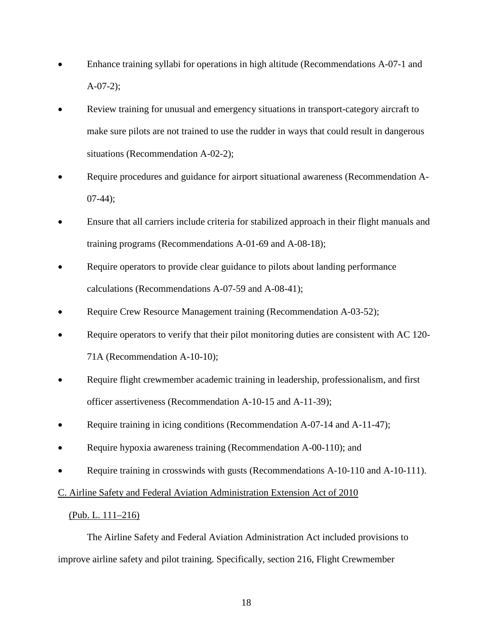- Enhance training syllabi for operations in high altitude (Recommendations A-07-1 and  $A-07-2$ ;
- Review training for unusual and emergency situations in transport-category aircraft to make sure pilots are not trained to use the rudder in ways that could result in dangerous situations (Recommendation A-02-2);
- Require procedures and guidance for airport situational awareness (Recommendation A-07-44);
- Ensure that all carriers include criteria for stabilized approach in their flight manuals and training programs (Recommendations A-01-69 and A-08-18);
- Require operators to provide clear guidance to pilots about landing performance calculations (Recommendations A-07-59 and A-08-41);
- Require Crew Resource Management training (Recommendation A-03-52);
- Require operators to verify that their pilot monitoring duties are consistent with AC 120-71A (Recommendation A-10-10);
- Require flight crewmember academic training in leadership, professionalism, and first officer assertiveness (Recommendation A-10-15 and A-11-39);
- Require training in icing conditions (Recommendation A-07-14 and A-11-47);
- Require hypoxia awareness training (Recommendation A-00-110); and
- Require training in crosswinds with gusts (Recommendations A-10-110 and A-10-111).

C. Airline Safety and Federal Aviation Administration Extension Act of 2010

# (Pub. L. 111–216)

The Airline Safety and Federal Aviation Administration Act included provisions to improve airline safety and pilot training. Specifically, section 216, Flight Crewmember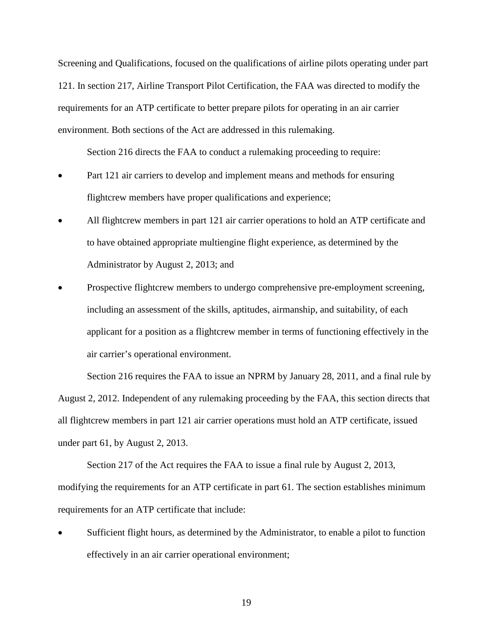Screening and Qualifications, focused on the qualifications of airline pilots operating under part 121. In section 217, Airline Transport Pilot Certification, the FAA was directed to modify the requirements for an ATP certificate to better prepare pilots for operating in an air carrier environment. Both sections of the Act are addressed in this rulemaking.

Section 216 directs the FAA to conduct a rulemaking proceeding to require:

- Part 121 air carriers to develop and implement means and methods for ensuring flightcrew members have proper qualifications and experience;
- All flightcrew members in part 121 air carrier operations to hold an ATP certificate and to have obtained appropriate multiengine flight experience, as determined by the Administrator by August 2, 2013; and
- Prospective flightcrew members to undergo comprehensive pre-employment screening, including an assessment of the skills, aptitudes, airmanship, and suitability, of each applicant for a position as a flightcrew member in terms of functioning effectively in the air carrier's operational environment.

Section 216 requires the FAA to issue an NPRM by January 28, 2011, and a final rule by August 2, 2012. Independent of any rulemaking proceeding by the FAA, this section directs that all flightcrew members in part 121 air carrier operations must hold an ATP certificate, issued under part 61, by August 2, 2013.

Section 217 of the Act requires the FAA to issue a final rule by August 2, 2013, modifying the requirements for an ATP certificate in part 61. The section establishes minimum requirements for an ATP certificate that include:

• Sufficient flight hours, as determined by the Administrator, to enable a pilot to function effectively in an air carrier operational environment;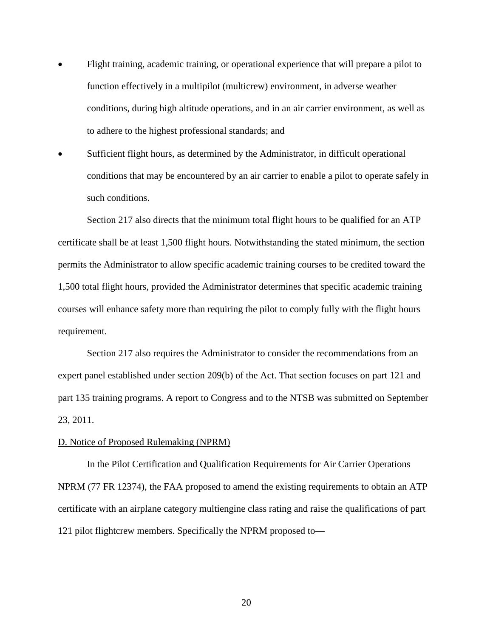- Flight training, academic training, or operational experience that will prepare a pilot to function effectively in a multipilot (multicrew) environment, in adverse weather conditions, during high altitude operations, and in an air carrier environment, as well as to adhere to the highest professional standards; and
- Sufficient flight hours, as determined by the Administrator, in difficult operational conditions that may be encountered by an air carrier to enable a pilot to operate safely in such conditions.

Section 217 also directs that the minimum total flight hours to be qualified for an ATP certificate shall be at least 1,500 flight hours. Notwithstanding the stated minimum, the section permits the Administrator to allow specific academic training courses to be credited toward the 1,500 total flight hours, provided the Administrator determines that specific academic training courses will enhance safety more than requiring the pilot to comply fully with the flight hours requirement.

Section 217 also requires the Administrator to consider the recommendations from an expert panel established under section 209(b) of the Act. That section focuses on part 121 and part 135 training programs. A report to Congress and to the NTSB was submitted on September 23, 2011.

#### D. Notice of Proposed Rulemaking (NPRM)

In the Pilot Certification and Qualification Requirements for Air Carrier Operations NPRM (77 FR 12374), the FAA proposed to amend the existing requirements to obtain an ATP certificate with an airplane category multiengine class rating and raise the qualifications of part 121 pilot flightcrew members. Specifically the NPRM proposed to—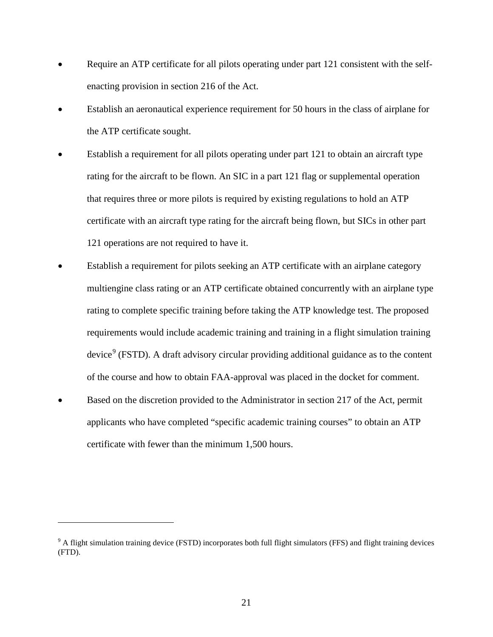- Require an ATP certificate for all pilots operating under part 121 consistent with the selfenacting provision in section 216 of the Act.
- Establish an aeronautical experience requirement for 50 hours in the class of airplane for the ATP certificate sought.
- Establish a requirement for all pilots operating under part 121 to obtain an aircraft type rating for the aircraft to be flown. An SIC in a part 121 flag or supplemental operation that requires three or more pilots is required by existing regulations to hold an ATP certificate with an aircraft type rating for the aircraft being flown, but SICs in other part 121 operations are not required to have it.
- Establish a requirement for pilots seeking an ATP certificate with an airplane category multiengine class rating or an ATP certificate obtained concurrently with an airplane type rating to complete specific training before taking the ATP knowledge test. The proposed requirements would include academic training and training in a flight simulation training device<sup>[9](#page-20-0)</sup> (FSTD). A draft advisory circular providing additional guidance as to the content of the course and how to obtain FAA-approval was placed in the docket for comment.
- Based on the discretion provided to the Administrator in section 217 of the Act, permit applicants who have completed "specific academic training courses" to obtain an ATP certificate with fewer than the minimum 1,500 hours.

 $\overline{a}$ 

<span id="page-20-0"></span><sup>&</sup>lt;sup>9</sup> A flight simulation training device (FSTD) incorporates both full flight simulators (FFS) and flight training devices (FTD).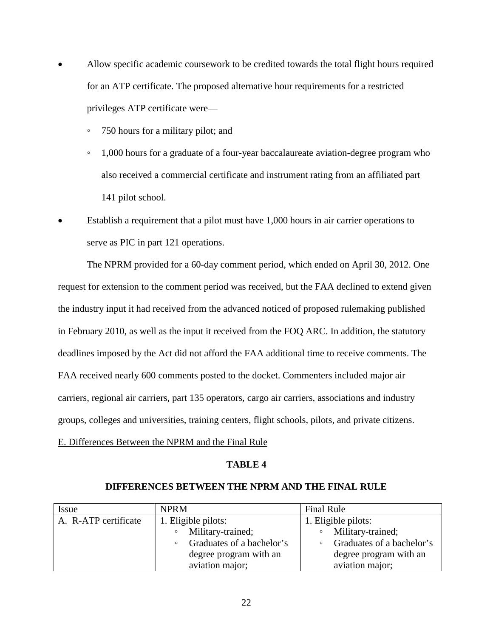- Allow specific academic coursework to be credited towards the total flight hours required for an ATP certificate. The proposed alternative hour requirements for a restricted privileges ATP certificate were—
	- 750 hours for a military pilot; and
	- 1,000 hours for a graduate of a four-year baccalaureate aviation-degree program who also received a commercial certificate and instrument rating from an affiliated part 141 pilot school.
- Establish a requirement that a pilot must have 1,000 hours in air carrier operations to serve as PIC in part 121 operations.

The NPRM provided for a 60-day comment period, which ended on April 30, 2012. One request for extension to the comment period was received, but the FAA declined to extend given the industry input it had received from the advanced noticed of proposed rulemaking published in February 2010, as well as the input it received from the FOQ ARC. In addition, the statutory deadlines imposed by the Act did not afford the FAA additional time to receive comments. The FAA received nearly 600 comments posted to the docket. Commenters included major air carriers, regional air carriers, part 135 operators, cargo air carriers, associations and industry groups, colleges and universities, training centers, flight schools, pilots, and private citizens.

# E. Differences Between the NPRM and the Final Rule

# **TABLE 4**

| Issue                | <b>NPRM</b>                          | <b>Final Rule</b>            |
|----------------------|--------------------------------------|------------------------------|
| A. R-ATP certificate | 1. Eligible pilots:                  | 1. Eligible pilots:          |
|                      | Military-trained;<br>$\circ$         | Military-trained;<br>$\circ$ |
|                      | Graduates of a bachelor's<br>$\circ$ | Graduates of a bachelor's    |
|                      | degree program with an               | degree program with an       |
|                      | aviation major;                      | aviation major;              |

## **DIFFERENCES BETWEEN THE NPRM AND THE FINAL RULE**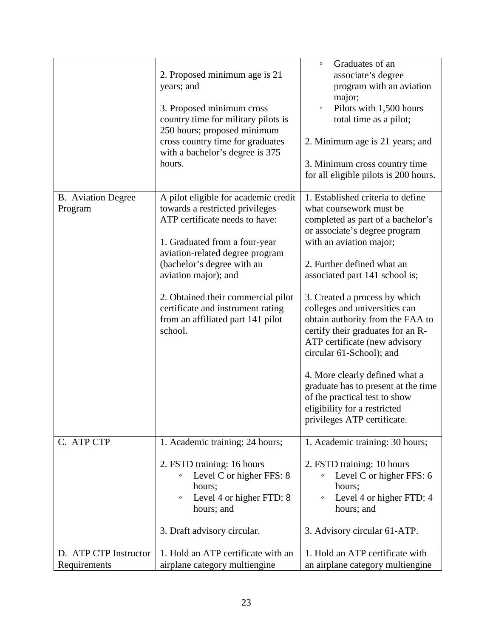|                           |                                                                   | Graduates of an<br>$\circ$                                    |
|---------------------------|-------------------------------------------------------------------|---------------------------------------------------------------|
|                           | 2. Proposed minimum age is 21                                     | associate's degree                                            |
|                           | years; and                                                        | program with an aviation<br>major;                            |
|                           | 3. Proposed minimum cross                                         | Pilots with 1,500 hours<br>$\circ$                            |
|                           | country time for military pilots is                               | total time as a pilot;                                        |
|                           | 250 hours; proposed minimum                                       |                                                               |
|                           | cross country time for graduates                                  | 2. Minimum age is 21 years; and                               |
|                           | with a bachelor's degree is 375<br>hours.                         | 3. Minimum cross country time                                 |
|                           |                                                                   | for all eligible pilots is 200 hours.                         |
|                           |                                                                   |                                                               |
| <b>B.</b> Aviation Degree | A pilot eligible for academic credit                              | 1. Established criteria to define                             |
| Program                   | towards a restricted privileges<br>ATP certificate needs to have: | what coursework must be<br>completed as part of a bachelor's  |
|                           |                                                                   | or associate's degree program                                 |
|                           | 1. Graduated from a four-year                                     | with an aviation major;                                       |
|                           | aviation-related degree program                                   |                                                               |
|                           | (bachelor's degree with an                                        | 2. Further defined what an                                    |
|                           | aviation major); and                                              | associated part 141 school is;                                |
|                           | 2. Obtained their commercial pilot                                | 3. Created a process by which                                 |
|                           | certificate and instrument rating                                 | colleges and universities can                                 |
|                           | from an affiliated part 141 pilot                                 | obtain authority from the FAA to                              |
|                           | school.                                                           | certify their graduates for an R-                             |
|                           |                                                                   | ATP certificate (new advisory<br>circular 61-School); and     |
|                           |                                                                   |                                                               |
|                           |                                                                   | 4. More clearly defined what a                                |
|                           |                                                                   | graduate has to present at the time                           |
|                           |                                                                   | of the practical test to show<br>eligibility for a restricted |
|                           |                                                                   | privileges ATP certificate.                                   |
|                           |                                                                   |                                                               |
| C. ATP CTP                | 1. Academic training: 24 hours;                                   | 1. Academic training: 30 hours;                               |
|                           | 2. FSTD training: 16 hours                                        | 2. FSTD training: 10 hours                                    |
|                           | Level C or higher FFS: 8<br>o                                     | Level C or higher FFS: 6<br>$\circ$                           |
|                           | hours;                                                            | hours;                                                        |
|                           | Level 4 or higher FTD: 8<br>$\circ$                               | Level 4 or higher FTD: 4<br>$\circ$                           |
|                           | hours; and                                                        | hours; and                                                    |
|                           | 3. Draft advisory circular.                                       | 3. Advisory circular 61-ATP.                                  |
|                           |                                                                   |                                                               |
| D. ATP CTP Instructor     | 1. Hold an ATP certificate with an                                | 1. Hold an ATP certificate with                               |
| Requirements              | airplane category multiengine                                     | an airplane category multiengine                              |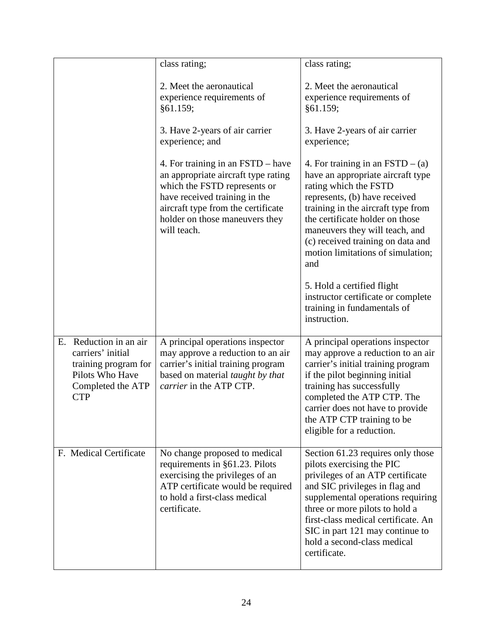|                                                                                                                                               | class rating;                                                                                                                                                                                                                    | class rating;                                                                                                                                                                                                                                                                                                                                                      |
|-----------------------------------------------------------------------------------------------------------------------------------------------|----------------------------------------------------------------------------------------------------------------------------------------------------------------------------------------------------------------------------------|--------------------------------------------------------------------------------------------------------------------------------------------------------------------------------------------------------------------------------------------------------------------------------------------------------------------------------------------------------------------|
|                                                                                                                                               | 2. Meet the aeronautical<br>experience requirements of<br>§61.159;                                                                                                                                                               | 2. Meet the aeronautical<br>experience requirements of<br>§61.159;                                                                                                                                                                                                                                                                                                 |
|                                                                                                                                               | 3. Have 2-years of air carrier<br>experience; and                                                                                                                                                                                | 3. Have 2-years of air carrier<br>experience;                                                                                                                                                                                                                                                                                                                      |
|                                                                                                                                               | 4. For training in an FSTD – have<br>an appropriate aircraft type rating<br>which the FSTD represents or<br>have received training in the<br>aircraft type from the certificate<br>holder on those maneuvers they<br>will teach. | 4. For training in an $\text{FSTD} - (a)$<br>have an appropriate aircraft type<br>rating which the FSTD<br>represents, (b) have received<br>training in the aircraft type from<br>the certificate holder on those<br>maneuvers they will teach, and<br>(c) received training on data and<br>motion limitations of simulation;<br>and<br>5. Hold a certified flight |
|                                                                                                                                               |                                                                                                                                                                                                                                  | instructor certificate or complete<br>training in fundamentals of<br>instruction.                                                                                                                                                                                                                                                                                  |
| E. Reduction in an $\overline{\text{air}}$<br>carriers' initial<br>training program for<br>Pilots Who Have<br>Completed the ATP<br><b>CTP</b> | A principal operations inspector<br>may approve a reduction to an air<br>carrier's initial training program<br>based on material <i>taught by that</i><br><i>carrier</i> in the ATP CTP.                                         | A principal operations inspector<br>may approve a reduction to an air<br>carrier's initial training program<br>if the pilot beginning initial<br>training has successfully<br>completed the ATP CTP. The<br>carrier does not have to provide<br>the ATP CTP training to be<br>eligible for a reduction.                                                            |
| F. Medical Certificate                                                                                                                        | No change proposed to medical<br>requirements in §61.23. Pilots<br>exercising the privileges of an<br>ATP certificate would be required<br>to hold a first-class medical<br>certificate.                                         | Section 61.23 requires only those<br>pilots exercising the PIC<br>privileges of an ATP certificate<br>and SIC privileges in flag and<br>supplemental operations requiring<br>three or more pilots to hold a<br>first-class medical certificate. An<br>SIC in part 121 may continue to<br>hold a second-class medical<br>certificate.                               |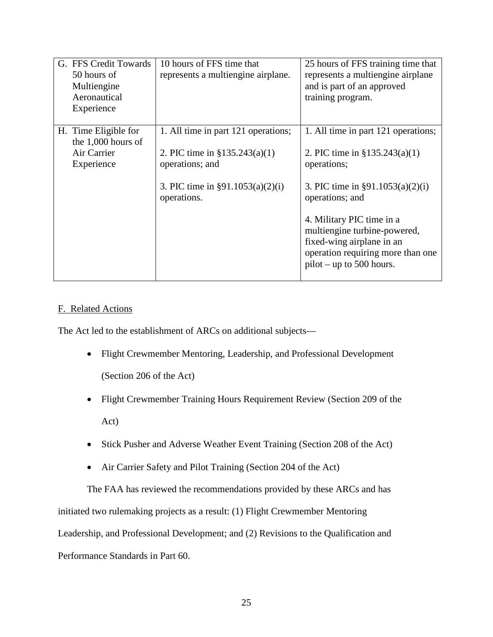| G. FFS Credit Towards<br>50 hours of<br>Multiengine<br>Aeronautical<br>Experience | 10 hours of FFS time that<br>represents a multiengine airplane.                           | 25 hours of FFS training time that<br>represents a multiengine airplane<br>and is part of an approved<br>training program.                                                                                          |
|-----------------------------------------------------------------------------------|-------------------------------------------------------------------------------------------|---------------------------------------------------------------------------------------------------------------------------------------------------------------------------------------------------------------------|
| H. Time Eligible for<br>the $1,000$ hours of<br>Air Carrier<br>Experience         | 1. All time in part 121 operations;<br>2. PIC time in $$135.243(a)(1)$<br>operations; and | 1. All time in part 121 operations;<br>2. PIC time in $$135.243(a)(1)$<br>operations;                                                                                                                               |
|                                                                                   | 3. PIC time in $\S91.1053(a)(2)(i)$<br>operations.                                        | 3. PIC time in $\S91.1053(a)(2)(i)$<br>operations; and<br>4. Military PIC time in a<br>multiengine turbine-powered,<br>fixed-wing airplane in an<br>operation requiring more than one<br>$pilot - up to 500 hours.$ |

# F. Related Actions

The Act led to the establishment of ARCs on additional subjects—

- Flight Crewmember Mentoring, Leadership, and Professional Development (Section 206 of the Act)
- Flight Crewmember Training Hours Requirement Review (Section 209 of the Act)
- Stick Pusher and Adverse Weather Event Training (Section 208 of the Act)
- Air Carrier Safety and Pilot Training (Section 204 of the Act)

The FAA has reviewed the recommendations provided by these ARCs and has initiated two rulemaking projects as a result: (1) Flight Crewmember Mentoring Leadership, and Professional Development; and (2) Revisions to the Qualification and

Performance Standards in Part 60.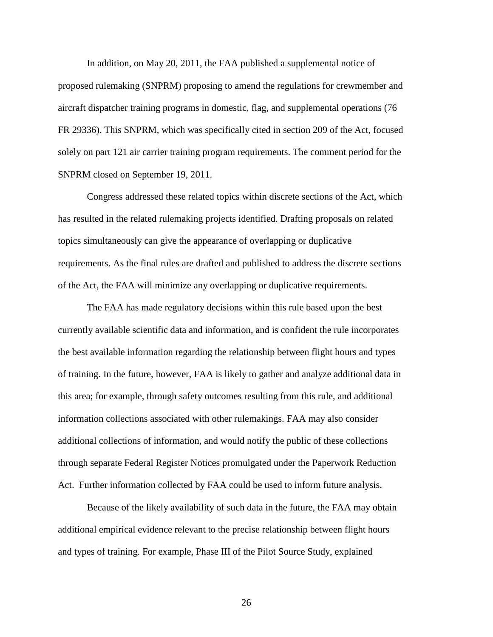In addition, on May 20, 2011, the FAA published a supplemental notice of proposed rulemaking (SNPRM) proposing to amend the regulations for crewmember and aircraft dispatcher training programs in domestic, flag, and supplemental operations (76 FR 29336). This SNPRM, which was specifically cited in section 209 of the Act, focused solely on part 121 air carrier training program requirements. The comment period for the SNPRM closed on September 19, 2011.

Congress addressed these related topics within discrete sections of the Act, which has resulted in the related rulemaking projects identified. Drafting proposals on related topics simultaneously can give the appearance of overlapping or duplicative requirements. As the final rules are drafted and published to address the discrete sections of the Act, the FAA will minimize any overlapping or duplicative requirements.

The FAA has made regulatory decisions within this rule based upon the best currently available scientific data and information, and is confident the rule incorporates the best available information regarding the relationship between flight hours and types of training. In the future, however, FAA is likely to gather and analyze additional data in this area; for example, through safety outcomes resulting from this rule, and additional information collections associated with other rulemakings. FAA may also consider additional collections of information, and would notify the public of these collections through separate Federal Register Notices promulgated under the Paperwork Reduction Act. Further information collected by FAA could be used to inform future analysis.

Because of the likely availability of such data in the future, the FAA may obtain additional empirical evidence relevant to the precise relationship between flight hours and types of training. For example, Phase III of the Pilot Source Study, explained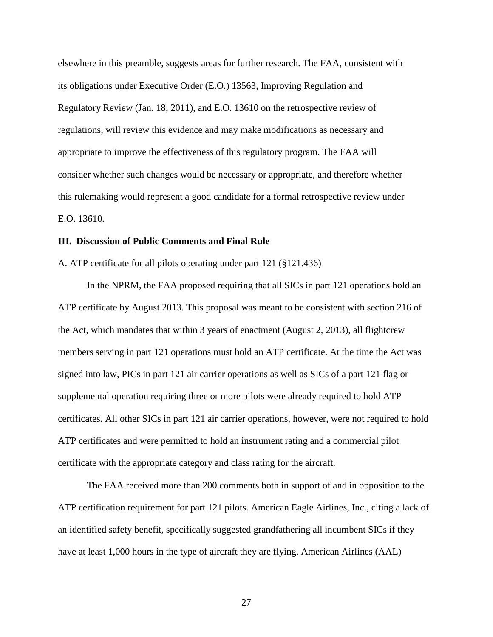elsewhere in this preamble, suggests areas for further research. The FAA, consistent with its obligations under Executive Order (E.O.) 13563, Improving Regulation and Regulatory Review (Jan. 18, 2011), and E.O. 13610 on the retrospective review of regulations, will review this evidence and may make modifications as necessary and appropriate to improve the effectiveness of this regulatory program. The FAA will consider whether such changes would be necessary or appropriate, and therefore whether this rulemaking would represent a good candidate for a formal retrospective review under E.O. 13610.

### **III. Discussion of Public Comments and Final Rule**

#### A. ATP certificate for all pilots operating under part 121 (§121.436)

In the NPRM, the FAA proposed requiring that all SICs in part 121 operations hold an ATP certificate by August 2013. This proposal was meant to be consistent with section 216 of the Act, which mandates that within 3 years of enactment (August 2, 2013), all flightcrew members serving in part 121 operations must hold an ATP certificate. At the time the Act was signed into law, PICs in part 121 air carrier operations as well as SICs of a part 121 flag or supplemental operation requiring three or more pilots were already required to hold ATP certificates. All other SICs in part 121 air carrier operations, however, were not required to hold ATP certificates and were permitted to hold an instrument rating and a commercial pilot certificate with the appropriate category and class rating for the aircraft.

The FAA received more than 200 comments both in support of and in opposition to the ATP certification requirement for part 121 pilots. American Eagle Airlines, Inc., citing a lack of an identified safety benefit, specifically suggested grandfathering all incumbent SICs if they have at least 1,000 hours in the type of aircraft they are flying. American Airlines (AAL)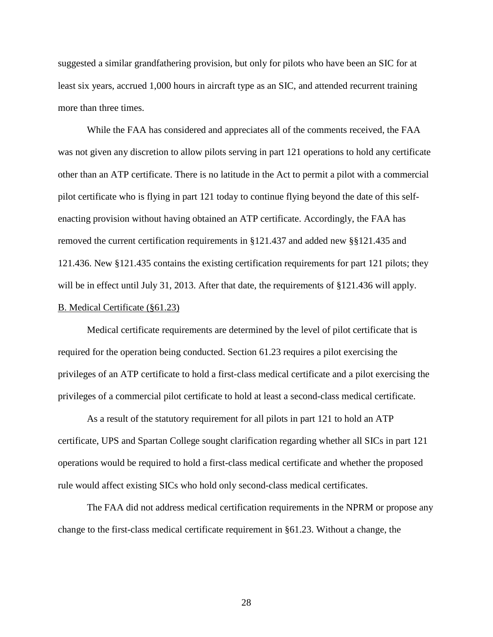suggested a similar grandfathering provision, but only for pilots who have been an SIC for at least six years, accrued 1,000 hours in aircraft type as an SIC, and attended recurrent training more than three times.

While the FAA has considered and appreciates all of the comments received, the FAA was not given any discretion to allow pilots serving in part 121 operations to hold any certificate other than an ATP certificate. There is no latitude in the Act to permit a pilot with a commercial pilot certificate who is flying in part 121 today to continue flying beyond the date of this selfenacting provision without having obtained an ATP certificate. Accordingly, the FAA has removed the current certification requirements in §121.437 and added new §§121.435 and 121.436. New §121.435 contains the existing certification requirements for part 121 pilots; they will be in effect until July 31, 2013. After that date, the requirements of §121.436 will apply. B. Medical Certificate (§61.23)

Medical certificate requirements are determined by the level of pilot certificate that is required for the operation being conducted. Section 61.23 requires a pilot exercising the privileges of an ATP certificate to hold a first-class medical certificate and a pilot exercising the privileges of a commercial pilot certificate to hold at least a second-class medical certificate.

As a result of the statutory requirement for all pilots in part 121 to hold an ATP certificate, UPS and Spartan College sought clarification regarding whether all SICs in part 121 operations would be required to hold a first-class medical certificate and whether the proposed rule would affect existing SICs who hold only second-class medical certificates.

The FAA did not address medical certification requirements in the NPRM or propose any change to the first-class medical certificate requirement in §61.23. Without a change, the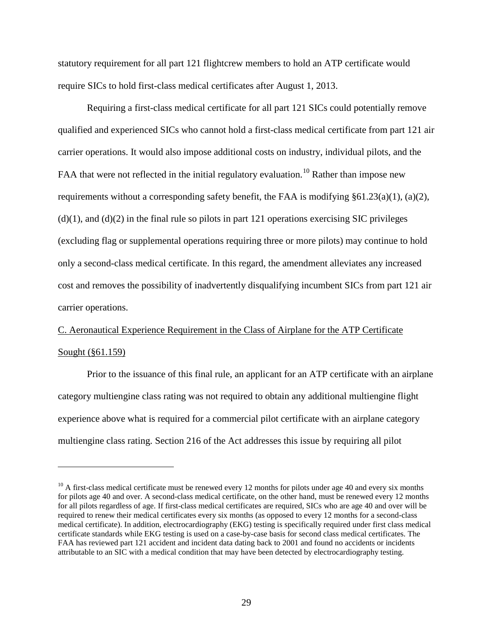statutory requirement for all part 121 flightcrew members to hold an ATP certificate would require SICs to hold first-class medical certificates after August 1, 2013.

Requiring a first-class medical certificate for all part 121 SICs could potentially remove qualified and experienced SICs who cannot hold a first-class medical certificate from part 121 air carrier operations. It would also impose additional costs on industry, individual pilots, and the FAA that were not reflected in the initial regulatory evaluation.<sup>[10](#page-28-0)</sup> Rather than impose new requirements without a corresponding safety benefit, the FAA is modifying §61.23(a)(1), (a)(2),  $(d)(1)$ , and  $(d)(2)$  in the final rule so pilots in part 121 operations exercising SIC privileges (excluding flag or supplemental operations requiring three or more pilots) may continue to hold only a second-class medical certificate. In this regard, the amendment alleviates any increased cost and removes the possibility of inadvertently disqualifying incumbent SICs from part 121 air carrier operations.

# C. Aeronautical Experience Requirement in the Class of Airplane for the ATP Certificate Sought (§61.159)

Prior to the issuance of this final rule, an applicant for an ATP certificate with an airplane category multiengine class rating was not required to obtain any additional multiengine flight experience above what is required for a commercial pilot certificate with an airplane category multiengine class rating. Section 216 of the Act addresses this issue by requiring all pilot

 $\overline{a}$ 

<span id="page-28-0"></span> $10$  A first-class medical certificate must be renewed every 12 months for pilots under age 40 and every six months for pilots age 40 and over. A second-class medical certificate, on the other hand, must be renewed every 12 months for all pilots regardless of age. If first-class medical certificates are required, SICs who are age 40 and over will be required to renew their medical certificates every six months (as opposed to every 12 months for a second-class medical certificate). In addition, electrocardiography (EKG) testing is specifically required under first class medical certificate standards while EKG testing is used on a case-by-case basis for second class medical certificates. The FAA has reviewed part 121 accident and incident data dating back to 2001 and found no accidents or incidents attributable to an SIC with a medical condition that may have been detected by electrocardiography testing.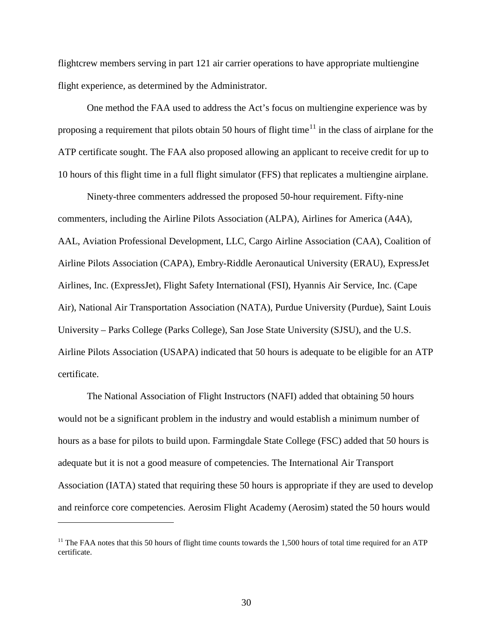flightcrew members serving in part 121 air carrier operations to have appropriate multiengine flight experience, as determined by the Administrator.

One method the FAA used to address the Act's focus on multiengine experience was by proposing a requirement that pilots obtain 50 hours of flight time<sup>[11](#page-29-0)</sup> in the class of airplane for the ATP certificate sought. The FAA also proposed allowing an applicant to receive credit for up to 10 hours of this flight time in a full flight simulator (FFS) that replicates a multiengine airplane.

Ninety-three commenters addressed the proposed 50-hour requirement. Fifty-nine commenters, including the Airline Pilots Association (ALPA), Airlines for America (A4A), AAL, Aviation Professional Development, LLC, Cargo Airline Association (CAA), Coalition of Airline Pilots Association (CAPA), Embry-Riddle Aeronautical University (ERAU), ExpressJet Airlines, Inc. (ExpressJet), Flight Safety International (FSI), Hyannis Air Service, Inc. (Cape Air), National Air Transportation Association (NATA), Purdue University (Purdue), Saint Louis University – Parks College (Parks College), San Jose State University (SJSU), and the U.S. Airline Pilots Association (USAPA) indicated that 50 hours is adequate to be eligible for an ATP certificate.

The National Association of Flight Instructors (NAFI) added that obtaining 50 hours would not be a significant problem in the industry and would establish a minimum number of hours as a base for pilots to build upon. Farmingdale State College (FSC) added that 50 hours is adequate but it is not a good measure of competencies. The International Air Transport Association (IATA) stated that requiring these 50 hours is appropriate if they are used to develop and reinforce core competencies. Aerosim Flight Academy (Aerosim) stated the 50 hours would

 $\overline{a}$ 

<span id="page-29-0"></span> $11$  The FAA notes that this 50 hours of flight time counts towards the 1,500 hours of total time required for an ATP certificate.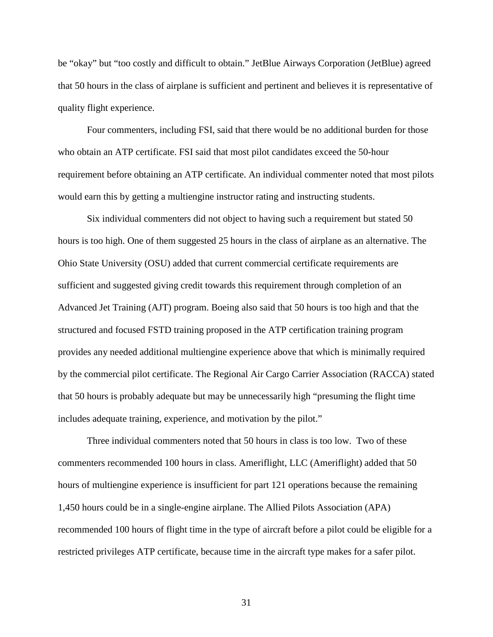be "okay" but "too costly and difficult to obtain." JetBlue Airways Corporation (JetBlue) agreed that 50 hours in the class of airplane is sufficient and pertinent and believes it is representative of quality flight experience.

Four commenters, including FSI, said that there would be no additional burden for those who obtain an ATP certificate. FSI said that most pilot candidates exceed the 50-hour requirement before obtaining an ATP certificate. An individual commenter noted that most pilots would earn this by getting a multiengine instructor rating and instructing students.

Six individual commenters did not object to having such a requirement but stated 50 hours is too high. One of them suggested 25 hours in the class of airplane as an alternative. The Ohio State University (OSU) added that current commercial certificate requirements are sufficient and suggested giving credit towards this requirement through completion of an Advanced Jet Training (AJT) program. Boeing also said that 50 hours is too high and that the structured and focused FSTD training proposed in the ATP certification training program provides any needed additional multiengine experience above that which is minimally required by the commercial pilot certificate. The Regional Air Cargo Carrier Association (RACCA) stated that 50 hours is probably adequate but may be unnecessarily high "presuming the flight time includes adequate training, experience, and motivation by the pilot."

Three individual commenters noted that 50 hours in class is too low. Two of these commenters recommended 100 hours in class. Ameriflight, LLC (Ameriflight) added that 50 hours of multiengine experience is insufficient for part 121 operations because the remaining 1,450 hours could be in a single-engine airplane. The Allied Pilots Association (APA) recommended 100 hours of flight time in the type of aircraft before a pilot could be eligible for a restricted privileges ATP certificate, because time in the aircraft type makes for a safer pilot.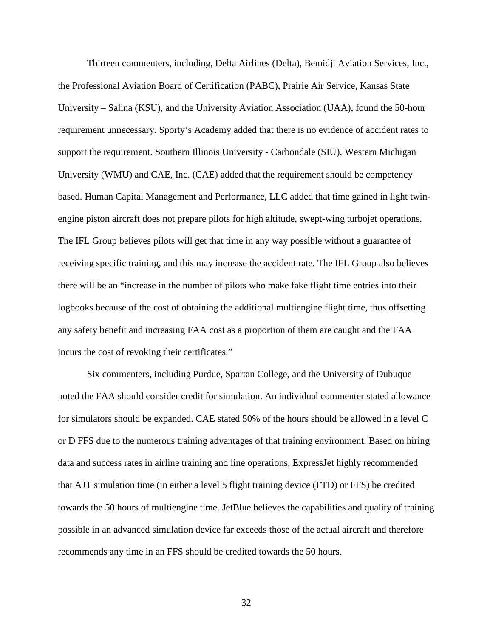Thirteen commenters, including, Delta Airlines (Delta), Bemidji Aviation Services, Inc., the Professional Aviation Board of Certification (PABC), Prairie Air Service, Kansas State University – Salina (KSU), and the University Aviation Association (UAA), found the 50-hour requirement unnecessary. Sporty's Academy added that there is no evidence of accident rates to support the requirement. Southern Illinois University - Carbondale (SIU), Western Michigan University (WMU) and CAE, Inc. (CAE) added that the requirement should be competency based. Human Capital Management and Performance, LLC added that time gained in light twinengine piston aircraft does not prepare pilots for high altitude, swept-wing turbojet operations. The IFL Group believes pilots will get that time in any way possible without a guarantee of receiving specific training, and this may increase the accident rate. The IFL Group also believes there will be an "increase in the number of pilots who make fake flight time entries into their logbooks because of the cost of obtaining the additional multiengine flight time, thus offsetting any safety benefit and increasing FAA cost as a proportion of them are caught and the FAA incurs the cost of revoking their certificates."

Six commenters, including Purdue, Spartan College, and the University of Dubuque noted the FAA should consider credit for simulation. An individual commenter stated allowance for simulators should be expanded. CAE stated 50% of the hours should be allowed in a level C or D FFS due to the numerous training advantages of that training environment. Based on hiring data and success rates in airline training and line operations, ExpressJet highly recommended that AJT simulation time (in either a level 5 flight training device (FTD) or FFS) be credited towards the 50 hours of multiengine time. JetBlue believes the capabilities and quality of training possible in an advanced simulation device far exceeds those of the actual aircraft and therefore recommends any time in an FFS should be credited towards the 50 hours.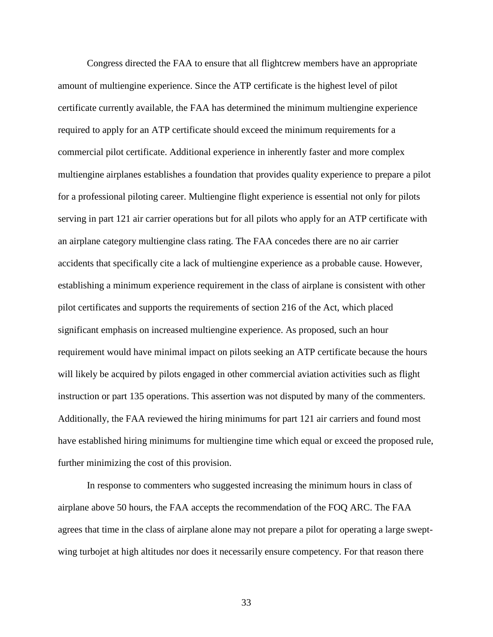Congress directed the FAA to ensure that all flightcrew members have an appropriate amount of multiengine experience. Since the ATP certificate is the highest level of pilot certificate currently available, the FAA has determined the minimum multiengine experience required to apply for an ATP certificate should exceed the minimum requirements for a commercial pilot certificate. Additional experience in inherently faster and more complex multiengine airplanes establishes a foundation that provides quality experience to prepare a pilot for a professional piloting career. Multiengine flight experience is essential not only for pilots serving in part 121 air carrier operations but for all pilots who apply for an ATP certificate with an airplane category multiengine class rating. The FAA concedes there are no air carrier accidents that specifically cite a lack of multiengine experience as a probable cause. However, establishing a minimum experience requirement in the class of airplane is consistent with other pilot certificates and supports the requirements of section 216 of the Act, which placed significant emphasis on increased multiengine experience. As proposed, such an hour requirement would have minimal impact on pilots seeking an ATP certificate because the hours will likely be acquired by pilots engaged in other commercial aviation activities such as flight instruction or part 135 operations. This assertion was not disputed by many of the commenters. Additionally, the FAA reviewed the hiring minimums for part 121 air carriers and found most have established hiring minimums for multiengine time which equal or exceed the proposed rule, further minimizing the cost of this provision.

In response to commenters who suggested increasing the minimum hours in class of airplane above 50 hours, the FAA accepts the recommendation of the FOQ ARC. The FAA agrees that time in the class of airplane alone may not prepare a pilot for operating a large sweptwing turbojet at high altitudes nor does it necessarily ensure competency. For that reason there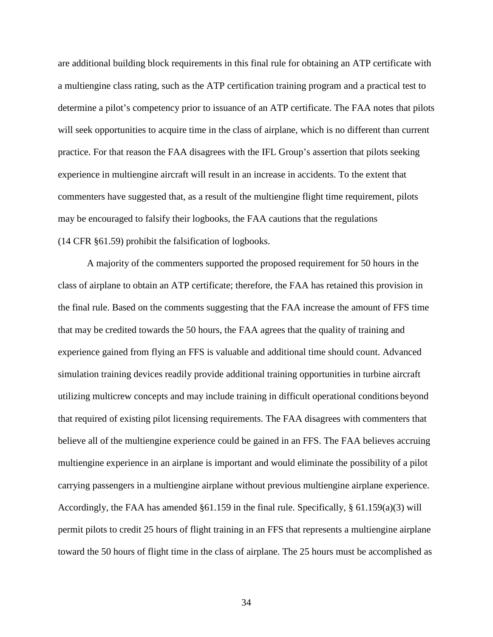are additional building block requirements in this final rule for obtaining an ATP certificate with a multiengine class rating, such as the ATP certification training program and a practical test to determine a pilot's competency prior to issuance of an ATP certificate. The FAA notes that pilots will seek opportunities to acquire time in the class of airplane, which is no different than current practice. For that reason the FAA disagrees with the IFL Group's assertion that pilots seeking experience in multiengine aircraft will result in an increase in accidents. To the extent that commenters have suggested that, as a result of the multiengine flight time requirement, pilots may be encouraged to falsify their logbooks, the FAA cautions that the regulations (14 CFR §61.59) prohibit the falsification of logbooks.

A majority of the commenters supported the proposed requirement for 50 hours in the class of airplane to obtain an ATP certificate; therefore, the FAA has retained this provision in the final rule. Based on the comments suggesting that the FAA increase the amount of FFS time that may be credited towards the 50 hours, the FAA agrees that the quality of training and experience gained from flying an FFS is valuable and additional time should count. Advanced simulation training devices readily provide additional training opportunities in turbine aircraft utilizing multicrew concepts and may include training in difficult operational conditions beyond that required of existing pilot licensing requirements. The FAA disagrees with commenters that believe all of the multiengine experience could be gained in an FFS. The FAA believes accruing multiengine experience in an airplane is important and would eliminate the possibility of a pilot carrying passengers in a multiengine airplane without previous multiengine airplane experience. Accordingly, the FAA has amended  $§61.159$  in the final rule. Specifically,  $§61.159(a)(3)$  will permit pilots to credit 25 hours of flight training in an FFS that represents a multiengine airplane toward the 50 hours of flight time in the class of airplane. The 25 hours must be accomplished as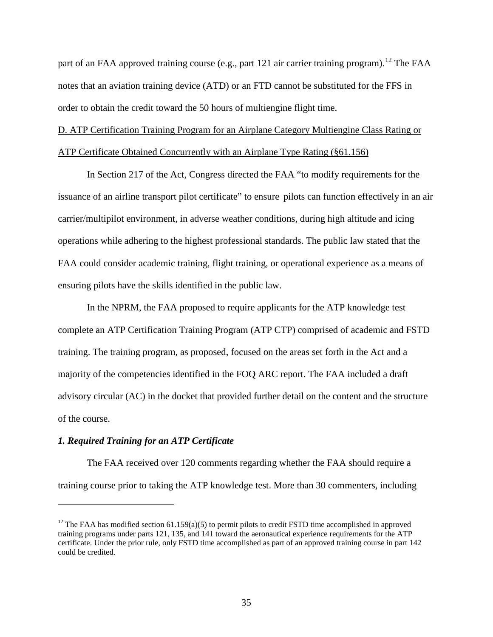part of an FAA approved training course (e.g., part [12](#page-34-0)1 air carrier training program).<sup>12</sup> The FAA notes that an aviation training device (ATD) or an FTD cannot be substituted for the FFS in order to obtain the credit toward the 50 hours of multiengine flight time.

# D. ATP Certification Training Program for an Airplane Category Multiengine Class Rating or ATP Certificate Obtained Concurrently with an Airplane Type Rating (§61.156)

In Section 217 of the Act, Congress directed the FAA "to modify requirements for the issuance of an airline transport pilot certificate" to ensure pilots can function effectively in an air carrier/multipilot environment, in adverse weather conditions, during high altitude and icing operations while adhering to the highest professional standards. The public law stated that the FAA could consider academic training, flight training, or operational experience as a means of ensuring pilots have the skills identified in the public law.

In the NPRM, the FAA proposed to require applicants for the ATP knowledge test complete an ATP Certification Training Program (ATP CTP) comprised of academic and FSTD training. The training program, as proposed, focused on the areas set forth in the Act and a majority of the competencies identified in the FOQ ARC report. The FAA included a draft advisory circular (AC) in the docket that provided further detail on the content and the structure of the course.

## *1. Required Training for an ATP Certificate*

 $\overline{a}$ 

The FAA received over 120 comments regarding whether the FAA should require a training course prior to taking the ATP knowledge test. More than 30 commenters, including

<span id="page-34-0"></span><sup>&</sup>lt;sup>12</sup> The FAA has modified section 61.159(a)(5) to permit pilots to credit FSTD time accomplished in approved training programs under parts 121, 135, and 141 toward the aeronautical experience requirements for the ATP certificate. Under the prior rule, only FSTD time accomplished as part of an approved training course in part 142 could be credited.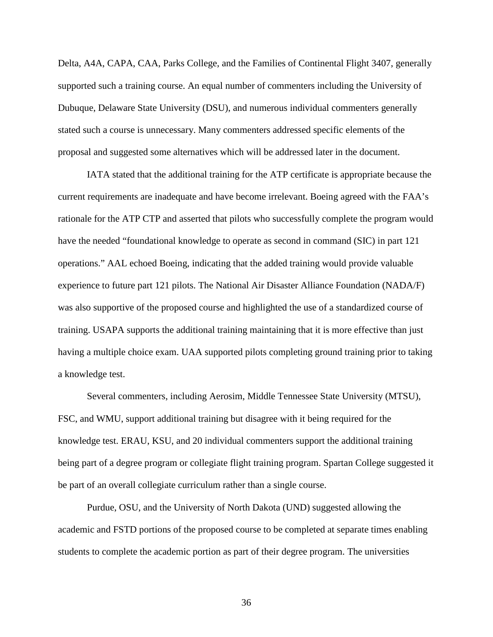Delta, A4A, CAPA, CAA, Parks College, and the Families of Continental Flight 3407, generally supported such a training course. An equal number of commenters including the University of Dubuque, Delaware State University (DSU), and numerous individual commenters generally stated such a course is unnecessary. Many commenters addressed specific elements of the proposal and suggested some alternatives which will be addressed later in the document.

IATA stated that the additional training for the ATP certificate is appropriate because the current requirements are inadequate and have become irrelevant. Boeing agreed with the FAA's rationale for the ATP CTP and asserted that pilots who successfully complete the program would have the needed "foundational knowledge to operate as second in command (SIC) in part 121 operations." AAL echoed Boeing, indicating that the added training would provide valuable experience to future part 121 pilots. The National Air Disaster Alliance Foundation (NADA/F) was also supportive of the proposed course and highlighted the use of a standardized course of training. USAPA supports the additional training maintaining that it is more effective than just having a multiple choice exam. UAA supported pilots completing ground training prior to taking a knowledge test.

Several commenters, including Aerosim, Middle Tennessee State University (MTSU), FSC, and WMU, support additional training but disagree with it being required for the knowledge test. ERAU, KSU, and 20 individual commenters support the additional training being part of a degree program or collegiate flight training program. Spartan College suggested it be part of an overall collegiate curriculum rather than a single course.

Purdue, OSU, and the University of North Dakota (UND) suggested allowing the academic and FSTD portions of the proposed course to be completed at separate times enabling students to complete the academic portion as part of their degree program. The universities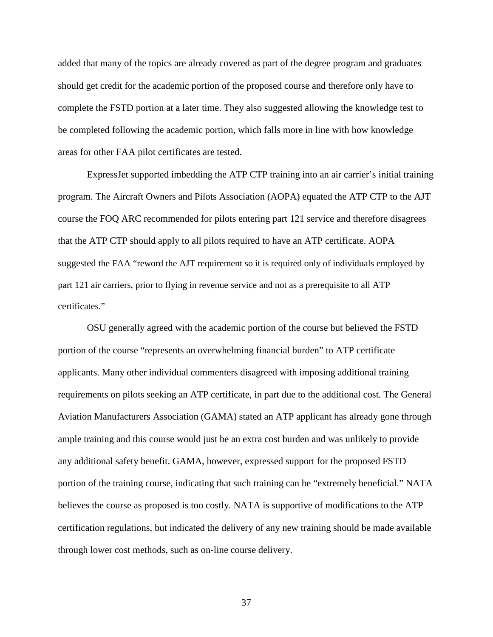added that many of the topics are already covered as part of the degree program and graduates should get credit for the academic portion of the proposed course and therefore only have to complete the FSTD portion at a later time. They also suggested allowing the knowledge test to be completed following the academic portion, which falls more in line with how knowledge areas for other FAA pilot certificates are tested.

ExpressJet supported imbedding the ATP CTP training into an air carrier's initial training program. The Aircraft Owners and Pilots Association (AOPA) equated the ATP CTP to the AJT course the FOQ ARC recommended for pilots entering part 121 service and therefore disagrees that the ATP CTP should apply to all pilots required to have an ATP certificate. AOPA suggested the FAA "reword the AJT requirement so it is required only of individuals employed by part 121 air carriers, prior to flying in revenue service and not as a prerequisite to all ATP certificates."

OSU generally agreed with the academic portion of the course but believed the FSTD portion of the course "represents an overwhelming financial burden" to ATP certificate applicants. Many other individual commenters disagreed with imposing additional training requirements on pilots seeking an ATP certificate, in part due to the additional cost. The General Aviation Manufacturers Association (GAMA) stated an ATP applicant has already gone through ample training and this course would just be an extra cost burden and was unlikely to provide any additional safety benefit. GAMA, however, expressed support for the proposed FSTD portion of the training course, indicating that such training can be "extremely beneficial." NATA believes the course as proposed is too costly. NATA is supportive of modifications to the ATP certification regulations, but indicated the delivery of any new training should be made available through lower cost methods, such as on-line course delivery.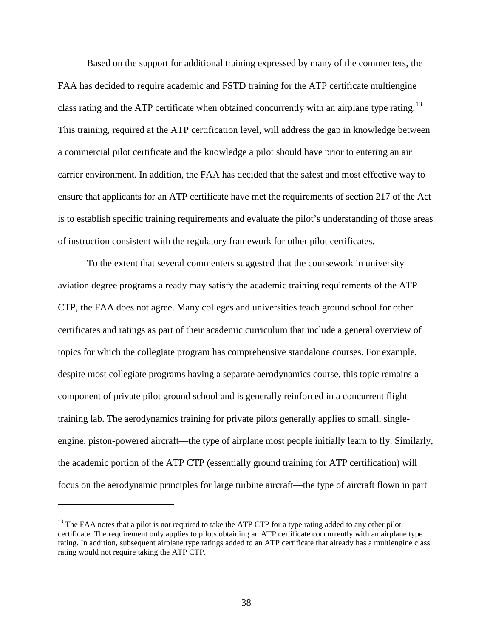Based on the support for additional training expressed by many of the commenters, the FAA has decided to require academic and FSTD training for the ATP certificate multiengine class rating and the ATP certificate when obtained concurrently with an airplane type rating.<sup>[13](#page-37-0)</sup> This training, required at the ATP certification level, will address the gap in knowledge between a commercial pilot certificate and the knowledge a pilot should have prior to entering an air carrier environment. In addition, the FAA has decided that the safest and most effective way to ensure that applicants for an ATP certificate have met the requirements of section 217 of the Act is to establish specific training requirements and evaluate the pilot's understanding of those areas of instruction consistent with the regulatory framework for other pilot certificates.

To the extent that several commenters suggested that the coursework in university aviation degree programs already may satisfy the academic training requirements of the ATP CTP, the FAA does not agree. Many colleges and universities teach ground school for other certificates and ratings as part of their academic curriculum that include a general overview of topics for which the collegiate program has comprehensive standalone courses. For example, despite most collegiate programs having a separate aerodynamics course, this topic remains a component of private pilot ground school and is generally reinforced in a concurrent flight training lab. The aerodynamics training for private pilots generally applies to small, singleengine, piston-powered aircraft—the type of airplane most people initially learn to fly. Similarly, the academic portion of the ATP CTP (essentially ground training for ATP certification) will focus on the aerodynamic principles for large turbine aircraft—the type of aircraft flown in part

 $\overline{a}$ 

<span id="page-37-0"></span><sup>&</sup>lt;sup>13</sup> The FAA notes that a pilot is not required to take the ATP CTP for a type rating added to any other pilot certificate. The requirement only applies to pilots obtaining an ATP certificate concurrently with an airplane type rating. In addition, subsequent airplane type ratings added to an ATP certificate that already has a multiengine class rating would not require taking the ATP CTP.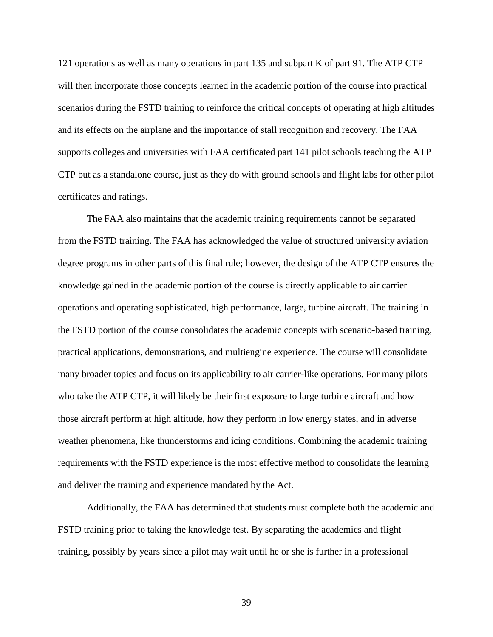121 operations as well as many operations in part 135 and subpart K of part 91. The ATP CTP will then incorporate those concepts learned in the academic portion of the course into practical scenarios during the FSTD training to reinforce the critical concepts of operating at high altitudes and its effects on the airplane and the importance of stall recognition and recovery. The FAA supports colleges and universities with FAA certificated part 141 pilot schools teaching the ATP CTP but as a standalone course, just as they do with ground schools and flight labs for other pilot certificates and ratings.

The FAA also maintains that the academic training requirements cannot be separated from the FSTD training. The FAA has acknowledged the value of structured university aviation degree programs in other parts of this final rule; however, the design of the ATP CTP ensures the knowledge gained in the academic portion of the course is directly applicable to air carrier operations and operating sophisticated, high performance, large, turbine aircraft. The training in the FSTD portion of the course consolidates the academic concepts with scenario-based training, practical applications, demonstrations, and multiengine experience. The course will consolidate many broader topics and focus on its applicability to air carrier-like operations. For many pilots who take the ATP CTP, it will likely be their first exposure to large turbine aircraft and how those aircraft perform at high altitude, how they perform in low energy states, and in adverse weather phenomena, like thunderstorms and icing conditions. Combining the academic training requirements with the FSTD experience is the most effective method to consolidate the learning and deliver the training and experience mandated by the Act.

Additionally, the FAA has determined that students must complete both the academic and FSTD training prior to taking the knowledge test. By separating the academics and flight training, possibly by years since a pilot may wait until he or she is further in a professional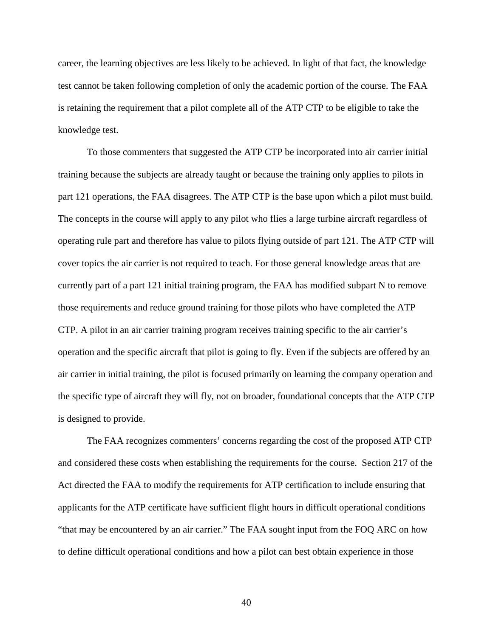career, the learning objectives are less likely to be achieved. In light of that fact, the knowledge test cannot be taken following completion of only the academic portion of the course. The FAA is retaining the requirement that a pilot complete all of the ATP CTP to be eligible to take the knowledge test.

To those commenters that suggested the ATP CTP be incorporated into air carrier initial training because the subjects are already taught or because the training only applies to pilots in part 121 operations, the FAA disagrees. The ATP CTP is the base upon which a pilot must build. The concepts in the course will apply to any pilot who flies a large turbine aircraft regardless of operating rule part and therefore has value to pilots flying outside of part 121. The ATP CTP will cover topics the air carrier is not required to teach. For those general knowledge areas that are currently part of a part 121 initial training program, the FAA has modified subpart N to remove those requirements and reduce ground training for those pilots who have completed the ATP CTP. A pilot in an air carrier training program receives training specific to the air carrier's operation and the specific aircraft that pilot is going to fly. Even if the subjects are offered by an air carrier in initial training, the pilot is focused primarily on learning the company operation and the specific type of aircraft they will fly, not on broader, foundational concepts that the ATP CTP is designed to provide.

The FAA recognizes commenters' concerns regarding the cost of the proposed ATP CTP and considered these costs when establishing the requirements for the course. Section 217 of the Act directed the FAA to modify the requirements for ATP certification to include ensuring that applicants for the ATP certificate have sufficient flight hours in difficult operational conditions "that may be encountered by an air carrier." The FAA sought input from the FOQ ARC on how to define difficult operational conditions and how a pilot can best obtain experience in those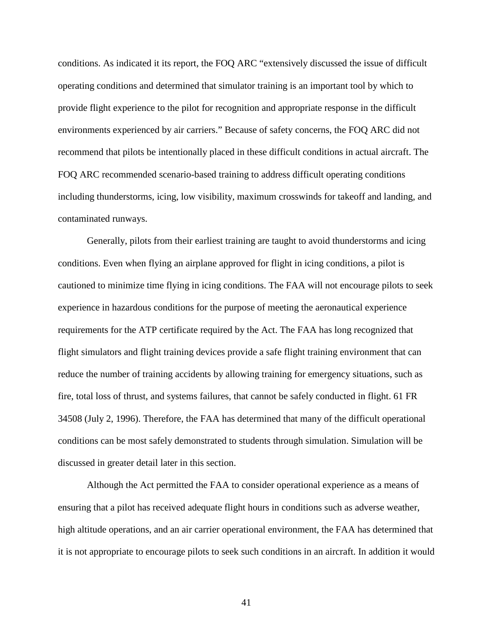conditions. As indicated it its report, the FOQ ARC "extensively discussed the issue of difficult operating conditions and determined that simulator training is an important tool by which to provide flight experience to the pilot for recognition and appropriate response in the difficult environments experienced by air carriers." Because of safety concerns, the FOQ ARC did not recommend that pilots be intentionally placed in these difficult conditions in actual aircraft. The FOQ ARC recommended scenario-based training to address difficult operating conditions including thunderstorms, icing, low visibility, maximum crosswinds for takeoff and landing, and contaminated runways.

Generally, pilots from their earliest training are taught to avoid thunderstorms and icing conditions. Even when flying an airplane approved for flight in icing conditions, a pilot is cautioned to minimize time flying in icing conditions. The FAA will not encourage pilots to seek experience in hazardous conditions for the purpose of meeting the aeronautical experience requirements for the ATP certificate required by the Act. The FAA has long recognized that flight simulators and flight training devices provide a safe flight training environment that can reduce the number of training accidents by allowing training for emergency situations, such as fire, total loss of thrust, and systems failures, that cannot be safely conducted in flight. 61 FR 34508 (July 2, 1996). Therefore, the FAA has determined that many of the difficult operational conditions can be most safely demonstrated to students through simulation. Simulation will be discussed in greater detail later in this section.

Although the Act permitted the FAA to consider operational experience as a means of ensuring that a pilot has received adequate flight hours in conditions such as adverse weather, high altitude operations, and an air carrier operational environment, the FAA has determined that it is not appropriate to encourage pilots to seek such conditions in an aircraft. In addition it would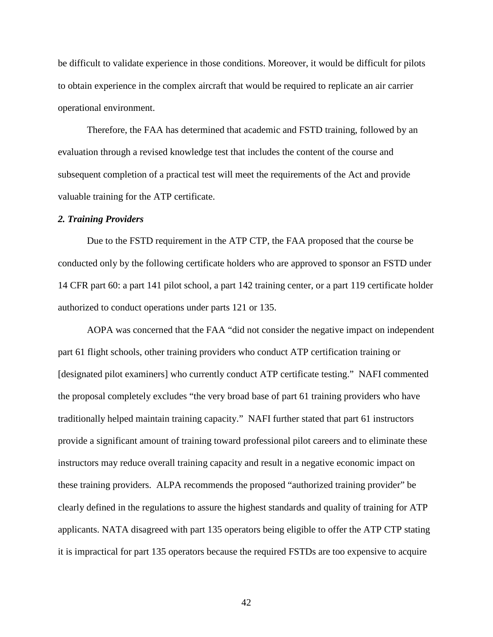be difficult to validate experience in those conditions. Moreover, it would be difficult for pilots to obtain experience in the complex aircraft that would be required to replicate an air carrier operational environment.

Therefore, the FAA has determined that academic and FSTD training, followed by an evaluation through a revised knowledge test that includes the content of the course and subsequent completion of a practical test will meet the requirements of the Act and provide valuable training for the ATP certificate.

### *2. Training Providers*

Due to the FSTD requirement in the ATP CTP, the FAA proposed that the course be conducted only by the following certificate holders who are approved to sponsor an FSTD under 14 CFR part 60: a part 141 pilot school, a part 142 training center, or a part 119 certificate holder authorized to conduct operations under parts 121 or 135.

AOPA was concerned that the FAA "did not consider the negative impact on independent part 61 flight schools, other training providers who conduct ATP certification training or [designated pilot examiners] who currently conduct ATP certificate testing." NAFI commented the proposal completely excludes "the very broad base of part 61 training providers who have traditionally helped maintain training capacity." NAFI further stated that part 61 instructors provide a significant amount of training toward professional pilot careers and to eliminate these instructors may reduce overall training capacity and result in a negative economic impact on these training providers. ALPA recommends the proposed "authorized training provider" be clearly defined in the regulations to assure the highest standards and quality of training for ATP applicants. NATA disagreed with part 135 operators being eligible to offer the ATP CTP stating it is impractical for part 135 operators because the required FSTDs are too expensive to acquire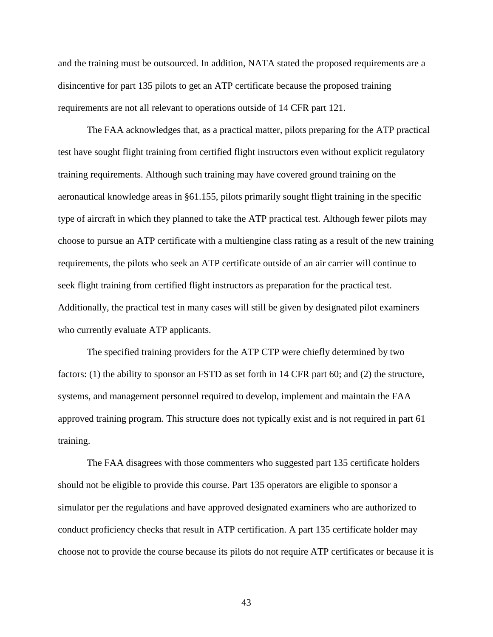and the training must be outsourced. In addition, NATA stated the proposed requirements are a disincentive for part 135 pilots to get an ATP certificate because the proposed training requirements are not all relevant to operations outside of 14 CFR part 121.

The FAA acknowledges that, as a practical matter, pilots preparing for the ATP practical test have sought flight training from certified flight instructors even without explicit regulatory training requirements. Although such training may have covered ground training on the aeronautical knowledge areas in §61.155, pilots primarily sought flight training in the specific type of aircraft in which they planned to take the ATP practical test. Although fewer pilots may choose to pursue an ATP certificate with a multiengine class rating as a result of the new training requirements, the pilots who seek an ATP certificate outside of an air carrier will continue to seek flight training from certified flight instructors as preparation for the practical test. Additionally, the practical test in many cases will still be given by designated pilot examiners who currently evaluate ATP applicants.

The specified training providers for the ATP CTP were chiefly determined by two factors: (1) the ability to sponsor an FSTD as set forth in 14 CFR part 60; and (2) the structure, systems, and management personnel required to develop, implement and maintain the FAA approved training program. This structure does not typically exist and is not required in part 61 training.

The FAA disagrees with those commenters who suggested part 135 certificate holders should not be eligible to provide this course. Part 135 operators are eligible to sponsor a simulator per the regulations and have approved designated examiners who are authorized to conduct proficiency checks that result in ATP certification. A part 135 certificate holder may choose not to provide the course because its pilots do not require ATP certificates or because it is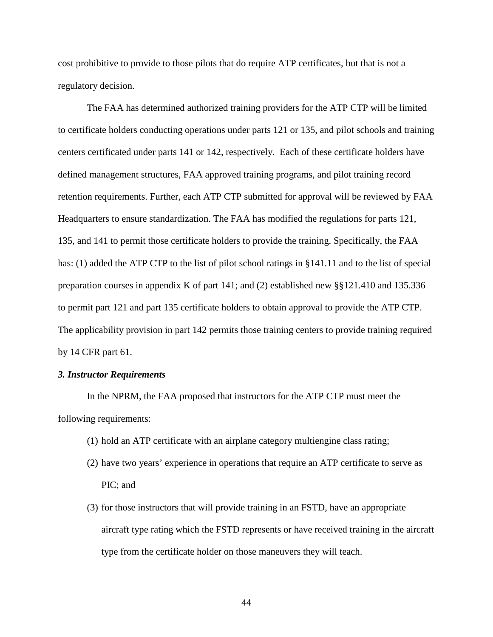cost prohibitive to provide to those pilots that do require ATP certificates, but that is not a regulatory decision.

The FAA has determined authorized training providers for the ATP CTP will be limited to certificate holders conducting operations under parts 121 or 135, and pilot schools and training centers certificated under parts 141 or 142, respectively. Each of these certificate holders have defined management structures, FAA approved training programs, and pilot training record retention requirements. Further, each ATP CTP submitted for approval will be reviewed by FAA Headquarters to ensure standardization. The FAA has modified the regulations for parts 121, 135, and 141 to permit those certificate holders to provide the training. Specifically, the FAA has: (1) added the ATP CTP to the list of pilot school ratings in §141.11 and to the list of special preparation courses in appendix K of part 141; and (2) established new §§121.410 and 135.336 to permit part 121 and part 135 certificate holders to obtain approval to provide the ATP CTP. The applicability provision in part 142 permits those training centers to provide training required by 14 CFR part 61.

### *3. Instructor Requirements*

In the NPRM, the FAA proposed that instructors for the ATP CTP must meet the following requirements:

- (1) hold an ATP certificate with an airplane category multiengine class rating;
- (2) have two years' experience in operations that require an ATP certificate to serve as PIC; and
- (3) for those instructors that will provide training in an FSTD, have an appropriate aircraft type rating which the FSTD represents or have received training in the aircraft type from the certificate holder on those maneuvers they will teach.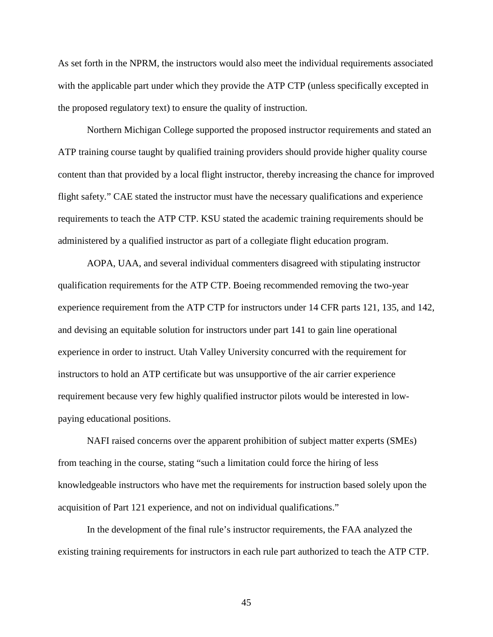As set forth in the NPRM, the instructors would also meet the individual requirements associated with the applicable part under which they provide the ATP CTP (unless specifically excepted in the proposed regulatory text) to ensure the quality of instruction.

Northern Michigan College supported the proposed instructor requirements and stated an ATP training course taught by qualified training providers should provide higher quality course content than that provided by a local flight instructor, thereby increasing the chance for improved flight safety." CAE stated the instructor must have the necessary qualifications and experience requirements to teach the ATP CTP. KSU stated the academic training requirements should be administered by a qualified instructor as part of a collegiate flight education program.

AOPA, UAA, and several individual commenters disagreed with stipulating instructor qualification requirements for the ATP CTP. Boeing recommended removing the two-year experience requirement from the ATP CTP for instructors under 14 CFR parts 121, 135, and 142, and devising an equitable solution for instructors under part 141 to gain line operational experience in order to instruct. Utah Valley University concurred with the requirement for instructors to hold an ATP certificate but was unsupportive of the air carrier experience requirement because very few highly qualified instructor pilots would be interested in lowpaying educational positions.

NAFI raised concerns over the apparent prohibition of subject matter experts (SMEs) from teaching in the course, stating "such a limitation could force the hiring of less knowledgeable instructors who have met the requirements for instruction based solely upon the acquisition of Part 121 experience, and not on individual qualifications."

In the development of the final rule's instructor requirements, the FAA analyzed the existing training requirements for instructors in each rule part authorized to teach the ATP CTP.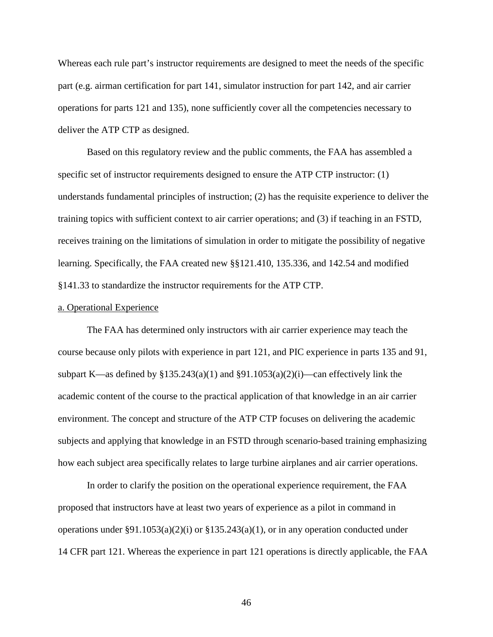Whereas each rule part's instructor requirements are designed to meet the needs of the specific part (e.g. airman certification for part 141, simulator instruction for part 142, and air carrier operations for parts 121 and 135), none sufficiently cover all the competencies necessary to deliver the ATP CTP as designed.

Based on this regulatory review and the public comments, the FAA has assembled a specific set of instructor requirements designed to ensure the ATP CTP instructor: (1) understands fundamental principles of instruction; (2) has the requisite experience to deliver the training topics with sufficient context to air carrier operations; and (3) if teaching in an FSTD, receives training on the limitations of simulation in order to mitigate the possibility of negative learning. Specifically, the FAA created new §§121.410, 135.336, and 142.54 and modified §141.33 to standardize the instructor requirements for the ATP CTP.

### a. Operational Experience

The FAA has determined only instructors with air carrier experience may teach the course because only pilots with experience in part 121, and PIC experience in parts 135 and 91, subpart K—as defined by  $\S 135.243(a)(1)$  and  $\S 91.1053(a)(2)(i)$ —can effectively link the academic content of the course to the practical application of that knowledge in an air carrier environment. The concept and structure of the ATP CTP focuses on delivering the academic subjects and applying that knowledge in an FSTD through scenario-based training emphasizing how each subject area specifically relates to large turbine airplanes and air carrier operations.

In order to clarify the position on the operational experience requirement, the FAA proposed that instructors have at least two years of experience as a pilot in command in operations under §91.1053(a)(2)(i) or §135.243(a)(1), or in any operation conducted under 14 CFR part 121. Whereas the experience in part 121 operations is directly applicable, the FAA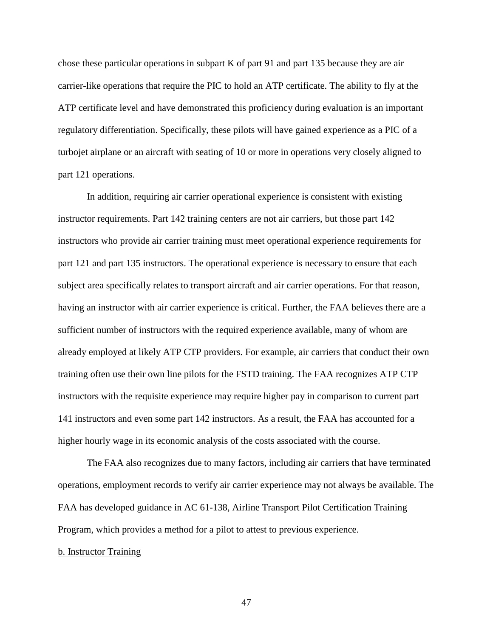chose these particular operations in subpart K of part 91 and part 135 because they are air carrier-like operations that require the PIC to hold an ATP certificate. The ability to fly at the ATP certificate level and have demonstrated this proficiency during evaluation is an important regulatory differentiation. Specifically, these pilots will have gained experience as a PIC of a turbojet airplane or an aircraft with seating of 10 or more in operations very closely aligned to part 121 operations.

In addition, requiring air carrier operational experience is consistent with existing instructor requirements. Part 142 training centers are not air carriers, but those part 142 instructors who provide air carrier training must meet operational experience requirements for part 121 and part 135 instructors. The operational experience is necessary to ensure that each subject area specifically relates to transport aircraft and air carrier operations. For that reason, having an instructor with air carrier experience is critical. Further, the FAA believes there are a sufficient number of instructors with the required experience available, many of whom are already employed at likely ATP CTP providers. For example, air carriers that conduct their own training often use their own line pilots for the FSTD training. The FAA recognizes ATP CTP instructors with the requisite experience may require higher pay in comparison to current part 141 instructors and even some part 142 instructors. As a result, the FAA has accounted for a higher hourly wage in its economic analysis of the costs associated with the course.

The FAA also recognizes due to many factors, including air carriers that have terminated operations, employment records to verify air carrier experience may not always be available. The FAA has developed guidance in AC 61-138, Airline Transport Pilot Certification Training Program, which provides a method for a pilot to attest to previous experience.

## b. Instructor Training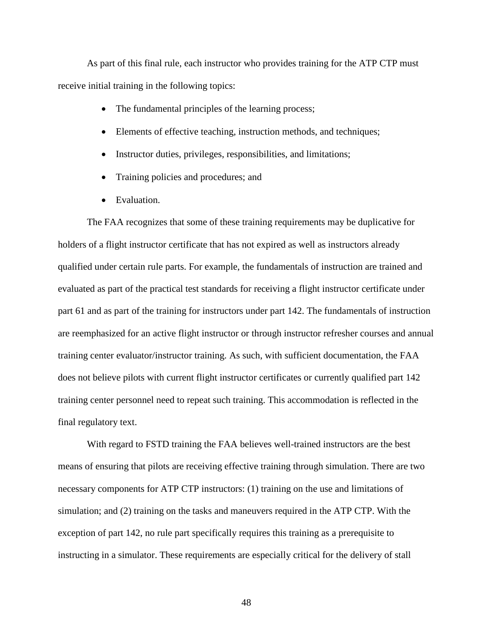As part of this final rule, each instructor who provides training for the ATP CTP must receive initial training in the following topics:

- The fundamental principles of the learning process;
- Elements of effective teaching, instruction methods, and techniques;
- Instructor duties, privileges, responsibilities, and limitations;
- Training policies and procedures; and
- Evaluation.

The FAA recognizes that some of these training requirements may be duplicative for holders of a flight instructor certificate that has not expired as well as instructors already qualified under certain rule parts. For example, the fundamentals of instruction are trained and evaluated as part of the practical test standards for receiving a flight instructor certificate under part 61 and as part of the training for instructors under part 142. The fundamentals of instruction are reemphasized for an active flight instructor or through instructor refresher courses and annual training center evaluator/instructor training. As such, with sufficient documentation, the FAA does not believe pilots with current flight instructor certificates or currently qualified part 142 training center personnel need to repeat such training. This accommodation is reflected in the final regulatory text.

With regard to FSTD training the FAA believes well-trained instructors are the best means of ensuring that pilots are receiving effective training through simulation. There are two necessary components for ATP CTP instructors: (1) training on the use and limitations of simulation; and (2) training on the tasks and maneuvers required in the ATP CTP. With the exception of part 142, no rule part specifically requires this training as a prerequisite to instructing in a simulator. These requirements are especially critical for the delivery of stall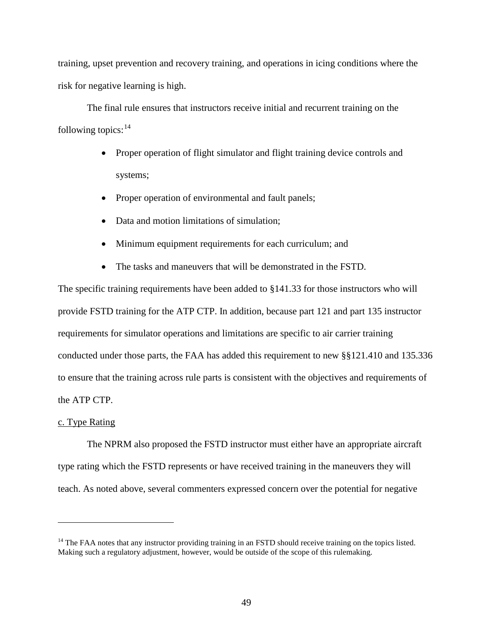training, upset prevention and recovery training, and operations in icing conditions where the risk for negative learning is high.

The final rule ensures that instructors receive initial and recurrent training on the following topics:<sup>[14](#page-48-0)</sup>

- Proper operation of flight simulator and flight training device controls and systems;
- Proper operation of environmental and fault panels;
- Data and motion limitations of simulation;
- Minimum equipment requirements for each curriculum; and
- The tasks and maneuvers that will be demonstrated in the FSTD.

The specific training requirements have been added to §141.33 for those instructors who will provide FSTD training for the ATP CTP. In addition, because part 121 and part 135 instructor requirements for simulator operations and limitations are specific to air carrier training conducted under those parts, the FAA has added this requirement to new §§121.410 and 135.336 to ensure that the training across rule parts is consistent with the objectives and requirements of the ATP CTP.

### c. Type Rating

 $\overline{a}$ 

The NPRM also proposed the FSTD instructor must either have an appropriate aircraft type rating which the FSTD represents or have received training in the maneuvers they will teach. As noted above, several commenters expressed concern over the potential for negative

<span id="page-48-0"></span> $<sup>14</sup>$  The FAA notes that any instructor providing training in an FSTD should receive training on the topics listed.</sup> Making such a regulatory adjustment, however, would be outside of the scope of this rulemaking.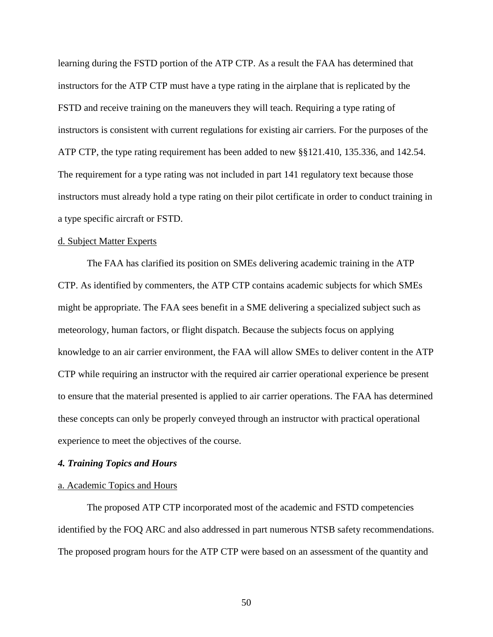learning during the FSTD portion of the ATP CTP. As a result the FAA has determined that instructors for the ATP CTP must have a type rating in the airplane that is replicated by the FSTD and receive training on the maneuvers they will teach. Requiring a type rating of instructors is consistent with current regulations for existing air carriers. For the purposes of the ATP CTP, the type rating requirement has been added to new §§121.410, 135.336, and 142.54. The requirement for a type rating was not included in part 141 regulatory text because those instructors must already hold a type rating on their pilot certificate in order to conduct training in a type specific aircraft or FSTD.

# d. Subject Matter Experts

The FAA has clarified its position on SMEs delivering academic training in the ATP CTP. As identified by commenters, the ATP CTP contains academic subjects for which SMEs might be appropriate. The FAA sees benefit in a SME delivering a specialized subject such as meteorology, human factors, or flight dispatch. Because the subjects focus on applying knowledge to an air carrier environment, the FAA will allow SMEs to deliver content in the ATP CTP while requiring an instructor with the required air carrier operational experience be present to ensure that the material presented is applied to air carrier operations. The FAA has determined these concepts can only be properly conveyed through an instructor with practical operational experience to meet the objectives of the course.

#### *4. Training Topics and Hours*

# a. Academic Topics and Hours

The proposed ATP CTP incorporated most of the academic and FSTD competencies identified by the FOQ ARC and also addressed in part numerous NTSB safety recommendations. The proposed program hours for the ATP CTP were based on an assessment of the quantity and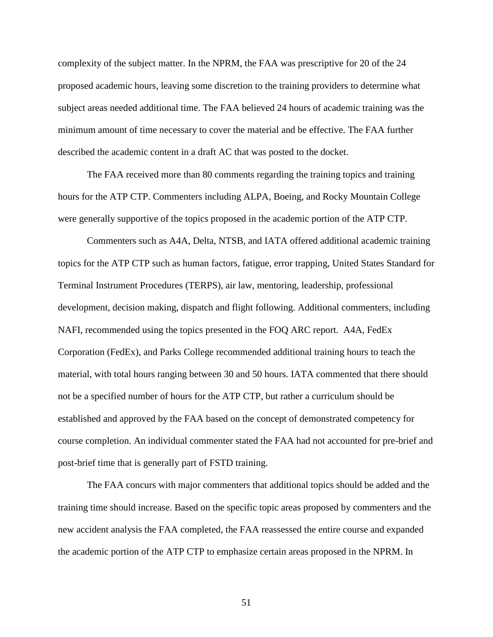complexity of the subject matter. In the NPRM, the FAA was prescriptive for 20 of the 24 proposed academic hours, leaving some discretion to the training providers to determine what subject areas needed additional time. The FAA believed 24 hours of academic training was the minimum amount of time necessary to cover the material and be effective. The FAA further described the academic content in a draft AC that was posted to the docket.

The FAA received more than 80 comments regarding the training topics and training hours for the ATP CTP. Commenters including ALPA, Boeing, and Rocky Mountain College were generally supportive of the topics proposed in the academic portion of the ATP CTP.

Commenters such as A4A, Delta, NTSB, and IATA offered additional academic training topics for the ATP CTP such as human factors, fatigue, error trapping, United States Standard for Terminal Instrument Procedures (TERPS), air law, mentoring, leadership, professional development, decision making, dispatch and flight following. Additional commenters, including NAFI, recommended using the topics presented in the FOQ ARC report. A4A, FedEx Corporation (FedEx), and Parks College recommended additional training hours to teach the material, with total hours ranging between 30 and 50 hours. IATA commented that there should not be a specified number of hours for the ATP CTP, but rather a curriculum should be established and approved by the FAA based on the concept of demonstrated competency for course completion. An individual commenter stated the FAA had not accounted for pre-brief and post-brief time that is generally part of FSTD training.

The FAA concurs with major commenters that additional topics should be added and the training time should increase. Based on the specific topic areas proposed by commenters and the new accident analysis the FAA completed, the FAA reassessed the entire course and expanded the academic portion of the ATP CTP to emphasize certain areas proposed in the NPRM. In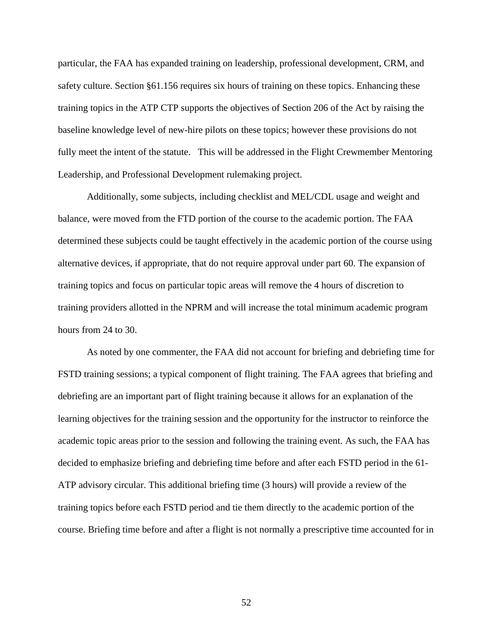particular, the FAA has expanded training on leadership, professional development, CRM, and safety culture. Section §61.156 requires six hours of training on these topics. Enhancing these training topics in the ATP CTP supports the objectives of Section 206 of the Act by raising the baseline knowledge level of new-hire pilots on these topics; however these provisions do not fully meet the intent of the statute. This will be addressed in the Flight Crewmember Mentoring Leadership, and Professional Development rulemaking project.

Additionally, some subjects, including checklist and MEL/CDL usage and weight and balance, were moved from the FTD portion of the course to the academic portion. The FAA determined these subjects could be taught effectively in the academic portion of the course using alternative devices, if appropriate, that do not require approval under part 60. The expansion of training topics and focus on particular topic areas will remove the 4 hours of discretion to training providers allotted in the NPRM and will increase the total minimum academic program hours from 24 to 30.

As noted by one commenter, the FAA did not account for briefing and debriefing time for FSTD training sessions; a typical component of flight training. The FAA agrees that briefing and debriefing are an important part of flight training because it allows for an explanation of the learning objectives for the training session and the opportunity for the instructor to reinforce the academic topic areas prior to the session and following the training event. As such, the FAA has decided to emphasize briefing and debriefing time before and after each FSTD period in the 61- ATP advisory circular. This additional briefing time (3 hours) will provide a review of the training topics before each FSTD period and tie them directly to the academic portion of the course. Briefing time before and after a flight is not normally a prescriptive time accounted for in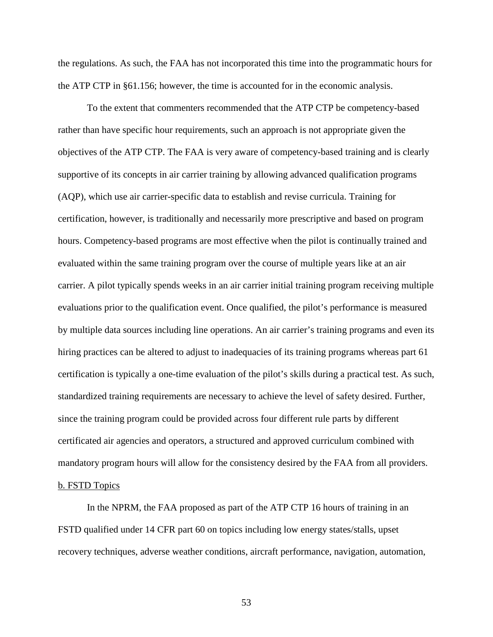the regulations. As such, the FAA has not incorporated this time into the programmatic hours for the ATP CTP in §61.156; however, the time is accounted for in the economic analysis.

To the extent that commenters recommended that the ATP CTP be competency-based rather than have specific hour requirements, such an approach is not appropriate given the objectives of the ATP CTP. The FAA is very aware of competency-based training and is clearly supportive of its concepts in air carrier training by allowing advanced qualification programs (AQP), which use air carrier-specific data to establish and revise curricula. Training for certification, however, is traditionally and necessarily more prescriptive and based on program hours. Competency-based programs are most effective when the pilot is continually trained and evaluated within the same training program over the course of multiple years like at an air carrier. A pilot typically spends weeks in an air carrier initial training program receiving multiple evaluations prior to the qualification event. Once qualified, the pilot's performance is measured by multiple data sources including line operations. An air carrier's training programs and even its hiring practices can be altered to adjust to inadequacies of its training programs whereas part 61 certification is typically a one-time evaluation of the pilot's skills during a practical test. As such, standardized training requirements are necessary to achieve the level of safety desired. Further, since the training program could be provided across four different rule parts by different certificated air agencies and operators, a structured and approved curriculum combined with mandatory program hours will allow for the consistency desired by the FAA from all providers. b. FSTD Topics

In the NPRM, the FAA proposed as part of the ATP CTP 16 hours of training in an FSTD qualified under 14 CFR part 60 on topics including low energy states/stalls, upset recovery techniques, adverse weather conditions, aircraft performance, navigation, automation,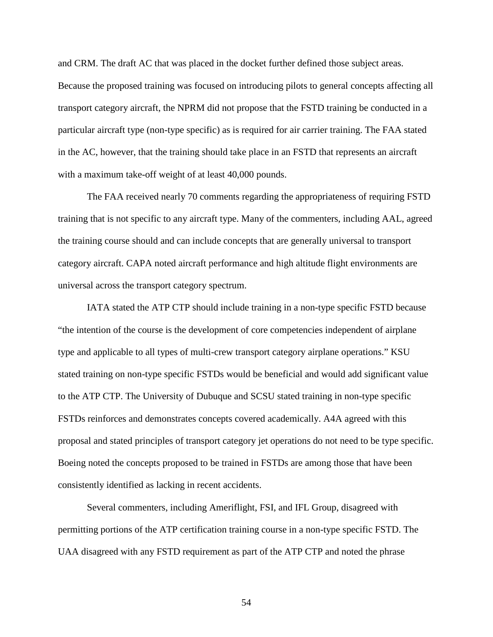and CRM. The draft AC that was placed in the docket further defined those subject areas. Because the proposed training was focused on introducing pilots to general concepts affecting all transport category aircraft, the NPRM did not propose that the FSTD training be conducted in a particular aircraft type (non-type specific) as is required for air carrier training. The FAA stated in the AC, however, that the training should take place in an FSTD that represents an aircraft with a maximum take-off weight of at least 40,000 pounds.

The FAA received nearly 70 comments regarding the appropriateness of requiring FSTD training that is not specific to any aircraft type. Many of the commenters, including AAL, agreed the training course should and can include concepts that are generally universal to transport category aircraft. CAPA noted aircraft performance and high altitude flight environments are universal across the transport category spectrum.

IATA stated the ATP CTP should include training in a non-type specific FSTD because "the intention of the course is the development of core competencies independent of airplane type and applicable to all types of multi-crew transport category airplane operations." KSU stated training on non-type specific FSTDs would be beneficial and would add significant value to the ATP CTP. The University of Dubuque and SCSU stated training in non-type specific FSTDs reinforces and demonstrates concepts covered academically. A4A agreed with this proposal and stated principles of transport category jet operations do not need to be type specific. Boeing noted the concepts proposed to be trained in FSTDs are among those that have been consistently identified as lacking in recent accidents.

Several commenters, including Ameriflight, FSI, and IFL Group, disagreed with permitting portions of the ATP certification training course in a non-type specific FSTD. The UAA disagreed with any FSTD requirement as part of the ATP CTP and noted the phrase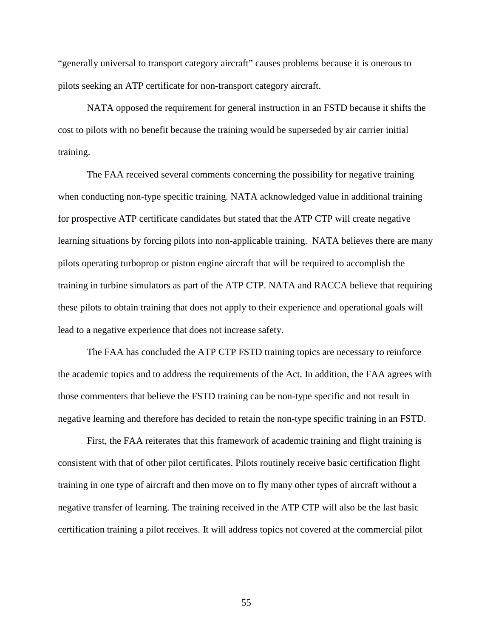"generally universal to transport category aircraft" causes problems because it is onerous to pilots seeking an ATP certificate for non-transport category aircraft.

NATA opposed the requirement for general instruction in an FSTD because it shifts the cost to pilots with no benefit because the training would be superseded by air carrier initial training.

The FAA received several comments concerning the possibility for negative training when conducting non-type specific training. NATA acknowledged value in additional training for prospective ATP certificate candidates but stated that the ATP CTP will create negative learning situations by forcing pilots into non-applicable training. NATA believes there are many pilots operating turboprop or piston engine aircraft that will be required to accomplish the training in turbine simulators as part of the ATP CTP. NATA and RACCA believe that requiring these pilots to obtain training that does not apply to their experience and operational goals will lead to a negative experience that does not increase safety.

The FAA has concluded the ATP CTP FSTD training topics are necessary to reinforce the academic topics and to address the requirements of the Act. In addition, the FAA agrees with those commenters that believe the FSTD training can be non-type specific and not result in negative learning and therefore has decided to retain the non-type specific training in an FSTD.

First, the FAA reiterates that this framework of academic training and flight training is consistent with that of other pilot certificates. Pilots routinely receive basic certification flight training in one type of aircraft and then move on to fly many other types of aircraft without a negative transfer of learning. The training received in the ATP CTP will also be the last basic certification training a pilot receives. It will address topics not covered at the commercial pilot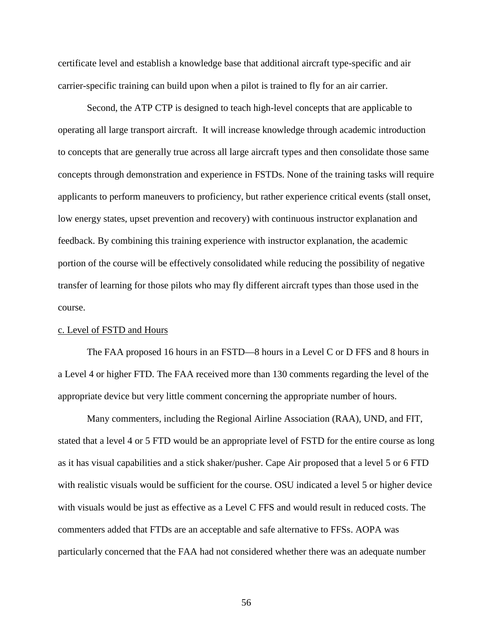certificate level and establish a knowledge base that additional aircraft type-specific and air carrier-specific training can build upon when a pilot is trained to fly for an air carrier.

Second, the ATP CTP is designed to teach high-level concepts that are applicable to operating all large transport aircraft. It will increase knowledge through academic introduction to concepts that are generally true across all large aircraft types and then consolidate those same concepts through demonstration and experience in FSTDs. None of the training tasks will require applicants to perform maneuvers to proficiency, but rather experience critical events (stall onset, low energy states, upset prevention and recovery) with continuous instructor explanation and feedback. By combining this training experience with instructor explanation, the academic portion of the course will be effectively consolidated while reducing the possibility of negative transfer of learning for those pilots who may fly different aircraft types than those used in the course.

# c. Level of FSTD and Hours

The FAA proposed 16 hours in an FSTD—8 hours in a Level C or D FFS and 8 hours in a Level 4 or higher FTD. The FAA received more than 130 comments regarding the level of the appropriate device but very little comment concerning the appropriate number of hours.

Many commenters, including the Regional Airline Association (RAA), UND, and FIT, stated that a level 4 or 5 FTD would be an appropriate level of FSTD for the entire course as long as it has visual capabilities and a stick shaker/pusher. Cape Air proposed that a level 5 or 6 FTD with realistic visuals would be sufficient for the course. OSU indicated a level 5 or higher device with visuals would be just as effective as a Level C FFS and would result in reduced costs. The commenters added that FTDs are an acceptable and safe alternative to FFSs. AOPA was particularly concerned that the FAA had not considered whether there was an adequate number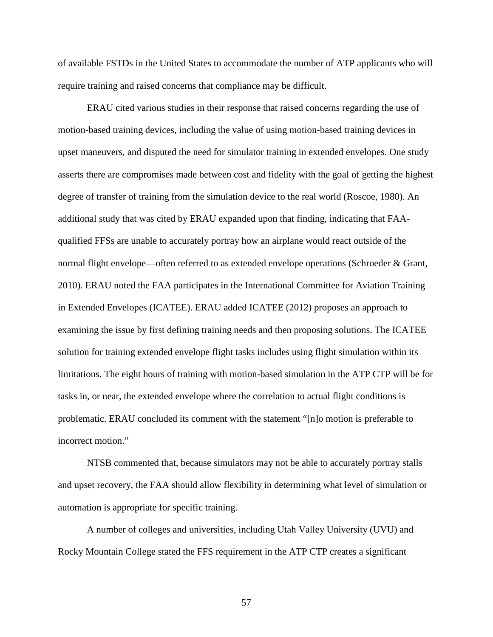of available FSTDs in the United States to accommodate the number of ATP applicants who will require training and raised concerns that compliance may be difficult.

ERAU cited various studies in their response that raised concerns regarding the use of motion-based training devices, including the value of using motion-based training devices in upset maneuvers, and disputed the need for simulator training in extended envelopes. One study asserts there are compromises made between cost and fidelity with the goal of getting the highest degree of transfer of training from the simulation device to the real world (Roscoe, 1980). An additional study that was cited by ERAU expanded upon that finding, indicating that FAAqualified FFSs are unable to accurately portray how an airplane would react outside of the normal flight envelope—often referred to as extended envelope operations (Schroeder & Grant, 2010). ERAU noted the FAA participates in the International Committee for Aviation Training in Extended Envelopes (ICATEE). ERAU added ICATEE (2012) proposes an approach to examining the issue by first defining training needs and then proposing solutions. The ICATEE solution for training extended envelope flight tasks includes using flight simulation within its limitations. The eight hours of training with motion-based simulation in the ATP CTP will be for tasks in, or near, the extended envelope where the correlation to actual flight conditions is problematic. ERAU concluded its comment with the statement "[n]o motion is preferable to incorrect motion."

NTSB commented that, because simulators may not be able to accurately portray stalls and upset recovery, the FAA should allow flexibility in determining what level of simulation or automation is appropriate for specific training.

A number of colleges and universities, including Utah Valley University (UVU) and Rocky Mountain College stated the FFS requirement in the ATP CTP creates a significant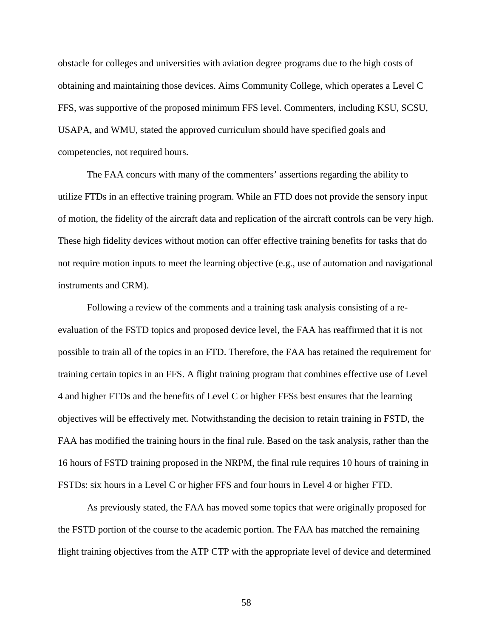obstacle for colleges and universities with aviation degree programs due to the high costs of obtaining and maintaining those devices. Aims Community College, which operates a Level C FFS, was supportive of the proposed minimum FFS level. Commenters, including KSU, SCSU, USAPA, and WMU, stated the approved curriculum should have specified goals and competencies, not required hours.

The FAA concurs with many of the commenters' assertions regarding the ability to utilize FTDs in an effective training program. While an FTD does not provide the sensory input of motion, the fidelity of the aircraft data and replication of the aircraft controls can be very high. These high fidelity devices without motion can offer effective training benefits for tasks that do not require motion inputs to meet the learning objective (e.g., use of automation and navigational instruments and CRM).

Following a review of the comments and a training task analysis consisting of a reevaluation of the FSTD topics and proposed device level, the FAA has reaffirmed that it is not possible to train all of the topics in an FTD. Therefore, the FAA has retained the requirement for training certain topics in an FFS. A flight training program that combines effective use of Level 4 and higher FTDs and the benefits of Level C or higher FFSs best ensures that the learning objectives will be effectively met. Notwithstanding the decision to retain training in FSTD, the FAA has modified the training hours in the final rule. Based on the task analysis, rather than the 16 hours of FSTD training proposed in the NRPM, the final rule requires 10 hours of training in FSTDs: six hours in a Level C or higher FFS and four hours in Level 4 or higher FTD.

As previously stated, the FAA has moved some topics that were originally proposed for the FSTD portion of the course to the academic portion. The FAA has matched the remaining flight training objectives from the ATP CTP with the appropriate level of device and determined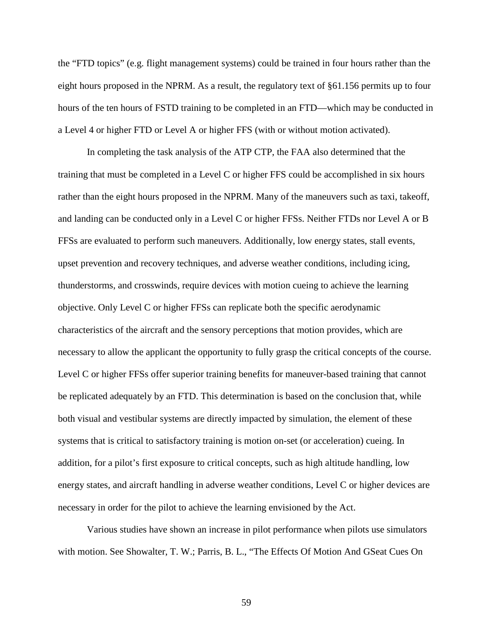the "FTD topics" (e.g. flight management systems) could be trained in four hours rather than the eight hours proposed in the NPRM. As a result, the regulatory text of §61.156 permits up to four hours of the ten hours of FSTD training to be completed in an FTD—which may be conducted in a Level 4 or higher FTD or Level A or higher FFS (with or without motion activated).

In completing the task analysis of the ATP CTP, the FAA also determined that the training that must be completed in a Level C or higher FFS could be accomplished in six hours rather than the eight hours proposed in the NPRM. Many of the maneuvers such as taxi, takeoff, and landing can be conducted only in a Level C or higher FFSs. Neither FTDs nor Level A or B FFSs are evaluated to perform such maneuvers. Additionally, low energy states, stall events, upset prevention and recovery techniques, and adverse weather conditions, including icing, thunderstorms, and crosswinds, require devices with motion cueing to achieve the learning objective. Only Level C or higher FFSs can replicate both the specific aerodynamic characteristics of the aircraft and the sensory perceptions that motion provides, which are necessary to allow the applicant the opportunity to fully grasp the critical concepts of the course. Level C or higher FFSs offer superior training benefits for maneuver-based training that cannot be replicated adequately by an FTD. This determination is based on the conclusion that, while both visual and vestibular systems are directly impacted by simulation, the element of these systems that is critical to satisfactory training is motion on-set (or acceleration) cueing. In addition, for a pilot's first exposure to critical concepts, such as high altitude handling, low energy states, and aircraft handling in adverse weather conditions, Level C or higher devices are necessary in order for the pilot to achieve the learning envisioned by the Act.

Various studies have shown an increase in pilot performance when pilots use simulators with motion. See Showalter, T. W.; Parris, B. L., "The Effects Of Motion And GSeat Cues On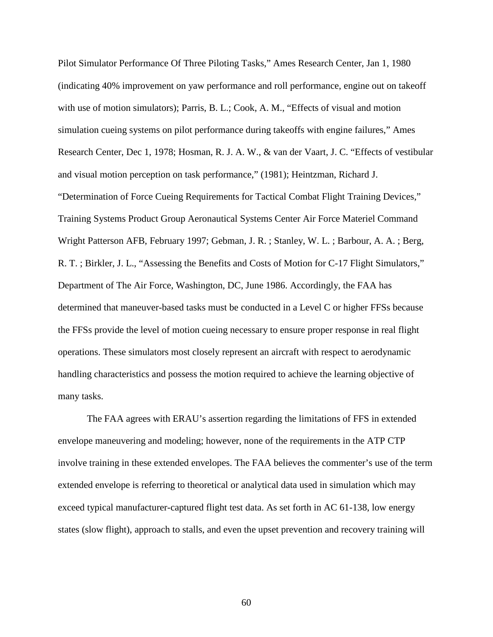Pilot Simulator Performance Of Three Piloting Tasks," Ames Research Center, Jan 1, 1980 (indicating 40% improvement on yaw performance and roll performance, engine out on takeoff with use of motion simulators); Parris, B. L.; Cook, A. M., "Effects of visual and motion simulation cueing systems on pilot performance during takeoffs with engine failures," Ames Research Center, Dec 1, 1978; Hosman, R. J. A. W., & van der Vaart, J. C. "Effects of vestibular and visual motion perception on task performance," (1981); Heintzman, Richard J. "Determination of Force Cueing Requirements for Tactical Combat Flight Training Devices," Training Systems Product Group Aeronautical Systems Center Air Force Materiel Command Wright Patterson AFB, February 1997; Gebman, J. R. ; Stanley, W. L. ; Barbour, A. A. ; Berg, R. T. ; Birkler, J. L., "Assessing the Benefits and Costs of Motion for C-17 Flight Simulators," Department of The Air Force, Washington, DC, June 1986. Accordingly, the FAA has determined that maneuver-based tasks must be conducted in a Level C or higher FFSs because the FFSs provide the level of motion cueing necessary to ensure proper response in real flight operations. These simulators most closely represent an aircraft with respect to aerodynamic handling characteristics and possess the motion required to achieve the learning objective of many tasks.

The FAA agrees with ERAU's assertion regarding the limitations of FFS in extended envelope maneuvering and modeling; however, none of the requirements in the ATP CTP involve training in these extended envelopes. The FAA believes the commenter's use of the term extended envelope is referring to theoretical or analytical data used in simulation which may exceed typical manufacturer-captured flight test data. As set forth in AC 61-138, low energy states (slow flight), approach to stalls, and even the upset prevention and recovery training will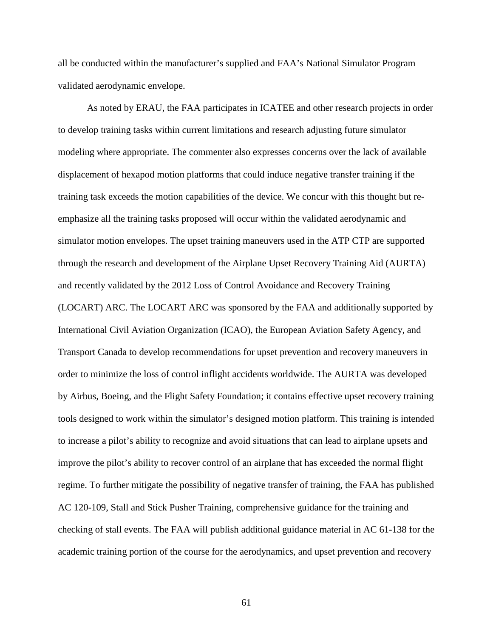all be conducted within the manufacturer's supplied and FAA's National Simulator Program validated aerodynamic envelope.

As noted by ERAU, the FAA participates in ICATEE and other research projects in order to develop training tasks within current limitations and research adjusting future simulator modeling where appropriate. The commenter also expresses concerns over the lack of available displacement of hexapod motion platforms that could induce negative transfer training if the training task exceeds the motion capabilities of the device. We concur with this thought but reemphasize all the training tasks proposed will occur within the validated aerodynamic and simulator motion envelopes. The upset training maneuvers used in the ATP CTP are supported through the research and development of the Airplane Upset Recovery Training Aid (AURTA) and recently validated by the 2012 Loss of Control Avoidance and Recovery Training (LOCART) ARC. The LOCART ARC was sponsored by the FAA and additionally supported by International Civil Aviation Organization (ICAO), the European Aviation Safety Agency, and Transport Canada to develop recommendations for upset prevention and recovery maneuvers in order to minimize the loss of control inflight accidents worldwide. The AURTA was developed by Airbus, Boeing, and the Flight Safety Foundation; it contains effective upset recovery training tools designed to work within the simulator's designed motion platform. This training is intended to increase a pilot's ability to recognize and avoid situations that can lead to airplane upsets and improve the pilot's ability to recover control of an airplane that has exceeded the normal flight regime. To further mitigate the possibility of negative transfer of training, the FAA has published AC 120-109, Stall and Stick Pusher Training, comprehensive guidance for the training and checking of stall events. The FAA will publish additional guidance material in AC 61-138 for the academic training portion of the course for the aerodynamics, and upset prevention and recovery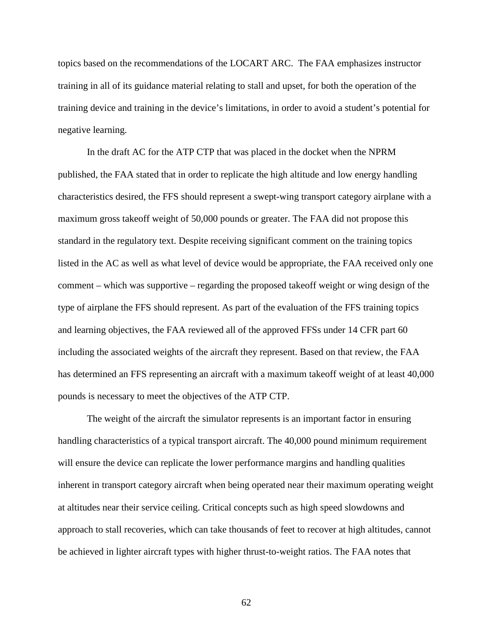topics based on the recommendations of the LOCART ARC. The FAA emphasizes instructor training in all of its guidance material relating to stall and upset, for both the operation of the training device and training in the device's limitations, in order to avoid a student's potential for negative learning.

In the draft AC for the ATP CTP that was placed in the docket when the NPRM published, the FAA stated that in order to replicate the high altitude and low energy handling characteristics desired, the FFS should represent a swept-wing transport category airplane with a maximum gross takeoff weight of 50,000 pounds or greater. The FAA did not propose this standard in the regulatory text. Despite receiving significant comment on the training topics listed in the AC as well as what level of device would be appropriate, the FAA received only one comment – which was supportive – regarding the proposed takeoff weight or wing design of the type of airplane the FFS should represent. As part of the evaluation of the FFS training topics and learning objectives, the FAA reviewed all of the approved FFSs under 14 CFR part 60 including the associated weights of the aircraft they represent. Based on that review, the FAA has determined an FFS representing an aircraft with a maximum takeoff weight of at least 40,000 pounds is necessary to meet the objectives of the ATP CTP.

The weight of the aircraft the simulator represents is an important factor in ensuring handling characteristics of a typical transport aircraft. The 40,000 pound minimum requirement will ensure the device can replicate the lower performance margins and handling qualities inherent in transport category aircraft when being operated near their maximum operating weight at altitudes near their service ceiling. Critical concepts such as high speed slowdowns and approach to stall recoveries, which can take thousands of feet to recover at high altitudes, cannot be achieved in lighter aircraft types with higher thrust-to-weight ratios. The FAA notes that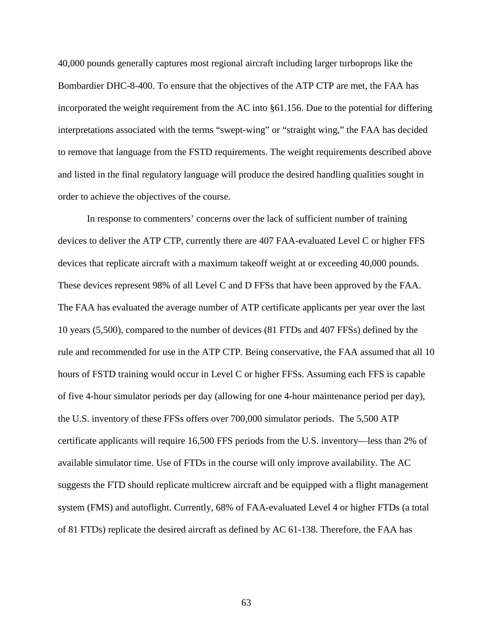40,000 pounds generally captures most regional aircraft including larger turboprops like the Bombardier DHC-8-400. To ensure that the objectives of the ATP CTP are met, the FAA has incorporated the weight requirement from the AC into §61.156. Due to the potential for differing interpretations associated with the terms "swept-wing" or "straight wing," the FAA has decided to remove that language from the FSTD requirements. The weight requirements described above and listed in the final regulatory language will produce the desired handling qualities sought in order to achieve the objectives of the course.

In response to commenters' concerns over the lack of sufficient number of training devices to deliver the ATP CTP, currently there are 407 FAA-evaluated Level C or higher FFS devices that replicate aircraft with a maximum takeoff weight at or exceeding 40,000 pounds. These devices represent 98% of all Level C and D FFSs that have been approved by the FAA. The FAA has evaluated the average number of ATP certificate applicants per year over the last 10 years (5,500), compared to the number of devices (81 FTDs and 407 FFSs) defined by the rule and recommended for use in the ATP CTP. Being conservative, the FAA assumed that all 10 hours of FSTD training would occur in Level C or higher FFSs. Assuming each FFS is capable of five 4-hour simulator periods per day (allowing for one 4-hour maintenance period per day), the U.S. inventory of these FFSs offers over 700,000 simulator periods. The 5,500 ATP certificate applicants will require 16,500 FFS periods from the U.S. inventory—less than 2% of available simulator time. Use of FTDs in the course will only improve availability. The AC suggests the FTD should replicate multicrew aircraft and be equipped with a flight management system (FMS) and autoflight. Currently, 68% of FAA-evaluated Level 4 or higher FTDs (a total of 81 FTDs) replicate the desired aircraft as defined by AC 61-138. Therefore, the FAA has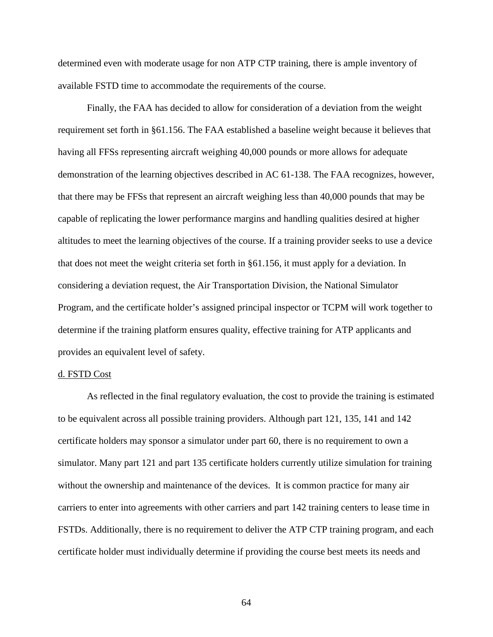determined even with moderate usage for non ATP CTP training, there is ample inventory of available FSTD time to accommodate the requirements of the course.

Finally, the FAA has decided to allow for consideration of a deviation from the weight requirement set forth in §61.156. The FAA established a baseline weight because it believes that having all FFSs representing aircraft weighing 40,000 pounds or more allows for adequate demonstration of the learning objectives described in AC 61-138. The FAA recognizes, however, that there may be FFSs that represent an aircraft weighing less than 40,000 pounds that may be capable of replicating the lower performance margins and handling qualities desired at higher altitudes to meet the learning objectives of the course. If a training provider seeks to use a device that does not meet the weight criteria set forth in §61.156, it must apply for a deviation. In considering a deviation request, the Air Transportation Division, the National Simulator Program, and the certificate holder's assigned principal inspector or TCPM will work together to determine if the training platform ensures quality, effective training for ATP applicants and provides an equivalent level of safety.

### d. FSTD Cost

As reflected in the final regulatory evaluation, the cost to provide the training is estimated to be equivalent across all possible training providers. Although part 121, 135, 141 and 142 certificate holders may sponsor a simulator under part 60, there is no requirement to own a simulator. Many part 121 and part 135 certificate holders currently utilize simulation for training without the ownership and maintenance of the devices. It is common practice for many air carriers to enter into agreements with other carriers and part 142 training centers to lease time in FSTDs. Additionally, there is no requirement to deliver the ATP CTP training program, and each certificate holder must individually determine if providing the course best meets its needs and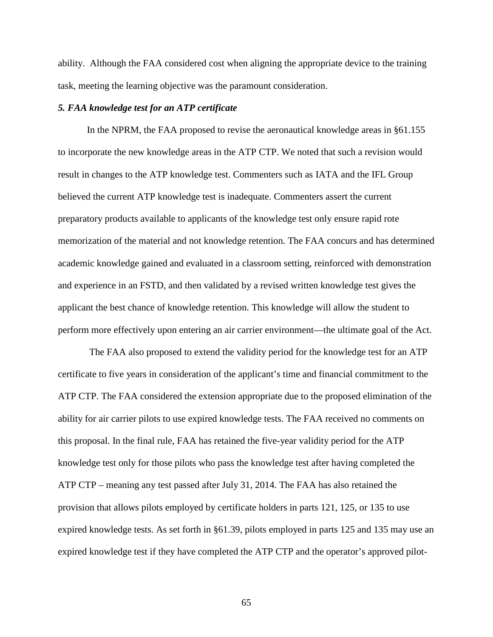ability. Although the FAA considered cost when aligning the appropriate device to the training task, meeting the learning objective was the paramount consideration.

# *5. FAA knowledge test for an ATP certificate*

In the NPRM, the FAA proposed to revise the aeronautical knowledge areas in §61.155 to incorporate the new knowledge areas in the ATP CTP. We noted that such a revision would result in changes to the ATP knowledge test. Commenters such as IATA and the IFL Group believed the current ATP knowledge test is inadequate. Commenters assert the current preparatory products available to applicants of the knowledge test only ensure rapid rote memorization of the material and not knowledge retention. The FAA concurs and has determined academic knowledge gained and evaluated in a classroom setting, reinforced with demonstration and experience in an FSTD, and then validated by a revised written knowledge test gives the applicant the best chance of knowledge retention. This knowledge will allow the student to perform more effectively upon entering an air carrier environment—the ultimate goal of the Act.

The FAA also proposed to extend the validity period for the knowledge test for an ATP certificate to five years in consideration of the applicant's time and financial commitment to the ATP CTP. The FAA considered the extension appropriate due to the proposed elimination of the ability for air carrier pilots to use expired knowledge tests. The FAA received no comments on this proposal. In the final rule, FAA has retained the five-year validity period for the ATP knowledge test only for those pilots who pass the knowledge test after having completed the ATP CTP – meaning any test passed after July 31, 2014. The FAA has also retained the provision that allows pilots employed by certificate holders in parts 121, 125, or 135 to use expired knowledge tests. As set forth in §61.39, pilots employed in parts 125 and 135 may use an expired knowledge test if they have completed the ATP CTP and the operator's approved pilot-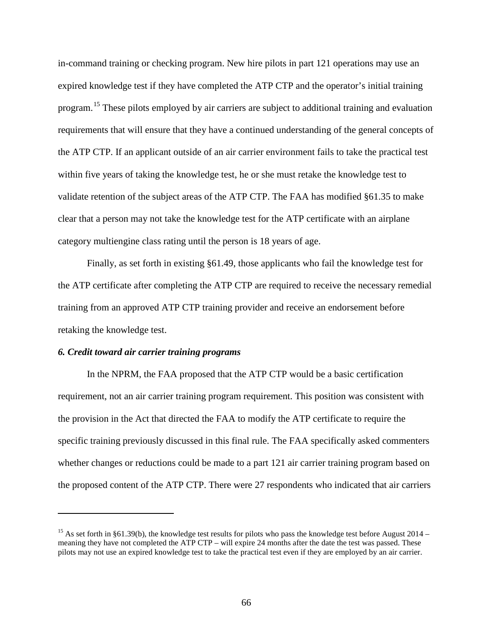in-command training or checking program. New hire pilots in part 121 operations may use an expired knowledge test if they have completed the ATP CTP and the operator's initial training program.<sup>[15](#page-65-0)</sup> These pilots employed by air carriers are subject to additional training and evaluation requirements that will ensure that they have a continued understanding of the general concepts of the ATP CTP. If an applicant outside of an air carrier environment fails to take the practical test within five years of taking the knowledge test, he or she must retake the knowledge test to validate retention of the subject areas of the ATP CTP. The FAA has modified §61.35 to make clear that a person may not take the knowledge test for the ATP certificate with an airplane category multiengine class rating until the person is 18 years of age.

Finally, as set forth in existing §61.49, those applicants who fail the knowledge test for the ATP certificate after completing the ATP CTP are required to receive the necessary remedial training from an approved ATP CTP training provider and receive an endorsement before retaking the knowledge test.

# *6. Credit toward air carrier training programs*

 $\overline{a}$ 

In the NPRM, the FAA proposed that the ATP CTP would be a basic certification requirement, not an air carrier training program requirement. This position was consistent with the provision in the Act that directed the FAA to modify the ATP certificate to require the specific training previously discussed in this final rule. The FAA specifically asked commenters whether changes or reductions could be made to a part 121 air carrier training program based on the proposed content of the ATP CTP. There were 27 respondents who indicated that air carriers

<span id="page-65-0"></span><sup>&</sup>lt;sup>15</sup> As set forth in §61.39(b), the knowledge test results for pilots who pass the knowledge test before August 2014 – meaning they have not completed the ATP CTP – will expire 24 months after the date the test was passed. These pilots may not use an expired knowledge test to take the practical test even if they are employed by an air carrier.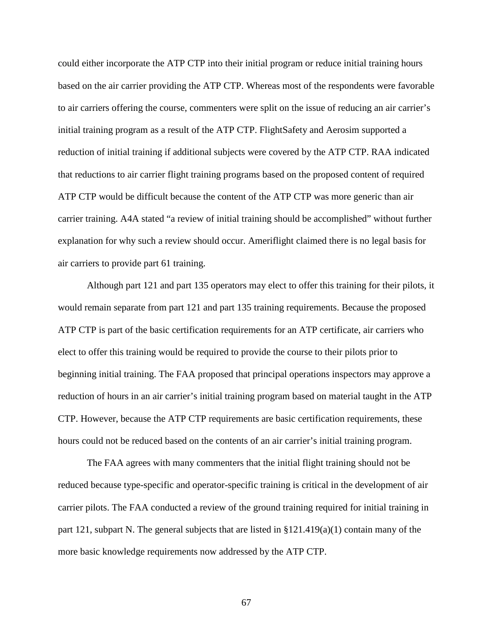could either incorporate the ATP CTP into their initial program or reduce initial training hours based on the air carrier providing the ATP CTP. Whereas most of the respondents were favorable to air carriers offering the course, commenters were split on the issue of reducing an air carrier's initial training program as a result of the ATP CTP. FlightSafety and Aerosim supported a reduction of initial training if additional subjects were covered by the ATP CTP. RAA indicated that reductions to air carrier flight training programs based on the proposed content of required ATP CTP would be difficult because the content of the ATP CTP was more generic than air carrier training. A4A stated "a review of initial training should be accomplished" without further explanation for why such a review should occur. Ameriflight claimed there is no legal basis for air carriers to provide part 61 training.

Although part 121 and part 135 operators may elect to offer this training for their pilots, it would remain separate from part 121 and part 135 training requirements. Because the proposed ATP CTP is part of the basic certification requirements for an ATP certificate, air carriers who elect to offer this training would be required to provide the course to their pilots prior to beginning initial training. The FAA proposed that principal operations inspectors may approve a reduction of hours in an air carrier's initial training program based on material taught in the ATP CTP. However, because the ATP CTP requirements are basic certification requirements, these hours could not be reduced based on the contents of an air carrier's initial training program.

The FAA agrees with many commenters that the initial flight training should not be reduced because type-specific and operator-specific training is critical in the development of air carrier pilots. The FAA conducted a review of the ground training required for initial training in part 121, subpart N. The general subjects that are listed in  $\S 121.419(a)(1)$  contain many of the more basic knowledge requirements now addressed by the ATP CTP.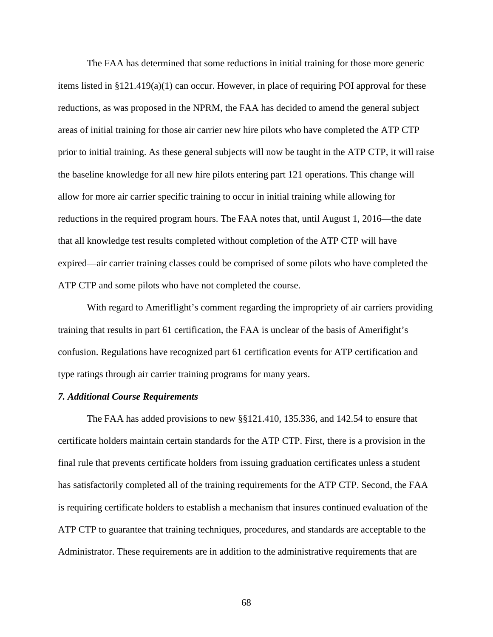The FAA has determined that some reductions in initial training for those more generic items listed in §121.419(a)(1) can occur. However, in place of requiring POI approval for these reductions, as was proposed in the NPRM, the FAA has decided to amend the general subject areas of initial training for those air carrier new hire pilots who have completed the ATP CTP prior to initial training. As these general subjects will now be taught in the ATP CTP, it will raise the baseline knowledge for all new hire pilots entering part 121 operations. This change will allow for more air carrier specific training to occur in initial training while allowing for reductions in the required program hours. The FAA notes that, until August 1, 2016—the date that all knowledge test results completed without completion of the ATP CTP will have expired—air carrier training classes could be comprised of some pilots who have completed the ATP CTP and some pilots who have not completed the course.

With regard to Ameriflight's comment regarding the impropriety of air carriers providing training that results in part 61 certification, the FAA is unclear of the basis of Amerifight's confusion. Regulations have recognized part 61 certification events for ATP certification and type ratings through air carrier training programs for many years.

# *7. Additional Course Requirements*

The FAA has added provisions to new §§121.410, 135.336, and 142.54 to ensure that certificate holders maintain certain standards for the ATP CTP. First, there is a provision in the final rule that prevents certificate holders from issuing graduation certificates unless a student has satisfactorily completed all of the training requirements for the ATP CTP. Second, the FAA is requiring certificate holders to establish a mechanism that insures continued evaluation of the ATP CTP to guarantee that training techniques, procedures, and standards are acceptable to the Administrator. These requirements are in addition to the administrative requirements that are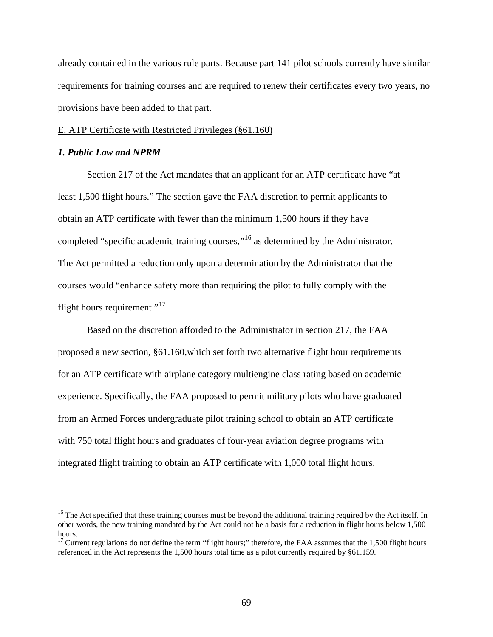already contained in the various rule parts. Because part 141 pilot schools currently have similar requirements for training courses and are required to renew their certificates every two years, no provisions have been added to that part.

# E. ATP Certificate with Restricted Privileges (§61.160)

# *1. Public Law and NPRM*

 $\overline{a}$ 

Section 217 of the Act mandates that an applicant for an ATP certificate have "at least 1,500 flight hours." The section gave the FAA discretion to permit applicants to obtain an ATP certificate with fewer than the minimum 1,500 hours if they have completed "specific academic training courses,"[16](#page-68-0) as determined by the Administrator. The Act permitted a reduction only upon a determination by the Administrator that the courses would "enhance safety more than requiring the pilot to fully comply with the flight hours requirement."<sup>[17](#page-68-1)</sup>

Based on the discretion afforded to the Administrator in section 217, the FAA proposed a new section, §61.160,which set forth two alternative flight hour requirements for an ATP certificate with airplane category multiengine class rating based on academic experience. Specifically, the FAA proposed to permit military pilots who have graduated from an Armed Forces undergraduate pilot training school to obtain an ATP certificate with 750 total flight hours and graduates of four-year aviation degree programs with integrated flight training to obtain an ATP certificate with 1,000 total flight hours.

<span id="page-68-0"></span> $16$  The Act specified that these training courses must be beyond the additional training required by the Act itself. In other words, the new training mandated by the Act could not be a basis for a reduction in flight hours below 1,500 hours.<br><sup>17</sup> Current regulations do not define the term "flight hours;" therefore, the FAA assumes that the 1,500 flight hours

<span id="page-68-1"></span>referenced in the Act represents the 1,500 hours total time as a pilot currently required by §61.159.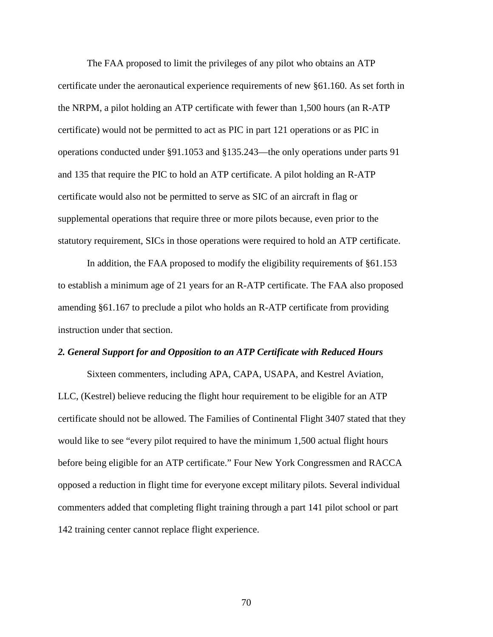The FAA proposed to limit the privileges of any pilot who obtains an ATP certificate under the aeronautical experience requirements of new §61.160. As set forth in the NRPM, a pilot holding an ATP certificate with fewer than 1,500 hours (an R-ATP certificate) would not be permitted to act as PIC in part 121 operations or as PIC in operations conducted under §91.1053 and §135.243—the only operations under parts 91 and 135 that require the PIC to hold an ATP certificate. A pilot holding an R-ATP certificate would also not be permitted to serve as SIC of an aircraft in flag or supplemental operations that require three or more pilots because, even prior to the statutory requirement, SICs in those operations were required to hold an ATP certificate.

In addition, the FAA proposed to modify the eligibility requirements of §61.153 to establish a minimum age of 21 years for an R-ATP certificate. The FAA also proposed amending §61.167 to preclude a pilot who holds an R-ATP certificate from providing instruction under that section.

## *2. General Support for and Opposition to an ATP Certificate with Reduced Hours*

Sixteen commenters, including APA, CAPA, USAPA, and Kestrel Aviation, LLC, (Kestrel) believe reducing the flight hour requirement to be eligible for an ATP certificate should not be allowed. The Families of Continental Flight 3407 stated that they would like to see "every pilot required to have the minimum 1,500 actual flight hours before being eligible for an ATP certificate." Four New York Congressmen and RACCA opposed a reduction in flight time for everyone except military pilots. Several individual commenters added that completing flight training through a part 141 pilot school or part 142 training center cannot replace flight experience.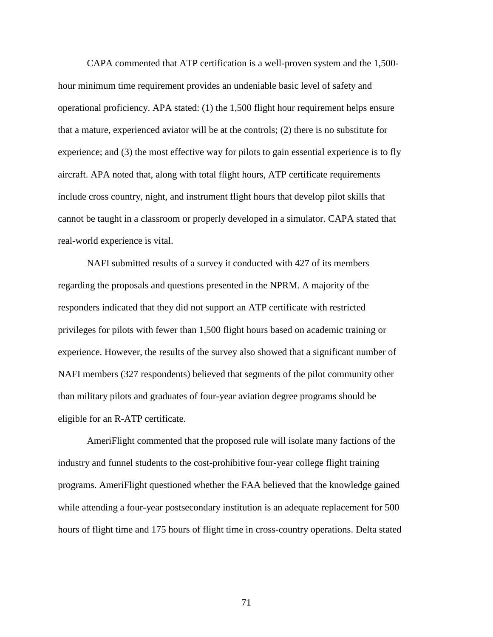CAPA commented that ATP certification is a well-proven system and the 1,500 hour minimum time requirement provides an undeniable basic level of safety and operational proficiency. APA stated: (1) the 1,500 flight hour requirement helps ensure that a mature, experienced aviator will be at the controls; (2) there is no substitute for experience; and (3) the most effective way for pilots to gain essential experience is to fly aircraft. APA noted that, along with total flight hours, ATP certificate requirements include cross country, night, and instrument flight hours that develop pilot skills that cannot be taught in a classroom or properly developed in a simulator. CAPA stated that real-world experience is vital.

NAFI submitted results of a survey it conducted with 427 of its members regarding the proposals and questions presented in the NPRM. A majority of the responders indicated that they did not support an ATP certificate with restricted privileges for pilots with fewer than 1,500 flight hours based on academic training or experience. However, the results of the survey also showed that a significant number of NAFI members (327 respondents) believed that segments of the pilot community other than military pilots and graduates of four-year aviation degree programs should be eligible for an R-ATP certificate.

AmeriFlight commented that the proposed rule will isolate many factions of the industry and funnel students to the cost-prohibitive four-year college flight training programs. AmeriFlight questioned whether the FAA believed that the knowledge gained while attending a four-year postsecondary institution is an adequate replacement for 500 hours of flight time and 175 hours of flight time in cross-country operations. Delta stated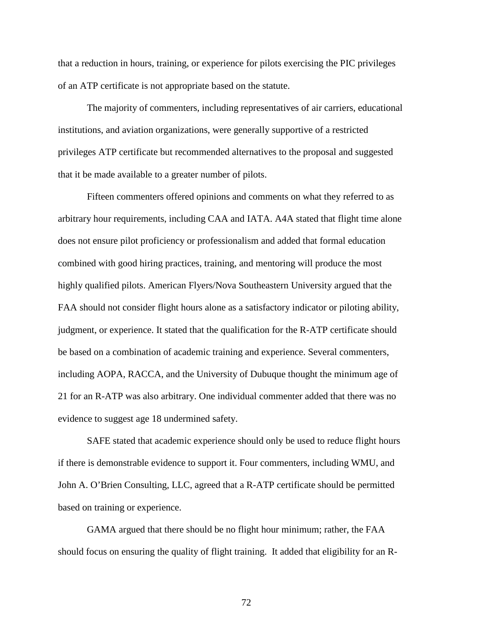that a reduction in hours, training, or experience for pilots exercising the PIC privileges of an ATP certificate is not appropriate based on the statute.

The majority of commenters, including representatives of air carriers, educational institutions, and aviation organizations, were generally supportive of a restricted privileges ATP certificate but recommended alternatives to the proposal and suggested that it be made available to a greater number of pilots.

Fifteen commenters offered opinions and comments on what they referred to as arbitrary hour requirements, including CAA and IATA. A4A stated that flight time alone does not ensure pilot proficiency or professionalism and added that formal education combined with good hiring practices, training, and mentoring will produce the most highly qualified pilots. American Flyers/Nova Southeastern University argued that the FAA should not consider flight hours alone as a satisfactory indicator or piloting ability, judgment, or experience. It stated that the qualification for the R-ATP certificate should be based on a combination of academic training and experience. Several commenters, including AOPA, RACCA, and the University of Dubuque thought the minimum age of 21 for an R-ATP was also arbitrary. One individual commenter added that there was no evidence to suggest age 18 undermined safety.

SAFE stated that academic experience should only be used to reduce flight hours if there is demonstrable evidence to support it. Four commenters, including WMU, and John A. O'Brien Consulting, LLC, agreed that a R-ATP certificate should be permitted based on training or experience.

GAMA argued that there should be no flight hour minimum; rather, the FAA should focus on ensuring the quality of flight training. It added that eligibility for an R-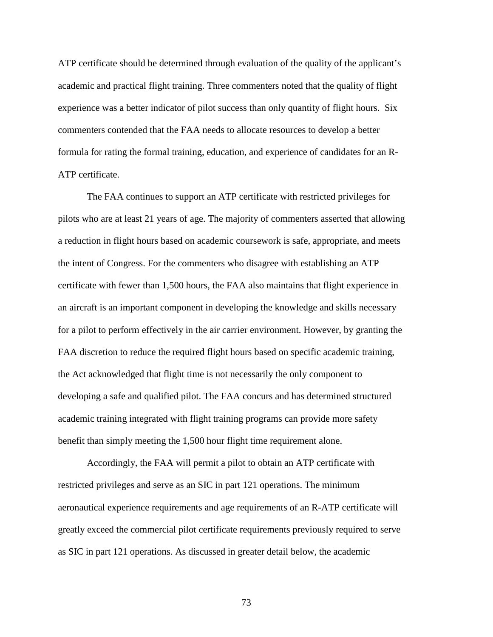ATP certificate should be determined through evaluation of the quality of the applicant's academic and practical flight training. Three commenters noted that the quality of flight experience was a better indicator of pilot success than only quantity of flight hours. Six commenters contended that the FAA needs to allocate resources to develop a better formula for rating the formal training, education, and experience of candidates for an R-ATP certificate.

The FAA continues to support an ATP certificate with restricted privileges for pilots who are at least 21 years of age. The majority of commenters asserted that allowing a reduction in flight hours based on academic coursework is safe, appropriate, and meets the intent of Congress. For the commenters who disagree with establishing an ATP certificate with fewer than 1,500 hours, the FAA also maintains that flight experience in an aircraft is an important component in developing the knowledge and skills necessary for a pilot to perform effectively in the air carrier environment. However, by granting the FAA discretion to reduce the required flight hours based on specific academic training, the Act acknowledged that flight time is not necessarily the only component to developing a safe and qualified pilot. The FAA concurs and has determined structured academic training integrated with flight training programs can provide more safety benefit than simply meeting the 1,500 hour flight time requirement alone.

Accordingly, the FAA will permit a pilot to obtain an ATP certificate with restricted privileges and serve as an SIC in part 121 operations. The minimum aeronautical experience requirements and age requirements of an R-ATP certificate will greatly exceed the commercial pilot certificate requirements previously required to serve as SIC in part 121 operations. As discussed in greater detail below, the academic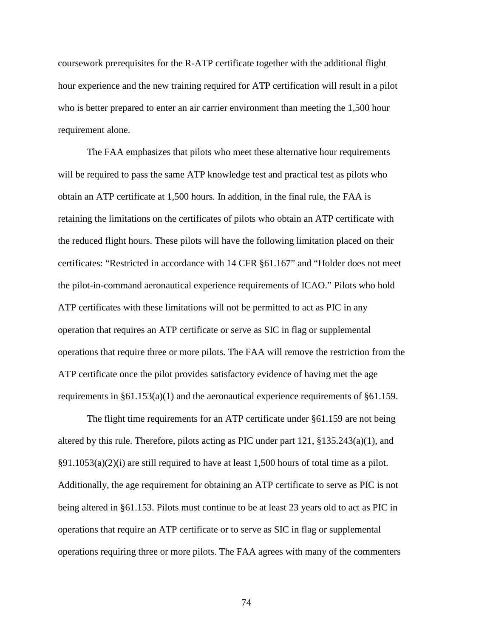coursework prerequisites for the R-ATP certificate together with the additional flight hour experience and the new training required for ATP certification will result in a pilot who is better prepared to enter an air carrier environment than meeting the 1,500 hour requirement alone.

The FAA emphasizes that pilots who meet these alternative hour requirements will be required to pass the same ATP knowledge test and practical test as pilots who obtain an ATP certificate at 1,500 hours. In addition, in the final rule, the FAA is retaining the limitations on the certificates of pilots who obtain an ATP certificate with the reduced flight hours. These pilots will have the following limitation placed on their certificates: "Restricted in accordance with 14 CFR §61.167" and "Holder does not meet the pilot-in-command aeronautical experience requirements of ICAO." Pilots who hold ATP certificates with these limitations will not be permitted to act as PIC in any operation that requires an ATP certificate or serve as SIC in flag or supplemental operations that require three or more pilots. The FAA will remove the restriction from the ATP certificate once the pilot provides satisfactory evidence of having met the age requirements in §61.153(a)(1) and the aeronautical experience requirements of §61.159.

The flight time requirements for an ATP certificate under §61.159 are not being altered by this rule. Therefore, pilots acting as PIC under part  $121$ ,  $\S 135.243(a)(1)$ , and  $\S91.1053(a)(2)(i)$  are still required to have at least 1,500 hours of total time as a pilot. Additionally, the age requirement for obtaining an ATP certificate to serve as PIC is not being altered in §61.153. Pilots must continue to be at least 23 years old to act as PIC in operations that require an ATP certificate or to serve as SIC in flag or supplemental operations requiring three or more pilots. The FAA agrees with many of the commenters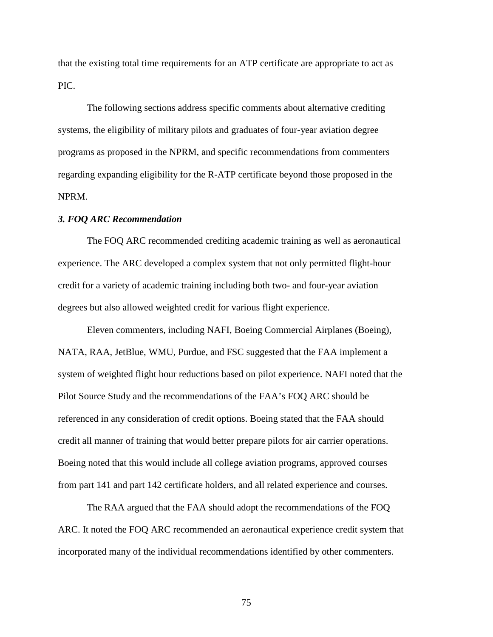that the existing total time requirements for an ATP certificate are appropriate to act as PIC.

The following sections address specific comments about alternative crediting systems, the eligibility of military pilots and graduates of four-year aviation degree programs as proposed in the NPRM, and specific recommendations from commenters regarding expanding eligibility for the R-ATP certificate beyond those proposed in the NPRM.

#### *3. FOQ ARC Recommendation*

The FOQ ARC recommended crediting academic training as well as aeronautical experience. The ARC developed a complex system that not only permitted flight-hour credit for a variety of academic training including both two- and four-year aviation degrees but also allowed weighted credit for various flight experience.

Eleven commenters, including NAFI, Boeing Commercial Airplanes (Boeing), NATA, RAA, JetBlue, WMU, Purdue, and FSC suggested that the FAA implement a system of weighted flight hour reductions based on pilot experience. NAFI noted that the Pilot Source Study and the recommendations of the FAA's FOQ ARC should be referenced in any consideration of credit options. Boeing stated that the FAA should credit all manner of training that would better prepare pilots for air carrier operations. Boeing noted that this would include all college aviation programs, approved courses from part 141 and part 142 certificate holders, and all related experience and courses.

The RAA argued that the FAA should adopt the recommendations of the FOQ ARC. It noted the FOQ ARC recommended an aeronautical experience credit system that incorporated many of the individual recommendations identified by other commenters.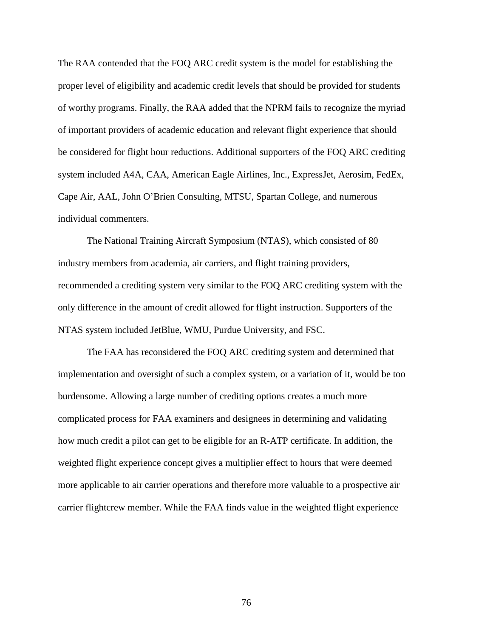The RAA contended that the FOQ ARC credit system is the model for establishing the proper level of eligibility and academic credit levels that should be provided for students of worthy programs. Finally, the RAA added that the NPRM fails to recognize the myriad of important providers of academic education and relevant flight experience that should be considered for flight hour reductions. Additional supporters of the FOQ ARC crediting system included A4A, CAA, American Eagle Airlines, Inc., ExpressJet, Aerosim, FedEx, Cape Air, AAL, John O'Brien Consulting, MTSU, Spartan College, and numerous individual commenters.

The National Training Aircraft Symposium (NTAS), which consisted of 80 industry members from academia, air carriers, and flight training providers, recommended a crediting system very similar to the FOQ ARC crediting system with the only difference in the amount of credit allowed for flight instruction. Supporters of the NTAS system included JetBlue, WMU, Purdue University, and FSC.

The FAA has reconsidered the FOQ ARC crediting system and determined that implementation and oversight of such a complex system, or a variation of it, would be too burdensome. Allowing a large number of crediting options creates a much more complicated process for FAA examiners and designees in determining and validating how much credit a pilot can get to be eligible for an R-ATP certificate. In addition, the weighted flight experience concept gives a multiplier effect to hours that were deemed more applicable to air carrier operations and therefore more valuable to a prospective air carrier flightcrew member. While the FAA finds value in the weighted flight experience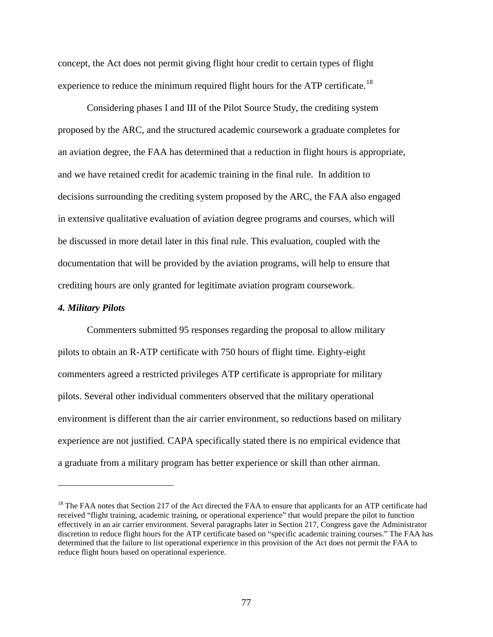concept, the Act does not permit giving flight hour credit to certain types of flight experience to reduce the minimum required flight hours for the ATP certificate.<sup>[18](#page-76-0)</sup>

Considering phases I and III of the Pilot Source Study, the crediting system proposed by the ARC, and the structured academic coursework a graduate completes for an aviation degree, the FAA has determined that a reduction in flight hours is appropriate, and we have retained credit for academic training in the final rule. In addition to decisions surrounding the crediting system proposed by the ARC, the FAA also engaged in extensive qualitative evaluation of aviation degree programs and courses, which will be discussed in more detail later in this final rule. This evaluation, coupled with the documentation that will be provided by the aviation programs, will help to ensure that crediting hours are only granted for legitimate aviation program coursework.

#### *4. Military Pilots*

 $\overline{a}$ 

Commenters submitted 95 responses regarding the proposal to allow military pilots to obtain an R-ATP certificate with 750 hours of flight time. Eighty-eight commenters agreed a restricted privileges ATP certificate is appropriate for military pilots. Several other individual commenters observed that the military operational environment is different than the air carrier environment, so reductions based on military experience are not justified. CAPA specifically stated there is no empirical evidence that a graduate from a military program has better experience or skill than other airman.

<span id="page-76-0"></span><sup>&</sup>lt;sup>18</sup> The FAA notes that Section 217 of the Act directed the FAA to ensure that applicants for an ATP certificate had received "flight training, academic training, or operational experience" that would prepare the pilot to function effectively in an air carrier environment. Several paragraphs later in Section 217, Congress gave the Administrator discretion to reduce flight hours for the ATP certificate based on "specific academic training courses." The FAA has determined that the failure to list operational experience in this provision of the Act does not permit the FAA to reduce flight hours based on operational experience.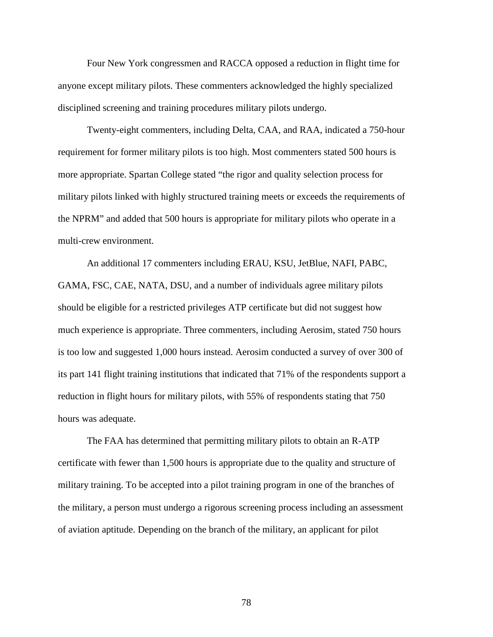Four New York congressmen and RACCA opposed a reduction in flight time for anyone except military pilots. These commenters acknowledged the highly specialized disciplined screening and training procedures military pilots undergo.

Twenty-eight commenters, including Delta, CAA, and RAA, indicated a 750-hour requirement for former military pilots is too high. Most commenters stated 500 hours is more appropriate. Spartan College stated "the rigor and quality selection process for military pilots linked with highly structured training meets or exceeds the requirements of the NPRM" and added that 500 hours is appropriate for military pilots who operate in a multi-crew environment.

An additional 17 commenters including ERAU, KSU, JetBlue, NAFI, PABC, GAMA, FSC, CAE, NATA, DSU, and a number of individuals agree military pilots should be eligible for a restricted privileges ATP certificate but did not suggest how much experience is appropriate. Three commenters, including Aerosim, stated 750 hours is too low and suggested 1,000 hours instead. Aerosim conducted a survey of over 300 of its part 141 flight training institutions that indicated that 71% of the respondents support a reduction in flight hours for military pilots, with 55% of respondents stating that 750 hours was adequate.

The FAA has determined that permitting military pilots to obtain an R-ATP certificate with fewer than 1,500 hours is appropriate due to the quality and structure of military training. To be accepted into a pilot training program in one of the branches of the military, a person must undergo a rigorous screening process including an assessment of aviation aptitude. Depending on the branch of the military, an applicant for pilot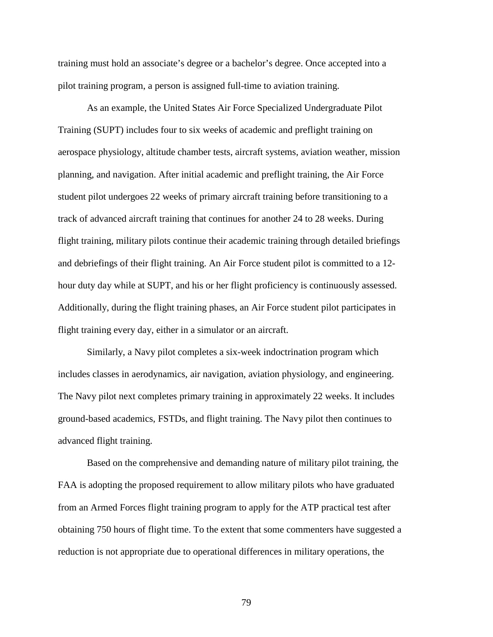training must hold an associate's degree or a bachelor's degree. Once accepted into a pilot training program, a person is assigned full-time to aviation training.

As an example, the United States Air Force Specialized Undergraduate Pilot Training (SUPT) includes four to six weeks of academic and preflight training on aerospace physiology, altitude chamber tests, aircraft systems, aviation weather, mission planning, and navigation. After initial academic and preflight training, the Air Force student pilot undergoes 22 weeks of primary aircraft training before transitioning to a track of advanced aircraft training that continues for another 24 to 28 weeks. During flight training, military pilots continue their academic training through detailed briefings and debriefings of their flight training. An Air Force student pilot is committed to a 12 hour duty day while at SUPT, and his or her flight proficiency is continuously assessed. Additionally, during the flight training phases, an Air Force student pilot participates in flight training every day, either in a simulator or an aircraft.

Similarly, a Navy pilot completes a six-week indoctrination program which includes classes in aerodynamics, air navigation, aviation physiology, and engineering. The Navy pilot next completes primary training in approximately 22 weeks. It includes ground-based academics, FSTDs, and flight training. The Navy pilot then continues to advanced flight training.

Based on the comprehensive and demanding nature of military pilot training, the FAA is adopting the proposed requirement to allow military pilots who have graduated from an Armed Forces flight training program to apply for the ATP practical test after obtaining 750 hours of flight time. To the extent that some commenters have suggested a reduction is not appropriate due to operational differences in military operations, the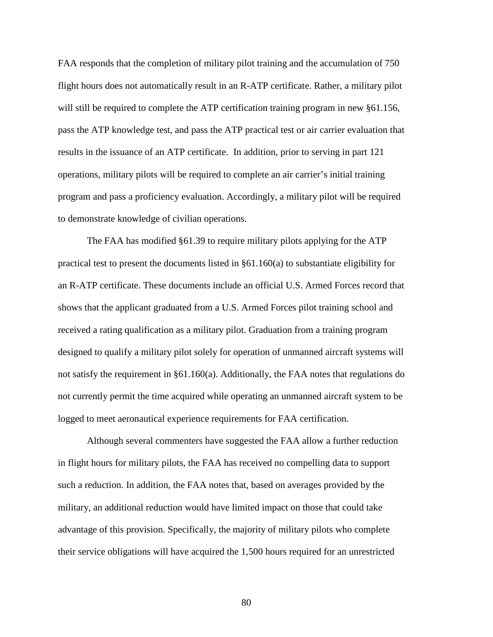FAA responds that the completion of military pilot training and the accumulation of 750 flight hours does not automatically result in an R-ATP certificate. Rather, a military pilot will still be required to complete the ATP certification training program in new §61.156, pass the ATP knowledge test, and pass the ATP practical test or air carrier evaluation that results in the issuance of an ATP certificate. In addition, prior to serving in part 121 operations, military pilots will be required to complete an air carrier's initial training program and pass a proficiency evaluation. Accordingly, a military pilot will be required to demonstrate knowledge of civilian operations.

The FAA has modified §61.39 to require military pilots applying for the ATP practical test to present the documents listed in  $\S61.160(a)$  to substantiate eligibility for an R-ATP certificate. These documents include an official U.S. Armed Forces record that shows that the applicant graduated from a U.S. Armed Forces pilot training school and received a rating qualification as a military pilot. Graduation from a training program designed to qualify a military pilot solely for operation of unmanned aircraft systems will not satisfy the requirement in §61.160(a). Additionally, the FAA notes that regulations do not currently permit the time acquired while operating an unmanned aircraft system to be logged to meet aeronautical experience requirements for FAA certification.

Although several commenters have suggested the FAA allow a further reduction in flight hours for military pilots, the FAA has received no compelling data to support such a reduction. In addition, the FAA notes that, based on averages provided by the military, an additional reduction would have limited impact on those that could take advantage of this provision. Specifically, the majority of military pilots who complete their service obligations will have acquired the 1,500 hours required for an unrestricted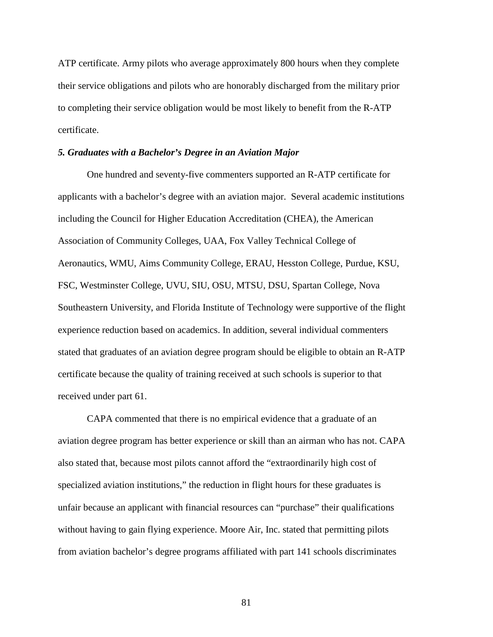ATP certificate. Army pilots who average approximately 800 hours when they complete their service obligations and pilots who are honorably discharged from the military prior to completing their service obligation would be most likely to benefit from the R-ATP certificate.

## *5. Graduates with a Bachelor's Degree in an Aviation Major*

One hundred and seventy-five commenters supported an R-ATP certificate for applicants with a bachelor's degree with an aviation major. Several academic institutions including the Council for Higher Education Accreditation (CHEA), the American Association of Community Colleges, UAA, Fox Valley Technical College of Aeronautics, WMU, Aims Community College, ERAU, Hesston College, Purdue, KSU, FSC, Westminster College, UVU, SIU, OSU, MTSU, DSU, Spartan College, Nova Southeastern University, and Florida Institute of Technology were supportive of the flight experience reduction based on academics. In addition, several individual commenters stated that graduates of an aviation degree program should be eligible to obtain an R-ATP certificate because the quality of training received at such schools is superior to that received under part 61.

CAPA commented that there is no empirical evidence that a graduate of an aviation degree program has better experience or skill than an airman who has not. CAPA also stated that, because most pilots cannot afford the "extraordinarily high cost of specialized aviation institutions," the reduction in flight hours for these graduates is unfair because an applicant with financial resources can "purchase" their qualifications without having to gain flying experience. Moore Air, Inc. stated that permitting pilots from aviation bachelor's degree programs affiliated with part 141 schools discriminates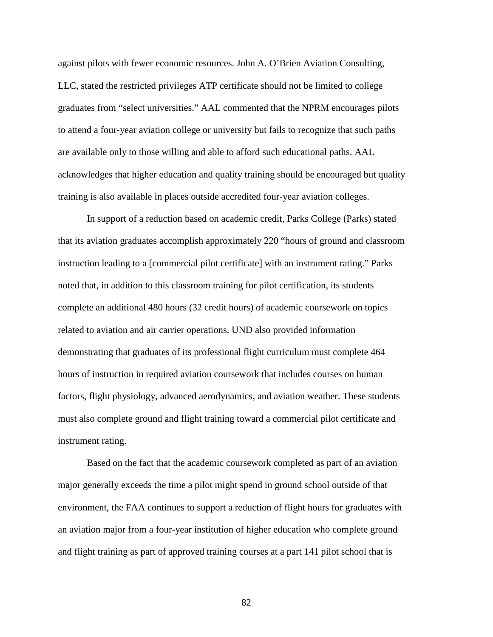against pilots with fewer economic resources. John A. O'Brien Aviation Consulting, LLC, stated the restricted privileges ATP certificate should not be limited to college graduates from "select universities." AAL commented that the NPRM encourages pilots to attend a four-year aviation college or university but fails to recognize that such paths are available only to those willing and able to afford such educational paths. AAL acknowledges that higher education and quality training should be encouraged but quality training is also available in places outside accredited four-year aviation colleges.

In support of a reduction based on academic credit, Parks College (Parks) stated that its aviation graduates accomplish approximately 220 "hours of ground and classroom instruction leading to a [commercial pilot certificate] with an instrument rating." Parks noted that, in addition to this classroom training for pilot certification, its students complete an additional 480 hours (32 credit hours) of academic coursework on topics related to aviation and air carrier operations. UND also provided information demonstrating that graduates of its professional flight curriculum must complete 464 hours of instruction in required aviation coursework that includes courses on human factors, flight physiology, advanced aerodynamics, and aviation weather. These students must also complete ground and flight training toward a commercial pilot certificate and instrument rating.

Based on the fact that the academic coursework completed as part of an aviation major generally exceeds the time a pilot might spend in ground school outside of that environment, the FAA continues to support a reduction of flight hours for graduates with an aviation major from a four-year institution of higher education who complete ground and flight training as part of approved training courses at a part 141 pilot school that is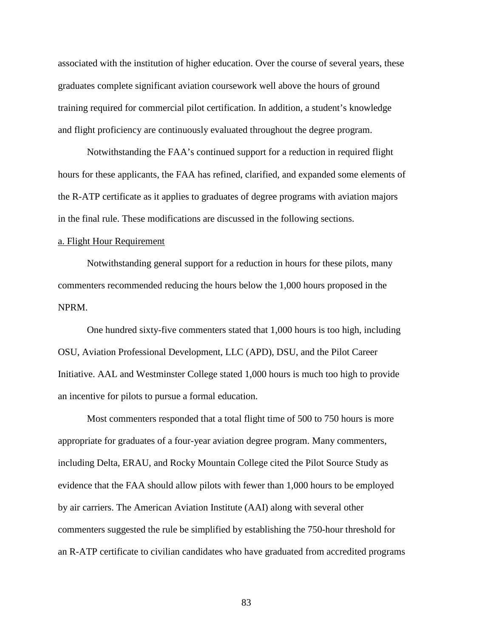associated with the institution of higher education. Over the course of several years, these graduates complete significant aviation coursework well above the hours of ground training required for commercial pilot certification. In addition, a student's knowledge and flight proficiency are continuously evaluated throughout the degree program.

Notwithstanding the FAA's continued support for a reduction in required flight hours for these applicants, the FAA has refined, clarified, and expanded some elements of the R-ATP certificate as it applies to graduates of degree programs with aviation majors in the final rule. These modifications are discussed in the following sections.

### a. Flight Hour Requirement

Notwithstanding general support for a reduction in hours for these pilots, many commenters recommended reducing the hours below the 1,000 hours proposed in the NPRM.

One hundred sixty-five commenters stated that 1,000 hours is too high, including OSU, Aviation Professional Development, LLC (APD), DSU, and the Pilot Career Initiative. AAL and Westminster College stated 1,000 hours is much too high to provide an incentive for pilots to pursue a formal education.

Most commenters responded that a total flight time of 500 to 750 hours is more appropriate for graduates of a four-year aviation degree program. Many commenters, including Delta, ERAU, and Rocky Mountain College cited the Pilot Source Study as evidence that the FAA should allow pilots with fewer than 1,000 hours to be employed by air carriers. The American Aviation Institute (AAI) along with several other commenters suggested the rule be simplified by establishing the 750-hour threshold for an R-ATP certificate to civilian candidates who have graduated from accredited programs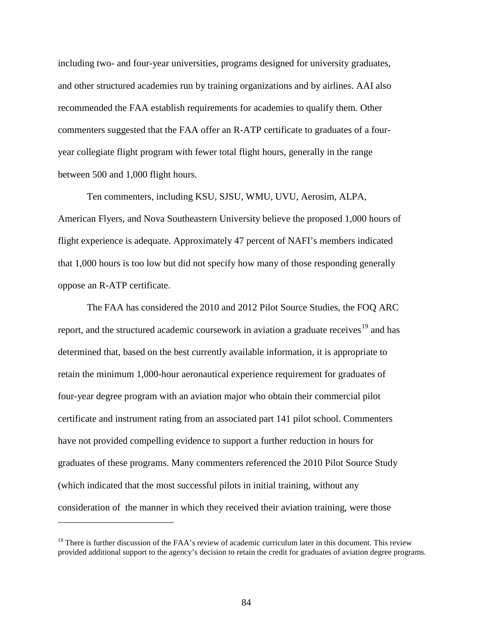including two- and four-year universities, programs designed for university graduates, and other structured academies run by training organizations and by airlines. AAI also recommended the FAA establish requirements for academies to qualify them. Other commenters suggested that the FAA offer an R-ATP certificate to graduates of a fouryear collegiate flight program with fewer total flight hours, generally in the range between 500 and 1,000 flight hours.

Ten commenters, including KSU, SJSU, WMU, UVU, Aerosim, ALPA, American Flyers, and Nova Southeastern University believe the proposed 1,000 hours of flight experience is adequate. Approximately 47 percent of NAFI's members indicated that 1,000 hours is too low but did not specify how many of those responding generally oppose an R-ATP certificate.

The FAA has considered the 2010 and 2012 Pilot Source Studies, the FOQ ARC report, and the structured academic coursework in aviation a graduate receives<sup>[19](#page-83-0)</sup> and has determined that, based on the best currently available information, it is appropriate to retain the minimum 1,000-hour aeronautical experience requirement for graduates of four-year degree program with an aviation major who obtain their commercial pilot certificate and instrument rating from an associated part 141 pilot school. Commenters have not provided compelling evidence to support a further reduction in hours for graduates of these programs. Many commenters referenced the 2010 Pilot Source Study (which indicated that the most successful pilots in initial training, without any consideration of the manner in which they received their aviation training, were those

 $\overline{a}$ 

<span id="page-83-0"></span> $19$  There is further discussion of the FAA's review of academic curriculum later in this document. This review provided additional support to the agency's decision to retain the credit for graduates of aviation degree programs.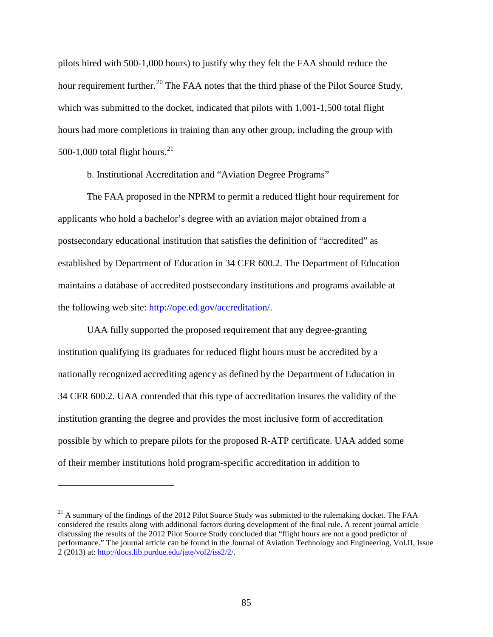pilots hired with 500-1,000 hours) to justify why they felt the FAA should reduce the hour requirement further.<sup>[20](#page-84-0)</sup> The FAA notes that the third phase of the Pilot Source Study, which was submitted to the docket, indicated that pilots with  $1,001-1,500$  total flight hours had more completions in training than any other group, including the group with 500-1,000 total flight hours. $^{21}$  $^{21}$  $^{21}$ 

# b. Institutional Accreditation and "Aviation Degree Programs"

The FAA proposed in the NPRM to permit a reduced flight hour requirement for applicants who hold a bachelor's degree with an aviation major obtained from a postsecondary educational institution that satisfies the definition of "accredited" as established by Department of Education in 34 CFR 600.2. The Department of Education maintains a database of accredited postsecondary institutions and programs available at the following web site: [http://ope.ed.gov/accreditation/.](http://ope.ed.gov/accreditation/)

UAA fully supported the proposed requirement that any degree-granting institution qualifying its graduates for reduced flight hours must be accredited by a nationally recognized accrediting agency as defined by the Department of Education in 34 CFR 600.2. UAA contended that this type of accreditation insures the validity of the institution granting the degree and provides the most inclusive form of accreditation possible by which to prepare pilots for the proposed R-ATP certificate. UAA added some of their member institutions hold program-specific accreditation in addition to

 $\overline{a}$ 

<span id="page-84-1"></span><span id="page-84-0"></span> $21$  A summary of the findings of the 2012 Pilot Source Study was submitted to the rulemaking docket. The FAA considered the results along with additional factors during development of the final rule. A recent journal article discussing the results of the 2012 Pilot Source Study concluded that "flight hours are not a good predictor of performance." The journal article can be found in the Journal of Aviation Technology and Engineering, Vol.II, Issue 2 (2013) at: [http://docs.lib.purdue.edu/jate/vol2/iss2/2/.](http://docs.lib.purdue.edu/jate/vol2/iss2/2/)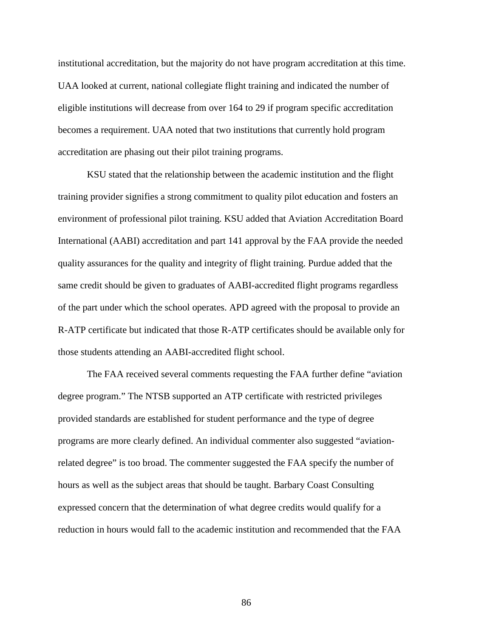institutional accreditation, but the majority do not have program accreditation at this time. UAA looked at current, national collegiate flight training and indicated the number of eligible institutions will decrease from over 164 to 29 if program specific accreditation becomes a requirement. UAA noted that two institutions that currently hold program accreditation are phasing out their pilot training programs.

KSU stated that the relationship between the academic institution and the flight training provider signifies a strong commitment to quality pilot education and fosters an environment of professional pilot training. KSU added that Aviation Accreditation Board International (AABI) accreditation and part 141 approval by the FAA provide the needed quality assurances for the quality and integrity of flight training. Purdue added that the same credit should be given to graduates of AABI-accredited flight programs regardless of the part under which the school operates. APD agreed with the proposal to provide an R-ATP certificate but indicated that those R-ATP certificates should be available only for those students attending an AABI-accredited flight school.

The FAA received several comments requesting the FAA further define "aviation degree program." The NTSB supported an ATP certificate with restricted privileges provided standards are established for student performance and the type of degree programs are more clearly defined. An individual commenter also suggested "aviationrelated degree" is too broad. The commenter suggested the FAA specify the number of hours as well as the subject areas that should be taught. Barbary Coast Consulting expressed concern that the determination of what degree credits would qualify for a reduction in hours would fall to the academic institution and recommended that the FAA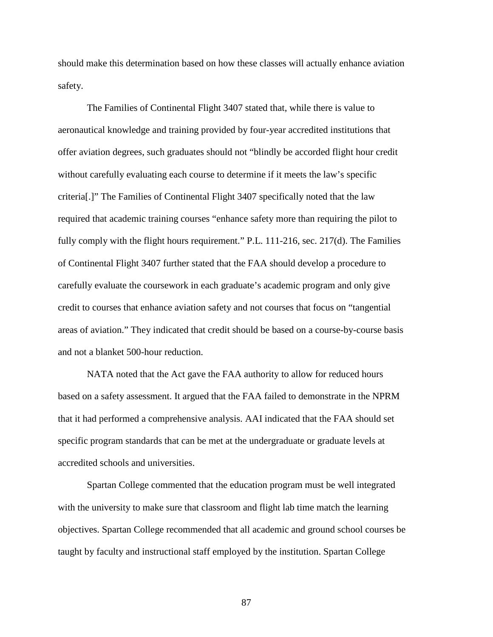should make this determination based on how these classes will actually enhance aviation safety.

The Families of Continental Flight 3407 stated that, while there is value to aeronautical knowledge and training provided by four-year accredited institutions that offer aviation degrees, such graduates should not "blindly be accorded flight hour credit without carefully evaluating each course to determine if it meets the law's specific criteria[.]" The Families of Continental Flight 3407 specifically noted that the law required that academic training courses "enhance safety more than requiring the pilot to fully comply with the flight hours requirement." P.L. 111-216, sec. 217(d). The Families of Continental Flight 3407 further stated that the FAA should develop a procedure to carefully evaluate the coursework in each graduate's academic program and only give credit to courses that enhance aviation safety and not courses that focus on "tangential areas of aviation." They indicated that credit should be based on a course-by-course basis and not a blanket 500-hour reduction.

NATA noted that the Act gave the FAA authority to allow for reduced hours based on a safety assessment. It argued that the FAA failed to demonstrate in the NPRM that it had performed a comprehensive analysis. AAI indicated that the FAA should set specific program standards that can be met at the undergraduate or graduate levels at accredited schools and universities.

Spartan College commented that the education program must be well integrated with the university to make sure that classroom and flight lab time match the learning objectives. Spartan College recommended that all academic and ground school courses be taught by faculty and instructional staff employed by the institution. Spartan College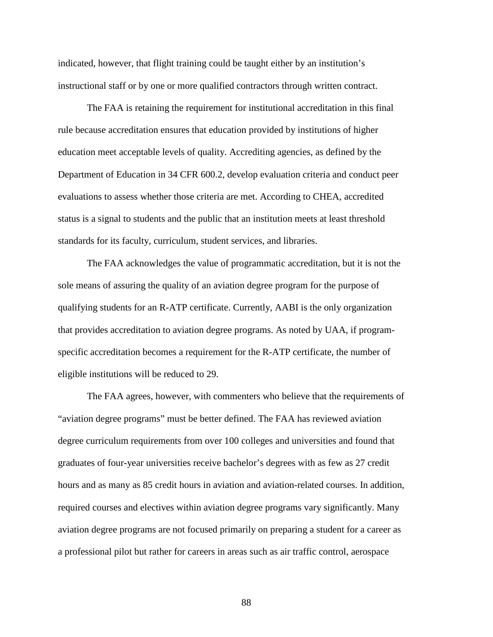indicated, however, that flight training could be taught either by an institution's instructional staff or by one or more qualified contractors through written contract.

The FAA is retaining the requirement for institutional accreditation in this final rule because accreditation ensures that education provided by institutions of higher education meet acceptable levels of quality. Accrediting agencies, as defined by the Department of Education in 34 CFR 600.2, develop evaluation criteria and conduct peer evaluations to assess whether those criteria are met. According to CHEA, accredited status is a signal to students and the public that an institution meets at least threshold standards for its faculty, curriculum, student services, and libraries.

The FAA acknowledges the value of programmatic accreditation, but it is not the sole means of assuring the quality of an aviation degree program for the purpose of qualifying students for an R-ATP certificate. Currently, AABI is the only organization that provides accreditation to aviation degree programs. As noted by UAA, if programspecific accreditation becomes a requirement for the R-ATP certificate, the number of eligible institutions will be reduced to 29.

The FAA agrees, however, with commenters who believe that the requirements of "aviation degree programs" must be better defined. The FAA has reviewed aviation degree curriculum requirements from over 100 colleges and universities and found that graduates of four-year universities receive bachelor's degrees with as few as 27 credit hours and as many as 85 credit hours in aviation and aviation-related courses. In addition, required courses and electives within aviation degree programs vary significantly. Many aviation degree programs are not focused primarily on preparing a student for a career as a professional pilot but rather for careers in areas such as air traffic control, aerospace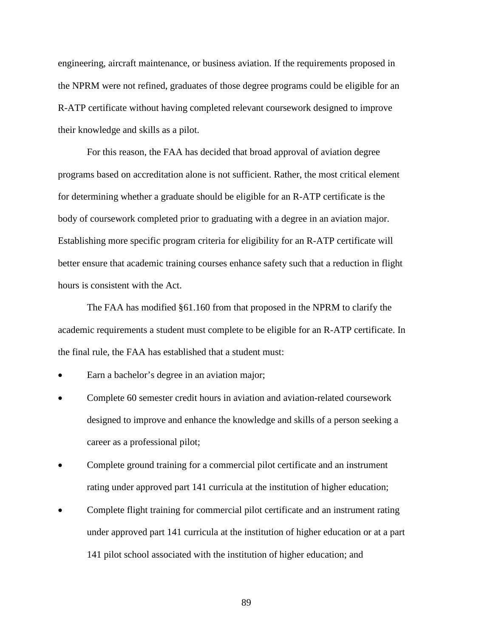engineering, aircraft maintenance, or business aviation. If the requirements proposed in the NPRM were not refined, graduates of those degree programs could be eligible for an R-ATP certificate without having completed relevant coursework designed to improve their knowledge and skills as a pilot.

For this reason, the FAA has decided that broad approval of aviation degree programs based on accreditation alone is not sufficient. Rather, the most critical element for determining whether a graduate should be eligible for an R-ATP certificate is the body of coursework completed prior to graduating with a degree in an aviation major. Establishing more specific program criteria for eligibility for an R-ATP certificate will better ensure that academic training courses enhance safety such that a reduction in flight hours is consistent with the Act.

The FAA has modified §61.160 from that proposed in the NPRM to clarify the academic requirements a student must complete to be eligible for an R-ATP certificate. In the final rule, the FAA has established that a student must:

- Earn a bachelor's degree in an aviation major;
- Complete 60 semester credit hours in aviation and aviation-related coursework designed to improve and enhance the knowledge and skills of a person seeking a career as a professional pilot;
- Complete ground training for a commercial pilot certificate and an instrument rating under approved part 141 curricula at the institution of higher education;
- Complete flight training for commercial pilot certificate and an instrument rating under approved part 141 curricula at the institution of higher education or at a part 141 pilot school associated with the institution of higher education; and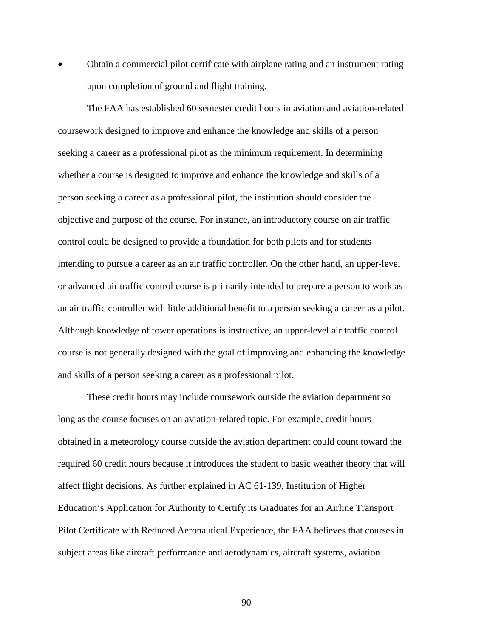• Obtain a commercial pilot certificate with airplane rating and an instrument rating upon completion of ground and flight training.

The FAA has established 60 semester credit hours in aviation and aviation-related coursework designed to improve and enhance the knowledge and skills of a person seeking a career as a professional pilot as the minimum requirement. In determining whether a course is designed to improve and enhance the knowledge and skills of a person seeking a career as a professional pilot, the institution should consider the objective and purpose of the course. For instance, an introductory course on air traffic control could be designed to provide a foundation for both pilots and for students intending to pursue a career as an air traffic controller. On the other hand, an upper-level or advanced air traffic control course is primarily intended to prepare a person to work as an air traffic controller with little additional benefit to a person seeking a career as a pilot. Although knowledge of tower operations is instructive, an upper-level air traffic control course is not generally designed with the goal of improving and enhancing the knowledge and skills of a person seeking a career as a professional pilot.

These credit hours may include coursework outside the aviation department so long as the course focuses on an aviation-related topic. For example, credit hours obtained in a meteorology course outside the aviation department could count toward the required 60 credit hours because it introduces the student to basic weather theory that will affect flight decisions. As further explained in AC 61-139, Institution of Higher Education's Application for Authority to Certify its Graduates for an Airline Transport Pilot Certificate with Reduced Aeronautical Experience, the FAA believes that courses in subject areas like aircraft performance and aerodynamics, aircraft systems, aviation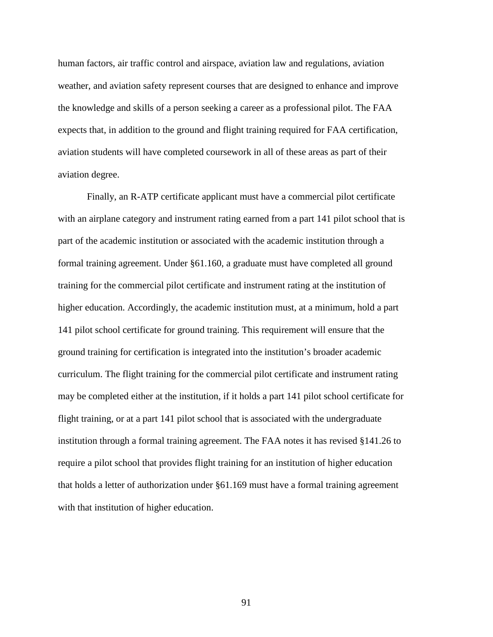human factors, air traffic control and airspace, aviation law and regulations, aviation weather, and aviation safety represent courses that are designed to enhance and improve the knowledge and skills of a person seeking a career as a professional pilot. The FAA expects that, in addition to the ground and flight training required for FAA certification, aviation students will have completed coursework in all of these areas as part of their aviation degree.

Finally, an R-ATP certificate applicant must have a commercial pilot certificate with an airplane category and instrument rating earned from a part 141 pilot school that is part of the academic institution or associated with the academic institution through a formal training agreement. Under §61.160, a graduate must have completed all ground training for the commercial pilot certificate and instrument rating at the institution of higher education. Accordingly, the academic institution must, at a minimum, hold a part 141 pilot school certificate for ground training. This requirement will ensure that the ground training for certification is integrated into the institution's broader academic curriculum. The flight training for the commercial pilot certificate and instrument rating may be completed either at the institution, if it holds a part 141 pilot school certificate for flight training, or at a part 141 pilot school that is associated with the undergraduate institution through a formal training agreement. The FAA notes it has revised §141.26 to require a pilot school that provides flight training for an institution of higher education that holds a letter of authorization under §61.169 must have a formal training agreement with that institution of higher education.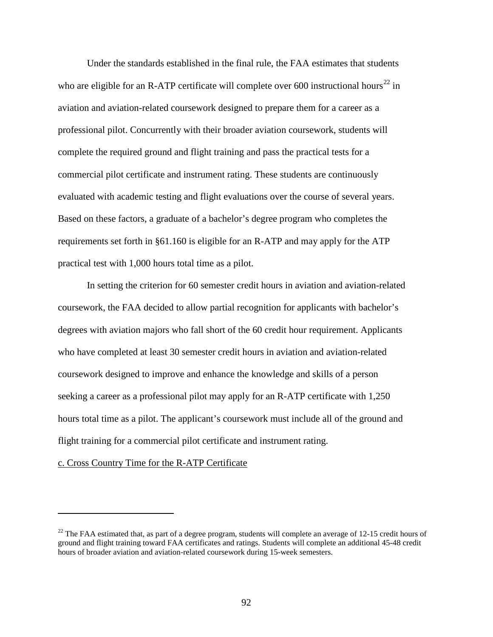Under the standards established in the final rule, the FAA estimates that students who are eligible for an R-ATP certificate will complete over 600 instructional hours<sup>[22](#page-91-0)</sup> in aviation and aviation-related coursework designed to prepare them for a career as a professional pilot. Concurrently with their broader aviation coursework, students will complete the required ground and flight training and pass the practical tests for a commercial pilot certificate and instrument rating. These students are continuously evaluated with academic testing and flight evaluations over the course of several years. Based on these factors, a graduate of a bachelor's degree program who completes the requirements set forth in §61.160 is eligible for an R-ATP and may apply for the ATP practical test with 1,000 hours total time as a pilot.

In setting the criterion for 60 semester credit hours in aviation and aviation-related coursework, the FAA decided to allow partial recognition for applicants with bachelor's degrees with aviation majors who fall short of the 60 credit hour requirement. Applicants who have completed at least 30 semester credit hours in aviation and aviation-related coursework designed to improve and enhance the knowledge and skills of a person seeking a career as a professional pilot may apply for an R-ATP certificate with 1,250 hours total time as a pilot. The applicant's coursework must include all of the ground and flight training for a commercial pilot certificate and instrument rating.

# c. Cross Country Time for the R-ATP Certificate

 $\overline{a}$ 

<span id="page-91-0"></span> $^{22}$  The FAA estimated that, as part of a degree program, students will complete an average of 12-15 credit hours of ground and flight training toward FAA certificates and ratings. Students will complete an additional 45-48 credit hours of broader aviation and aviation-related coursework during 15-week semesters.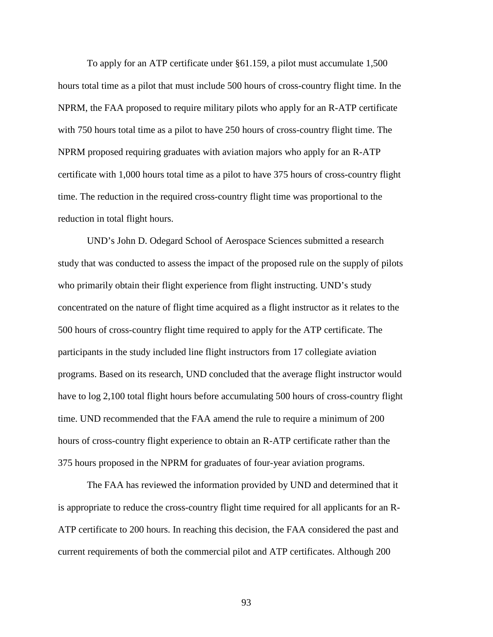To apply for an ATP certificate under §61.159, a pilot must accumulate 1,500 hours total time as a pilot that must include 500 hours of cross-country flight time. In the NPRM, the FAA proposed to require military pilots who apply for an R-ATP certificate with 750 hours total time as a pilot to have 250 hours of cross-country flight time. The NPRM proposed requiring graduates with aviation majors who apply for an R-ATP certificate with 1,000 hours total time as a pilot to have 375 hours of cross-country flight time. The reduction in the required cross-country flight time was proportional to the reduction in total flight hours.

UND's John D. Odegard School of Aerospace Sciences submitted a research study that was conducted to assess the impact of the proposed rule on the supply of pilots who primarily obtain their flight experience from flight instructing. UND's study concentrated on the nature of flight time acquired as a flight instructor as it relates to the 500 hours of cross-country flight time required to apply for the ATP certificate. The participants in the study included line flight instructors from 17 collegiate aviation programs. Based on its research, UND concluded that the average flight instructor would have to log 2,100 total flight hours before accumulating 500 hours of cross-country flight time. UND recommended that the FAA amend the rule to require a minimum of 200 hours of cross-country flight experience to obtain an R-ATP certificate rather than the 375 hours proposed in the NPRM for graduates of four-year aviation programs.

The FAA has reviewed the information provided by UND and determined that it is appropriate to reduce the cross-country flight time required for all applicants for an R-ATP certificate to 200 hours. In reaching this decision, the FAA considered the past and current requirements of both the commercial pilot and ATP certificates. Although 200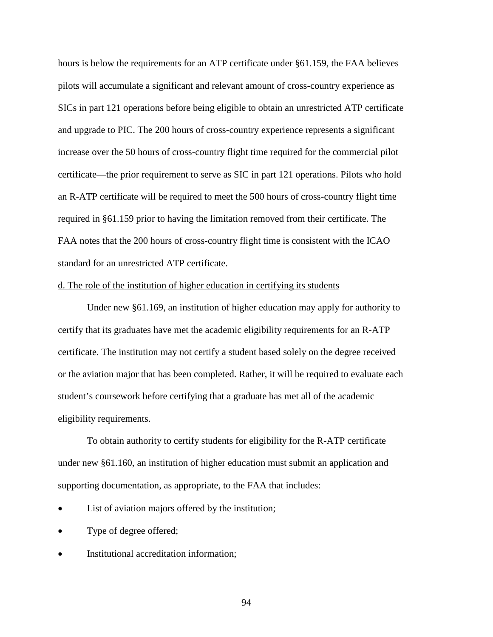hours is below the requirements for an ATP certificate under §61.159, the FAA believes pilots will accumulate a significant and relevant amount of cross-country experience as SICs in part 121 operations before being eligible to obtain an unrestricted ATP certificate and upgrade to PIC. The 200 hours of cross-country experience represents a significant increase over the 50 hours of cross-country flight time required for the commercial pilot certificate—the prior requirement to serve as SIC in part 121 operations. Pilots who hold an R-ATP certificate will be required to meet the 500 hours of cross-country flight time required in §61.159 prior to having the limitation removed from their certificate. The FAA notes that the 200 hours of cross-country flight time is consistent with the ICAO standard for an unrestricted ATP certificate.

## d. The role of the institution of higher education in certifying its students

Under new §61.169, an institution of higher education may apply for authority to certify that its graduates have met the academic eligibility requirements for an R-ATP certificate. The institution may not certify a student based solely on the degree received or the aviation major that has been completed. Rather, it will be required to evaluate each student's coursework before certifying that a graduate has met all of the academic eligibility requirements.

To obtain authority to certify students for eligibility for the R-ATP certificate under new §61.160, an institution of higher education must submit an application and supporting documentation, as appropriate, to the FAA that includes:

- List of aviation majors offered by the institution;
- Type of degree offered;
- Institutional accreditation information;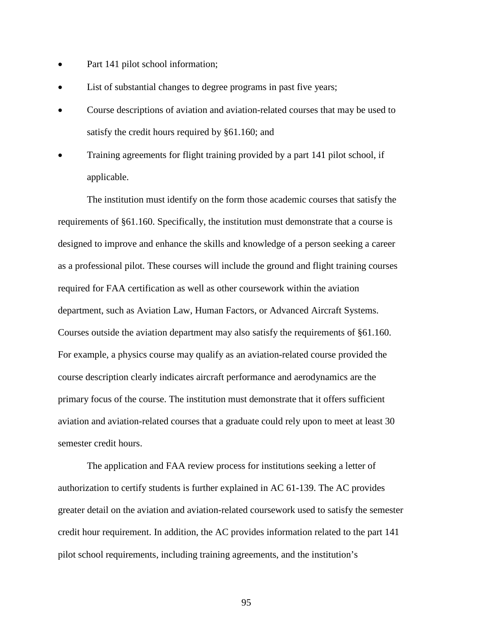- Part 141 pilot school information;
- List of substantial changes to degree programs in past five years;
- Course descriptions of aviation and aviation-related courses that may be used to satisfy the credit hours required by §61.160; and
- Training agreements for flight training provided by a part 141 pilot school, if applicable.

The institution must identify on the form those academic courses that satisfy the requirements of §61.160. Specifically, the institution must demonstrate that a course is designed to improve and enhance the skills and knowledge of a person seeking a career as a professional pilot. These courses will include the ground and flight training courses required for FAA certification as well as other coursework within the aviation department, such as Aviation Law, Human Factors, or Advanced Aircraft Systems. Courses outside the aviation department may also satisfy the requirements of §61.160. For example, a physics course may qualify as an aviation-related course provided the course description clearly indicates aircraft performance and aerodynamics are the primary focus of the course. The institution must demonstrate that it offers sufficient aviation and aviation-related courses that a graduate could rely upon to meet at least 30 semester credit hours.

The application and FAA review process for institutions seeking a letter of authorization to certify students is further explained in AC 61-139. The AC provides greater detail on the aviation and aviation-related coursework used to satisfy the semester credit hour requirement. In addition, the AC provides information related to the part 141 pilot school requirements, including training agreements, and the institution's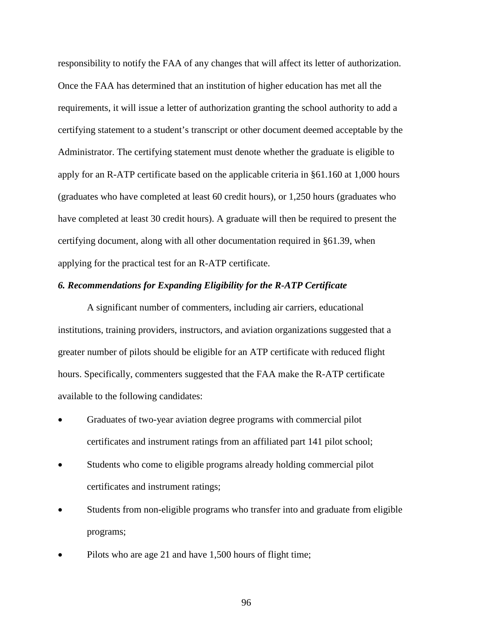responsibility to notify the FAA of any changes that will affect its letter of authorization. Once the FAA has determined that an institution of higher education has met all the requirements, it will issue a letter of authorization granting the school authority to add a certifying statement to a student's transcript or other document deemed acceptable by the Administrator. The certifying statement must denote whether the graduate is eligible to apply for an R-ATP certificate based on the applicable criteria in §61.160 at 1,000 hours (graduates who have completed at least 60 credit hours), or 1,250 hours (graduates who have completed at least 30 credit hours). A graduate will then be required to present the certifying document, along with all other documentation required in §61.39, when applying for the practical test for an R-ATP certificate.

# *6. Recommendations for Expanding Eligibility for the R-ATP Certificate*

A significant number of commenters, including air carriers, educational institutions, training providers, instructors, and aviation organizations suggested that a greater number of pilots should be eligible for an ATP certificate with reduced flight hours. Specifically, commenters suggested that the FAA make the R-ATP certificate available to the following candidates:

- Graduates of two-year aviation degree programs with commercial pilot certificates and instrument ratings from an affiliated part 141 pilot school;
- Students who come to eligible programs already holding commercial pilot certificates and instrument ratings;
- Students from non-eligible programs who transfer into and graduate from eligible programs;
- Pilots who are age 21 and have 1,500 hours of flight time;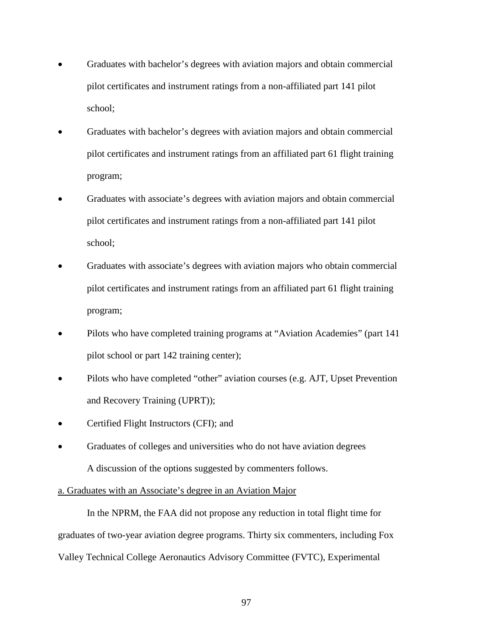- Graduates with bachelor's degrees with aviation majors and obtain commercial pilot certificates and instrument ratings from a non-affiliated part 141 pilot school;
- Graduates with bachelor's degrees with aviation majors and obtain commercial pilot certificates and instrument ratings from an affiliated part 61 flight training program;
- Graduates with associate's degrees with aviation majors and obtain commercial pilot certificates and instrument ratings from a non-affiliated part 141 pilot school;
- Graduates with associate's degrees with aviation majors who obtain commercial pilot certificates and instrument ratings from an affiliated part 61 flight training program;
- Pilots who have completed training programs at "Aviation Academies" (part 141 pilot school or part 142 training center);
- Pilots who have completed "other" aviation courses (e.g. AJT, Upset Prevention and Recovery Training (UPRT));
- Certified Flight Instructors (CFI); and
- Graduates of colleges and universities who do not have aviation degrees A discussion of the options suggested by commenters follows.
- a. Graduates with an Associate's degree in an Aviation Major

In the NPRM, the FAA did not propose any reduction in total flight time for graduates of two-year aviation degree programs. Thirty six commenters, including Fox Valley Technical College Aeronautics Advisory Committee (FVTC), Experimental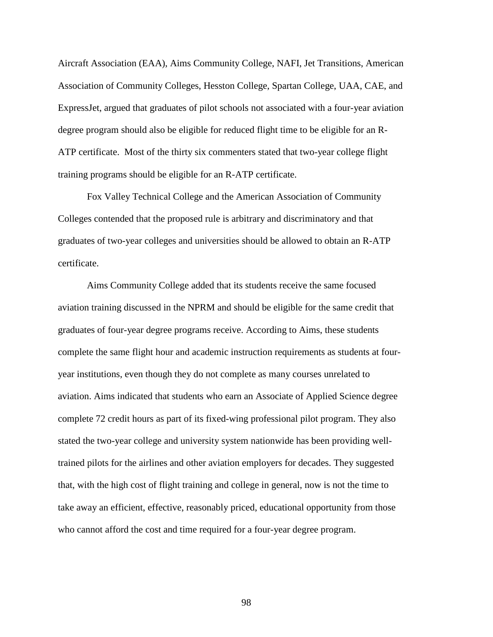Aircraft Association (EAA), Aims Community College, NAFI, Jet Transitions, American Association of Community Colleges, Hesston College, Spartan College, UAA, CAE, and ExpressJet, argued that graduates of pilot schools not associated with a four-year aviation degree program should also be eligible for reduced flight time to be eligible for an R-ATP certificate. Most of the thirty six commenters stated that two-year college flight training programs should be eligible for an R-ATP certificate.

Fox Valley Technical College and the American Association of Community Colleges contended that the proposed rule is arbitrary and discriminatory and that graduates of two-year colleges and universities should be allowed to obtain an R-ATP certificate.

Aims Community College added that its students receive the same focused aviation training discussed in the NPRM and should be eligible for the same credit that graduates of four-year degree programs receive. According to Aims, these students complete the same flight hour and academic instruction requirements as students at fouryear institutions, even though they do not complete as many courses unrelated to aviation. Aims indicated that students who earn an Associate of Applied Science degree complete 72 credit hours as part of its fixed-wing professional pilot program. They also stated the two-year college and university system nationwide has been providing welltrained pilots for the airlines and other aviation employers for decades. They suggested that, with the high cost of flight training and college in general, now is not the time to take away an efficient, effective, reasonably priced, educational opportunity from those who cannot afford the cost and time required for a four-year degree program.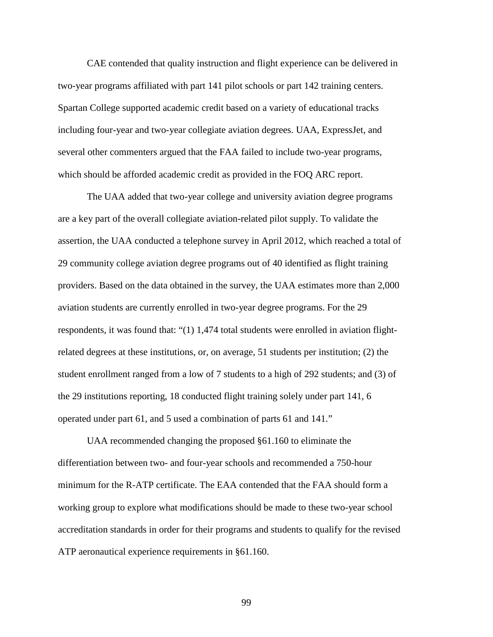CAE contended that quality instruction and flight experience can be delivered in two-year programs affiliated with part 141 pilot schools or part 142 training centers. Spartan College supported academic credit based on a variety of educational tracks including four-year and two-year collegiate aviation degrees. UAA, ExpressJet, and several other commenters argued that the FAA failed to include two-year programs, which should be afforded academic credit as provided in the FOQ ARC report.

The UAA added that two-year college and university aviation degree programs are a key part of the overall collegiate aviation-related pilot supply. To validate the assertion, the UAA conducted a telephone survey in April 2012, which reached a total of 29 community college aviation degree programs out of 40 identified as flight training providers. Based on the data obtained in the survey, the UAA estimates more than 2,000 aviation students are currently enrolled in two-year degree programs. For the 29 respondents, it was found that: "(1) 1,474 total students were enrolled in aviation flightrelated degrees at these institutions, or, on average, 51 students per institution; (2) the student enrollment ranged from a low of 7 students to a high of 292 students; and (3) of the 29 institutions reporting, 18 conducted flight training solely under part 141, 6 operated under part 61, and 5 used a combination of parts 61 and 141."

UAA recommended changing the proposed §61.160 to eliminate the differentiation between two- and four-year schools and recommended a 750-hour minimum for the R-ATP certificate. The EAA contended that the FAA should form a working group to explore what modifications should be made to these two-year school accreditation standards in order for their programs and students to qualify for the revised ATP aeronautical experience requirements in §61.160.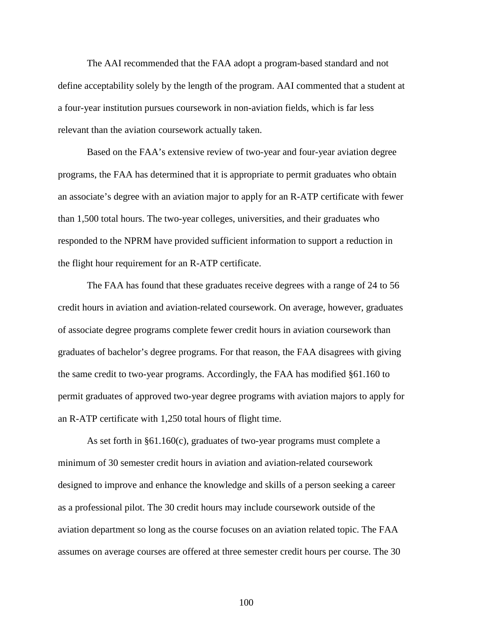The AAI recommended that the FAA adopt a program-based standard and not define acceptability solely by the length of the program. AAI commented that a student at a four-year institution pursues coursework in non-aviation fields, which is far less relevant than the aviation coursework actually taken.

Based on the FAA's extensive review of two-year and four-year aviation degree programs, the FAA has determined that it is appropriate to permit graduates who obtain an associate's degree with an aviation major to apply for an R-ATP certificate with fewer than 1,500 total hours. The two-year colleges, universities, and their graduates who responded to the NPRM have provided sufficient information to support a reduction in the flight hour requirement for an R-ATP certificate.

The FAA has found that these graduates receive degrees with a range of 24 to 56 credit hours in aviation and aviation-related coursework. On average, however, graduates of associate degree programs complete fewer credit hours in aviation coursework than graduates of bachelor's degree programs. For that reason, the FAA disagrees with giving the same credit to two-year programs. Accordingly, the FAA has modified §61.160 to permit graduates of approved two-year degree programs with aviation majors to apply for an R-ATP certificate with 1,250 total hours of flight time.

As set forth in §61.160(c), graduates of two-year programs must complete a minimum of 30 semester credit hours in aviation and aviation-related coursework designed to improve and enhance the knowledge and skills of a person seeking a career as a professional pilot. The 30 credit hours may include coursework outside of the aviation department so long as the course focuses on an aviation related topic. The FAA assumes on average courses are offered at three semester credit hours per course. The 30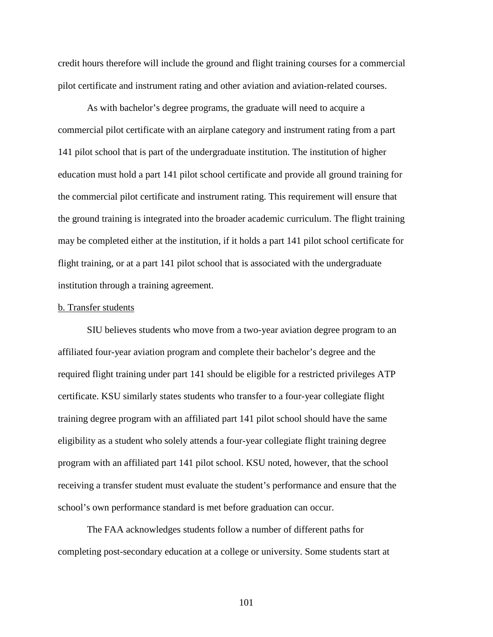credit hours therefore will include the ground and flight training courses for a commercial pilot certificate and instrument rating and other aviation and aviation-related courses.

As with bachelor's degree programs, the graduate will need to acquire a commercial pilot certificate with an airplane category and instrument rating from a part 141 pilot school that is part of the undergraduate institution. The institution of higher education must hold a part 141 pilot school certificate and provide all ground training for the commercial pilot certificate and instrument rating. This requirement will ensure that the ground training is integrated into the broader academic curriculum. The flight training may be completed either at the institution, if it holds a part 141 pilot school certificate for flight training, or at a part 141 pilot school that is associated with the undergraduate institution through a training agreement.

#### b. Transfer students

SIU believes students who move from a two-year aviation degree program to an affiliated four-year aviation program and complete their bachelor's degree and the required flight training under part 141 should be eligible for a restricted privileges ATP certificate. KSU similarly states students who transfer to a four-year collegiate flight training degree program with an affiliated part 141 pilot school should have the same eligibility as a student who solely attends a four-year collegiate flight training degree program with an affiliated part 141 pilot school. KSU noted, however, that the school receiving a transfer student must evaluate the student's performance and ensure that the school's own performance standard is met before graduation can occur.

The FAA acknowledges students follow a number of different paths for completing post-secondary education at a college or university. Some students start at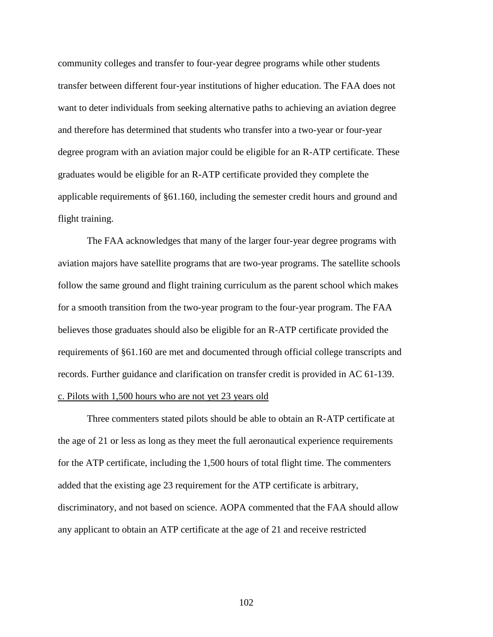community colleges and transfer to four-year degree programs while other students transfer between different four-year institutions of higher education. The FAA does not want to deter individuals from seeking alternative paths to achieving an aviation degree and therefore has determined that students who transfer into a two-year or four-year degree program with an aviation major could be eligible for an R-ATP certificate. These graduates would be eligible for an R-ATP certificate provided they complete the applicable requirements of §61.160, including the semester credit hours and ground and flight training.

The FAA acknowledges that many of the larger four-year degree programs with aviation majors have satellite programs that are two-year programs. The satellite schools follow the same ground and flight training curriculum as the parent school which makes for a smooth transition from the two-year program to the four-year program. The FAA believes those graduates should also be eligible for an R-ATP certificate provided the requirements of §61.160 are met and documented through official college transcripts and records. Further guidance and clarification on transfer credit is provided in AC 61-139. c. Pilots with 1,500 hours who are not yet 23 years old

Three commenters stated pilots should be able to obtain an R-ATP certificate at the age of 21 or less as long as they meet the full aeronautical experience requirements for the ATP certificate, including the 1,500 hours of total flight time. The commenters added that the existing age 23 requirement for the ATP certificate is arbitrary, discriminatory, and not based on science. AOPA commented that the FAA should allow any applicant to obtain an ATP certificate at the age of 21 and receive restricted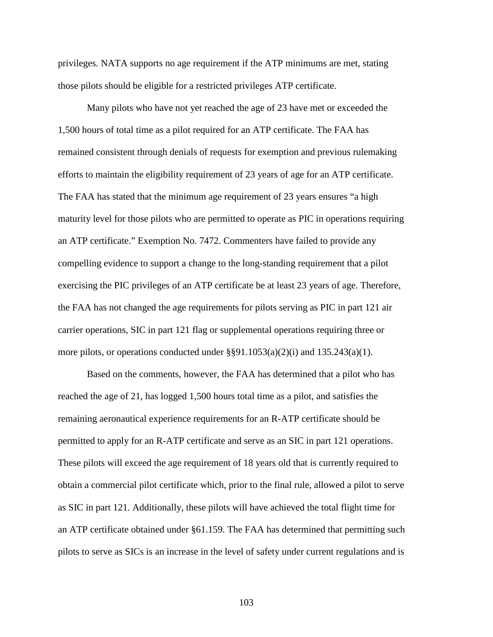privileges. NATA supports no age requirement if the ATP minimums are met, stating those pilots should be eligible for a restricted privileges ATP certificate.

Many pilots who have not yet reached the age of 23 have met or exceeded the 1,500 hours of total time as a pilot required for an ATP certificate. The FAA has remained consistent through denials of requests for exemption and previous rulemaking efforts to maintain the eligibility requirement of 23 years of age for an ATP certificate. The FAA has stated that the minimum age requirement of 23 years ensures "a high maturity level for those pilots who are permitted to operate as PIC in operations requiring an ATP certificate." Exemption No. 7472. Commenters have failed to provide any compelling evidence to support a change to the long-standing requirement that a pilot exercising the PIC privileges of an ATP certificate be at least 23 years of age. Therefore, the FAA has not changed the age requirements for pilots serving as PIC in part 121 air carrier operations, SIC in part 121 flag or supplemental operations requiring three or more pilots, or operations conducted under  $\S$ §91.1053(a)(2)(i) and 135.243(a)(1).

Based on the comments, however, the FAA has determined that a pilot who has reached the age of 21, has logged 1,500 hours total time as a pilot, and satisfies the remaining aeronautical experience requirements for an R-ATP certificate should be permitted to apply for an R-ATP certificate and serve as an SIC in part 121 operations. These pilots will exceed the age requirement of 18 years old that is currently required to obtain a commercial pilot certificate which, prior to the final rule, allowed a pilot to serve as SIC in part 121. Additionally, these pilots will have achieved the total flight time for an ATP certificate obtained under §61.159. The FAA has determined that permitting such pilots to serve as SICs is an increase in the level of safety under current regulations and is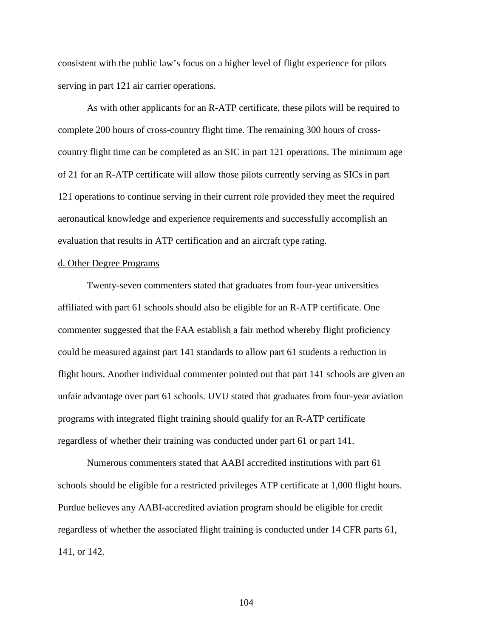consistent with the public law's focus on a higher level of flight experience for pilots serving in part 121 air carrier operations.

As with other applicants for an R-ATP certificate, these pilots will be required to complete 200 hours of cross-country flight time. The remaining 300 hours of crosscountry flight time can be completed as an SIC in part 121 operations. The minimum age of 21 for an R-ATP certificate will allow those pilots currently serving as SICs in part 121 operations to continue serving in their current role provided they meet the required aeronautical knowledge and experience requirements and successfully accomplish an evaluation that results in ATP certification and an aircraft type rating.

### d. Other Degree Programs

Twenty-seven commenters stated that graduates from four-year universities affiliated with part 61 schools should also be eligible for an R-ATP certificate. One commenter suggested that the FAA establish a fair method whereby flight proficiency could be measured against part 141 standards to allow part 61 students a reduction in flight hours. Another individual commenter pointed out that part 141 schools are given an unfair advantage over part 61 schools. UVU stated that graduates from four-year aviation programs with integrated flight training should qualify for an R-ATP certificate regardless of whether their training was conducted under part 61 or part 141.

Numerous commenters stated that AABI accredited institutions with part 61 schools should be eligible for a restricted privileges ATP certificate at 1,000 flight hours. Purdue believes any AABI-accredited aviation program should be eligible for credit regardless of whether the associated flight training is conducted under 14 CFR parts 61, 141, or 142.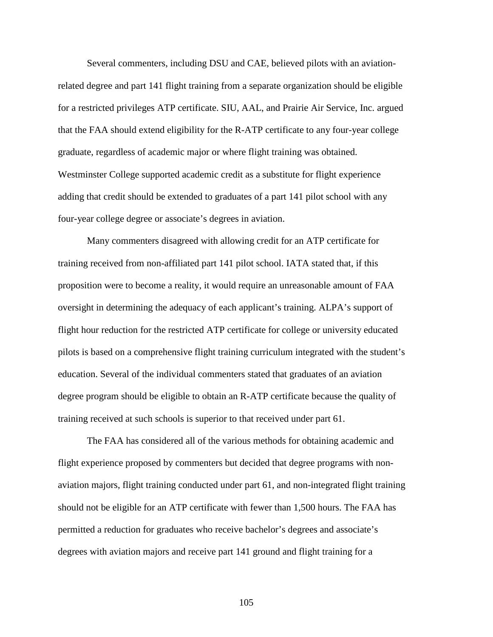Several commenters, including DSU and CAE, believed pilots with an aviationrelated degree and part 141 flight training from a separate organization should be eligible for a restricted privileges ATP certificate. SIU, AAL, and Prairie Air Service, Inc. argued that the FAA should extend eligibility for the R-ATP certificate to any four-year college graduate, regardless of academic major or where flight training was obtained. Westminster College supported academic credit as a substitute for flight experience adding that credit should be extended to graduates of a part 141 pilot school with any four-year college degree or associate's degrees in aviation.

Many commenters disagreed with allowing credit for an ATP certificate for training received from non-affiliated part 141 pilot school. IATA stated that, if this proposition were to become a reality, it would require an unreasonable amount of FAA oversight in determining the adequacy of each applicant's training. ALPA's support of flight hour reduction for the restricted ATP certificate for college or university educated pilots is based on a comprehensive flight training curriculum integrated with the student's education. Several of the individual commenters stated that graduates of an aviation degree program should be eligible to obtain an R-ATP certificate because the quality of training received at such schools is superior to that received under part 61.

The FAA has considered all of the various methods for obtaining academic and flight experience proposed by commenters but decided that degree programs with nonaviation majors, flight training conducted under part 61, and non-integrated flight training should not be eligible for an ATP certificate with fewer than 1,500 hours. The FAA has permitted a reduction for graduates who receive bachelor's degrees and associate's degrees with aviation majors and receive part 141 ground and flight training for a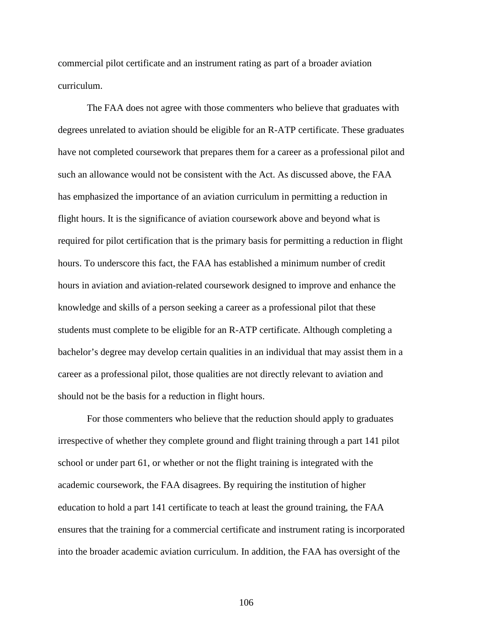commercial pilot certificate and an instrument rating as part of a broader aviation curriculum.

The FAA does not agree with those commenters who believe that graduates with degrees unrelated to aviation should be eligible for an R-ATP certificate. These graduates have not completed coursework that prepares them for a career as a professional pilot and such an allowance would not be consistent with the Act. As discussed above, the FAA has emphasized the importance of an aviation curriculum in permitting a reduction in flight hours. It is the significance of aviation coursework above and beyond what is required for pilot certification that is the primary basis for permitting a reduction in flight hours. To underscore this fact, the FAA has established a minimum number of credit hours in aviation and aviation-related coursework designed to improve and enhance the knowledge and skills of a person seeking a career as a professional pilot that these students must complete to be eligible for an R-ATP certificate. Although completing a bachelor's degree may develop certain qualities in an individual that may assist them in a career as a professional pilot, those qualities are not directly relevant to aviation and should not be the basis for a reduction in flight hours.

For those commenters who believe that the reduction should apply to graduates irrespective of whether they complete ground and flight training through a part 141 pilot school or under part 61, or whether or not the flight training is integrated with the academic coursework, the FAA disagrees. By requiring the institution of higher education to hold a part 141 certificate to teach at least the ground training, the FAA ensures that the training for a commercial certificate and instrument rating is incorporated into the broader academic aviation curriculum. In addition, the FAA has oversight of the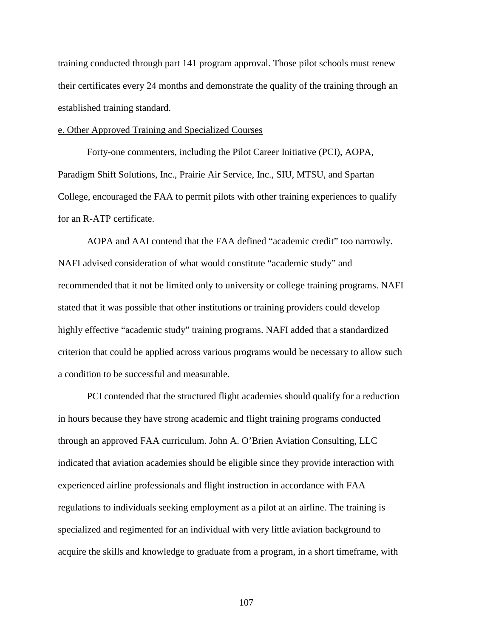training conducted through part 141 program approval. Those pilot schools must renew their certificates every 24 months and demonstrate the quality of the training through an established training standard.

### e. Other Approved Training and Specialized Courses

Forty-one commenters, including the Pilot Career Initiative (PCI), AOPA, Paradigm Shift Solutions, Inc., Prairie Air Service, Inc., SIU, MTSU, and Spartan College, encouraged the FAA to permit pilots with other training experiences to qualify for an R-ATP certificate.

AOPA and AAI contend that the FAA defined "academic credit" too narrowly. NAFI advised consideration of what would constitute "academic study" and recommended that it not be limited only to university or college training programs. NAFI stated that it was possible that other institutions or training providers could develop highly effective "academic study" training programs. NAFI added that a standardized criterion that could be applied across various programs would be necessary to allow such a condition to be successful and measurable.

PCI contended that the structured flight academies should qualify for a reduction in hours because they have strong academic and flight training programs conducted through an approved FAA curriculum. John A. O'Brien Aviation Consulting, LLC indicated that aviation academies should be eligible since they provide interaction with experienced airline professionals and flight instruction in accordance with FAA regulations to individuals seeking employment as a pilot at an airline. The training is specialized and regimented for an individual with very little aviation background to acquire the skills and knowledge to graduate from a program, in a short timeframe, with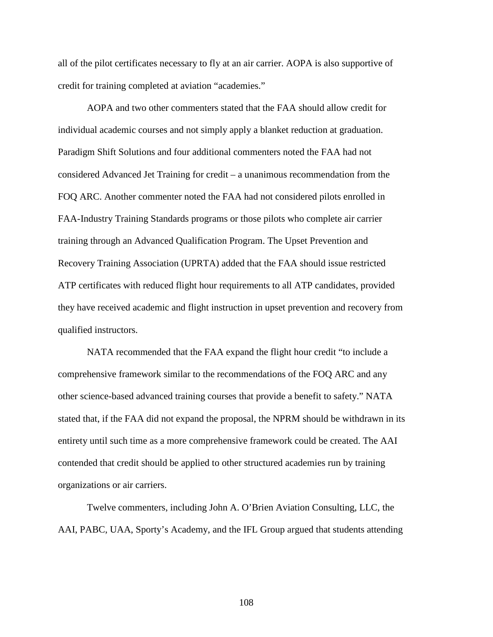all of the pilot certificates necessary to fly at an air carrier. AOPA is also supportive of credit for training completed at aviation "academies."

AOPA and two other commenters stated that the FAA should allow credit for individual academic courses and not simply apply a blanket reduction at graduation. Paradigm Shift Solutions and four additional commenters noted the FAA had not considered Advanced Jet Training for credit – a unanimous recommendation from the FOQ ARC. Another commenter noted the FAA had not considered pilots enrolled in FAA-Industry Training Standards programs or those pilots who complete air carrier training through an Advanced Qualification Program. The Upset Prevention and Recovery Training Association (UPRTA) added that the FAA should issue restricted ATP certificates with reduced flight hour requirements to all ATP candidates, provided they have received academic and flight instruction in upset prevention and recovery from qualified instructors.

NATA recommended that the FAA expand the flight hour credit "to include a comprehensive framework similar to the recommendations of the FOQ ARC and any other science-based advanced training courses that provide a benefit to safety." NATA stated that, if the FAA did not expand the proposal, the NPRM should be withdrawn in its entirety until such time as a more comprehensive framework could be created. The AAI contended that credit should be applied to other structured academies run by training organizations or air carriers.

Twelve commenters, including John A. O'Brien Aviation Consulting, LLC, the AAI, PABC, UAA, Sporty's Academy, and the IFL Group argued that students attending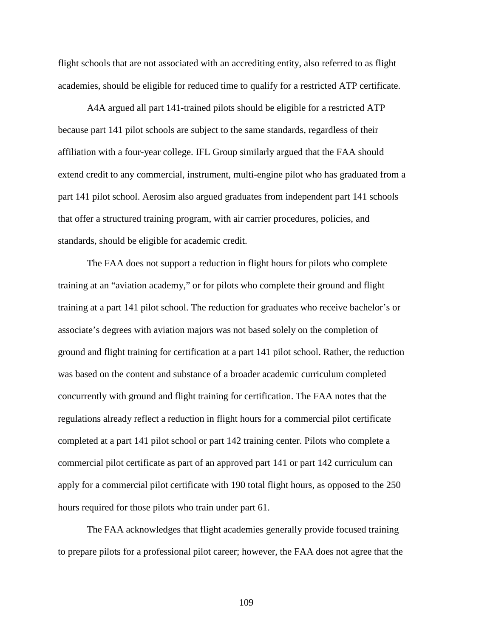flight schools that are not associated with an accrediting entity, also referred to as flight academies, should be eligible for reduced time to qualify for a restricted ATP certificate.

A4A argued all part 141-trained pilots should be eligible for a restricted ATP because part 141 pilot schools are subject to the same standards, regardless of their affiliation with a four-year college. IFL Group similarly argued that the FAA should extend credit to any commercial, instrument, multi-engine pilot who has graduated from a part 141 pilot school. Aerosim also argued graduates from independent part 141 schools that offer a structured training program, with air carrier procedures, policies, and standards, should be eligible for academic credit.

The FAA does not support a reduction in flight hours for pilots who complete training at an "aviation academy," or for pilots who complete their ground and flight training at a part 141 pilot school. The reduction for graduates who receive bachelor's or associate's degrees with aviation majors was not based solely on the completion of ground and flight training for certification at a part 141 pilot school. Rather, the reduction was based on the content and substance of a broader academic curriculum completed concurrently with ground and flight training for certification. The FAA notes that the regulations already reflect a reduction in flight hours for a commercial pilot certificate completed at a part 141 pilot school or part 142 training center. Pilots who complete a commercial pilot certificate as part of an approved part 141 or part 142 curriculum can apply for a commercial pilot certificate with 190 total flight hours, as opposed to the 250 hours required for those pilots who train under part 61.

The FAA acknowledges that flight academies generally provide focused training to prepare pilots for a professional pilot career; however, the FAA does not agree that the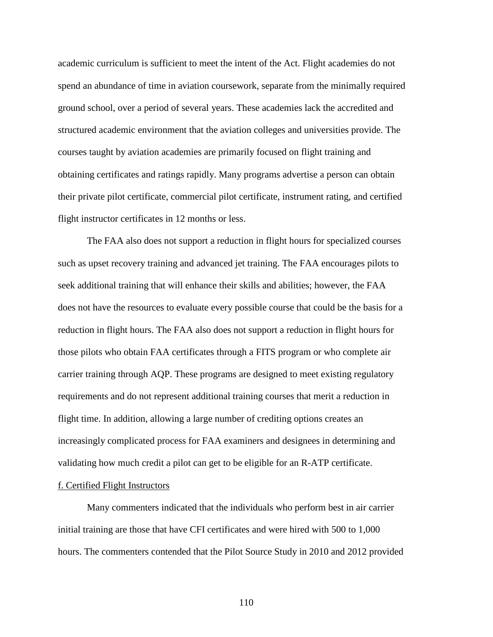academic curriculum is sufficient to meet the intent of the Act. Flight academies do not spend an abundance of time in aviation coursework, separate from the minimally required ground school, over a period of several years. These academies lack the accredited and structured academic environment that the aviation colleges and universities provide. The courses taught by aviation academies are primarily focused on flight training and obtaining certificates and ratings rapidly. Many programs advertise a person can obtain their private pilot certificate, commercial pilot certificate, instrument rating, and certified flight instructor certificates in 12 months or less.

The FAA also does not support a reduction in flight hours for specialized courses such as upset recovery training and advanced jet training. The FAA encourages pilots to seek additional training that will enhance their skills and abilities; however, the FAA does not have the resources to evaluate every possible course that could be the basis for a reduction in flight hours. The FAA also does not support a reduction in flight hours for those pilots who obtain FAA certificates through a FITS program or who complete air carrier training through AQP. These programs are designed to meet existing regulatory requirements and do not represent additional training courses that merit a reduction in flight time. In addition, allowing a large number of crediting options creates an increasingly complicated process for FAA examiners and designees in determining and validating how much credit a pilot can get to be eligible for an R-ATP certificate.

# f. Certified Flight Instructors

Many commenters indicated that the individuals who perform best in air carrier initial training are those that have CFI certificates and were hired with 500 to 1,000 hours. The commenters contended that the Pilot Source Study in 2010 and 2012 provided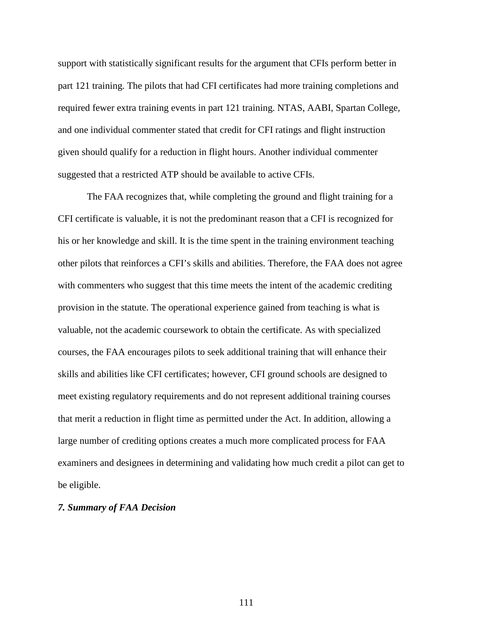support with statistically significant results for the argument that CFIs perform better in part 121 training. The pilots that had CFI certificates had more training completions and required fewer extra training events in part 121 training. NTAS, AABI, Spartan College, and one individual commenter stated that credit for CFI ratings and flight instruction given should qualify for a reduction in flight hours. Another individual commenter suggested that a restricted ATP should be available to active CFIs.

The FAA recognizes that, while completing the ground and flight training for a CFI certificate is valuable, it is not the predominant reason that a CFI is recognized for his or her knowledge and skill. It is the time spent in the training environment teaching other pilots that reinforces a CFI's skills and abilities. Therefore, the FAA does not agree with commenters who suggest that this time meets the intent of the academic crediting provision in the statute. The operational experience gained from teaching is what is valuable, not the academic coursework to obtain the certificate. As with specialized courses, the FAA encourages pilots to seek additional training that will enhance their skills and abilities like CFI certificates; however, CFI ground schools are designed to meet existing regulatory requirements and do not represent additional training courses that merit a reduction in flight time as permitted under the Act. In addition, allowing a large number of crediting options creates a much more complicated process for FAA examiners and designees in determining and validating how much credit a pilot can get to be eligible.

#### *7. Summary of FAA Decision*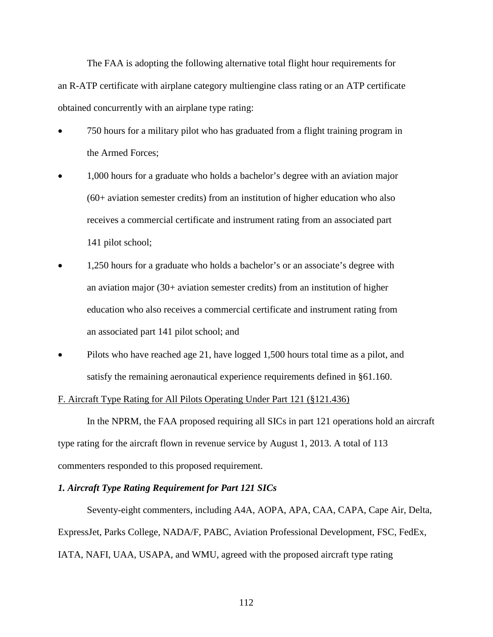The FAA is adopting the following alternative total flight hour requirements for an R-ATP certificate with airplane category multiengine class rating or an ATP certificate obtained concurrently with an airplane type rating:

- 750 hours for a military pilot who has graduated from a flight training program in the Armed Forces;
- 1,000 hours for a graduate who holds a bachelor's degree with an aviation major (60+ aviation semester credits) from an institution of higher education who also receives a commercial certificate and instrument rating from an associated part 141 pilot school;
- 1,250 hours for a graduate who holds a bachelor's or an associate's degree with an aviation major (30+ aviation semester credits) from an institution of higher education who also receives a commercial certificate and instrument rating from an associated part 141 pilot school; and
- Pilots who have reached age 21, have logged 1,500 hours total time as a pilot, and satisfy the remaining aeronautical experience requirements defined in §61.160.

### F. Aircraft Type Rating for All Pilots Operating Under Part 121 (§121.436)

In the NPRM, the FAA proposed requiring all SICs in part 121 operations hold an aircraft type rating for the aircraft flown in revenue service by August 1, 2013. A total of 113 commenters responded to this proposed requirement.

# *1. Aircraft Type Rating Requirement for Part 121 SICs*

Seventy-eight commenters, including A4A, AOPA, APA, CAA, CAPA, Cape Air, Delta, ExpressJet, Parks College, NADA/F, PABC, Aviation Professional Development, FSC, FedEx, IATA, NAFI, UAA, USAPA, and WMU, agreed with the proposed aircraft type rating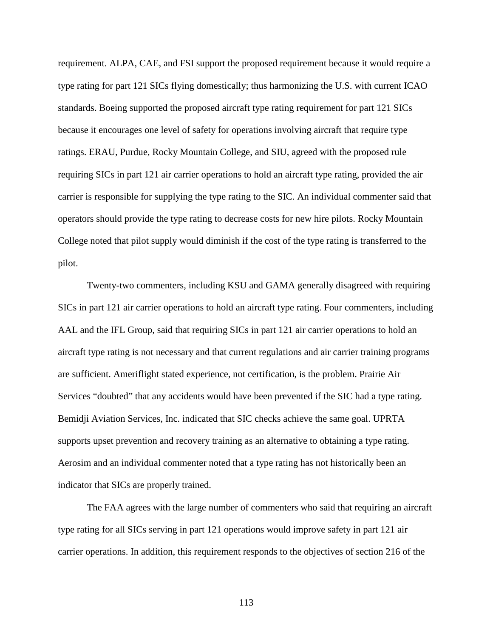requirement. ALPA, CAE, and FSI support the proposed requirement because it would require a type rating for part 121 SICs flying domestically; thus harmonizing the U.S. with current ICAO standards. Boeing supported the proposed aircraft type rating requirement for part 121 SICs because it encourages one level of safety for operations involving aircraft that require type ratings. ERAU, Purdue, Rocky Mountain College, and SIU, agreed with the proposed rule requiring SICs in part 121 air carrier operations to hold an aircraft type rating, provided the air carrier is responsible for supplying the type rating to the SIC. An individual commenter said that operators should provide the type rating to decrease costs for new hire pilots. Rocky Mountain College noted that pilot supply would diminish if the cost of the type rating is transferred to the pilot.

Twenty-two commenters, including KSU and GAMA generally disagreed with requiring SICs in part 121 air carrier operations to hold an aircraft type rating. Four commenters, including AAL and the IFL Group, said that requiring SICs in part 121 air carrier operations to hold an aircraft type rating is not necessary and that current regulations and air carrier training programs are sufficient. Ameriflight stated experience, not certification, is the problem. Prairie Air Services "doubted" that any accidents would have been prevented if the SIC had a type rating. Bemidji Aviation Services, Inc. indicated that SIC checks achieve the same goal. UPRTA supports upset prevention and recovery training as an alternative to obtaining a type rating. Aerosim and an individual commenter noted that a type rating has not historically been an indicator that SICs are properly trained.

The FAA agrees with the large number of commenters who said that requiring an aircraft type rating for all SICs serving in part 121 operations would improve safety in part 121 air carrier operations. In addition, this requirement responds to the objectives of section 216 of the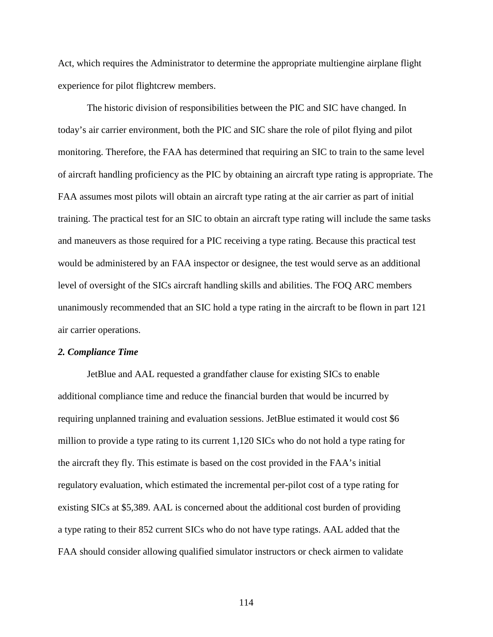Act, which requires the Administrator to determine the appropriate multiengine airplane flight experience for pilot flightcrew members.

The historic division of responsibilities between the PIC and SIC have changed. In today's air carrier environment, both the PIC and SIC share the role of pilot flying and pilot monitoring. Therefore, the FAA has determined that requiring an SIC to train to the same level of aircraft handling proficiency as the PIC by obtaining an aircraft type rating is appropriate. The FAA assumes most pilots will obtain an aircraft type rating at the air carrier as part of initial training. The practical test for an SIC to obtain an aircraft type rating will include the same tasks and maneuvers as those required for a PIC receiving a type rating. Because this practical test would be administered by an FAA inspector or designee, the test would serve as an additional level of oversight of the SICs aircraft handling skills and abilities. The FOQ ARC members unanimously recommended that an SIC hold a type rating in the aircraft to be flown in part 121 air carrier operations.

### *2. Compliance Time*

JetBlue and AAL requested a grandfather clause for existing SICs to enable additional compliance time and reduce the financial burden that would be incurred by requiring unplanned training and evaluation sessions. JetBlue estimated it would cost \$6 million to provide a type rating to its current 1,120 SICs who do not hold a type rating for the aircraft they fly. This estimate is based on the cost provided in the FAA's initial regulatory evaluation, which estimated the incremental per-pilot cost of a type rating for existing SICs at \$5,389. AAL is concerned about the additional cost burden of providing a type rating to their 852 current SICs who do not have type ratings. AAL added that the FAA should consider allowing qualified simulator instructors or check airmen to validate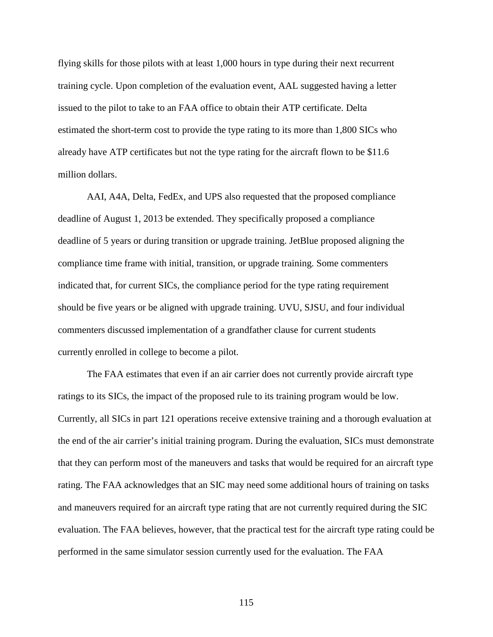flying skills for those pilots with at least 1,000 hours in type during their next recurrent training cycle. Upon completion of the evaluation event, AAL suggested having a letter issued to the pilot to take to an FAA office to obtain their ATP certificate. Delta estimated the short-term cost to provide the type rating to its more than 1,800 SICs who already have ATP certificates but not the type rating for the aircraft flown to be \$11.6 million dollars.

AAI, A4A, Delta, FedEx, and UPS also requested that the proposed compliance deadline of August 1, 2013 be extended. They specifically proposed a compliance deadline of 5 years or during transition or upgrade training. JetBlue proposed aligning the compliance time frame with initial, transition, or upgrade training. Some commenters indicated that, for current SICs, the compliance period for the type rating requirement should be five years or be aligned with upgrade training. UVU, SJSU, and four individual commenters discussed implementation of a grandfather clause for current students currently enrolled in college to become a pilot.

The FAA estimates that even if an air carrier does not currently provide aircraft type ratings to its SICs, the impact of the proposed rule to its training program would be low. Currently, all SICs in part 121 operations receive extensive training and a thorough evaluation at the end of the air carrier's initial training program. During the evaluation, SICs must demonstrate that they can perform most of the maneuvers and tasks that would be required for an aircraft type rating. The FAA acknowledges that an SIC may need some additional hours of training on tasks and maneuvers required for an aircraft type rating that are not currently required during the SIC evaluation. The FAA believes, however, that the practical test for the aircraft type rating could be performed in the same simulator session currently used for the evaluation. The FAA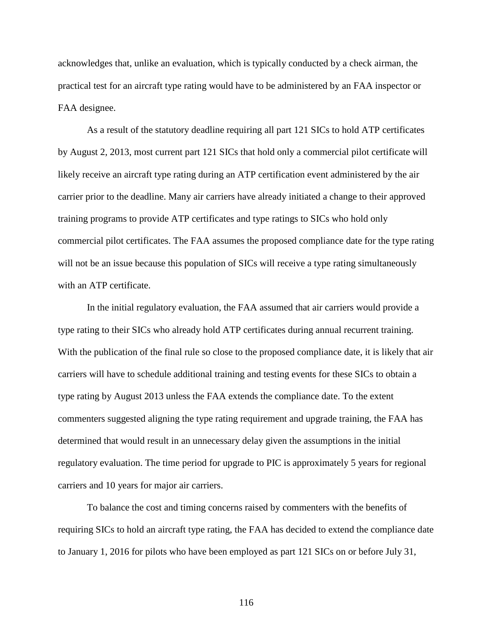acknowledges that, unlike an evaluation, which is typically conducted by a check airman, the practical test for an aircraft type rating would have to be administered by an FAA inspector or FAA designee.

As a result of the statutory deadline requiring all part 121 SICs to hold ATP certificates by August 2, 2013, most current part 121 SICs that hold only a commercial pilot certificate will likely receive an aircraft type rating during an ATP certification event administered by the air carrier prior to the deadline. Many air carriers have already initiated a change to their approved training programs to provide ATP certificates and type ratings to SICs who hold only commercial pilot certificates. The FAA assumes the proposed compliance date for the type rating will not be an issue because this population of SICs will receive a type rating simultaneously with an ATP certificate.

In the initial regulatory evaluation, the FAA assumed that air carriers would provide a type rating to their SICs who already hold ATP certificates during annual recurrent training. With the publication of the final rule so close to the proposed compliance date, it is likely that air carriers will have to schedule additional training and testing events for these SICs to obtain a type rating by August 2013 unless the FAA extends the compliance date. To the extent commenters suggested aligning the type rating requirement and upgrade training, the FAA has determined that would result in an unnecessary delay given the assumptions in the initial regulatory evaluation. The time period for upgrade to PIC is approximately 5 years for regional carriers and 10 years for major air carriers.

To balance the cost and timing concerns raised by commenters with the benefits of requiring SICs to hold an aircraft type rating, the FAA has decided to extend the compliance date to January 1, 2016 for pilots who have been employed as part 121 SICs on or before July 31,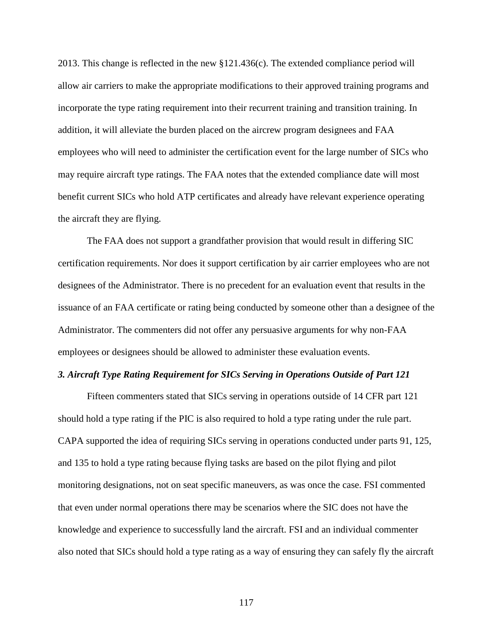2013. This change is reflected in the new §121.436(c). The extended compliance period will allow air carriers to make the appropriate modifications to their approved training programs and incorporate the type rating requirement into their recurrent training and transition training. In addition, it will alleviate the burden placed on the aircrew program designees and FAA employees who will need to administer the certification event for the large number of SICs who may require aircraft type ratings. The FAA notes that the extended compliance date will most benefit current SICs who hold ATP certificates and already have relevant experience operating the aircraft they are flying.

The FAA does not support a grandfather provision that would result in differing SIC certification requirements. Nor does it support certification by air carrier employees who are not designees of the Administrator. There is no precedent for an evaluation event that results in the issuance of an FAA certificate or rating being conducted by someone other than a designee of the Administrator. The commenters did not offer any persuasive arguments for why non-FAA employees or designees should be allowed to administer these evaluation events.

#### *3. Aircraft Type Rating Requirement for SICs Serving in Operations Outside of Part 121*

Fifteen commenters stated that SICs serving in operations outside of 14 CFR part 121 should hold a type rating if the PIC is also required to hold a type rating under the rule part. CAPA supported the idea of requiring SICs serving in operations conducted under parts 91, 125, and 135 to hold a type rating because flying tasks are based on the pilot flying and pilot monitoring designations, not on seat specific maneuvers, as was once the case. FSI commented that even under normal operations there may be scenarios where the SIC does not have the knowledge and experience to successfully land the aircraft. FSI and an individual commenter also noted that SICs should hold a type rating as a way of ensuring they can safely fly the aircraft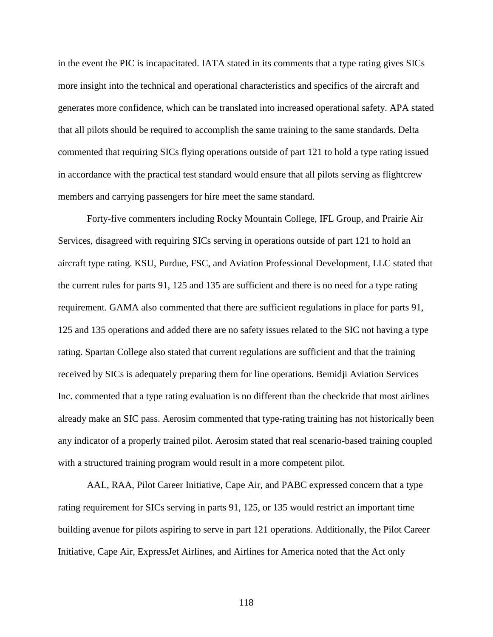in the event the PIC is incapacitated. IATA stated in its comments that a type rating gives SICs more insight into the technical and operational characteristics and specifics of the aircraft and generates more confidence, which can be translated into increased operational safety. APA stated that all pilots should be required to accomplish the same training to the same standards. Delta commented that requiring SICs flying operations outside of part 121 to hold a type rating issued in accordance with the practical test standard would ensure that all pilots serving as flightcrew members and carrying passengers for hire meet the same standard.

Forty-five commenters including Rocky Mountain College, IFL Group, and Prairie Air Services, disagreed with requiring SICs serving in operations outside of part 121 to hold an aircraft type rating. KSU, Purdue, FSC, and Aviation Professional Development, LLC stated that the current rules for parts 91, 125 and 135 are sufficient and there is no need for a type rating requirement. GAMA also commented that there are sufficient regulations in place for parts 91, 125 and 135 operations and added there are no safety issues related to the SIC not having a type rating. Spartan College also stated that current regulations are sufficient and that the training received by SICs is adequately preparing them for line operations. Bemidji Aviation Services Inc. commented that a type rating evaluation is no different than the checkride that most airlines already make an SIC pass. Aerosim commented that type-rating training has not historically been any indicator of a properly trained pilot. Aerosim stated that real scenario-based training coupled with a structured training program would result in a more competent pilot.

AAL, RAA, Pilot Career Initiative, Cape Air, and PABC expressed concern that a type rating requirement for SICs serving in parts 91, 125, or 135 would restrict an important time building avenue for pilots aspiring to serve in part 121 operations. Additionally, the Pilot Career Initiative, Cape Air, ExpressJet Airlines, and Airlines for America noted that the Act only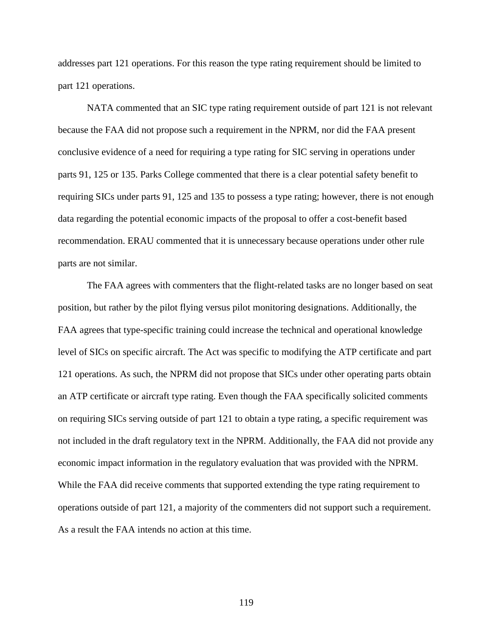addresses part 121 operations. For this reason the type rating requirement should be limited to part 121 operations.

NATA commented that an SIC type rating requirement outside of part 121 is not relevant because the FAA did not propose such a requirement in the NPRM, nor did the FAA present conclusive evidence of a need for requiring a type rating for SIC serving in operations under parts 91, 125 or 135. Parks College commented that there is a clear potential safety benefit to requiring SICs under parts 91, 125 and 135 to possess a type rating; however, there is not enough data regarding the potential economic impacts of the proposal to offer a cost-benefit based recommendation. ERAU commented that it is unnecessary because operations under other rule parts are not similar.

The FAA agrees with commenters that the flight-related tasks are no longer based on seat position, but rather by the pilot flying versus pilot monitoring designations. Additionally, the FAA agrees that type-specific training could increase the technical and operational knowledge level of SICs on specific aircraft. The Act was specific to modifying the ATP certificate and part 121 operations. As such, the NPRM did not propose that SICs under other operating parts obtain an ATP certificate or aircraft type rating. Even though the FAA specifically solicited comments on requiring SICs serving outside of part 121 to obtain a type rating, a specific requirement was not included in the draft regulatory text in the NPRM. Additionally, the FAA did not provide any economic impact information in the regulatory evaluation that was provided with the NPRM. While the FAA did receive comments that supported extending the type rating requirement to operations outside of part 121, a majority of the commenters did not support such a requirement. As a result the FAA intends no action at this time.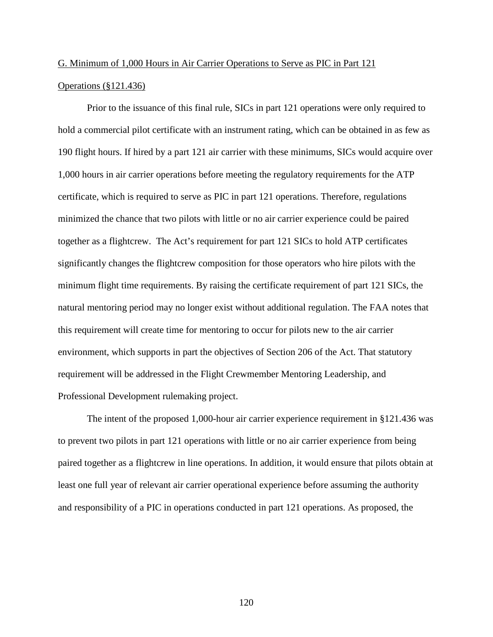# G. Minimum of 1,000 Hours in Air Carrier Operations to Serve as PIC in Part 121

# Operations (§121.436)

Prior to the issuance of this final rule, SICs in part 121 operations were only required to hold a commercial pilot certificate with an instrument rating, which can be obtained in as few as 190 flight hours. If hired by a part 121 air carrier with these minimums, SICs would acquire over 1,000 hours in air carrier operations before meeting the regulatory requirements for the ATP certificate, which is required to serve as PIC in part 121 operations. Therefore, regulations minimized the chance that two pilots with little or no air carrier experience could be paired together as a flightcrew. The Act's requirement for part 121 SICs to hold ATP certificates significantly changes the flightcrew composition for those operators who hire pilots with the minimum flight time requirements. By raising the certificate requirement of part 121 SICs, the natural mentoring period may no longer exist without additional regulation. The FAA notes that this requirement will create time for mentoring to occur for pilots new to the air carrier environment, which supports in part the objectives of Section 206 of the Act. That statutory requirement will be addressed in the Flight Crewmember Mentoring Leadership, and Professional Development rulemaking project.

The intent of the proposed 1,000-hour air carrier experience requirement in §121.436 was to prevent two pilots in part 121 operations with little or no air carrier experience from being paired together as a flightcrew in line operations. In addition, it would ensure that pilots obtain at least one full year of relevant air carrier operational experience before assuming the authority and responsibility of a PIC in operations conducted in part 121 operations. As proposed, the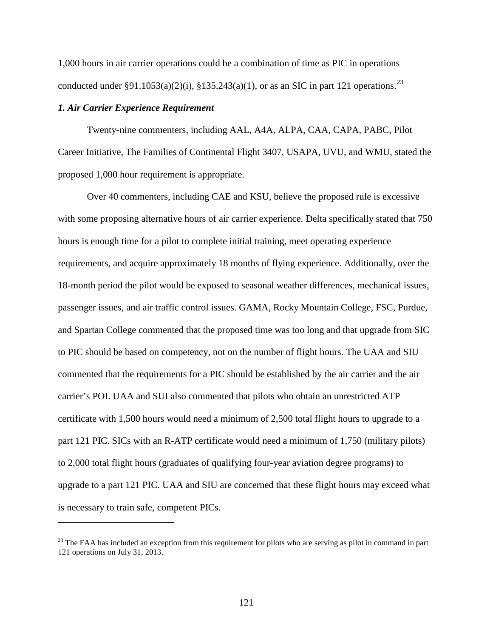1,000 hours in air carrier operations could be a combination of time as PIC in operations conducted under §91.1053(a)(2)(i), §135.243(a)(1), or as an SIC in part 121 operations.<sup>[23](#page-120-0)</sup>

# *1. Air Carrier Experience Requirement*

 $\overline{a}$ 

Twenty-nine commenters, including AAL, A4A, ALPA, CAA, CAPA, PABC, Pilot Career Initiative, The Families of Continental Flight 3407, USAPA, UVU, and WMU, stated the proposed 1,000 hour requirement is appropriate.

Over 40 commenters, including CAE and KSU, believe the proposed rule is excessive with some proposing alternative hours of air carrier experience. Delta specifically stated that 750 hours is enough time for a pilot to complete initial training, meet operating experience requirements, and acquire approximately 18 months of flying experience. Additionally, over the 18-month period the pilot would be exposed to seasonal weather differences, mechanical issues, passenger issues, and air traffic control issues. GAMA, Rocky Mountain College, FSC, Purdue, and Spartan College commented that the proposed time was too long and that upgrade from SIC to PIC should be based on competency, not on the number of flight hours. The UAA and SIU commented that the requirements for a PIC should be established by the air carrier and the air carrier's POI. UAA and SUI also commented that pilots who obtain an unrestricted ATP certificate with 1,500 hours would need a minimum of 2,500 total flight hours to upgrade to a part 121 PIC. SICs with an R-ATP certificate would need a minimum of 1,750 (military pilots) to 2,000 total flight hours (graduates of qualifying four-year aviation degree programs) to upgrade to a part 121 PIC. UAA and SIU are concerned that these flight hours may exceed what is necessary to train safe, competent PICs.

<span id="page-120-0"></span><sup>&</sup>lt;sup>23</sup> The FAA has included an exception from this requirement for pilots who are serving as pilot in command in part 121 operations on July 31, 2013.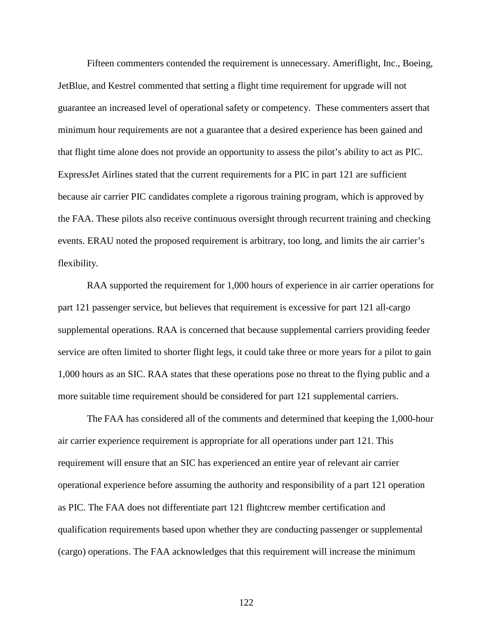Fifteen commenters contended the requirement is unnecessary. Ameriflight, Inc., Boeing, JetBlue, and Kestrel commented that setting a flight time requirement for upgrade will not guarantee an increased level of operational safety or competency. These commenters assert that minimum hour requirements are not a guarantee that a desired experience has been gained and that flight time alone does not provide an opportunity to assess the pilot's ability to act as PIC. ExpressJet Airlines stated that the current requirements for a PIC in part 121 are sufficient because air carrier PIC candidates complete a rigorous training program, which is approved by the FAA. These pilots also receive continuous oversight through recurrent training and checking events. ERAU noted the proposed requirement is arbitrary, too long, and limits the air carrier's flexibility.

RAA supported the requirement for 1,000 hours of experience in air carrier operations for part 121 passenger service, but believes that requirement is excessive for part 121 all-cargo supplemental operations. RAA is concerned that because supplemental carriers providing feeder service are often limited to shorter flight legs, it could take three or more years for a pilot to gain 1,000 hours as an SIC. RAA states that these operations pose no threat to the flying public and a more suitable time requirement should be considered for part 121 supplemental carriers.

The FAA has considered all of the comments and determined that keeping the 1,000-hour air carrier experience requirement is appropriate for all operations under part 121. This requirement will ensure that an SIC has experienced an entire year of relevant air carrier operational experience before assuming the authority and responsibility of a part 121 operation as PIC. The FAA does not differentiate part 121 flightcrew member certification and qualification requirements based upon whether they are conducting passenger or supplemental (cargo) operations. The FAA acknowledges that this requirement will increase the minimum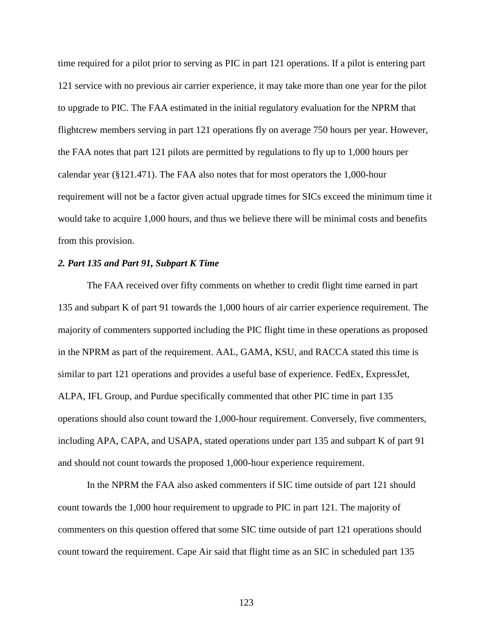time required for a pilot prior to serving as PIC in part 121 operations. If a pilot is entering part 121 service with no previous air carrier experience, it may take more than one year for the pilot to upgrade to PIC. The FAA estimated in the initial regulatory evaluation for the NPRM that flightcrew members serving in part 121 operations fly on average 750 hours per year. However, the FAA notes that part 121 pilots are permitted by regulations to fly up to 1,000 hours per calendar year (§121.471). The FAA also notes that for most operators the 1,000-hour requirement will not be a factor given actual upgrade times for SICs exceed the minimum time it would take to acquire 1,000 hours, and thus we believe there will be minimal costs and benefits from this provision.

# *2. Part 135 and Part 91, Subpart K Time*

The FAA received over fifty comments on whether to credit flight time earned in part 135 and subpart K of part 91 towards the 1,000 hours of air carrier experience requirement. The majority of commenters supported including the PIC flight time in these operations as proposed in the NPRM as part of the requirement. AAL, GAMA, KSU, and RACCA stated this time is similar to part 121 operations and provides a useful base of experience. FedEx, ExpressJet, ALPA, IFL Group, and Purdue specifically commented that other PIC time in part 135 operations should also count toward the 1,000-hour requirement. Conversely, five commenters, including APA, CAPA, and USAPA, stated operations under part 135 and subpart K of part 91 and should not count towards the proposed 1,000-hour experience requirement.

In the NPRM the FAA also asked commenters if SIC time outside of part 121 should count towards the 1,000 hour requirement to upgrade to PIC in part 121. The majority of commenters on this question offered that some SIC time outside of part 121 operations should count toward the requirement. Cape Air said that flight time as an SIC in scheduled part 135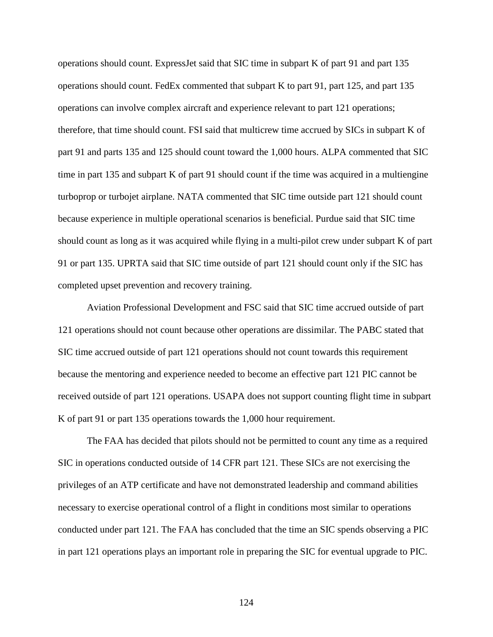operations should count. ExpressJet said that SIC time in subpart K of part 91 and part 135 operations should count. FedEx commented that subpart K to part 91, part 125, and part 135 operations can involve complex aircraft and experience relevant to part 121 operations; therefore, that time should count. FSI said that multicrew time accrued by SICs in subpart K of part 91 and parts 135 and 125 should count toward the 1,000 hours. ALPA commented that SIC time in part 135 and subpart K of part 91 should count if the time was acquired in a multiengine turboprop or turbojet airplane. NATA commented that SIC time outside part 121 should count because experience in multiple operational scenarios is beneficial. Purdue said that SIC time should count as long as it was acquired while flying in a multi-pilot crew under subpart K of part 91 or part 135. UPRTA said that SIC time outside of part 121 should count only if the SIC has completed upset prevention and recovery training.

Aviation Professional Development and FSC said that SIC time accrued outside of part 121 operations should not count because other operations are dissimilar. The PABC stated that SIC time accrued outside of part 121 operations should not count towards this requirement because the mentoring and experience needed to become an effective part 121 PIC cannot be received outside of part 121 operations. USAPA does not support counting flight time in subpart K of part 91 or part 135 operations towards the 1,000 hour requirement.

The FAA has decided that pilots should not be permitted to count any time as a required SIC in operations conducted outside of 14 CFR part 121. These SICs are not exercising the privileges of an ATP certificate and have not demonstrated leadership and command abilities necessary to exercise operational control of a flight in conditions most similar to operations conducted under part 121. The FAA has concluded that the time an SIC spends observing a PIC in part 121 operations plays an important role in preparing the SIC for eventual upgrade to PIC.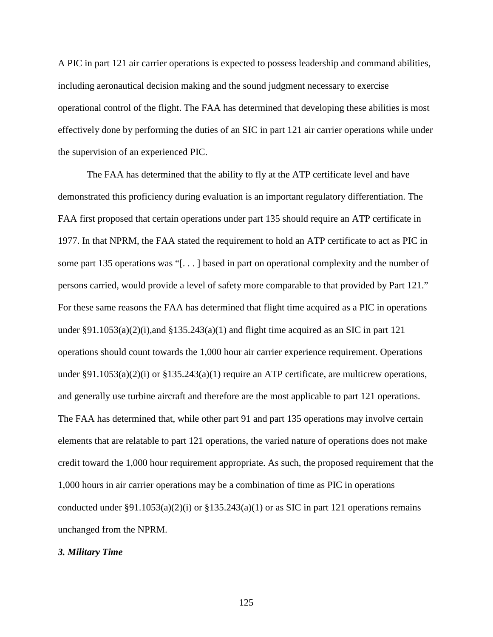A PIC in part 121 air carrier operations is expected to possess leadership and command abilities, including aeronautical decision making and the sound judgment necessary to exercise operational control of the flight. The FAA has determined that developing these abilities is most effectively done by performing the duties of an SIC in part 121 air carrier operations while under the supervision of an experienced PIC.

The FAA has determined that the ability to fly at the ATP certificate level and have demonstrated this proficiency during evaluation is an important regulatory differentiation. The FAA first proposed that certain operations under part 135 should require an ATP certificate in 1977. In that NPRM, the FAA stated the requirement to hold an ATP certificate to act as PIC in some part 135 operations was "[. . . ] based in part on operational complexity and the number of persons carried, would provide a level of safety more comparable to that provided by Part 121." For these same reasons the FAA has determined that flight time acquired as a PIC in operations under  $\S91.1053(a)(2)(i)$ , and  $\S135.243(a)(1)$  and flight time acquired as an SIC in part 121 operations should count towards the 1,000 hour air carrier experience requirement. Operations under §91.1053(a)(2)(i) or §135.243(a)(1) require an ATP certificate, are multicrew operations, and generally use turbine aircraft and therefore are the most applicable to part 121 operations. The FAA has determined that, while other part 91 and part 135 operations may involve certain elements that are relatable to part 121 operations, the varied nature of operations does not make credit toward the 1,000 hour requirement appropriate. As such, the proposed requirement that the 1,000 hours in air carrier operations may be a combination of time as PIC in operations conducted under §91.1053(a)(2)(i) or §135.243(a)(1) or as SIC in part 121 operations remains unchanged from the NPRM.

#### *3. Military Time*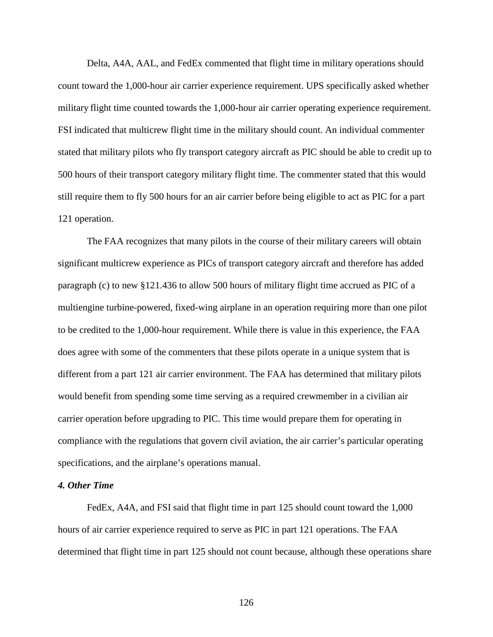Delta, A4A, AAL, and FedEx commented that flight time in military operations should count toward the 1,000-hour air carrier experience requirement. UPS specifically asked whether military flight time counted towards the 1,000-hour air carrier operating experience requirement. FSI indicated that multicrew flight time in the military should count. An individual commenter stated that military pilots who fly transport category aircraft as PIC should be able to credit up to 500 hours of their transport category military flight time. The commenter stated that this would still require them to fly 500 hours for an air carrier before being eligible to act as PIC for a part 121 operation.

The FAA recognizes that many pilots in the course of their military careers will obtain significant multicrew experience as PICs of transport category aircraft and therefore has added paragraph (c) to new §121.436 to allow 500 hours of military flight time accrued as PIC of a multiengine turbine-powered, fixed-wing airplane in an operation requiring more than one pilot to be credited to the 1,000-hour requirement. While there is value in this experience, the FAA does agree with some of the commenters that these pilots operate in a unique system that is different from a part 121 air carrier environment. The FAA has determined that military pilots would benefit from spending some time serving as a required crewmember in a civilian air carrier operation before upgrading to PIC. This time would prepare them for operating in compliance with the regulations that govern civil aviation, the air carrier's particular operating specifications, and the airplane's operations manual.

# *4. Other Time*

FedEx, A4A, and FSI said that flight time in part 125 should count toward the 1,000 hours of air carrier experience required to serve as PIC in part 121 operations. The FAA determined that flight time in part 125 should not count because, although these operations share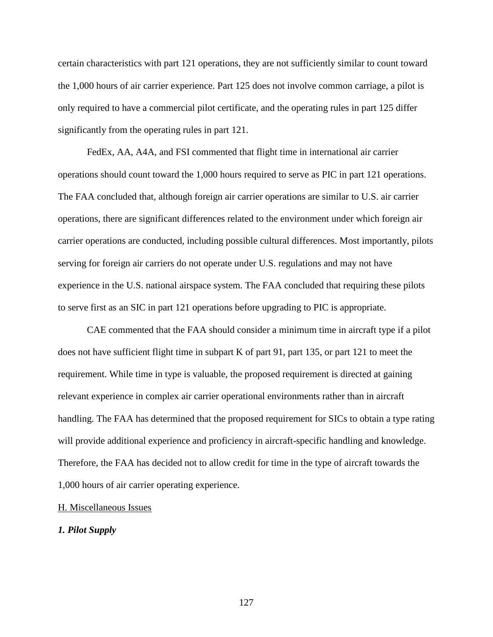certain characteristics with part 121 operations, they are not sufficiently similar to count toward the 1,000 hours of air carrier experience. Part 125 does not involve common carriage, a pilot is only required to have a commercial pilot certificate, and the operating rules in part 125 differ significantly from the operating rules in part 121.

FedEx, AA, A4A, and FSI commented that flight time in international air carrier operations should count toward the 1,000 hours required to serve as PIC in part 121 operations. The FAA concluded that, although foreign air carrier operations are similar to U.S. air carrier operations, there are significant differences related to the environment under which foreign air carrier operations are conducted, including possible cultural differences. Most importantly, pilots serving for foreign air carriers do not operate under U.S. regulations and may not have experience in the U.S. national airspace system. The FAA concluded that requiring these pilots to serve first as an SIC in part 121 operations before upgrading to PIC is appropriate.

CAE commented that the FAA should consider a minimum time in aircraft type if a pilot does not have sufficient flight time in subpart K of part 91, part 135, or part 121 to meet the requirement. While time in type is valuable, the proposed requirement is directed at gaining relevant experience in complex air carrier operational environments rather than in aircraft handling. The FAA has determined that the proposed requirement for SICs to obtain a type rating will provide additional experience and proficiency in aircraft-specific handling and knowledge. Therefore, the FAA has decided not to allow credit for time in the type of aircraft towards the 1,000 hours of air carrier operating experience.

#### H. Miscellaneous Issues

# *1. Pilot Supply*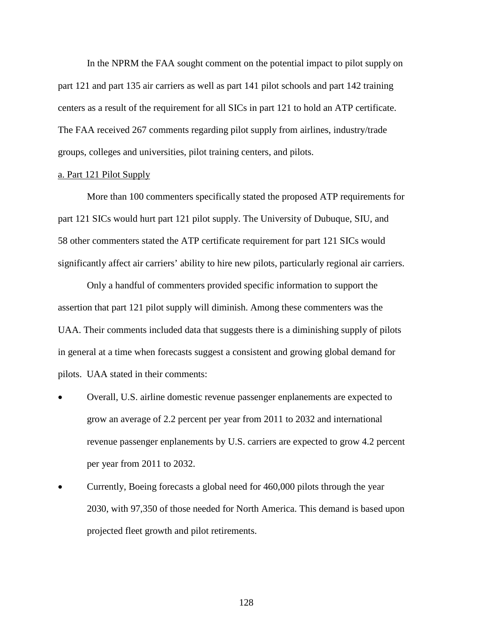In the NPRM the FAA sought comment on the potential impact to pilot supply on part 121 and part 135 air carriers as well as part 141 pilot schools and part 142 training centers as a result of the requirement for all SICs in part 121 to hold an ATP certificate. The FAA received 267 comments regarding pilot supply from airlines, industry/trade groups, colleges and universities, pilot training centers, and pilots.

#### a. Part 121 Pilot Supply

More than 100 commenters specifically stated the proposed ATP requirements for part 121 SICs would hurt part 121 pilot supply. The University of Dubuque, SIU, and 58 other commenters stated the ATP certificate requirement for part 121 SICs would significantly affect air carriers' ability to hire new pilots, particularly regional air carriers.

Only a handful of commenters provided specific information to support the assertion that part 121 pilot supply will diminish. Among these commenters was the UAA. Their comments included data that suggests there is a diminishing supply of pilots in general at a time when forecasts suggest a consistent and growing global demand for pilots. UAA stated in their comments:

- Overall, U.S. airline domestic revenue passenger enplanements are expected to grow an average of 2.2 percent per year from 2011 to 2032 and international revenue passenger enplanements by U.S. carriers are expected to grow 4.2 percent per year from 2011 to 2032.
- Currently, Boeing forecasts a global need for 460,000 pilots through the year 2030, with 97,350 of those needed for North America. This demand is based upon projected fleet growth and pilot retirements.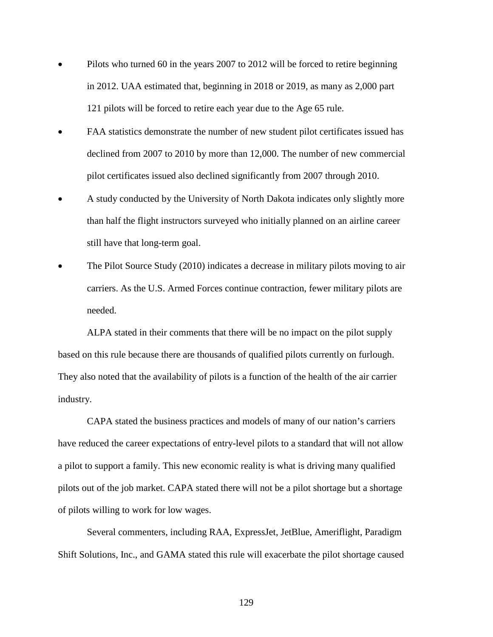- Pilots who turned 60 in the years 2007 to 2012 will be forced to retire beginning in 2012. UAA estimated that, beginning in 2018 or 2019, as many as 2,000 part 121 pilots will be forced to retire each year due to the Age 65 rule.
- FAA statistics demonstrate the number of new student pilot certificates issued has declined from 2007 to 2010 by more than 12,000. The number of new commercial pilot certificates issued also declined significantly from 2007 through 2010.
- A study conducted by the University of North Dakota indicates only slightly more than half the flight instructors surveyed who initially planned on an airline career still have that long-term goal.
- The Pilot Source Study (2010) indicates a decrease in military pilots moving to air carriers. As the U.S. Armed Forces continue contraction, fewer military pilots are needed.

ALPA stated in their comments that there will be no impact on the pilot supply based on this rule because there are thousands of qualified pilots currently on furlough. They also noted that the availability of pilots is a function of the health of the air carrier industry.

CAPA stated the business practices and models of many of our nation's carriers have reduced the career expectations of entry-level pilots to a standard that will not allow a pilot to support a family. This new economic reality is what is driving many qualified pilots out of the job market. CAPA stated there will not be a pilot shortage but a shortage of pilots willing to work for low wages.

Several commenters, including RAA, ExpressJet, JetBlue, Ameriflight, Paradigm Shift Solutions, Inc., and GAMA stated this rule will exacerbate the pilot shortage caused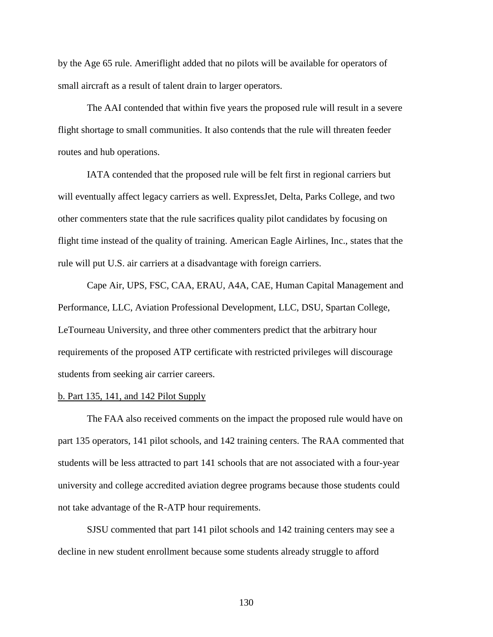by the Age 65 rule. Ameriflight added that no pilots will be available for operators of small aircraft as a result of talent drain to larger operators.

The AAI contended that within five years the proposed rule will result in a severe flight shortage to small communities. It also contends that the rule will threaten feeder routes and hub operations.

IATA contended that the proposed rule will be felt first in regional carriers but will eventually affect legacy carriers as well. ExpressJet, Delta, Parks College, and two other commenters state that the rule sacrifices quality pilot candidates by focusing on flight time instead of the quality of training. American Eagle Airlines, Inc., states that the rule will put U.S. air carriers at a disadvantage with foreign carriers.

Cape Air, UPS, FSC, CAA, ERAU, A4A, CAE, Human Capital Management and Performance, LLC, Aviation Professional Development, LLC, DSU, Spartan College, LeTourneau University, and three other commenters predict that the arbitrary hour requirements of the proposed ATP certificate with restricted privileges will discourage students from seeking air carrier careers.

#### b. Part 135, 141, and 142 Pilot Supply

The FAA also received comments on the impact the proposed rule would have on part 135 operators, 141 pilot schools, and 142 training centers. The RAA commented that students will be less attracted to part 141 schools that are not associated with a four-year university and college accredited aviation degree programs because those students could not take advantage of the R-ATP hour requirements.

SJSU commented that part 141 pilot schools and 142 training centers may see a decline in new student enrollment because some students already struggle to afford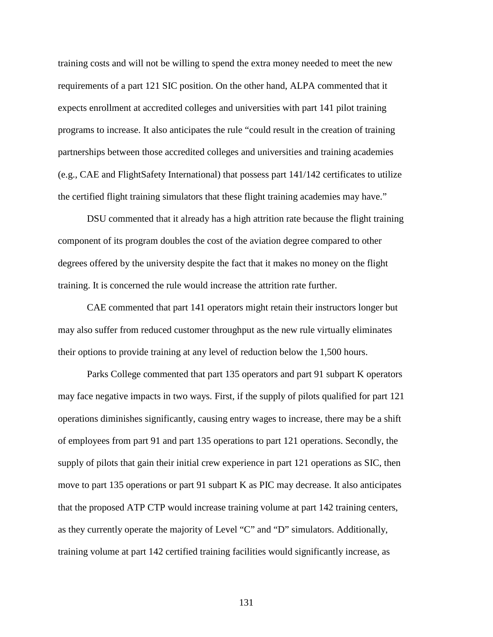training costs and will not be willing to spend the extra money needed to meet the new requirements of a part 121 SIC position. On the other hand, ALPA commented that it expects enrollment at accredited colleges and universities with part 141 pilot training programs to increase. It also anticipates the rule "could result in the creation of training partnerships between those accredited colleges and universities and training academies (e.g., CAE and FlightSafety International) that possess part 141/142 certificates to utilize the certified flight training simulators that these flight training academies may have."

DSU commented that it already has a high attrition rate because the flight training component of its program doubles the cost of the aviation degree compared to other degrees offered by the university despite the fact that it makes no money on the flight training. It is concerned the rule would increase the attrition rate further.

CAE commented that part 141 operators might retain their instructors longer but may also suffer from reduced customer throughput as the new rule virtually eliminates their options to provide training at any level of reduction below the 1,500 hours.

Parks College commented that part 135 operators and part 91 subpart K operators may face negative impacts in two ways. First, if the supply of pilots qualified for part 121 operations diminishes significantly, causing entry wages to increase, there may be a shift of employees from part 91 and part 135 operations to part 121 operations. Secondly, the supply of pilots that gain their initial crew experience in part 121 operations as SIC, then move to part 135 operations or part 91 subpart K as PIC may decrease. It also anticipates that the proposed ATP CTP would increase training volume at part 142 training centers, as they currently operate the majority of Level "C" and "D" simulators. Additionally, training volume at part 142 certified training facilities would significantly increase, as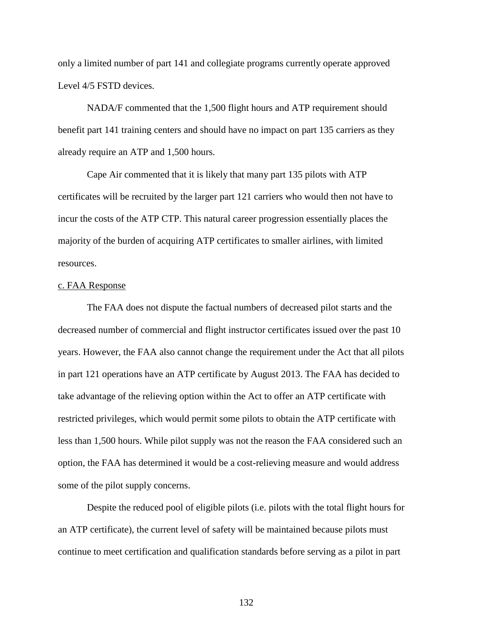only a limited number of part 141 and collegiate programs currently operate approved Level 4/5 FSTD devices.

NADA/F commented that the 1,500 flight hours and ATP requirement should benefit part 141 training centers and should have no impact on part 135 carriers as they already require an ATP and 1,500 hours.

Cape Air commented that it is likely that many part 135 pilots with ATP certificates will be recruited by the larger part 121 carriers who would then not have to incur the costs of the ATP CTP. This natural career progression essentially places the majority of the burden of acquiring ATP certificates to smaller airlines, with limited resources.

#### c. FAA Response

The FAA does not dispute the factual numbers of decreased pilot starts and the decreased number of commercial and flight instructor certificates issued over the past 10 years. However, the FAA also cannot change the requirement under the Act that all pilots in part 121 operations have an ATP certificate by August 2013. The FAA has decided to take advantage of the relieving option within the Act to offer an ATP certificate with restricted privileges, which would permit some pilots to obtain the ATP certificate with less than 1,500 hours. While pilot supply was not the reason the FAA considered such an option, the FAA has determined it would be a cost-relieving measure and would address some of the pilot supply concerns.

Despite the reduced pool of eligible pilots (i.e. pilots with the total flight hours for an ATP certificate), the current level of safety will be maintained because pilots must continue to meet certification and qualification standards before serving as a pilot in part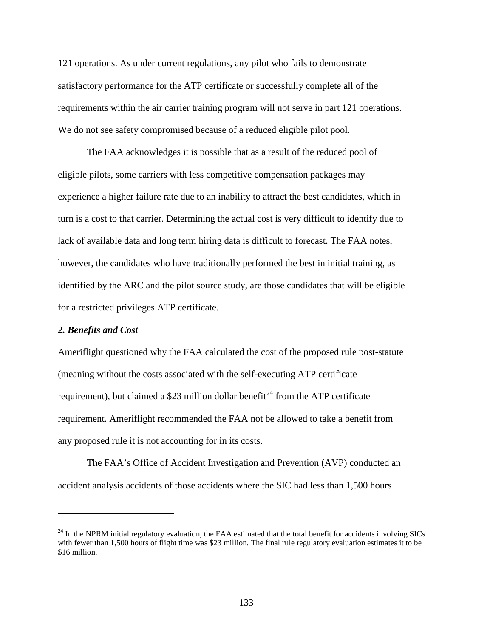121 operations. As under current regulations, any pilot who fails to demonstrate satisfactory performance for the ATP certificate or successfully complete all of the requirements within the air carrier training program will not serve in part 121 operations. We do not see safety compromised because of a reduced eligible pilot pool.

The FAA acknowledges it is possible that as a result of the reduced pool of eligible pilots, some carriers with less competitive compensation packages may experience a higher failure rate due to an inability to attract the best candidates, which in turn is a cost to that carrier. Determining the actual cost is very difficult to identify due to lack of available data and long term hiring data is difficult to forecast. The FAA notes, however, the candidates who have traditionally performed the best in initial training, as identified by the ARC and the pilot source study, are those candidates that will be eligible for a restricted privileges ATP certificate.

# *2. Benefits and Cost*

 $\overline{a}$ 

Ameriflight questioned why the FAA calculated the cost of the proposed rule post-statute (meaning without the costs associated with the self-executing ATP certificate requirement), but claimed a \$23 million dollar benefit<sup>[24](#page-132-0)</sup> from the ATP certificate requirement. Ameriflight recommended the FAA not be allowed to take a benefit from any proposed rule it is not accounting for in its costs.

The FAA's Office of Accident Investigation and Prevention (AVP) conducted an accident analysis accidents of those accidents where the SIC had less than 1,500 hours

<span id="page-132-0"></span> $^{24}$  In the NPRM initial regulatory evaluation, the FAA estimated that the total benefit for accidents involving SICs with fewer than 1,500 hours of flight time was \$23 million. The final rule regulatory evaluation estimates it to be \$16 million.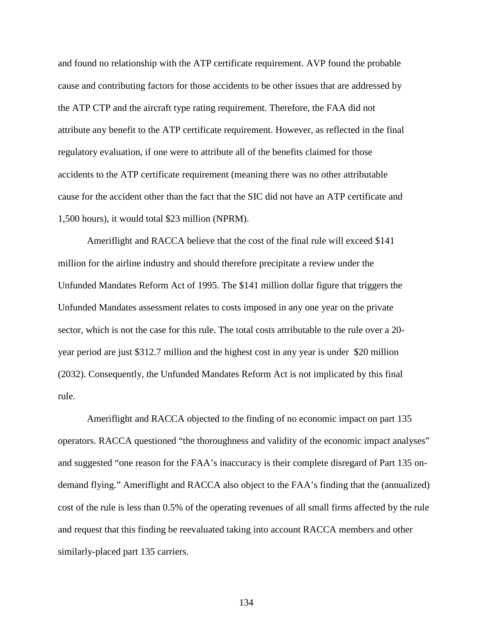and found no relationship with the ATP certificate requirement. AVP found the probable cause and contributing factors for those accidents to be other issues that are addressed by the ATP CTP and the aircraft type rating requirement. Therefore, the FAA did not attribute any benefit to the ATP certificate requirement. However, as reflected in the final regulatory evaluation, if one were to attribute all of the benefits claimed for those accidents to the ATP certificate requirement (meaning there was no other attributable cause for the accident other than the fact that the SIC did not have an ATP certificate and 1,500 hours), it would total \$23 million (NPRM).

Ameriflight and RACCA believe that the cost of the final rule will exceed \$141 million for the airline industry and should therefore precipitate a review under the Unfunded Mandates Reform Act of 1995. The \$141 million dollar figure that triggers the Unfunded Mandates assessment relates to costs imposed in any one year on the private sector, which is not the case for this rule. The total costs attributable to the rule over a 20 year period are just \$312.7 million and the highest cost in any year is under \$20 million (2032). Consequently, the Unfunded Mandates Reform Act is not implicated by this final rule.

Ameriflight and RACCA objected to the finding of no economic impact on part 135 operators. RACCA questioned "the thoroughness and validity of the economic impact analyses" and suggested "one reason for the FAA's inaccuracy is their complete disregard of Part 135 ondemand flying." Ameriflight and RACCA also object to the FAA's finding that the (annualized) cost of the rule is less than 0.5% of the operating revenues of all small firms affected by the rule and request that this finding be reevaluated taking into account RACCA members and other similarly-placed part 135 carriers.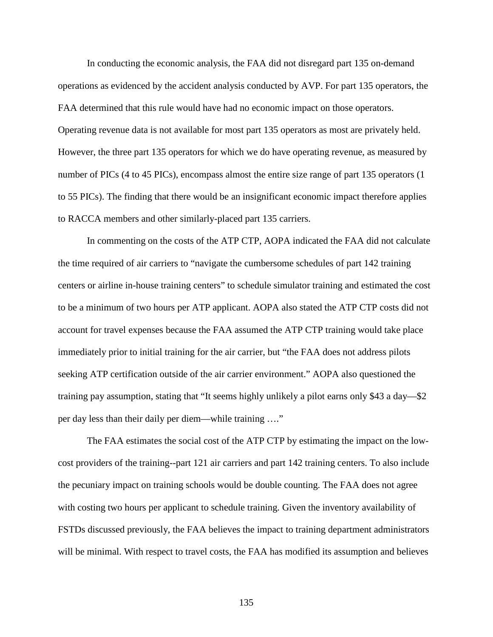In conducting the economic analysis, the FAA did not disregard part 135 on-demand operations as evidenced by the accident analysis conducted by AVP. For part 135 operators, the FAA determined that this rule would have had no economic impact on those operators. Operating revenue data is not available for most part 135 operators as most are privately held. However, the three part 135 operators for which we do have operating revenue, as measured by number of PICs (4 to 45 PICs), encompass almost the entire size range of part 135 operators (1) to 55 PICs). The finding that there would be an insignificant economic impact therefore applies to RACCA members and other similarly-placed part 135 carriers.

In commenting on the costs of the ATP CTP, AOPA indicated the FAA did not calculate the time required of air carriers to "navigate the cumbersome schedules of part 142 training centers or airline in-house training centers" to schedule simulator training and estimated the cost to be a minimum of two hours per ATP applicant. AOPA also stated the ATP CTP costs did not account for travel expenses because the FAA assumed the ATP CTP training would take place immediately prior to initial training for the air carrier, but "the FAA does not address pilots seeking ATP certification outside of the air carrier environment." AOPA also questioned the training pay assumption, stating that "It seems highly unlikely a pilot earns only \$43 a day—\$2 per day less than their daily per diem—while training …."

The FAA estimates the social cost of the ATP CTP by estimating the impact on the lowcost providers of the training--part 121 air carriers and part 142 training centers. To also include the pecuniary impact on training schools would be double counting. The FAA does not agree with costing two hours per applicant to schedule training. Given the inventory availability of FSTDs discussed previously, the FAA believes the impact to training department administrators will be minimal. With respect to travel costs, the FAA has modified its assumption and believes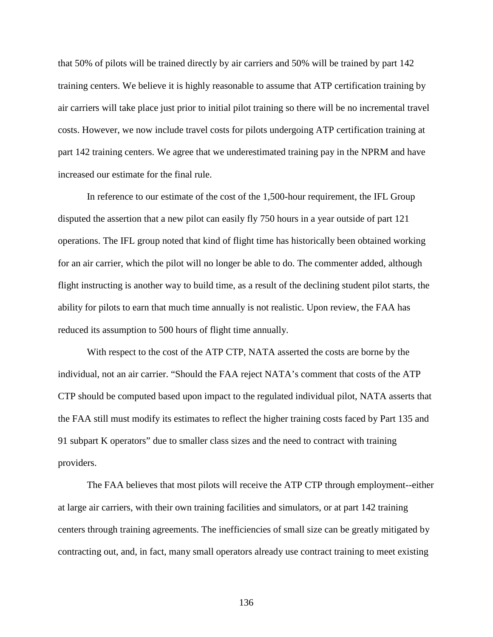that 50% of pilots will be trained directly by air carriers and 50% will be trained by part 142 training centers. We believe it is highly reasonable to assume that ATP certification training by air carriers will take place just prior to initial pilot training so there will be no incremental travel costs. However, we now include travel costs for pilots undergoing ATP certification training at part 142 training centers. We agree that we underestimated training pay in the NPRM and have increased our estimate for the final rule.

In reference to our estimate of the cost of the 1,500-hour requirement, the IFL Group disputed the assertion that a new pilot can easily fly 750 hours in a year outside of part 121 operations. The IFL group noted that kind of flight time has historically been obtained working for an air carrier, which the pilot will no longer be able to do. The commenter added, although flight instructing is another way to build time, as a result of the declining student pilot starts, the ability for pilots to earn that much time annually is not realistic. Upon review, the FAA has reduced its assumption to 500 hours of flight time annually.

With respect to the cost of the ATP CTP, NATA asserted the costs are borne by the individual, not an air carrier. "Should the FAA reject NATA's comment that costs of the ATP CTP should be computed based upon impact to the regulated individual pilot, NATA asserts that the FAA still must modify its estimates to reflect the higher training costs faced by Part 135 and 91 subpart K operators" due to smaller class sizes and the need to contract with training providers.

The FAA believes that most pilots will receive the ATP CTP through employment--either at large air carriers, with their own training facilities and simulators, or at part 142 training centers through training agreements. The inefficiencies of small size can be greatly mitigated by contracting out, and, in fact, many small operators already use contract training to meet existing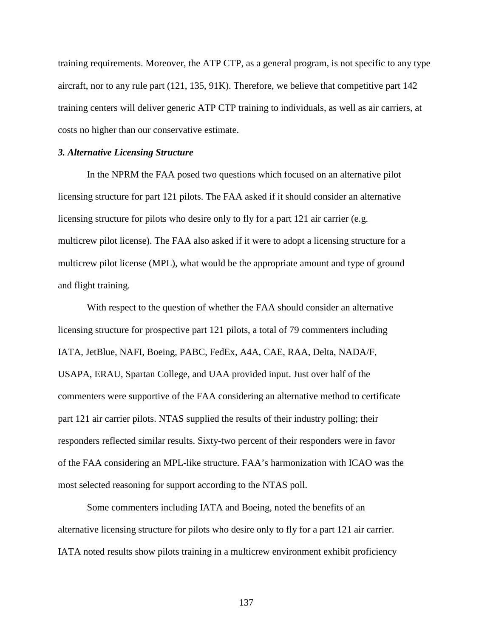training requirements. Moreover, the ATP CTP, as a general program, is not specific to any type aircraft, nor to any rule part (121, 135, 91K). Therefore, we believe that competitive part 142 training centers will deliver generic ATP CTP training to individuals, as well as air carriers, at costs no higher than our conservative estimate.

# *3. Alternative Licensing Structure*

In the NPRM the FAA posed two questions which focused on an alternative pilot licensing structure for part 121 pilots. The FAA asked if it should consider an alternative licensing structure for pilots who desire only to fly for a part 121 air carrier (e.g. multicrew pilot license). The FAA also asked if it were to adopt a licensing structure for a multicrew pilot license (MPL), what would be the appropriate amount and type of ground and flight training.

With respect to the question of whether the FAA should consider an alternative licensing structure for prospective part 121 pilots, a total of 79 commenters including IATA, JetBlue, NAFI, Boeing, PABC, FedEx, A4A, CAE, RAA, Delta, NADA/F, USAPA, ERAU, Spartan College, and UAA provided input. Just over half of the commenters were supportive of the FAA considering an alternative method to certificate part 121 air carrier pilots. NTAS supplied the results of their industry polling; their responders reflected similar results. Sixty-two percent of their responders were in favor of the FAA considering an MPL-like structure. FAA's harmonization with ICAO was the most selected reasoning for support according to the NTAS poll.

Some commenters including IATA and Boeing, noted the benefits of an alternative licensing structure for pilots who desire only to fly for a part 121 air carrier. IATA noted results show pilots training in a multicrew environment exhibit proficiency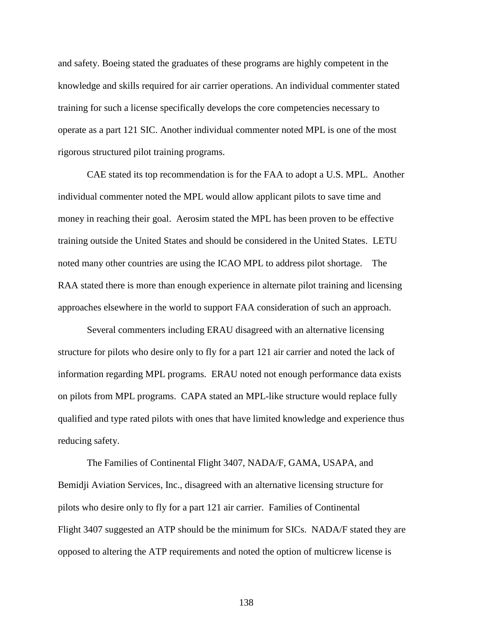and safety. Boeing stated the graduates of these programs are highly competent in the knowledge and skills required for air carrier operations. An individual commenter stated training for such a license specifically develops the core competencies necessary to operate as a part 121 SIC. Another individual commenter noted MPL is one of the most rigorous structured pilot training programs.

CAE stated its top recommendation is for the FAA to adopt a U.S. MPL. Another individual commenter noted the MPL would allow applicant pilots to save time and money in reaching their goal. Aerosim stated the MPL has been proven to be effective training outside the United States and should be considered in the United States. LETU noted many other countries are using the ICAO MPL to address pilot shortage. The RAA stated there is more than enough experience in alternate pilot training and licensing approaches elsewhere in the world to support FAA consideration of such an approach.

Several commenters including ERAU disagreed with an alternative licensing structure for pilots who desire only to fly for a part 121 air carrier and noted the lack of information regarding MPL programs. ERAU noted not enough performance data exists on pilots from MPL programs. CAPA stated an MPL-like structure would replace fully qualified and type rated pilots with ones that have limited knowledge and experience thus reducing safety.

The Families of Continental Flight 3407, NADA/F, GAMA, USAPA, and Bemidji Aviation Services, Inc., disagreed with an alternative licensing structure for pilots who desire only to fly for a part 121 air carrier. Families of Continental Flight 3407 suggested an ATP should be the minimum for SICs. NADA/F stated they are opposed to altering the ATP requirements and noted the option of multicrew license is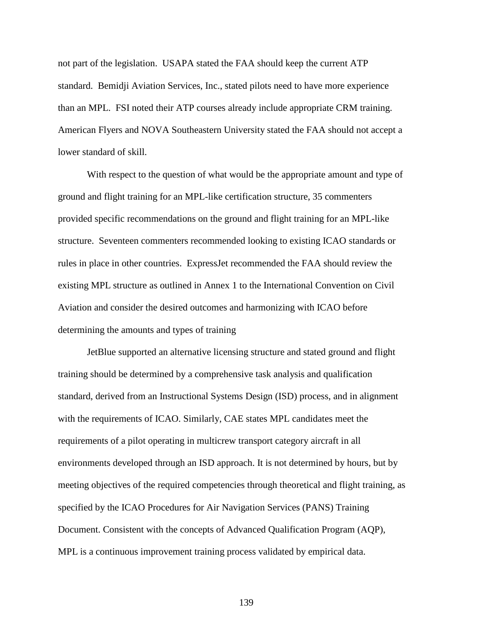not part of the legislation. USAPA stated the FAA should keep the current ATP standard. Bemidji Aviation Services, Inc., stated pilots need to have more experience than an MPL. FSI noted their ATP courses already include appropriate CRM training. American Flyers and NOVA Southeastern University stated the FAA should not accept a lower standard of skill.

With respect to the question of what would be the appropriate amount and type of ground and flight training for an MPL-like certification structure, 35 commenters provided specific recommendations on the ground and flight training for an MPL-like structure. Seventeen commenters recommended looking to existing ICAO standards or rules in place in other countries. ExpressJet recommended the FAA should review the existing MPL structure as outlined in Annex 1 to the International Convention on Civil Aviation and consider the desired outcomes and harmonizing with ICAO before determining the amounts and types of training

JetBlue supported an alternative licensing structure and stated ground and flight training should be determined by a comprehensive task analysis and qualification standard, derived from an Instructional Systems Design (ISD) process, and in alignment with the requirements of ICAO. Similarly, CAE states MPL candidates meet the requirements of a pilot operating in multicrew transport category aircraft in all environments developed through an ISD approach. It is not determined by hours, but by meeting objectives of the required competencies through theoretical and flight training, as specified by the ICAO Procedures for Air Navigation Services (PANS) Training Document. Consistent with the concepts of Advanced Qualification Program (AQP), MPL is a continuous improvement training process validated by empirical data.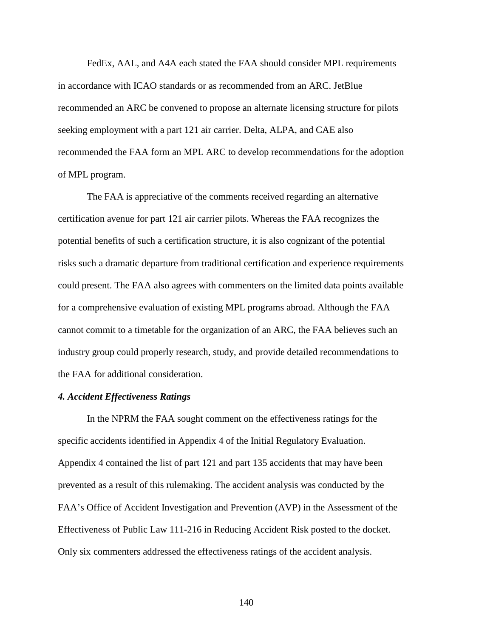FedEx, AAL, and A4A each stated the FAA should consider MPL requirements in accordance with ICAO standards or as recommended from an ARC. JetBlue recommended an ARC be convened to propose an alternate licensing structure for pilots seeking employment with a part 121 air carrier. Delta, ALPA, and CAE also recommended the FAA form an MPL ARC to develop recommendations for the adoption of MPL program.

The FAA is appreciative of the comments received regarding an alternative certification avenue for part 121 air carrier pilots. Whereas the FAA recognizes the potential benefits of such a certification structure, it is also cognizant of the potential risks such a dramatic departure from traditional certification and experience requirements could present. The FAA also agrees with commenters on the limited data points available for a comprehensive evaluation of existing MPL programs abroad. Although the FAA cannot commit to a timetable for the organization of an ARC, the FAA believes such an industry group could properly research, study, and provide detailed recommendations to the FAA for additional consideration.

#### *4. Accident Effectiveness Ratings*

In the NPRM the FAA sought comment on the effectiveness ratings for the specific accidents identified in Appendix 4 of the Initial Regulatory Evaluation. Appendix 4 contained the list of part 121 and part 135 accidents that may have been prevented as a result of this rulemaking. The accident analysis was conducted by the FAA's Office of Accident Investigation and Prevention (AVP) in the Assessment of the Effectiveness of Public Law 111-216 in Reducing Accident Risk posted to the docket. Only six commenters addressed the effectiveness ratings of the accident analysis.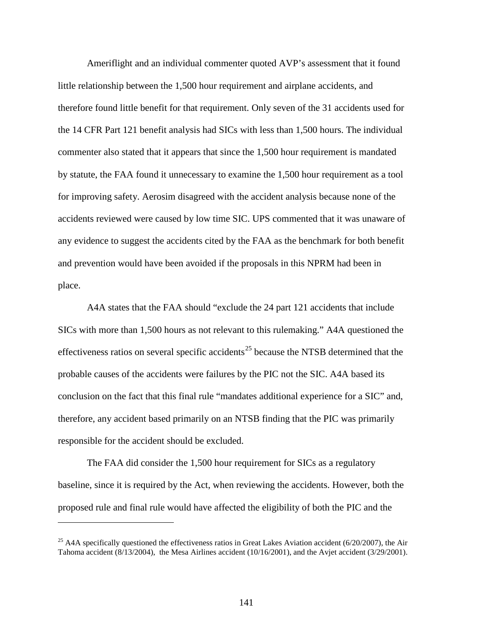Ameriflight and an individual commenter quoted AVP's assessment that it found little relationship between the 1,500 hour requirement and airplane accidents, and therefore found little benefit for that requirement. Only seven of the 31 accidents used for the 14 CFR Part 121 benefit analysis had SICs with less than 1,500 hours. The individual commenter also stated that it appears that since the 1,500 hour requirement is mandated by statute, the FAA found it unnecessary to examine the 1,500 hour requirement as a tool for improving safety. Aerosim disagreed with the accident analysis because none of the accidents reviewed were caused by low time SIC. UPS commented that it was unaware of any evidence to suggest the accidents cited by the FAA as the benchmark for both benefit and prevention would have been avoided if the proposals in this NPRM had been in place.

A4A states that the FAA should "exclude the 24 part 121 accidents that include SICs with more than 1,500 hours as not relevant to this rulemaking." A4A questioned the effectiveness ratios on several specific accidents<sup>[25](#page-140-0)</sup> because the NTSB determined that the probable causes of the accidents were failures by the PIC not the SIC. A4A based its conclusion on the fact that this final rule "mandates additional experience for a SIC" and, therefore, any accident based primarily on an NTSB finding that the PIC was primarily responsible for the accident should be excluded.

The FAA did consider the 1,500 hour requirement for SICs as a regulatory baseline, since it is required by the Act, when reviewing the accidents. However, both the proposed rule and final rule would have affected the eligibility of both the PIC and the

 $\overline{a}$ 

<span id="page-140-0"></span><sup>&</sup>lt;sup>25</sup> A4A specifically questioned the effectiveness ratios in Great Lakes Aviation accident ( $6/20/2007$ ), the Air Tahoma accident (8/13/2004), the Mesa Airlines accident (10/16/2001), and the Avjet accident (3/29/2001).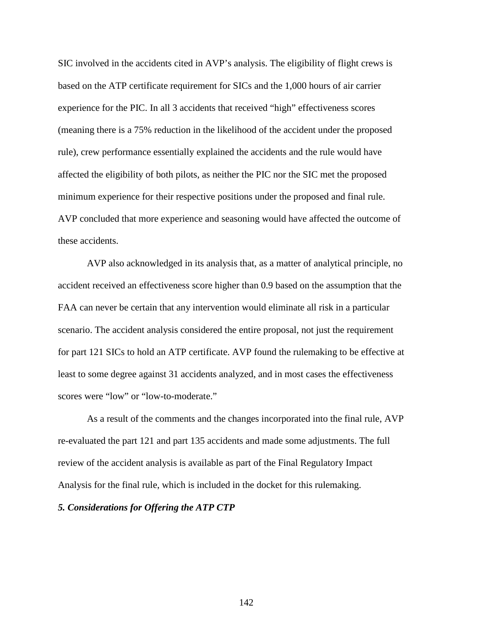SIC involved in the accidents cited in AVP's analysis. The eligibility of flight crews is based on the ATP certificate requirement for SICs and the 1,000 hours of air carrier experience for the PIC. In all 3 accidents that received "high" effectiveness scores (meaning there is a 75% reduction in the likelihood of the accident under the proposed rule), crew performance essentially explained the accidents and the rule would have affected the eligibility of both pilots, as neither the PIC nor the SIC met the proposed minimum experience for their respective positions under the proposed and final rule. AVP concluded that more experience and seasoning would have affected the outcome of these accidents.

AVP also acknowledged in its analysis that, as a matter of analytical principle, no accident received an effectiveness score higher than 0.9 based on the assumption that the FAA can never be certain that any intervention would eliminate all risk in a particular scenario. The accident analysis considered the entire proposal, not just the requirement for part 121 SICs to hold an ATP certificate. AVP found the rulemaking to be effective at least to some degree against 31 accidents analyzed, and in most cases the effectiveness scores were "low" or "low-to-moderate."

As a result of the comments and the changes incorporated into the final rule, AVP re-evaluated the part 121 and part 135 accidents and made some adjustments. The full review of the accident analysis is available as part of the Final Regulatory Impact Analysis for the final rule, which is included in the docket for this rulemaking.

# *5. Considerations for Offering the ATP CTP*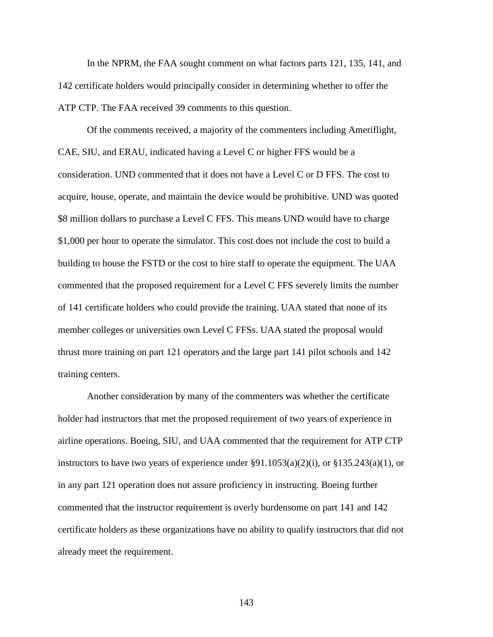In the NPRM, the FAA sought comment on what factors parts 121, 135, 141, and 142 certificate holders would principally consider in determining whether to offer the ATP CTP. The FAA received 39 comments to this question.

Of the comments received, a majority of the commenters including Ameriflight, CAE, SIU, and ERAU, indicated having a Level C or higher FFS would be a consideration. UND commented that it does not have a Level C or D FFS. The cost to acquire, house, operate, and maintain the device would be prohibitive. UND was quoted \$8 million dollars to purchase a Level C FFS. This means UND would have to charge \$1,000 per hour to operate the simulator. This cost does not include the cost to build a building to house the FSTD or the cost to hire staff to operate the equipment. The UAA commented that the proposed requirement for a Level C FFS severely limits the number of 141 certificate holders who could provide the training. UAA stated that none of its member colleges or universities own Level C FFSs. UAA stated the proposal would thrust more training on part 121 operators and the large part 141 pilot schools and 142 training centers.

Another consideration by many of the commenters was whether the certificate holder had instructors that met the proposed requirement of two years of experience in airline operations. Boeing, SIU, and UAA commented that the requirement for ATP CTP instructors to have two years of experience under  $\S 91.1053(a)(2)(i)$ , or  $\S 135.243(a)(1)$ , or in any part 121 operation does not assure proficiency in instructing. Boeing further commented that the instructor requirement is overly burdensome on part 141 and 142 certificate holders as these organizations have no ability to qualify instructors that did not already meet the requirement.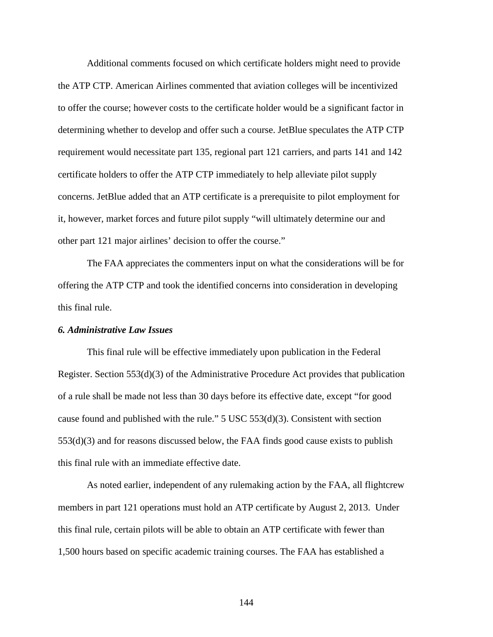Additional comments focused on which certificate holders might need to provide the ATP CTP. American Airlines commented that aviation colleges will be incentivized to offer the course; however costs to the certificate holder would be a significant factor in determining whether to develop and offer such a course. JetBlue speculates the ATP CTP requirement would necessitate part 135, regional part 121 carriers, and parts 141 and 142 certificate holders to offer the ATP CTP immediately to help alleviate pilot supply concerns. JetBlue added that an ATP certificate is a prerequisite to pilot employment for it, however, market forces and future pilot supply "will ultimately determine our and other part 121 major airlines' decision to offer the course."

The FAA appreciates the commenters input on what the considerations will be for offering the ATP CTP and took the identified concerns into consideration in developing this final rule.

# *6. Administrative Law Issues*

This final rule will be effective immediately upon publication in the Federal Register. Section 553(d)(3) of the Administrative Procedure Act provides that publication of a rule shall be made not less than 30 days before its effective date, except "for good cause found and published with the rule."  $5 \text{ USC } 553\text{ (d)}(3)$ . Consistent with section 553(d)(3) and for reasons discussed below, the FAA finds good cause exists to publish this final rule with an immediate effective date.

As noted earlier, independent of any rulemaking action by the FAA, all flightcrew members in part 121 operations must hold an ATP certificate by August 2, 2013. Under this final rule, certain pilots will be able to obtain an ATP certificate with fewer than 1,500 hours based on specific academic training courses. The FAA has established a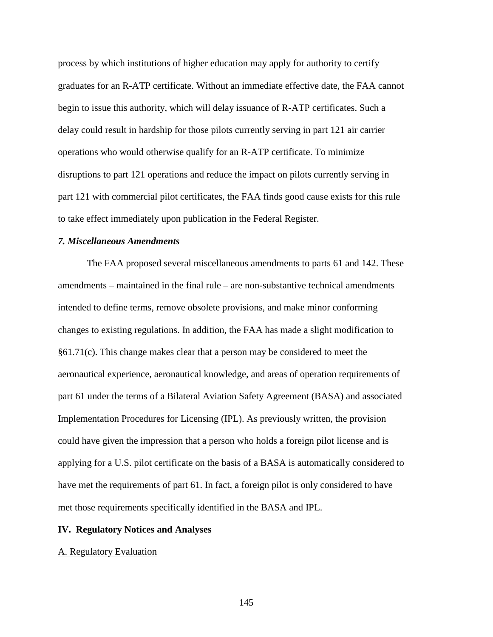process by which institutions of higher education may apply for authority to certify graduates for an R-ATP certificate. Without an immediate effective date, the FAA cannot begin to issue this authority, which will delay issuance of R-ATP certificates. Such a delay could result in hardship for those pilots currently serving in part 121 air carrier operations who would otherwise qualify for an R-ATP certificate. To minimize disruptions to part 121 operations and reduce the impact on pilots currently serving in part 121 with commercial pilot certificates, the FAA finds good cause exists for this rule to take effect immediately upon publication in the Federal Register.

## *7. Miscellaneous Amendments*

The FAA proposed several miscellaneous amendments to parts 61 and 142. These amendments – maintained in the final rule – are non-substantive technical amendments intended to define terms, remove obsolete provisions, and make minor conforming changes to existing regulations. In addition, the FAA has made a slight modification to §61.71(c). This change makes clear that a person may be considered to meet the aeronautical experience, aeronautical knowledge, and areas of operation requirements of part 61 under the terms of a Bilateral Aviation Safety Agreement (BASA) and associated Implementation Procedures for Licensing (IPL). As previously written, the provision could have given the impression that a person who holds a foreign pilot license and is applying for a U.S. pilot certificate on the basis of a BASA is automatically considered to have met the requirements of part 61. In fact, a foreign pilot is only considered to have met those requirements specifically identified in the BASA and IPL.

# **IV. Regulatory Notices and Analyses**

#### A. Regulatory Evaluation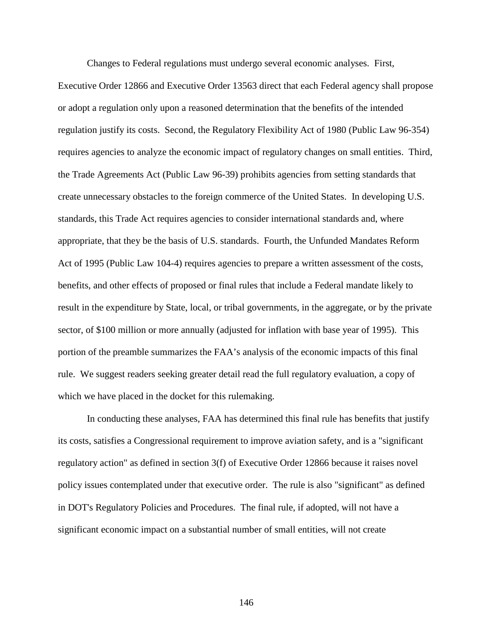Changes to Federal regulations must undergo several economic analyses. First,

Executive Order 12866 and Executive Order 13563 direct that each Federal agency shall propose or adopt a regulation only upon a reasoned determination that the benefits of the intended regulation justify its costs. Second, the Regulatory Flexibility Act of 1980 (Public Law 96-354) requires agencies to analyze the economic impact of regulatory changes on small entities. Third, the Trade Agreements Act (Public Law 96-39) prohibits agencies from setting standards that create unnecessary obstacles to the foreign commerce of the United States. In developing U.S. standards, this Trade Act requires agencies to consider international standards and, where appropriate, that they be the basis of U.S. standards. Fourth, the Unfunded Mandates Reform Act of 1995 (Public Law 104-4) requires agencies to prepare a written assessment of the costs, benefits, and other effects of proposed or final rules that include a Federal mandate likely to result in the expenditure by State, local, or tribal governments, in the aggregate, or by the private sector, of \$100 million or more annually (adjusted for inflation with base year of 1995). This portion of the preamble summarizes the FAA's analysis of the economic impacts of this final rule. We suggest readers seeking greater detail read the full regulatory evaluation, a copy of which we have placed in the docket for this rulemaking.

In conducting these analyses, FAA has determined this final rule has benefits that justify its costs, satisfies a Congressional requirement to improve aviation safety, and is a "significant regulatory action" as defined in section 3(f) of Executive Order 12866 because it raises novel policy issues contemplated under that executive order. The rule is also "significant" as defined in DOT's Regulatory Policies and Procedures. The final rule, if adopted, will not have a significant economic impact on a substantial number of small entities, will not create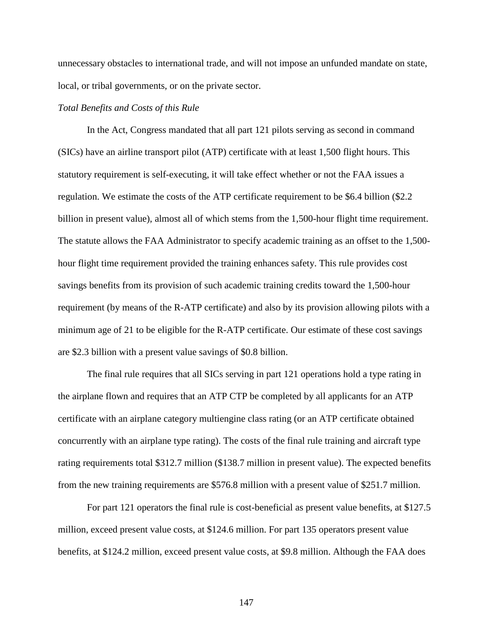unnecessary obstacles to international trade, and will not impose an unfunded mandate on state, local, or tribal governments, or on the private sector.

# *Total Benefits and Costs of this Rule*

In the Act, Congress mandated that all part 121 pilots serving as second in command (SICs) have an airline transport pilot (ATP) certificate with at least 1,500 flight hours. This statutory requirement is self-executing, it will take effect whether or not the FAA issues a regulation. We estimate the costs of the ATP certificate requirement to be \$6.4 billion (\$2.2 billion in present value), almost all of which stems from the 1,500-hour flight time requirement. The statute allows the FAA Administrator to specify academic training as an offset to the 1,500 hour flight time requirement provided the training enhances safety. This rule provides cost savings benefits from its provision of such academic training credits toward the 1,500-hour requirement (by means of the R-ATP certificate) and also by its provision allowing pilots with a minimum age of 21 to be eligible for the R-ATP certificate. Our estimate of these cost savings are \$2.3 billion with a present value savings of \$0.8 billion.

The final rule requires that all SICs serving in part 121 operations hold a type rating in the airplane flown and requires that an ATP CTP be completed by all applicants for an ATP certificate with an airplane category multiengine class rating (or an ATP certificate obtained concurrently with an airplane type rating). The costs of the final rule training and aircraft type rating requirements total \$312.7 million (\$138.7 million in present value). The expected benefits from the new training requirements are \$576.8 million with a present value of \$251.7 million.

For part 121 operators the final rule is cost-beneficial as present value benefits, at \$127.5 million, exceed present value costs, at \$124.6 million. For part 135 operators present value benefits, at \$124.2 million, exceed present value costs, at \$9.8 million. Although the FAA does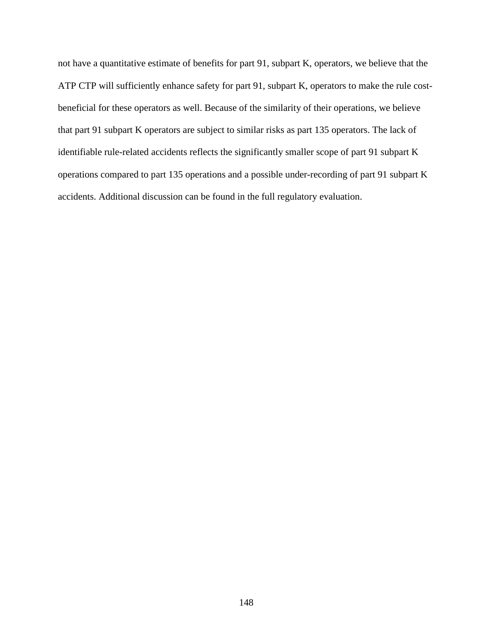not have a quantitative estimate of benefits for part 91, subpart K, operators, we believe that the ATP CTP will sufficiently enhance safety for part 91, subpart K, operators to make the rule costbeneficial for these operators as well. Because of the similarity of their operations, we believe that part 91 subpart K operators are subject to similar risks as part 135 operators. The lack of identifiable rule-related accidents reflects the significantly smaller scope of part 91 subpart K operations compared to part 135 operations and a possible under-recording of part 91 subpart K accidents. Additional discussion can be found in the full regulatory evaluation.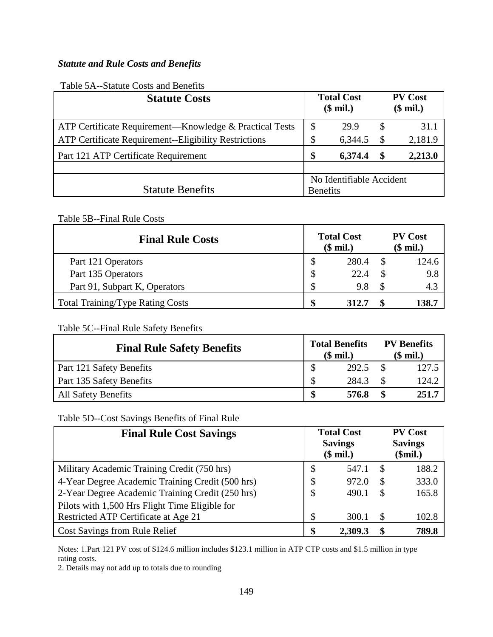# *Statute and Rule Costs and Benefits*

| <b>Statute Costs</b>                                    |                                             | <b>Total Cost</b><br>$$$ mil.) |  | <b>PV Cost</b><br>$$$ mil.) |  |  |
|---------------------------------------------------------|---------------------------------------------|--------------------------------|--|-----------------------------|--|--|
| ATP Certificate Requirement—Knowledge & Practical Tests | \$                                          | 29.9                           |  | 31.1                        |  |  |
| ATP Certificate Requirement--Eligibility Restrictions   | \$                                          | 6,344.5                        |  | 2,181.9                     |  |  |
| Part 121 ATP Certificate Requirement                    | \$                                          | 6,374.4                        |  | 2,213.0                     |  |  |
| <b>Statute Benefits</b>                                 | No Identifiable Accident<br><b>Benefits</b> |                                |  |                             |  |  |

# Table 5A--Statute Costs and Benefits

# Table 5B--Final Rule Costs

| <b>Final Rule Costs</b>                 | <b>Total Cost</b><br>$$$ mil.) | <b>PV Cost</b><br>$$$ mil.) |
|-----------------------------------------|--------------------------------|-----------------------------|
| Part 121 Operators                      | 280.4                          | 124.6                       |
| Part 135 Operators                      | 22.4                           | 9.8                         |
| Part 91, Subpart K, Operators           | 9.8                            | 4.3                         |
| <b>Total Training/Type Rating Costs</b> | 312.7                          | 138.7                       |

# Table 5C--Final Rule Safety Benefits

| <b>Final Rule Safety Benefits</b> | <b>Total Benefits</b><br>$$$ mil.) | <b>PV</b> Benefits<br>$$$ mil.) |  |  |
|-----------------------------------|------------------------------------|---------------------------------|--|--|
| <b>Part 121 Safety Benefits</b>   | 292.5                              | 127.5                           |  |  |
| <b>Part 135 Safety Benefits</b>   | 284.3                              | 124.2                           |  |  |
| <b>All Safety Benefits</b>        | 576.8                              | 251.7                           |  |  |

# Table 5D--Cost Savings Benefits of Final Rule

| <b>Final Rule Cost Savings</b>                   | <b>Total Cost</b><br><b>Savings</b><br>$$$ mil.) | <b>PV Cost</b><br><b>Savings</b><br>\$mil.) |       |  |
|--------------------------------------------------|--------------------------------------------------|---------------------------------------------|-------|--|
| Military Academic Training Credit (750 hrs)      | \$<br>547.1                                      | <sup>\$</sup>                               | 188.2 |  |
| 4-Year Degree Academic Training Credit (500 hrs) | \$<br>972.0                                      | S                                           | 333.0 |  |
| 2-Year Degree Academic Training Credit (250 hrs) | \$<br>490.1                                      | -S                                          | 165.8 |  |
| Pilots with 1,500 Hrs Flight Time Eligible for   |                                                  |                                             |       |  |
| Restricted ATP Certificate at Age 21             | \$<br>300.1                                      | -S                                          | 102.8 |  |
| <b>Cost Savings from Rule Relief</b>             | \$<br>2,309.3                                    | S                                           | 789.8 |  |

Notes: 1.Part 121 PV cost of \$124.6 million includes \$123.1 million in ATP CTP costs and \$1.5 million in type rating costs.

2. Details may not add up to totals due to rounding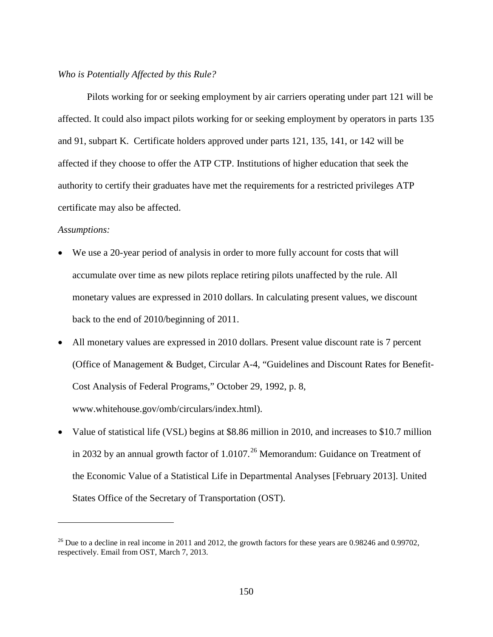# *Who is Potentially Affected by this Rule?*

Pilots working for or seeking employment by air carriers operating under part 121 will be affected. It could also impact pilots working for or seeking employment by operators in parts 135 and 91, subpart K. Certificate holders approved under parts 121, 135, 141, or 142 will be affected if they choose to offer the ATP CTP. Institutions of higher education that seek the authority to certify their graduates have met the requirements for a restricted privileges ATP certificate may also be affected.

# *Assumptions:*

 $\overline{a}$ 

- We use a 20-year period of analysis in order to more fully account for costs that will accumulate over time as new pilots replace retiring pilots unaffected by the rule. All monetary values are expressed in 2010 dollars. In calculating present values, we discount back to the end of 2010/beginning of 2011.
- All monetary values are expressed in 2010 dollars. Present value discount rate is 7 percent (Office of Management & Budget, Circular A-4, "Guidelines and Discount Rates for Benefit-Cost Analysis of Federal Programs," October 29, 1992, p. 8, www.whitehouse.gov/omb/circulars/index.html).
- Value of statistical life (VSL) begins at \$8.86 million in 2010, and increases to \$10.7 million in 2032 by an annual growth factor of  $1.0107<sup>26</sup>$  $1.0107<sup>26</sup>$  $1.0107<sup>26</sup>$  Memorandum: Guidance on Treatment of the Economic Value of a Statistical Life in Departmental Analyses [February 2013]. United States Office of the Secretary of Transportation (OST).

<span id="page-149-0"></span><sup>&</sup>lt;sup>26</sup> Due to a decline in real income in 2011 and 2012, the growth factors for these years are 0.98246 and 0.99702, respectively. Email from OST, March 7, 2013.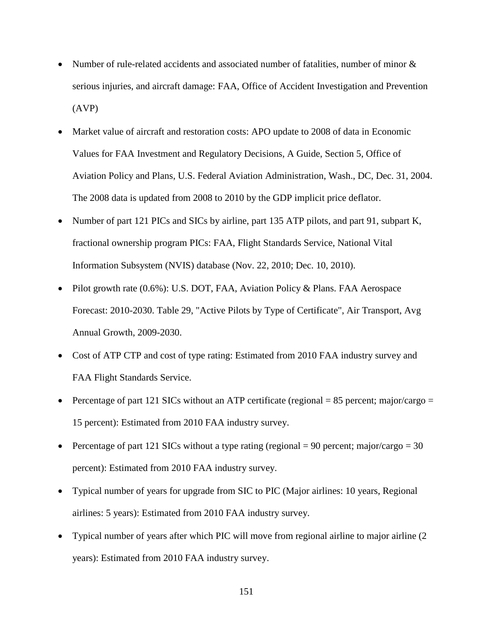- Number of rule-related accidents and associated number of fatalities, number of minor & serious injuries, and aircraft damage: FAA, Office of Accident Investigation and Prevention (AVP)
- Market value of aircraft and restoration costs: APO update to 2008 of data in Economic Values for FAA Investment and Regulatory Decisions, A Guide, Section 5, Office of Aviation Policy and Plans, U.S. Federal Aviation Administration, Wash., DC, Dec. 31, 2004. The 2008 data is updated from 2008 to 2010 by the GDP implicit price deflator.
- Number of part 121 PICs and SICs by airline, part 135 ATP pilots, and part 91, subpart K, fractional ownership program PICs: FAA, Flight Standards Service, National Vital Information Subsystem (NVIS) database (Nov. 22, 2010; Dec. 10, 2010).
- Pilot growth rate (0.6%): U.S. DOT, FAA, Aviation Policy & Plans. FAA Aerospace Forecast: 2010-2030. Table 29, "Active Pilots by Type of Certificate", Air Transport, Avg Annual Growth, 2009-2030.
- Cost of ATP CTP and cost of type rating: Estimated from 2010 FAA industry survey and FAA Flight Standards Service.
- Percentage of part 121 SICs without an ATP certificate (regional  $= 85$  percent; major/cargo  $=$ 15 percent): Estimated from 2010 FAA industry survey.
- Percentage of part 121 SICs without a type rating (regional  $= 90$  percent; major/cargo  $= 30$ percent): Estimated from 2010 FAA industry survey.
- Typical number of years for upgrade from SIC to PIC (Major airlines: 10 years, Regional airlines: 5 years): Estimated from 2010 FAA industry survey.
- Typical number of years after which PIC will move from regional airline to major airline (2) years): Estimated from 2010 FAA industry survey.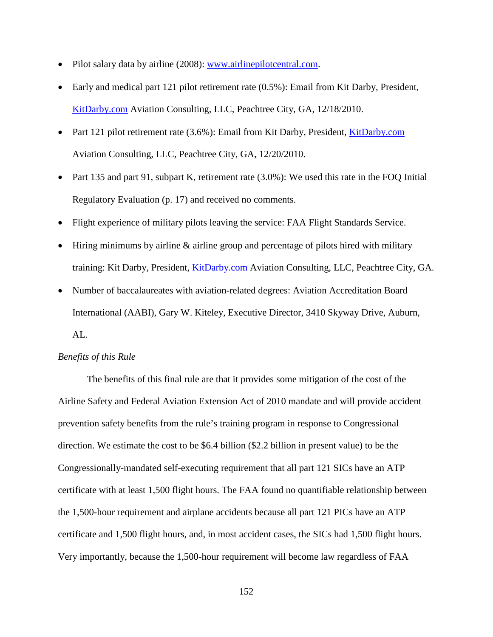- Pilot salary data by airline (2008): [www.airlinepilotcentral.com.](http://www.airlinepilotcentral.com/)
- Early and medical part 121 pilot retirement rate (0.5%): Email from Kit Darby, President, [KitDarby.com](http://www.kitdarby.com/) Aviation Consulting, LLC, Peachtree City, GA, 12/18/2010.
- Part 121 pilot retirement rate (3.6%): Email from Kit Darby, President, [KitDarby.com](http://www.kitdarby.com/) Aviation Consulting, LLC, Peachtree City, GA, 12/20/2010.
- Part 135 and part 91, subpart K, retirement rate (3.0%): We used this rate in the FOQ Initial Regulatory Evaluation (p. 17) and received no comments.
- Flight experience of military pilots leaving the service: FAA Flight Standards Service.
- Hiring minimums by airline & airline group and percentage of pilots hired with military training: Kit Darby, President, [KitDarby.com](http://www.kitdarby.com/) Aviation Consulting, LLC, Peachtree City, GA.
- Number of baccalaureates with aviation-related degrees: Aviation Accreditation Board International (AABI), Gary W. Kiteley, Executive Director, 3410 Skyway Drive, Auburn, AL.

# *Benefits of this Rule*

The benefits of this final rule are that it provides some mitigation of the cost of the Airline Safety and Federal Aviation Extension Act of 2010 mandate and will provide accident prevention safety benefits from the rule's training program in response to Congressional direction. We estimate the cost to be \$6.4 billion (\$2.2 billion in present value) to be the Congressionally-mandated self-executing requirement that all part 121 SICs have an ATP certificate with at least 1,500 flight hours. The FAA found no quantifiable relationship between the 1,500-hour requirement and airplane accidents because all part 121 PICs have an ATP certificate and 1,500 flight hours, and, in most accident cases, the SICs had 1,500 flight hours. Very importantly, because the 1,500-hour requirement will become law regardless of FAA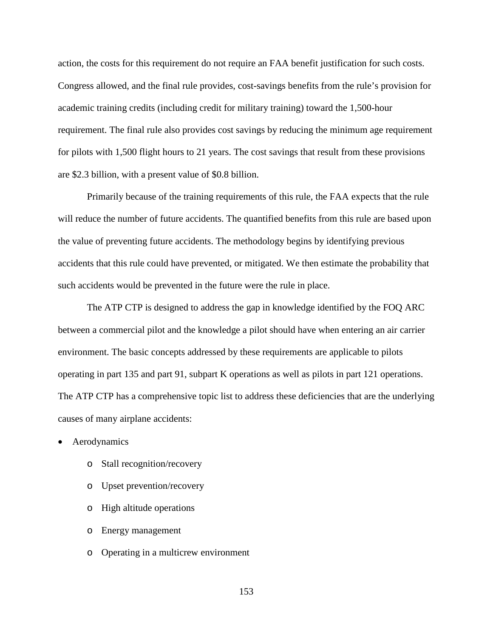action, the costs for this requirement do not require an FAA benefit justification for such costs. Congress allowed, and the final rule provides, cost-savings benefits from the rule's provision for academic training credits (including credit for military training) toward the 1,500-hour requirement. The final rule also provides cost savings by reducing the minimum age requirement for pilots with 1,500 flight hours to 21 years. The cost savings that result from these provisions are \$2.3 billion, with a present value of \$0.8 billion.

Primarily because of the training requirements of this rule, the FAA expects that the rule will reduce the number of future accidents. The quantified benefits from this rule are based upon the value of preventing future accidents. The methodology begins by identifying previous accidents that this rule could have prevented, or mitigated. We then estimate the probability that such accidents would be prevented in the future were the rule in place.

The ATP CTP is designed to address the gap in knowledge identified by the FOQ ARC between a commercial pilot and the knowledge a pilot should have when entering an air carrier environment. The basic concepts addressed by these requirements are applicable to pilots operating in part 135 and part 91, subpart K operations as well as pilots in part 121 operations. The ATP CTP has a comprehensive topic list to address these deficiencies that are the underlying causes of many airplane accidents:

**Aerodynamics** 

- o Stall recognition/recovery
- o Upset prevention/recovery
- o High altitude operations
- o Energy management
- o Operating in a multicrew environment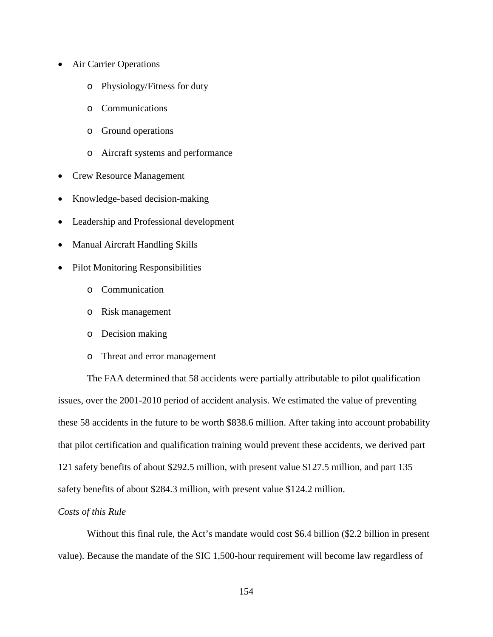- Air Carrier Operations
	- o Physiology/Fitness for duty
	- o Communications
	- o Ground operations
	- o Aircraft systems and performance
- Crew Resource Management
- Knowledge-based decision-making
- Leadership and Professional development
- Manual Aircraft Handling Skills
- Pilot Monitoring Responsibilities
	- o Communication
	- o Risk management
	- o Decision making
	- o Threat and error management

The FAA determined that 58 accidents were partially attributable to pilot qualification issues, over the 2001-2010 period of accident analysis. We estimated the value of preventing these 58 accidents in the future to be worth \$838.6 million. After taking into account probability that pilot certification and qualification training would prevent these accidents, we derived part 121 safety benefits of about \$292.5 million, with present value \$127.5 million, and part 135 safety benefits of about \$284.3 million, with present value \$124.2 million.

# *Costs of this Rule*

Without this final rule, the Act's mandate would cost \$6.4 billion (\$2.2 billion in present value). Because the mandate of the SIC 1,500-hour requirement will become law regardless of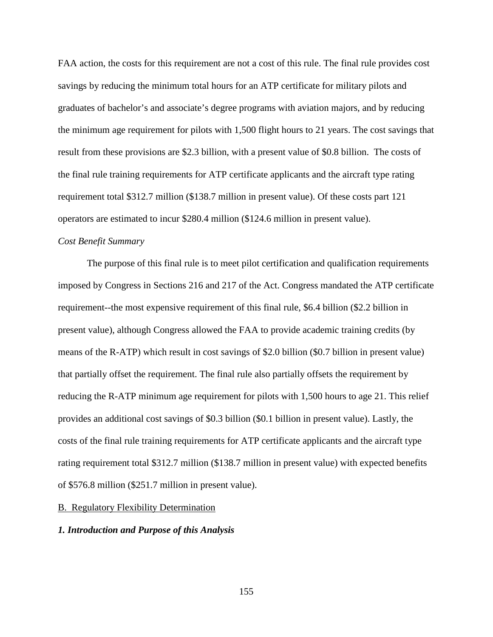FAA action, the costs for this requirement are not a cost of this rule. The final rule provides cost savings by reducing the minimum total hours for an ATP certificate for military pilots and graduates of bachelor's and associate's degree programs with aviation majors, and by reducing the minimum age requirement for pilots with 1,500 flight hours to 21 years. The cost savings that result from these provisions are \$2.3 billion, with a present value of \$0.8 billion. The costs of the final rule training requirements for ATP certificate applicants and the aircraft type rating requirement total \$312.7 million (\$138.7 million in present value). Of these costs part 121 operators are estimated to incur \$280.4 million (\$124.6 million in present value).

# *Cost Benefit Summary*

The purpose of this final rule is to meet pilot certification and qualification requirements imposed by Congress in Sections 216 and 217 of the Act. Congress mandated the ATP certificate requirement--the most expensive requirement of this final rule, \$6.4 billion (\$2.2 billion in present value), although Congress allowed the FAA to provide academic training credits (by means of the R-ATP) which result in cost savings of \$2.0 billion (\$0.7 billion in present value) that partially offset the requirement. The final rule also partially offsets the requirement by reducing the R-ATP minimum age requirement for pilots with 1,500 hours to age 21. This relief provides an additional cost savings of \$0.3 billion (\$0.1 billion in present value). Lastly, the costs of the final rule training requirements for ATP certificate applicants and the aircraft type rating requirement total \$312.7 million (\$138.7 million in present value) with expected benefits of \$576.8 million (\$251.7 million in present value).

### B. Regulatory Flexibility Determination

### *1. Introduction and Purpose of this Analysis*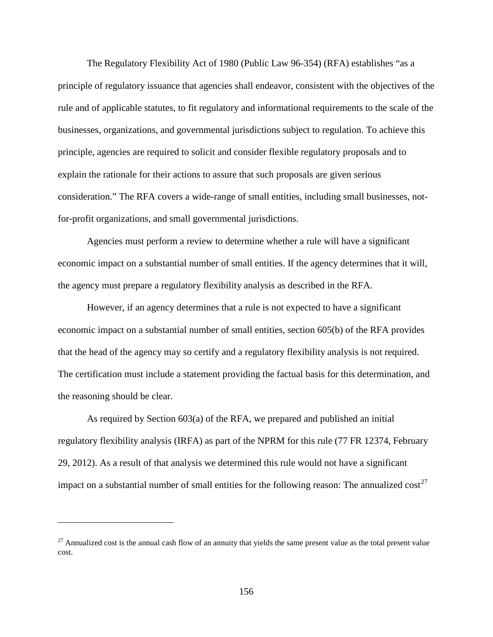The Regulatory Flexibility Act of 1980 (Public Law 96-354) (RFA) establishes "as a principle of regulatory issuance that agencies shall endeavor, consistent with the objectives of the rule and of applicable statutes, to fit regulatory and informational requirements to the scale of the businesses, organizations, and governmental jurisdictions subject to regulation. To achieve this principle, agencies are required to solicit and consider flexible regulatory proposals and to explain the rationale for their actions to assure that such proposals are given serious consideration." The RFA covers a wide-range of small entities, including small businesses, notfor-profit organizations, and small governmental jurisdictions.

Agencies must perform a review to determine whether a rule will have a significant economic impact on a substantial number of small entities. If the agency determines that it will, the agency must prepare a regulatory flexibility analysis as described in the RFA.

However, if an agency determines that a rule is not expected to have a significant economic impact on a substantial number of small entities, section 605(b) of the RFA provides that the head of the agency may so certify and a regulatory flexibility analysis is not required. The certification must include a statement providing the factual basis for this determination, and the reasoning should be clear.

As required by Section 603(a) of the RFA, we prepared and published an initial regulatory flexibility analysis (IRFA) as part of the NPRM for this rule (77 FR 12374, February 29, 2012). As a result of that analysis we determined this rule would not have a significant impact on a substantial number of small entities for the following reason: The annualized  $\cos t^{27}$  $\cos t^{27}$  $\cos t^{27}$ 

 $\overline{a}$ 

<span id="page-155-0"></span> $27$  Annualized cost is the annual cash flow of an annuity that yields the same present value as the total present value cost.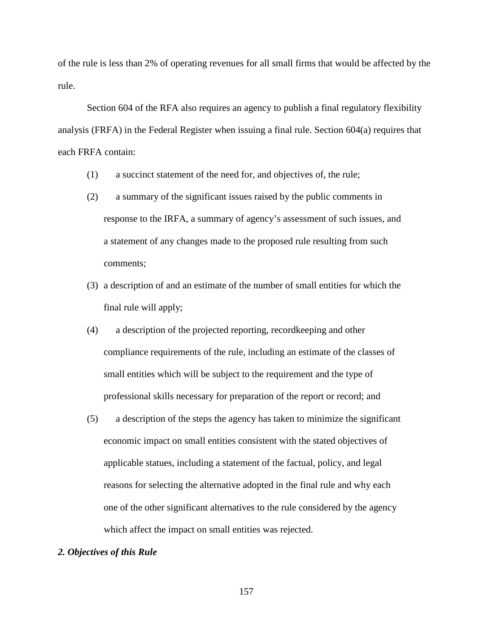of the rule is less than 2% of operating revenues for all small firms that would be affected by the rule.

Section 604 of the RFA also requires an agency to publish a final regulatory flexibility analysis (FRFA) in the Federal Register when issuing a final rule. Section 604(a) requires that each FRFA contain:

- (1) a succinct statement of the need for, and objectives of, the rule;
- (2) a summary of the significant issues raised by the public comments in response to the IRFA, a summary of agency's assessment of such issues, and a statement of any changes made to the proposed rule resulting from such comments;
- (3) a description of and an estimate of the number of small entities for which the final rule will apply;
- (4) a description of the projected reporting, recordkeeping and other compliance requirements of the rule, including an estimate of the classes of small entities which will be subject to the requirement and the type of professional skills necessary for preparation of the report or record; and
- (5) a description of the steps the agency has taken to minimize the significant economic impact on small entities consistent with the stated objectives of applicable statues, including a statement of the factual, policy, and legal reasons for selecting the alternative adopted in the final rule and why each one of the other significant alternatives to the rule considered by the agency which affect the impact on small entities was rejected.

### *2. Objectives of this Rule*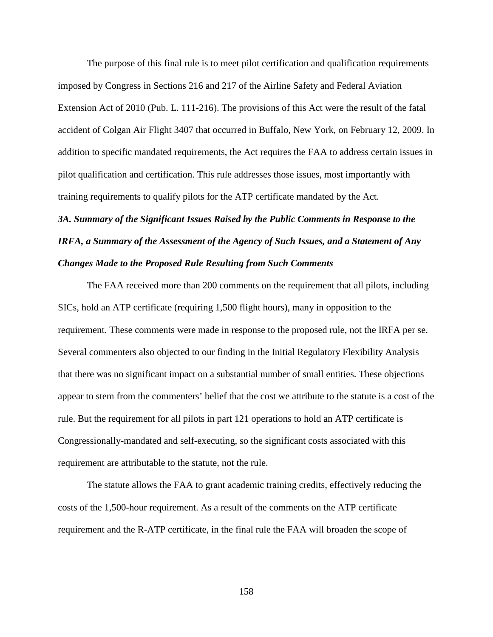The purpose of this final rule is to meet pilot certification and qualification requirements imposed by Congress in Sections 216 and 217 of the Airline Safety and Federal Aviation Extension Act of 2010 (Pub. L. 111-216). The provisions of this Act were the result of the fatal accident of Colgan Air Flight 3407 that occurred in Buffalo, New York, on February 12, 2009. In addition to specific mandated requirements, the Act requires the FAA to address certain issues in pilot qualification and certification. This rule addresses those issues, most importantly with training requirements to qualify pilots for the ATP certificate mandated by the Act.

*3A. Summary of the Significant Issues Raised by the Public Comments in Response to the IRFA, a Summary of the Assessment of the Agency of Such Issues, and a Statement of Any Changes Made to the Proposed Rule Resulting from Such Comments*

The FAA received more than 200 comments on the requirement that all pilots, including SICs, hold an ATP certificate (requiring 1,500 flight hours), many in opposition to the requirement. These comments were made in response to the proposed rule, not the IRFA per se. Several commenters also objected to our finding in the Initial Regulatory Flexibility Analysis that there was no significant impact on a substantial number of small entities. These objections appear to stem from the commenters' belief that the cost we attribute to the statute is a cost of the rule. But the requirement for all pilots in part 121 operations to hold an ATP certificate is Congressionally-mandated and self-executing, so the significant costs associated with this requirement are attributable to the statute, not the rule.

The statute allows the FAA to grant academic training credits, effectively reducing the costs of the 1,500-hour requirement. As a result of the comments on the ATP certificate requirement and the R-ATP certificate, in the final rule the FAA will broaden the scope of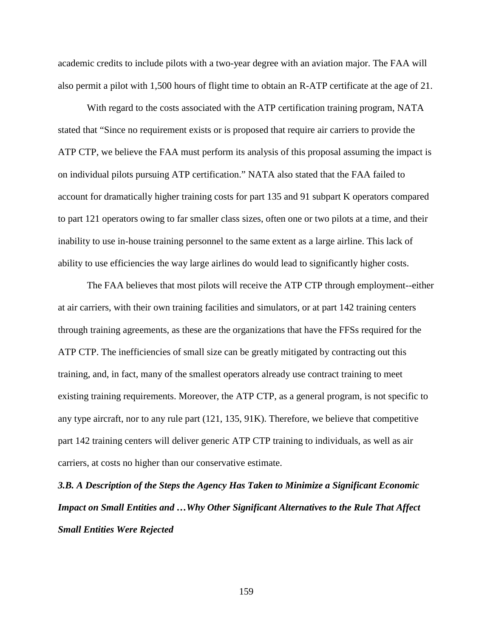academic credits to include pilots with a two-year degree with an aviation major. The FAA will also permit a pilot with 1,500 hours of flight time to obtain an R-ATP certificate at the age of 21.

With regard to the costs associated with the ATP certification training program, NATA stated that "Since no requirement exists or is proposed that require air carriers to provide the ATP CTP, we believe the FAA must perform its analysis of this proposal assuming the impact is on individual pilots pursuing ATP certification." NATA also stated that the FAA failed to account for dramatically higher training costs for part 135 and 91 subpart K operators compared to part 121 operators owing to far smaller class sizes, often one or two pilots at a time, and their inability to use in-house training personnel to the same extent as a large airline. This lack of ability to use efficiencies the way large airlines do would lead to significantly higher costs.

The FAA believes that most pilots will receive the ATP CTP through employment--either at air carriers, with their own training facilities and simulators, or at part 142 training centers through training agreements, as these are the organizations that have the FFSs required for the ATP CTP. The inefficiencies of small size can be greatly mitigated by contracting out this training, and, in fact, many of the smallest operators already use contract training to meet existing training requirements. Moreover, the ATP CTP, as a general program, is not specific to any type aircraft, nor to any rule part (121, 135, 91K). Therefore, we believe that competitive part 142 training centers will deliver generic ATP CTP training to individuals, as well as air carriers, at costs no higher than our conservative estimate.

*3.B. A Description of the Steps the Agency Has Taken to Minimize a Significant Economic Impact on Small Entities and …Why Other Significant Alternatives to the Rule That Affect Small Entities Were Rejected*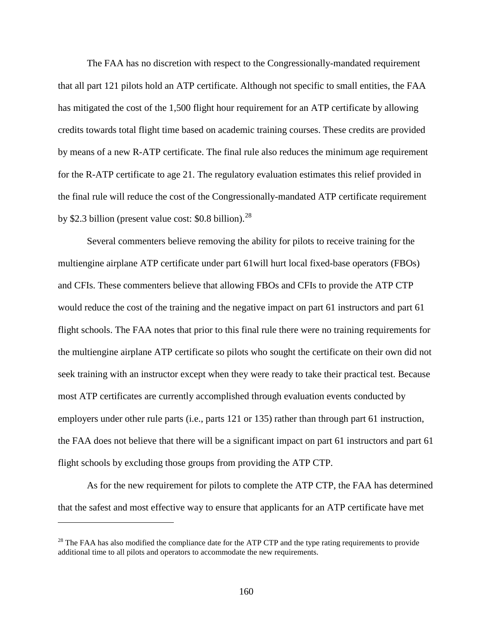The FAA has no discretion with respect to the Congressionally-mandated requirement that all part 121 pilots hold an ATP certificate. Although not specific to small entities, the FAA has mitigated the cost of the 1,500 flight hour requirement for an ATP certificate by allowing credits towards total flight time based on academic training courses. These credits are provided by means of a new R-ATP certificate. The final rule also reduces the minimum age requirement for the R-ATP certificate to age 21. The regulatory evaluation estimates this relief provided in the final rule will reduce the cost of the Congressionally-mandated ATP certificate requirement by \$2.3 billion (present value cost:  $$0.8$  billion).<sup>[28](#page-159-0)</sup>

Several commenters believe removing the ability for pilots to receive training for the multiengine airplane ATP certificate under part 61will hurt local fixed-base operators (FBOs) and CFIs. These commenters believe that allowing FBOs and CFIs to provide the ATP CTP would reduce the cost of the training and the negative impact on part 61 instructors and part 61 flight schools. The FAA notes that prior to this final rule there were no training requirements for the multiengine airplane ATP certificate so pilots who sought the certificate on their own did not seek training with an instructor except when they were ready to take their practical test. Because most ATP certificates are currently accomplished through evaluation events conducted by employers under other rule parts (i.e., parts 121 or 135) rather than through part 61 instruction, the FAA does not believe that there will be a significant impact on part 61 instructors and part 61 flight schools by excluding those groups from providing the ATP CTP.

As for the new requirement for pilots to complete the ATP CTP, the FAA has determined that the safest and most effective way to ensure that applicants for an ATP certificate have met

 $\overline{a}$ 

<span id="page-159-0"></span> $28$  The FAA has also modified the compliance date for the ATP CTP and the type rating requirements to provide additional time to all pilots and operators to accommodate the new requirements.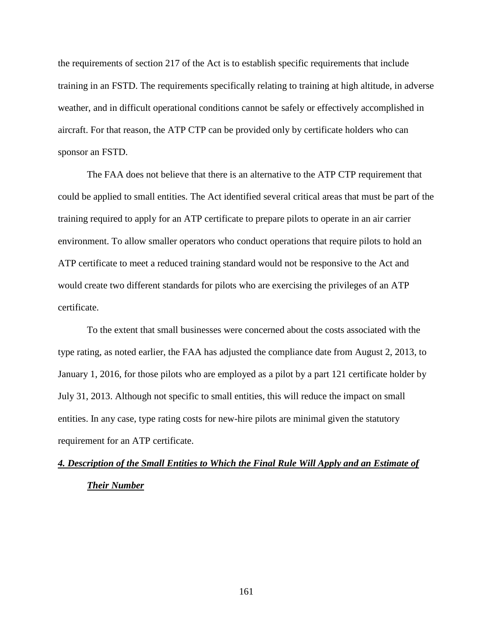the requirements of section 217 of the Act is to establish specific requirements that include training in an FSTD. The requirements specifically relating to training at high altitude, in adverse weather, and in difficult operational conditions cannot be safely or effectively accomplished in aircraft. For that reason, the ATP CTP can be provided only by certificate holders who can sponsor an FSTD.

The FAA does not believe that there is an alternative to the ATP CTP requirement that could be applied to small entities. The Act identified several critical areas that must be part of the training required to apply for an ATP certificate to prepare pilots to operate in an air carrier environment. To allow smaller operators who conduct operations that require pilots to hold an ATP certificate to meet a reduced training standard would not be responsive to the Act and would create two different standards for pilots who are exercising the privileges of an ATP certificate.

To the extent that small businesses were concerned about the costs associated with the type rating, as noted earlier, the FAA has adjusted the compliance date from August 2, 2013, to January 1, 2016, for those pilots who are employed as a pilot by a part 121 certificate holder by July 31, 2013. Although not specific to small entities, this will reduce the impact on small entities. In any case, type rating costs for new-hire pilots are minimal given the statutory requirement for an ATP certificate.

# *4. Description of the Small Entities to Which the Final Rule Will Apply and an Estimate of Their Number*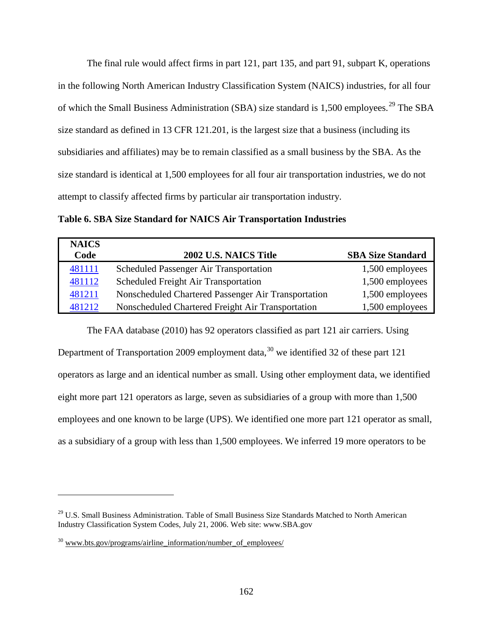The final rule would affect firms in part 121, part 135, and part 91, subpart K, operations in the following North American Industry Classification System (NAICS) industries, for all four of which the Small Business Administration (SBA) size standard is 1,500 employees.<sup>[29](#page-161-0)</sup> The SBA size standard as defined in 13 CFR 121.201, is the largest size that a business (including its subsidiaries and affiliates) may be to remain classified as a small business by the SBA. As the size standard is identical at 1,500 employees for all four air transportation industries, we do not attempt to classify affected firms by particular air transportation industry.

**Table 6. SBA Size Standard for NAICS Air Transportation Industries**

| <b>NAICS</b> |                                                     |                          |
|--------------|-----------------------------------------------------|--------------------------|
| Code         | 2002 U.S. NAICS Title                               | <b>SBA Size Standard</b> |
| 481111       | Scheduled Passenger Air Transportation              | 1,500 employees          |
| 481112       | Scheduled Freight Air Transportation                | 1,500 employees          |
| 481211       | Nonscheduled Chartered Passenger Air Transportation | 1,500 employees          |
| 481212       | Nonscheduled Chartered Freight Air Transportation   | 1,500 employees          |

The FAA database (2010) has 92 operators classified as part 121 air carriers. Using Department of Transportation 2009 employment data,  $30$  we identified 32 of these part 121 operators as large and an identical number as small. Using other employment data, we identified eight more part 121 operators as large, seven as subsidiaries of a group with more than 1,500 employees and one known to be large (UPS). We identified one more part 121 operator as small, as a subsidiary of a group with less than 1,500 employees. We inferred 19 more operators to be

 $\overline{a}$ 

<span id="page-161-0"></span><sup>&</sup>lt;sup>29</sup> U.S. Small Business Administration. Table of Small Business Size Standards Matched to North American Industry Classification System Codes, July 21, 2006. Web site: www.SBA.gov

<span id="page-161-1"></span> $30$  www.bts.gov/programs/airline information/number of employees/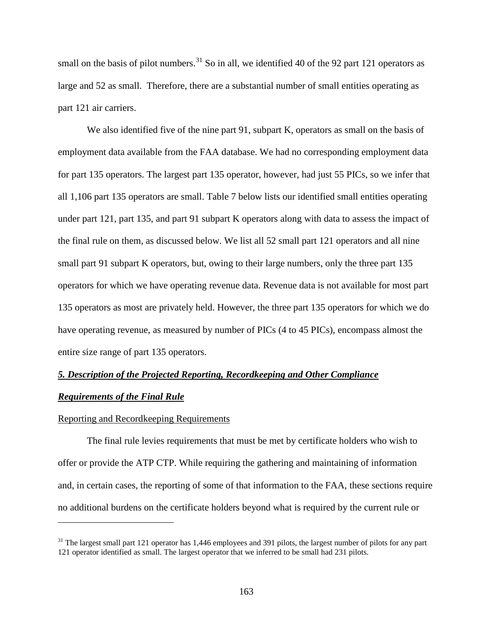small on the basis of pilot numbers.<sup>[31](#page-162-0)</sup> So in all, we identified 40 of the 92 part 121 operators as large and 52 as small. Therefore, there are a substantial number of small entities operating as part 121 air carriers.

We also identified five of the nine part 91, subpart K, operators as small on the basis of employment data available from the FAA database. We had no corresponding employment data for part 135 operators. The largest part 135 operator, however, had just 55 PICs, so we infer that all 1,106 part 135 operators are small. Table 7 below lists our identified small entities operating under part 121, part 135, and part 91 subpart K operators along with data to assess the impact of the final rule on them, as discussed below. We list all 52 small part 121 operators and all nine small part 91 subpart K operators, but, owing to their large numbers, only the three part 135 operators for which we have operating revenue data. Revenue data is not available for most part 135 operators as most are privately held. However, the three part 135 operators for which we do have operating revenue, as measured by number of PICs (4 to 45 PICs), encompass almost the entire size range of part 135 operators.

# *5. Description of the Projected Reporting, Recordkeeping and Other Compliance*

# *Requirements of the Final Rule*

 $\overline{a}$ 

### Reporting and Recordkeeping Requirements

The final rule levies requirements that must be met by certificate holders who wish to offer or provide the ATP CTP. While requiring the gathering and maintaining of information and, in certain cases, the reporting of some of that information to the FAA, these sections require no additional burdens on the certificate holders beyond what is required by the current rule or

<span id="page-162-0"></span> $31$  The largest small part 121 operator has 1,446 employees and 391 pilots, the largest number of pilots for any part 121 operator identified as small. The largest operator that we inferred to be small had 231 pilots.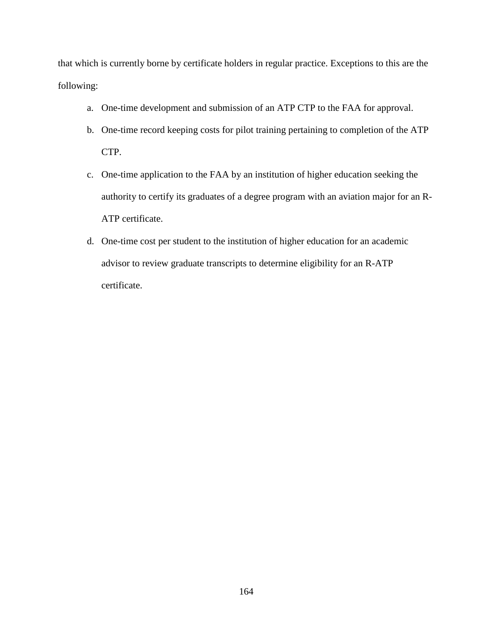that which is currently borne by certificate holders in regular practice. Exceptions to this are the following:

- a. One-time development and submission of an ATP CTP to the FAA for approval.
- b. One-time record keeping costs for pilot training pertaining to completion of the ATP CTP.
- c. One-time application to the FAA by an institution of higher education seeking the authority to certify its graduates of a degree program with an aviation major for an R-ATP certificate.
- d. One-time cost per student to the institution of higher education for an academic advisor to review graduate transcripts to determine eligibility for an R-ATP certificate.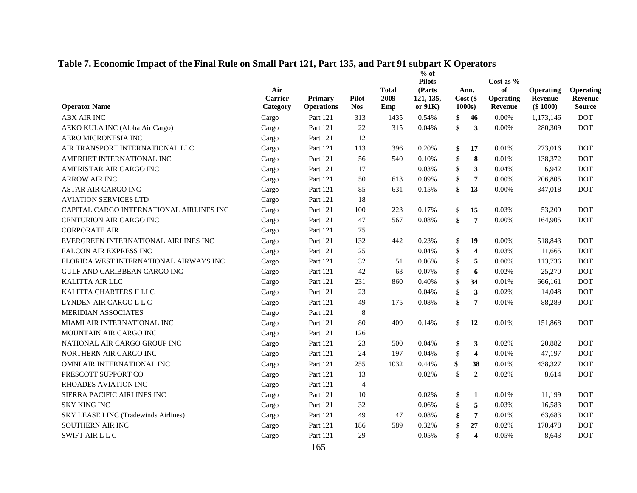# **Table 7. Economic Impact of the Final Rule on Small Part 121, Part 135, and Part 91 subpart K Operators**

| <b>Operator Name</b>                         | Air<br><b>Carrier</b><br>Category | <b>Primary</b><br><b>Operations</b> | <b>Pilot</b><br><b>Nos</b> | <b>Total</b><br>2009<br>Emp | $%$ of<br><b>Pilots</b><br>(Parts)<br>121, 135,<br>or 91K) | Ann.<br>Cost (<br>1000s       | Cost as %<br>of<br>Operating<br>Revenue | Operating<br><b>Revenue</b><br>(\$1000) | <b>Operating</b><br>Revenue<br><b>Source</b> |
|----------------------------------------------|-----------------------------------|-------------------------------------|----------------------------|-----------------------------|------------------------------------------------------------|-------------------------------|-----------------------------------------|-----------------------------------------|----------------------------------------------|
| <b>ABX AIR INC</b>                           | Cargo                             | Part 121                            | 313                        | 1435                        | 0.54%                                                      | \$<br>46                      | 0.00%                                   | 1,173,146                               | <b>DOT</b>                                   |
| AEKO KULA INC (Aloha Air Cargo)              | Cargo                             | Part 121                            | 22                         | 315                         | 0.04%                                                      | \$<br>3                       | 0.00%                                   | 280,309                                 | <b>DOT</b>                                   |
| AERO MICRONESIA INC                          | Cargo                             | Part 121                            | 12                         |                             |                                                            |                               |                                         |                                         |                                              |
| AIR TRANSPORT INTERNATIONAL LLC              | Cargo                             | Part 121                            | 113                        | 396                         | 0.20%                                                      | \$<br>17                      | 0.01%                                   | 273,016                                 | <b>DOT</b>                                   |
| AMERIJET INTERNATIONAL INC                   | Cargo                             | Part 121                            | 56                         | 540                         | 0.10%                                                      | \$<br>8                       | 0.01%                                   | 138,372                                 | <b>DOT</b>                                   |
| AMERISTAR AIR CARGO INC                      | Cargo                             | Part 121                            | 17                         |                             | 0.03%                                                      | \$<br>3                       | 0.04%                                   | 6,942                                   | <b>DOT</b>                                   |
| <b>ARROW AIR INC</b>                         | Cargo                             | Part 121                            | 50                         | 613                         | 0.09%                                                      | \$<br>$\overline{7}$          | 0.00%                                   | 206,805                                 | <b>DOT</b>                                   |
| <b>ASTAR AIR CARGO INC</b>                   | Cargo                             | Part 121                            | 85                         | 631                         | 0.15%                                                      | \$<br>13                      | 0.00%                                   | 347,018                                 | <b>DOT</b>                                   |
| <b>AVIATION SERVICES LTD</b>                 | Cargo                             | Part 121                            | 18                         |                             |                                                            |                               |                                         |                                         |                                              |
| CAPITAL CARGO INTERNATIONAL AIRLINES INC     | Cargo                             | Part 121                            | 100                        | 223                         | 0.17%                                                      | \$<br>15                      | 0.03%                                   | 53,209                                  | <b>DOT</b>                                   |
| CENTURION AIR CARGO INC                      | Cargo                             | Part 121                            | 47                         | 567                         | 0.08%                                                      | \$<br>$\overline{7}$          | 0.00%                                   | 164,905                                 | <b>DOT</b>                                   |
| <b>CORPORATE AIR</b>                         | Cargo                             | Part 121                            | 75                         |                             |                                                            |                               |                                         |                                         |                                              |
| EVERGREEN INTERNATIONAL AIRLINES INC         | Cargo                             | Part 121                            | 132                        | 442                         | 0.23%                                                      | \$<br>19                      | 0.00%                                   | 518,843                                 | <b>DOT</b>                                   |
| FALCON AIR EXPRESS INC                       | Cargo                             | Part 121                            | 25                         |                             | 0.04%                                                      | \$<br>$\boldsymbol{4}$        | 0.03%                                   | 11,665                                  | <b>DOT</b>                                   |
| FLORIDA WEST INTERNATIONAL AIRWAYS INC       | Cargo                             | Part 121                            | 32                         | 51                          | 0.06%                                                      | \$<br>5                       | 0.00%                                   | 113,736                                 | <b>DOT</b>                                   |
| GULF AND CARIBBEAN CARGO INC                 | Cargo                             | Part 121                            | 42                         | 63                          | 0.07%                                                      | \$<br>6                       | 0.02%                                   | 25,270                                  | <b>DOT</b>                                   |
| <b>KALITTA AIR LLC</b>                       | Cargo                             | Part 121                            | 231                        | 860                         | 0.40%                                                      | \$<br>34                      | 0.01%                                   | 666,161                                 | <b>DOT</b>                                   |
| KALITTA CHARTERS II LLC                      | Cargo                             | Part 121                            | 23                         |                             | 0.04%                                                      | \$<br>3                       | 0.02%                                   | 14,048                                  | <b>DOT</b>                                   |
| LYNDEN AIR CARGO L L C                       | Cargo                             | Part 121                            | 49                         | 175                         | 0.08%                                                      | \$<br>$\overline{7}$          | 0.01%                                   | 88,289                                  | <b>DOT</b>                                   |
| MERIDIAN ASSOCIATES                          | Cargo                             | Part 121                            | 8                          |                             |                                                            |                               |                                         |                                         |                                              |
| MIAMI AIR INTERNATIONAL INC                  | Cargo                             | Part 121                            | 80                         | 409                         | 0.14%                                                      | \$<br>12                      | 0.01%                                   | 151,868                                 | <b>DOT</b>                                   |
| MOUNTAIN AIR CARGO INC                       | Cargo                             | Part 121                            | 126                        |                             |                                                            |                               |                                         |                                         |                                              |
| NATIONAL AIR CARGO GROUP INC                 | Cargo                             | Part 121                            | 23                         | 500                         | 0.04%                                                      | \$<br>3                       | 0.02%                                   | 20,882                                  | <b>DOT</b>                                   |
| NORTHERN AIR CARGO INC                       | Cargo                             | Part 121                            | 24                         | 197                         | 0.04%                                                      | \$<br>$\overline{\mathbf{4}}$ | 0.01%                                   | 47,197                                  | <b>DOT</b>                                   |
| OMNI AIR INTERNATIONAL INC                   | Cargo                             | Part 121                            | 255                        | 1032                        | 0.44%                                                      | \$<br>38                      | 0.01%                                   | 438,327                                 | <b>DOT</b>                                   |
| PRESCOTT SUPPORT CO                          | Cargo                             | Part 121                            | 13                         |                             | 0.02%                                                      | \$<br>$\overline{2}$          | 0.02%                                   | 8,614                                   | <b>DOT</b>                                   |
| RHOADES AVIATION INC                         | Cargo                             | Part 121                            | $\overline{4}$             |                             |                                                            |                               |                                         |                                         |                                              |
| SIERRA PACIFIC AIRLINES INC                  | Cargo                             | Part 121                            | 10                         |                             | 0.02%                                                      | \$<br>1                       | 0.01%                                   | 11,199                                  | <b>DOT</b>                                   |
| <b>SKY KING INC</b>                          | Cargo                             | Part 121                            | 32                         |                             | 0.06%                                                      | \$<br>5                       | 0.03%                                   | 16,583                                  | <b>DOT</b>                                   |
| <b>SKY LEASE I INC (Tradewinds Airlines)</b> | Cargo                             | Part 121                            | 49                         | 47                          | 0.08%                                                      | \$<br>$\overline{7}$          | 0.01%                                   | 63,683                                  | <b>DOT</b>                                   |
| SOUTHERN AIR INC                             | Cargo                             | Part 121                            | 186                        | 589                         | 0.32%                                                      | \$<br>27                      | 0.02%                                   | 170,478                                 | <b>DOT</b>                                   |
| <b>SWIFT AIR L L C</b>                       | Cargo                             | Part 121                            | 29                         |                             | 0.05%                                                      | \$<br>$\overline{\mathbf{4}}$ | 0.05%                                   | 8,643                                   | <b>DOT</b>                                   |
|                                              |                                   | $\sim$ $\sim$ $\sim$                |                            |                             |                                                            |                               |                                         |                                         |                                              |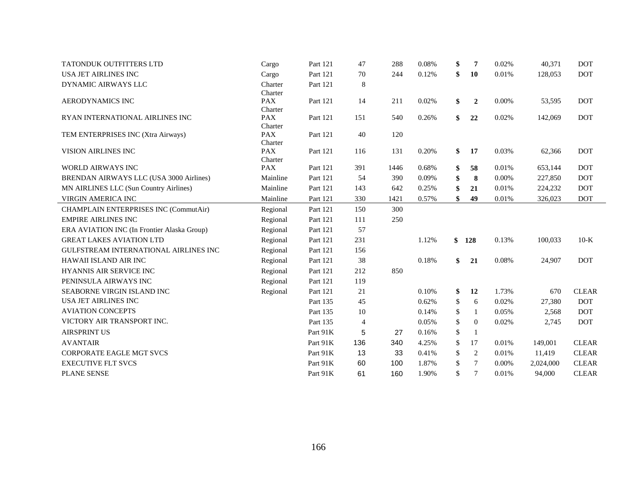| TATONDUK OUTFITTERS LTD                     | Cargo                 | Part 121 | 47             | 288  | 0.08% | \$<br>$\overline{7}$ | 0.02% | 40,371    | <b>DOT</b>   |
|---------------------------------------------|-----------------------|----------|----------------|------|-------|----------------------|-------|-----------|--------------|
| <b>USA JET AIRLINES INC</b>                 | Cargo                 | Part 121 | 70             | 244  | 0.12% | \$<br>10             | 0.01% | 128,053   | <b>DOT</b>   |
| <b>DYNAMIC AIRWAYS LLC</b>                  | Charter<br>Charter    | Part 121 | 8              |      |       |                      |       |           |              |
| AERODYNAMICS INC                            | <b>PAX</b><br>Charter | Part 121 | 14             | 211  | 0.02% | \$<br>$\overline{2}$ | 0.00% | 53,595    | <b>DOT</b>   |
| RYAN INTERNATIONAL AIRLINES INC             | <b>PAX</b><br>Charter | Part 121 | 151            | 540  | 0.26% | \$<br>22             | 0.02% | 142,069   | <b>DOT</b>   |
| TEM ENTERPRISES INC (Xtra Airways)          | <b>PAX</b><br>Charter | Part 121 | 40             | 120  |       |                      |       |           |              |
| <b>VISION AIRLINES INC</b>                  | <b>PAX</b><br>Charter | Part 121 | 116            | 131  | 0.20% | \$<br>17             | 0.03% | 62,366    | <b>DOT</b>   |
| <b>WORLD AIRWAYS INC</b>                    | <b>PAX</b>            | Part 121 | 391            | 1446 | 0.68% | \$<br>58             | 0.01% | 653,144   | <b>DOT</b>   |
| BRENDAN AIRWAYS LLC (USA 3000 Airlines)     | Mainline              | Part 121 | 54             | 390  | 0.09% | \$<br>8              | 0.00% | 227,850   | <b>DOT</b>   |
| MN AIRLINES LLC (Sun Country Airlines)      | Mainline              | Part 121 | 143            | 642  | 0.25% | \$<br>21             | 0.01% | 224,232   | <b>DOT</b>   |
| <b>VIRGIN AMERICA INC</b>                   | Mainline              | Part 121 | 330            | 1421 | 0.57% | \$<br>49             | 0.01% | 326,023   | <b>DOT</b>   |
| CHAMPLAIN ENTERPRISES INC (CommutAir)       | Regional              | Part 121 | 150            | 300  |       |                      |       |           |              |
| <b>EMPIRE AIRLINES INC</b>                  | Regional              | Part 121 | 111            | 250  |       |                      |       |           |              |
| ERA AVIATION INC (In Frontier Alaska Group) | Regional              | Part 121 | 57             |      |       |                      |       |           |              |
| <b>GREAT LAKES AVIATION LTD</b>             | Regional              | Part 121 | 231            |      | 1.12% | \$<br>128            | 0.13% | 100,033   | $10-K$       |
| GULFSTREAM INTERNATIONAL AIRLINES INC       | Regional              | Part 121 | 156            |      |       |                      |       |           |              |
| <b>HAWAII ISLAND AIR INC</b>                | Regional              | Part 121 | 38             |      | 0.18% | \$<br>21             | 0.08% | 24,907    | <b>DOT</b>   |
| HYANNIS AIR SERVICE INC                     | Regional              | Part 121 | 212            | 850  |       |                      |       |           |              |
| PENINSULA AIRWAYS INC                       | Regional              | Part 121 | 119            |      |       |                      |       |           |              |
| SEABORNE VIRGIN ISLAND INC                  | Regional              | Part 121 | 21             |      | 0.10% | \$<br>12             | 1.73% | 670       | <b>CLEAR</b> |
| USA JET AIRLINES INC                        |                       | Part 135 | 45             |      | 0.62% | \$<br>6              | 0.02% | 27,380    | <b>DOT</b>   |
| <b>AVIATION CONCEPTS</b>                    |                       | Part 135 | 10             |      | 0.14% | \$<br>1              | 0.05% | 2,568     | <b>DOT</b>   |
| VICTORY AIR TRANSPORT INC.                  |                       | Part 135 | $\overline{4}$ |      | 0.05% | \$<br>$\Omega$       | 0.02% | 2,745     | <b>DOT</b>   |
| <b>AIRSPRINT US</b>                         |                       | Part 91K | 5              | 27   | 0.16% | \$<br>1              |       |           |              |
| <b>AVANTAIR</b>                             |                       | Part 91K | 136            | 340  | 4.25% | \$<br>17             | 0.01% | 149,001   | <b>CLEAR</b> |
| <b>CORPORATE EAGLE MGT SVCS</b>             |                       | Part 91K | 13             | 33   | 0.41% | \$<br>2              | 0.01% | 11,419    | <b>CLEAR</b> |
| <b>EXECUTIVE FLT SVCS</b>                   |                       | Part 91K | 60             | 100  | 1.87% | \$<br>7              | 0.00% | 2,024,000 | <b>CLEAR</b> |
| <b>PLANE SENSE</b>                          |                       | Part 91K | 61             | 160  | 1.90% | \$<br>$\tau$         | 0.01% | 94,000    | <b>CLEAR</b> |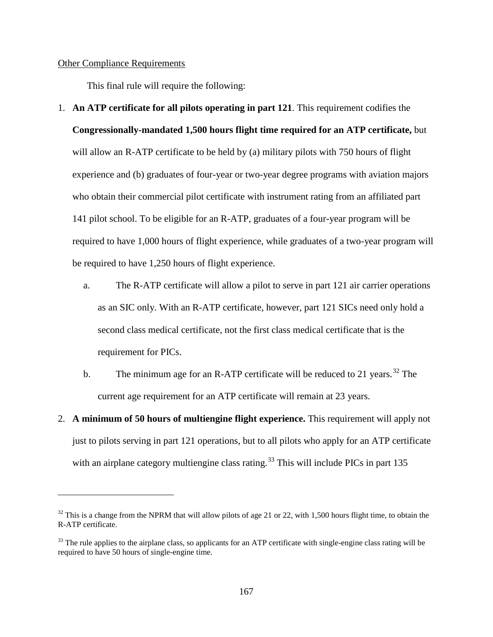## Other Compliance Requirements

 $\overline{a}$ 

This final rule will require the following:

# 1. **An ATP certificate for all pilots operating in part 121**. This requirement codifies the **Congressionally-mandated 1,500 hours flight time required for an ATP certificate,** but will allow an R-ATP certificate to be held by (a) military pilots with 750 hours of flight experience and (b) graduates of four-year or two-year degree programs with aviation majors who obtain their commercial pilot certificate with instrument rating from an affiliated part 141 pilot school. To be eligible for an R-ATP, graduates of a four-year program will be required to have 1,000 hours of flight experience, while graduates of a two-year program will be required to have 1,250 hours of flight experience.

- a. The R-ATP certificate will allow a pilot to serve in part 121 air carrier operations as an SIC only. With an R-ATP certificate, however, part 121 SICs need only hold a second class medical certificate, not the first class medical certificate that is the requirement for PICs.
- b. The minimum age for an R-ATP certificate will be reduced to 21 years.<sup>[32](#page-166-0)</sup> The current age requirement for an ATP certificate will remain at 23 years.
- 2. **A minimum of 50 hours of multiengine flight experience.** This requirement will apply not just to pilots serving in part 121 operations, but to all pilots who apply for an ATP certificate with an airplane category multiengine class rating.<sup>[33](#page-166-1)</sup> This will include PICs in part  $135$

<span id="page-166-0"></span> $32$  This is a change from the NPRM that will allow pilots of age 21 or 22, with 1,500 hours flight time, to obtain the R-ATP certificate.

<span id="page-166-1"></span> $33$  The rule applies to the airplane class, so applicants for an ATP certificate with single-engine class rating will be required to have 50 hours of single-engine time.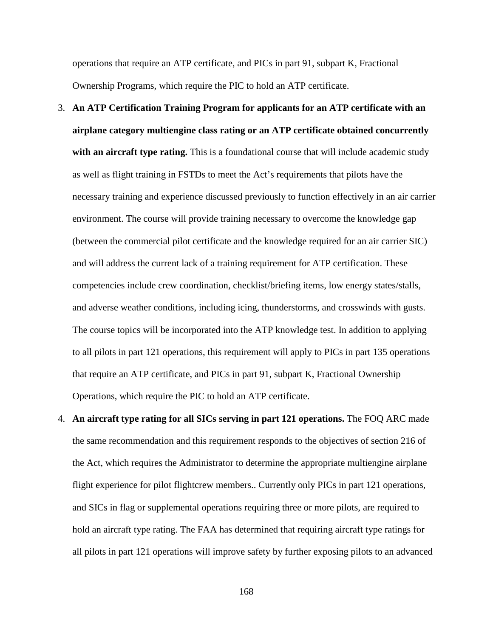operations that require an ATP certificate, and PICs in part 91, subpart K, Fractional Ownership Programs, which require the PIC to hold an ATP certificate.

- 3. **An ATP Certification Training Program for applicants for an ATP certificate with an airplane category multiengine class rating or an ATP certificate obtained concurrently with an aircraft type rating.** This is a foundational course that will include academic study as well as flight training in FSTDs to meet the Act's requirements that pilots have the necessary training and experience discussed previously to function effectively in an air carrier environment. The course will provide training necessary to overcome the knowledge gap (between the commercial pilot certificate and the knowledge required for an air carrier SIC) and will address the current lack of a training requirement for ATP certification. These competencies include crew coordination, checklist/briefing items, low energy states/stalls, and adverse weather conditions, including icing, thunderstorms, and crosswinds with gusts. The course topics will be incorporated into the ATP knowledge test. In addition to applying to all pilots in part 121 operations, this requirement will apply to PICs in part 135 operations that require an ATP certificate, and PICs in part 91, subpart K, Fractional Ownership Operations, which require the PIC to hold an ATP certificate.
- 4. **An aircraft type rating for all SICs serving in part 121 operations.** The FOQ ARC made the same recommendation and this requirement responds to the objectives of section 216 of the Act, which requires the Administrator to determine the appropriate multiengine airplane flight experience for pilot flightcrew members.. Currently only PICs in part 121 operations, and SICs in flag or supplemental operations requiring three or more pilots, are required to hold an aircraft type rating. The FAA has determined that requiring aircraft type ratings for all pilots in part 121 operations will improve safety by further exposing pilots to an advanced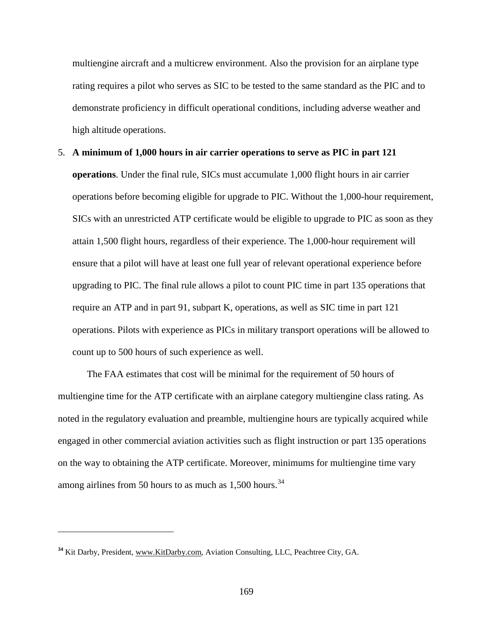multiengine aircraft and a multicrew environment. Also the provision for an airplane type rating requires a pilot who serves as SIC to be tested to the same standard as the PIC and to demonstrate proficiency in difficult operational conditions, including adverse weather and high altitude operations.

# 5. **A minimum of 1,000 hours in air carrier operations to serve as PIC in part 121 operations**. Under the final rule, SICs must accumulate 1,000 flight hours in air carrier operations before becoming eligible for upgrade to PIC. Without the 1,000-hour requirement, SICs with an unrestricted ATP certificate would be eligible to upgrade to PIC as soon as they attain 1,500 flight hours, regardless of their experience. The 1,000-hour requirement will ensure that a pilot will have at least one full year of relevant operational experience before upgrading to PIC. The final rule allows a pilot to count PIC time in part 135 operations that require an ATP and in part 91, subpart K, operations, as well as SIC time in part 121 operations. Pilots with experience as PICs in military transport operations will be allowed to

count up to 500 hours of such experience as well.

 $\overline{a}$ 

The FAA estimates that cost will be minimal for the requirement of 50 hours of multiengine time for the ATP certificate with an airplane category multiengine class rating. As noted in the regulatory evaluation and preamble, multiengine hours are typically acquired while engaged in other commercial aviation activities such as flight instruction or part 135 operations on the way to obtaining the ATP certificate. Moreover, minimums for multiengine time vary among airlines from 50 hours to as much as  $1,500$  hours.<sup>[34](#page-168-0)</sup>

<span id="page-168-0"></span>**<sup>34</sup>** Kit Darby, President, [www.KitDarby.com,](http://www.kitdarby.com/) Aviation Consulting, LLC, Peachtree City, GA.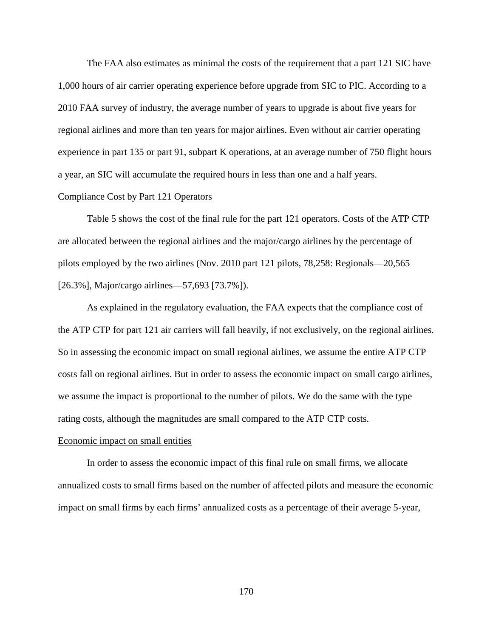The FAA also estimates as minimal the costs of the requirement that a part 121 SIC have 1,000 hours of air carrier operating experience before upgrade from SIC to PIC. According to a 2010 FAA survey of industry, the average number of years to upgrade is about five years for regional airlines and more than ten years for major airlines. Even without air carrier operating experience in part 135 or part 91, subpart K operations, at an average number of 750 flight hours a year, an SIC will accumulate the required hours in less than one and a half years.

## Compliance Cost by Part 121 Operators

Table 5 shows the cost of the final rule for the part 121 operators. Costs of the ATP CTP are allocated between the regional airlines and the major/cargo airlines by the percentage of pilots employed by the two airlines (Nov. 2010 part 121 pilots, 78,258: Regionals—20,565 [26.3%], Major/cargo airlines—57,693 [73.7%]).

As explained in the regulatory evaluation, the FAA expects that the compliance cost of the ATP CTP for part 121 air carriers will fall heavily, if not exclusively, on the regional airlines. So in assessing the economic impact on small regional airlines, we assume the entire ATP CTP costs fall on regional airlines. But in order to assess the economic impact on small cargo airlines, we assume the impact is proportional to the number of pilots. We do the same with the type rating costs, although the magnitudes are small compared to the ATP CTP costs.

### Economic impact on small entities

In order to assess the economic impact of this final rule on small firms, we allocate annualized costs to small firms based on the number of affected pilots and measure the economic impact on small firms by each firms' annualized costs as a percentage of their average 5-year,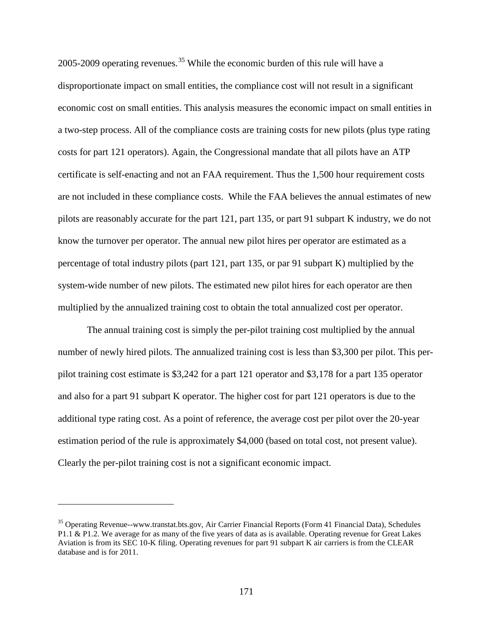2005-2009 operating revenues.<sup>[35](#page-170-0)</sup> While the economic burden of this rule will have a disproportionate impact on small entities, the compliance cost will not result in a significant economic cost on small entities. This analysis measures the economic impact on small entities in a two-step process. All of the compliance costs are training costs for new pilots (plus type rating costs for part 121 operators). Again, the Congressional mandate that all pilots have an ATP certificate is self-enacting and not an FAA requirement. Thus the 1,500 hour requirement costs are not included in these compliance costs. While the FAA believes the annual estimates of new pilots are reasonably accurate for the part 121, part 135, or part 91 subpart K industry, we do not know the turnover per operator. The annual new pilot hires per operator are estimated as a percentage of total industry pilots (part 121, part 135, or par 91 subpart K) multiplied by the system-wide number of new pilots. The estimated new pilot hires for each operator are then multiplied by the annualized training cost to obtain the total annualized cost per operator.

The annual training cost is simply the per-pilot training cost multiplied by the annual number of newly hired pilots. The annualized training cost is less than \$3,300 per pilot. This perpilot training cost estimate is \$3,242 for a part 121 operator and \$3,178 for a part 135 operator and also for a part 91 subpart K operator. The higher cost for part 121 operators is due to the additional type rating cost. As a point of reference, the average cost per pilot over the 20-year estimation period of the rule is approximately \$4,000 (based on total cost, not present value). Clearly the per-pilot training cost is not a significant economic impact.

 $\overline{a}$ 

<span id="page-170-0"></span><sup>35</sup> Operating Revenue--www.transtat.bts.gov, Air Carrier Financial Reports (Form 41 Financial Data), Schedules P1.1 & P1.2. We average for as many of the five years of data as is available. Operating revenue for Great Lakes Aviation is from its SEC 10-K filing. Operating revenues for part 91 subpart K air carriers is from the CLEAR database and is for 2011.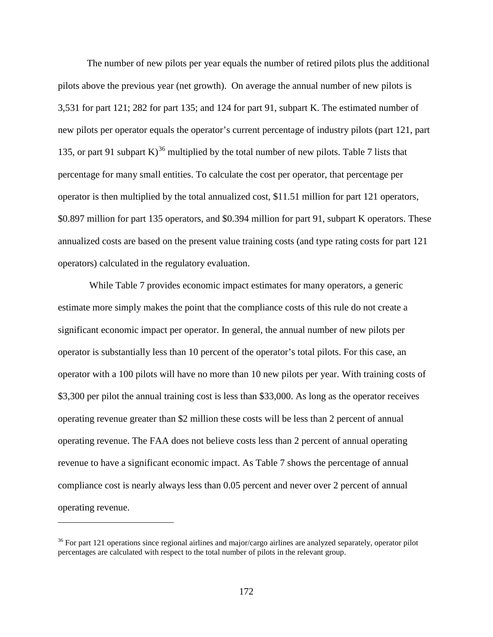The number of new pilots per year equals the number of retired pilots plus the additional pilots above the previous year (net growth). On average the annual number of new pilots is 3,531 for part 121; 282 for part 135; and 124 for part 91, subpart K. The estimated number of new pilots per operator equals the operator's current percentage of industry pilots (part 121, part 135, or part 91 subpart K)<sup>[36](#page-171-0)</sup> multiplied by the total number of new pilots. Table 7 lists that percentage for many small entities. To calculate the cost per operator, that percentage per operator is then multiplied by the total annualized cost, \$11.51 million for part 121 operators, \$0.897 million for part 135 operators, and \$0.394 million for part 91, subpart K operators. These annualized costs are based on the present value training costs (and type rating costs for part 121 operators) calculated in the regulatory evaluation.

While Table 7 provides economic impact estimates for many operators, a generic estimate more simply makes the point that the compliance costs of this rule do not create a significant economic impact per operator. In general, the annual number of new pilots per operator is substantially less than 10 percent of the operator's total pilots. For this case, an operator with a 100 pilots will have no more than 10 new pilots per year. With training costs of \$3,300 per pilot the annual training cost is less than \$33,000. As long as the operator receives operating revenue greater than \$2 million these costs will be less than 2 percent of annual operating revenue. The FAA does not believe costs less than 2 percent of annual operating revenue to have a significant economic impact. As Table 7 shows the percentage of annual compliance cost is nearly always less than 0.05 percent and never over 2 percent of annual operating revenue.

 $\overline{a}$ 

<span id="page-171-0"></span> $36$  For part 121 operations since regional airlines and major/cargo airlines are analyzed separately, operator pilot percentages are calculated with respect to the total number of pilots in the relevant group.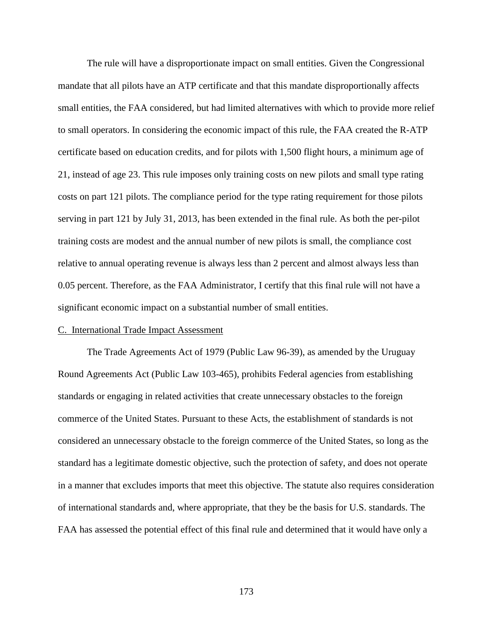The rule will have a disproportionate impact on small entities. Given the Congressional mandate that all pilots have an ATP certificate and that this mandate disproportionally affects small entities, the FAA considered, but had limited alternatives with which to provide more relief to small operators. In considering the economic impact of this rule, the FAA created the R-ATP certificate based on education credits, and for pilots with 1,500 flight hours, a minimum age of 21, instead of age 23. This rule imposes only training costs on new pilots and small type rating costs on part 121 pilots. The compliance period for the type rating requirement for those pilots serving in part 121 by July 31, 2013, has been extended in the final rule. As both the per-pilot training costs are modest and the annual number of new pilots is small, the compliance cost relative to annual operating revenue is always less than 2 percent and almost always less than 0.05 percent. Therefore, as the FAA Administrator, I certify that this final rule will not have a significant economic impact on a substantial number of small entities.

### C. International Trade Impact Assessment

The Trade Agreements Act of 1979 (Public Law 96-39), as amended by the Uruguay Round Agreements Act (Public Law 103-465), prohibits Federal agencies from establishing standards or engaging in related activities that create unnecessary obstacles to the foreign commerce of the United States. Pursuant to these Acts, the establishment of standards is not considered an unnecessary obstacle to the foreign commerce of the United States, so long as the standard has a legitimate domestic objective, such the protection of safety, and does not operate in a manner that excludes imports that meet this objective. The statute also requires consideration of international standards and, where appropriate, that they be the basis for U.S. standards. The FAA has assessed the potential effect of this final rule and determined that it would have only a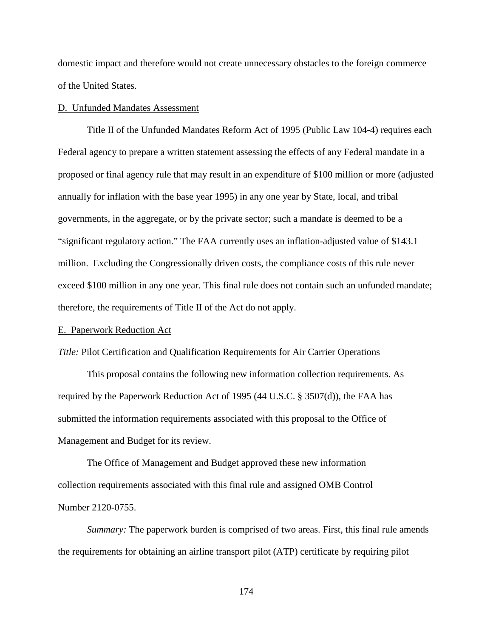domestic impact and therefore would not create unnecessary obstacles to the foreign commerce of the United States.

### D. Unfunded Mandates Assessment

Title II of the Unfunded Mandates Reform Act of 1995 (Public Law 104-4) requires each Federal agency to prepare a written statement assessing the effects of any Federal mandate in a proposed or final agency rule that may result in an expenditure of \$100 million or more (adjusted annually for inflation with the base year 1995) in any one year by State, local, and tribal governments, in the aggregate, or by the private sector; such a mandate is deemed to be a "significant regulatory action." The FAA currently uses an inflation-adjusted value of \$143.1 million. Excluding the Congressionally driven costs, the compliance costs of this rule never exceed \$100 million in any one year. This final rule does not contain such an unfunded mandate; therefore, the requirements of Title II of the Act do not apply.

### E. Paperwork Reduction Act

*Title:* Pilot Certification and Qualification Requirements for Air Carrier Operations

This proposal contains the following new information collection requirements. As required by the Paperwork Reduction Act of 1995 (44 U.S.C. § 3507(d)), the FAA has submitted the information requirements associated with this proposal to the Office of Management and Budget for its review.

The Office of Management and Budget approved these new information collection requirements associated with this final rule and assigned OMB Control Number 2120-0755.

*Summary:* The paperwork burden is comprised of two areas. First, this final rule amends the requirements for obtaining an airline transport pilot (ATP) certificate by requiring pilot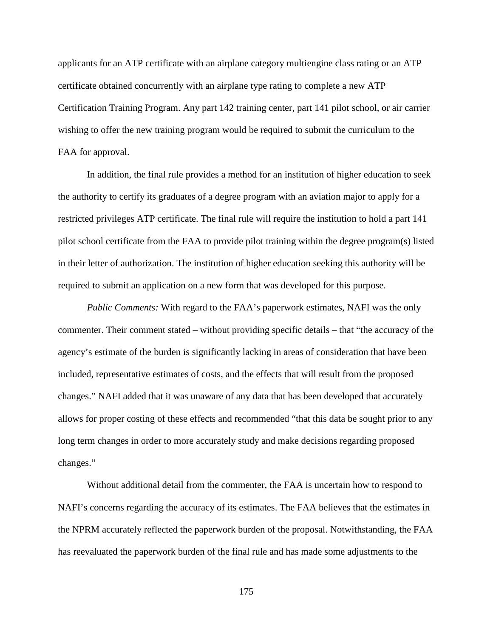applicants for an ATP certificate with an airplane category multiengine class rating or an ATP certificate obtained concurrently with an airplane type rating to complete a new ATP Certification Training Program. Any part 142 training center, part 141 pilot school, or air carrier wishing to offer the new training program would be required to submit the curriculum to the FAA for approval.

In addition, the final rule provides a method for an institution of higher education to seek the authority to certify its graduates of a degree program with an aviation major to apply for a restricted privileges ATP certificate. The final rule will require the institution to hold a part 141 pilot school certificate from the FAA to provide pilot training within the degree program(s) listed in their letter of authorization. The institution of higher education seeking this authority will be required to submit an application on a new form that was developed for this purpose.

*Public Comments:* With regard to the FAA's paperwork estimates, NAFI was the only commenter. Their comment stated – without providing specific details – that "the accuracy of the agency's estimate of the burden is significantly lacking in areas of consideration that have been included, representative estimates of costs, and the effects that will result from the proposed changes." NAFI added that it was unaware of any data that has been developed that accurately allows for proper costing of these effects and recommended "that this data be sought prior to any long term changes in order to more accurately study and make decisions regarding proposed changes."

Without additional detail from the commenter, the FAA is uncertain how to respond to NAFI's concerns regarding the accuracy of its estimates. The FAA believes that the estimates in the NPRM accurately reflected the paperwork burden of the proposal. Notwithstanding, the FAA has reevaluated the paperwork burden of the final rule and has made some adjustments to the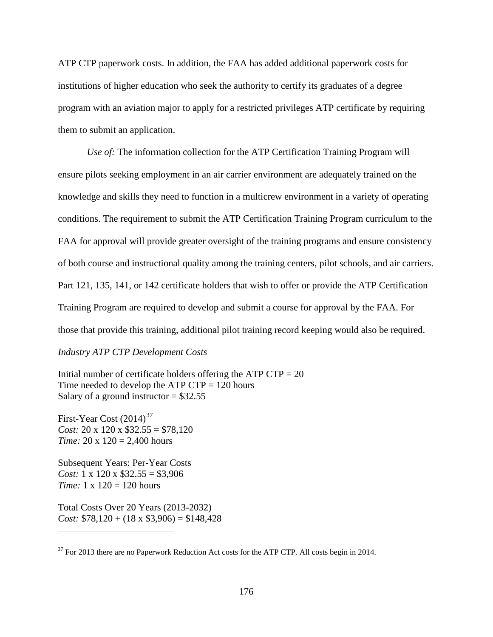ATP CTP paperwork costs. In addition, the FAA has added additional paperwork costs for institutions of higher education who seek the authority to certify its graduates of a degree program with an aviation major to apply for a restricted privileges ATP certificate by requiring them to submit an application.

*Use of:* The information collection for the ATP Certification Training Program will ensure pilots seeking employment in an air carrier environment are adequately trained on the knowledge and skills they need to function in a multicrew environment in a variety of operating conditions. The requirement to submit the ATP Certification Training Program curriculum to the FAA for approval will provide greater oversight of the training programs and ensure consistency of both course and instructional quality among the training centers, pilot schools, and air carriers. Part 121, 135, 141, or 142 certificate holders that wish to offer or provide the ATP Certification Training Program are required to develop and submit a course for approval by the FAA. For those that provide this training, additional pilot training record keeping would also be required.

# *Industry ATP CTP Development Costs*

Initial number of certificate holders offering the ATP  $CTP = 20$ Time needed to develop the ATP  $CTP = 120$  hours Salary of a ground instructor  $= $32.55$ 

First-Year Cost  $(2014)^{37}$  $(2014)^{37}$  $(2014)^{37}$ *Cost:* 20 x 120 x \$32.55 = \$78,120 *Time:* 20 x 120 = 2,400 hours

Subsequent Years: Per-Year Costs *Cost:* 1 x 120 x \$32.55 = \$3,906 *Time:* 1 x 120 = 120 hours

 $\overline{a}$ 

Total Costs Over 20 Years (2013-2032) *Cost:*  $$78,120 + (18 \times $3,906) = $148,428$ 

<span id="page-175-0"></span> $37$  For 2013 there are no Paperwork Reduction Act costs for the ATP CTP. All costs begin in 2014.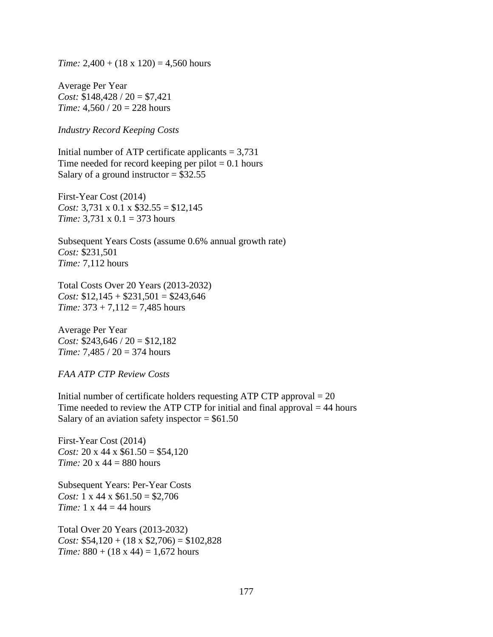*Time:*  $2,400 + (18 \times 120) = 4,560$  hours

Average Per Year *Cost:* \$148,428 / 20 = \$7,421 *Time:*  $4.560 / 20 = 228$  hours

*Industry Record Keeping Costs*

Initial number of ATP certificate applicants  $= 3,731$ Time needed for record keeping per pilot  $= 0.1$  hours Salary of a ground instructor  $= $32.55$ 

First-Year Cost (2014) *Cost:* 3,731 x 0.1 x \$32.55 = \$12,145 *Time:* 3.731 x 0.1 = 373 hours

Subsequent Years Costs (assume 0.6% annual growth rate) *Cost:* \$231,501 *Time:* 7,112 hours

Total Costs Over 20 Years (2013-2032) *Cost:* \$12,145 + \$231,501 = \$243,646 *Time:*  $373 + 7,112 = 7,485$  hours

Average Per Year *Cost:* \$243,646 / 20 = \$12,182 *Time:* 7,485 / 20 = 374 hours

*FAA ATP CTP Review Costs*

Initial number of certificate holders requesting ATP CTP approval  $= 20$ Time needed to review the ATP CTP for initial and final approval  $=$  44 hours Salary of an aviation safety inspector  $= $61.50$ 

First-Year Cost (2014) *Cost:* 20 x 44 x \$61.50 = \$54,120 *Time:* 20 x 44 = 880 hours

Subsequent Years: Per-Year Costs *Cost:*  $1 \times 44 \times $61.50 = $2,706$ *Time:* 1 x 44 = 44 hours

Total Over 20 Years (2013-2032) *Cost:*  $$54,120 + (18 \times $2,706) = $102,828$ *Time:* 880 + (18 x 44) = 1,672 hours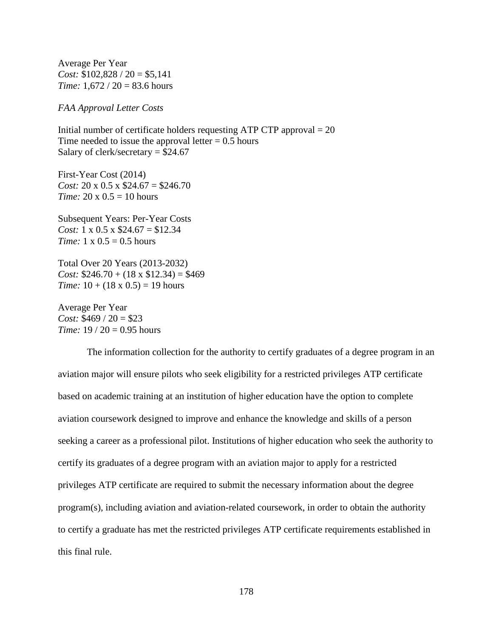Average Per Year *Cost:* \$102,828 / 20 = \$5,141 *Time:* 1,672 / 20 = 83.6 hours

*FAA Approval Letter Costs*

Initial number of certificate holders requesting ATP CTP approval = 20 Time needed to issue the approval letter  $= 0.5$  hours Salary of clerk/secretary  $=$  \$24.67

First-Year Cost (2014) *Cost:* 20 x 0.5 x \$24.67 = \$246.70 *Time:* 20 x 0.5 = 10 hours

Subsequent Years: Per-Year Costs *Cost:* 1 x 0.5 x \$24.67 = \$12.34 *Time:*  $1 \times 0.5 = 0.5$  hours

Total Over 20 Years (2013-2032) *Cost:* \$246.70 + (18 x \$12.34) = \$469 *Time:*  $10 + (18 \times 0.5) = 19$  hours

Average Per Year *Cost:* \$469 / 20 = \$23 *Time:*  $19 / 20 = 0.95$  hours

The information collection for the authority to certify graduates of a degree program in an aviation major will ensure pilots who seek eligibility for a restricted privileges ATP certificate based on academic training at an institution of higher education have the option to complete aviation coursework designed to improve and enhance the knowledge and skills of a person seeking a career as a professional pilot. Institutions of higher education who seek the authority to certify its graduates of a degree program with an aviation major to apply for a restricted privileges ATP certificate are required to submit the necessary information about the degree program(s), including aviation and aviation-related coursework, in order to obtain the authority to certify a graduate has met the restricted privileges ATP certificate requirements established in this final rule.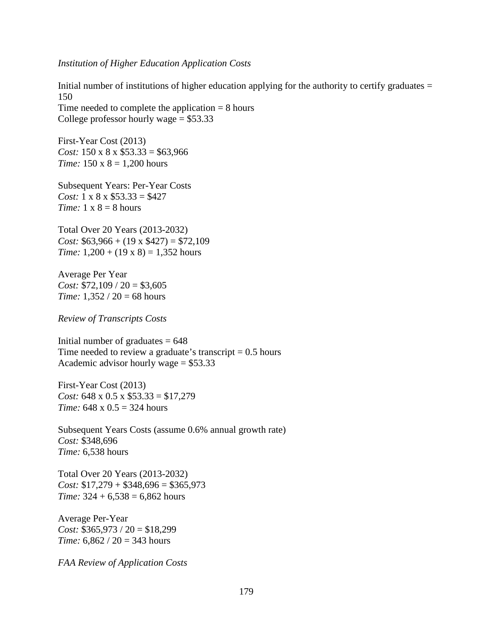*Institution of Higher Education Application Costs*

Initial number of institutions of higher education applying for the authority to certify graduates  $=$ 150 Time needed to complete the application  $= 8$  hours College professor hourly wage  $= $53.33$ 

First-Year Cost (2013)

*Cost:* 150 x 8 x \$53.33 = \$63,966 *Time:* 150 x 8 = 1,200 hours

Subsequent Years: Per-Year Costs *Cost:* 1 x 8 x \$53.33 = \$427 *Time:*  $1 \times 8 = 8$  hours

Total Over 20 Years (2013-2032) *Cost:* \$63,966 + (19 x \$427) = \$72,109 *Time:*  $1,200 + (19 \times 8) = 1,352$  hours

Average Per Year *Cost:* \$72,109 / 20 = \$3,605 *Time:* 1,352 / 20 = 68 hours

*Review of Transcripts Costs*

Initial number of graduates  $= 648$ Time needed to review a graduate's transcript  $= 0.5$  hours Academic advisor hourly wage  $= $53.33$ 

First-Year Cost (2013) *Cost:* 648 x 0.5 x \$53.33 = \$17,279 *Time:* 648 x 0.5 = 324 hours

Subsequent Years Costs (assume 0.6% annual growth rate) *Cost:* \$348,696 *Time:* 6,538 hours

Total Over 20 Years (2013-2032) *Cost:* \$17,279 + \$348,696 = \$365,973 *Time:*  $324 + 6,538 = 6,862$  hours

Average Per-Year *Cost:* \$365,973 / 20 = \$18,299 *Time:* 6,862 / 20 = 343 hours

*FAA Review of Application Costs*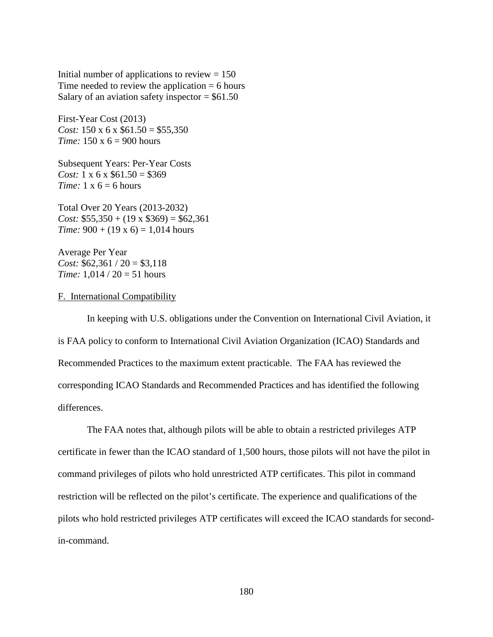Initial number of applications to review  $= 150$ Time needed to review the application  $= 6$  hours Salary of an aviation safety inspector  $= $61.50$ 

First-Year Cost (2013) *Cost:* 150 x 6 x  $$61.50 = $55,350$ *Time:* 150 x 6 = 900 hours

Subsequent Years: Per-Year Costs *Cost:*  $1 \times 6 \times $61.50 = $369$ *Time:*  $1 \times 6 = 6$  hours

Total Over 20 Years (2013-2032) *Cost:* \$55,350 + (19 x \$369) = \$62,361 *Time:*  $900 + (19 \times 6) = 1,014$  hours

Average Per Year *Cost:* \$62,361 / 20 = \$3,118 *Time:* 1,014 / 20 = 51 hours

### F. International Compatibility

In keeping with U.S. obligations under the Convention on International Civil Aviation, it is FAA policy to conform to International Civil Aviation Organization (ICAO) Standards and Recommended Practices to the maximum extent practicable. The FAA has reviewed the corresponding ICAO Standards and Recommended Practices and has identified the following differences.

The FAA notes that, although pilots will be able to obtain a restricted privileges ATP certificate in fewer than the ICAO standard of 1,500 hours, those pilots will not have the pilot in command privileges of pilots who hold unrestricted ATP certificates. This pilot in command restriction will be reflected on the pilot's certificate. The experience and qualifications of the pilots who hold restricted privileges ATP certificates will exceed the ICAO standards for secondin-command.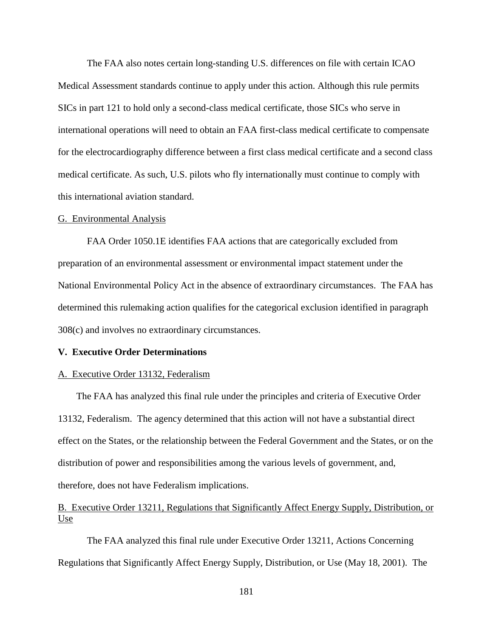The FAA also notes certain long-standing U.S. differences on file with certain ICAO Medical Assessment standards continue to apply under this action. Although this rule permits SICs in part 121 to hold only a second-class medical certificate, those SICs who serve in international operations will need to obtain an FAA first-class medical certificate to compensate for the electrocardiography difference between a first class medical certificate and a second class medical certificate. As such, U.S. pilots who fly internationally must continue to comply with this international aviation standard.

#### G. Environmental Analysis

FAA Order 1050.1E identifies FAA actions that are categorically excluded from preparation of an environmental assessment or environmental impact statement under the National Environmental Policy Act in the absence of extraordinary circumstances. The FAA has determined this rulemaking action qualifies for the categorical exclusion identified in paragraph 308(c) and involves no extraordinary circumstances.

#### **V. Executive Order Determinations**

#### A. Executive Order 13132, Federalism

The FAA has analyzed this final rule under the principles and criteria of Executive Order 13132, Federalism. The agency determined that this action will not have a substantial direct effect on the States, or the relationship between the Federal Government and the States, or on the distribution of power and responsibilities among the various levels of government, and, therefore, does not have Federalism implications.

## B. Executive Order 13211, Regulations that Significantly Affect Energy Supply, Distribution, or Use

The FAA analyzed this final rule under Executive Order 13211, Actions Concerning Regulations that Significantly Affect Energy Supply, Distribution, or Use (May 18, 2001). The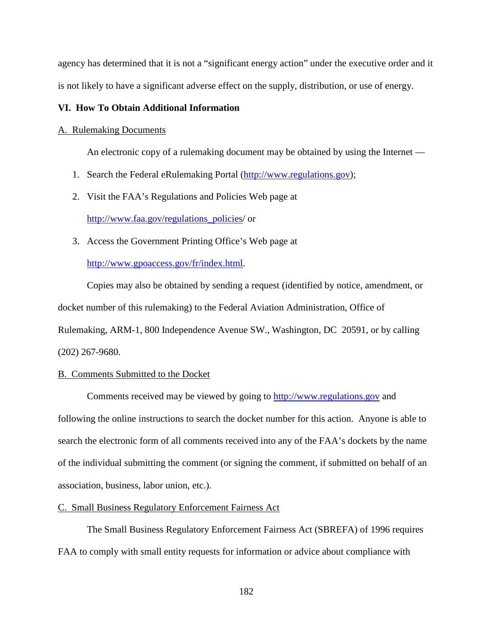agency has determined that it is not a "significant energy action" under the executive order and it is not likely to have a significant adverse effect on the supply, distribution, or use of energy.

## **VI. How To Obtain Additional Information**

#### A. Rulemaking Documents

An electronic copy of a rulemaking document may be obtained by using the Internet —

- 1. Search the Federal eRulemaking Portal [\(http://www.regulations.gov\)](http://www.regulations.gov/);
- 2. Visit the FAA's Regulations and Policies Web page at

[http://www.faa.gov/regulations\\_policies/](http://www.faa.gov/regulations_policies) or

3. Access the Government Printing Office's Web page at

[http://www.gpoaccess.gov/fr/index.html.](http://www.gpoaccess.gov/fr/index.html)

Copies may also be obtained by sending a request (identified by notice, amendment, or docket number of this rulemaking) to the Federal Aviation Administration, Office of Rulemaking, ARM-1, 800 Independence Avenue SW., Washington, DC 20591, or by calling (202) 267-9680.

#### B. Comments Submitted to the Docket

Comments received may be viewed by going to [http://www.regulations.gov](http://www.regulations.gov/) and following the online instructions to search the docket number for this action. Anyone is able to search the electronic form of all comments received into any of the FAA's dockets by the name of the individual submitting the comment (or signing the comment, if submitted on behalf of an association, business, labor union, etc.).

C. Small Business Regulatory Enforcement Fairness Act

The Small Business Regulatory Enforcement Fairness Act (SBREFA) of 1996 requires FAA to comply with small entity requests for information or advice about compliance with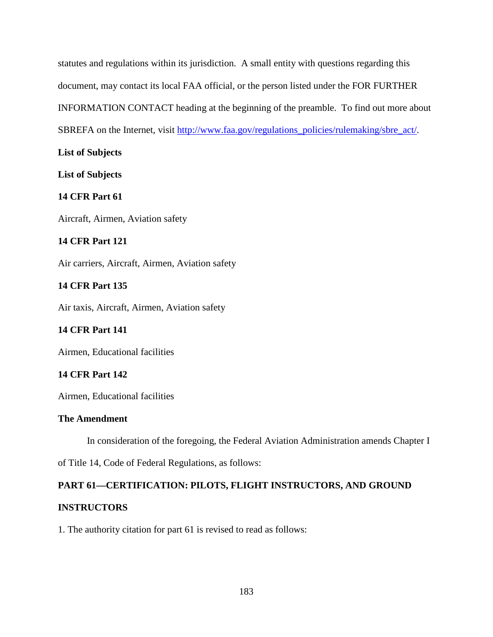statutes and regulations within its jurisdiction. A small entity with questions regarding this document, may contact its local FAA official, or the person listed under the FOR FURTHER INFORMATION CONTACT heading at the beginning of the preamble. To find out more about SBREFA on the Internet, visit [http://www.faa.gov/regulations\\_policies/rulemaking/sbre\\_act/.](http://www.faa.gov/regulations_policies/rulemaking/sbre_act/)

**List of Subjects**

**List of Subjects**

**14 CFR Part 61**

Aircraft, Airmen, Aviation safety

## **14 CFR Part 121**

Air carriers, Aircraft, Airmen, Aviation safety

## **14 CFR Part 135**

Air taxis, Aircraft, Airmen, Aviation safety

## **14 CFR Part 141**

Airmen, Educational facilities

## **14 CFR Part 142**

Airmen, Educational facilities

## **The Amendment**

In consideration of the foregoing, the Federal Aviation Administration amends Chapter I

of Title 14, Code of Federal Regulations, as follows:

## **PART 61—CERTIFICATION: PILOTS, FLIGHT INSTRUCTORS, AND GROUND**

## **INSTRUCTORS**

1. The authority citation for part 61 is revised to read as follows: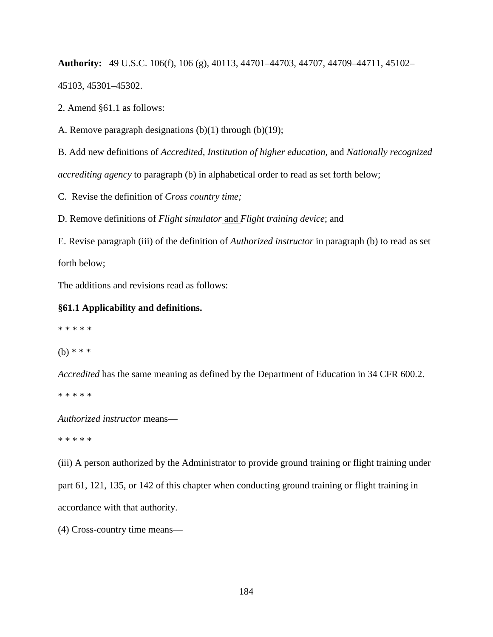**Authority:** 49 U.S.C. 106(f), 106 (g), 40113, 44701–44703, 44707, 44709–44711, 45102– 45103, 45301–45302.

2. Amend §61.1 as follows:

A. Remove paragraph designations (b)(1) through (b)(19);

B. Add new definitions of *Accredited, Institution of higher education,* and *Nationally recognized accrediting agency* to paragraph (b) in alphabetical order to read as set forth below;

C. Revise the definition of *Cross country time;*

D. Remove definitions of *Flight simulator* and *Flight training device*; and

E. Revise paragraph (iii) of the definition of *Authorized instructor* in paragraph (b) to read as set forth below;

The additions and revisions read as follows:

## **§61.1 Applicability and definitions.**

\* \* \* \* \*

(b) \* \* \*

*Accredited* has the same meaning as defined by the Department of Education in 34 CFR 600.2.

\* \* \* \* \*

*Authorized instructor* means—

\* \* \* \* \*

(iii) A person authorized by the Administrator to provide ground training or flight training under

part 61, 121, 135, or 142 of this chapter when conducting ground training or flight training in accordance with that authority.

(4) Cross-country time means—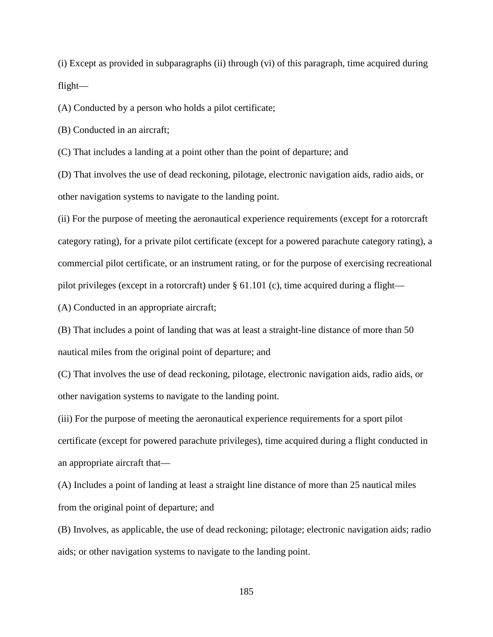(i) Except as provided in subparagraphs (ii) through (vi) of this paragraph, time acquired during flight—

(A) Conducted by a person who holds a pilot certificate;

(B) Conducted in an aircraft;

(C) That includes a landing at a point other than the point of departure; and

(D) That involves the use of dead reckoning, pilotage, electronic navigation aids, radio aids, or other navigation systems to navigate to the landing point.

(ii) For the purpose of meeting the aeronautical experience requirements (except for a rotorcraft category rating), for a private pilot certificate (except for a powered parachute category rating), a commercial pilot certificate, or an instrument rating, or for the purpose of exercising recreational pilot privileges (except in a rotorcraft) under § 61.101 (c), time acquired during a flight—

(A) Conducted in an appropriate aircraft;

(B) That includes a point of landing that was at least a straight-line distance of more than 50 nautical miles from the original point of departure; and

(C) That involves the use of dead reckoning, pilotage, electronic navigation aids, radio aids, or other navigation systems to navigate to the landing point.

(iii) For the purpose of meeting the aeronautical experience requirements for a sport pilot certificate (except for powered parachute privileges), time acquired during a flight conducted in an appropriate aircraft that—

(A) Includes a point of landing at least a straight line distance of more than 25 nautical miles from the original point of departure; and

(B) Involves, as applicable, the use of dead reckoning; pilotage; electronic navigation aids; radio aids; or other navigation systems to navigate to the landing point.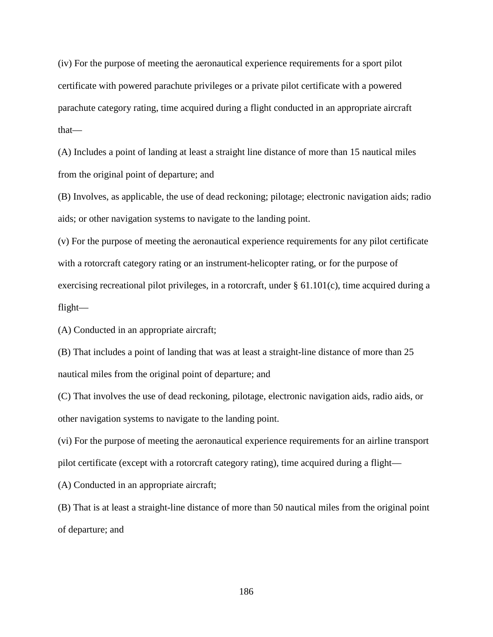(iv) For the purpose of meeting the aeronautical experience requirements for a sport pilot certificate with powered parachute privileges or a private pilot certificate with a powered parachute category rating, time acquired during a flight conducted in an appropriate aircraft that—

(A) Includes a point of landing at least a straight line distance of more than 15 nautical miles from the original point of departure; and

(B) Involves, as applicable, the use of dead reckoning; pilotage; electronic navigation aids; radio aids; or other navigation systems to navigate to the landing point.

(v) For the purpose of meeting the aeronautical experience requirements for any pilot certificate with a rotorcraft category rating or an instrument-helicopter rating, or for the purpose of exercising recreational pilot privileges, in a rotorcraft, under § 61.101(c), time acquired during a flight—

(A) Conducted in an appropriate aircraft;

(B) That includes a point of landing that was at least a straight-line distance of more than 25 nautical miles from the original point of departure; and

(C) That involves the use of dead reckoning, pilotage, electronic navigation aids, radio aids, or other navigation systems to navigate to the landing point.

(vi) For the purpose of meeting the aeronautical experience requirements for an airline transport pilot certificate (except with a rotorcraft category rating), time acquired during a flight—

(A) Conducted in an appropriate aircraft;

(B) That is at least a straight-line distance of more than 50 nautical miles from the original point of departure; and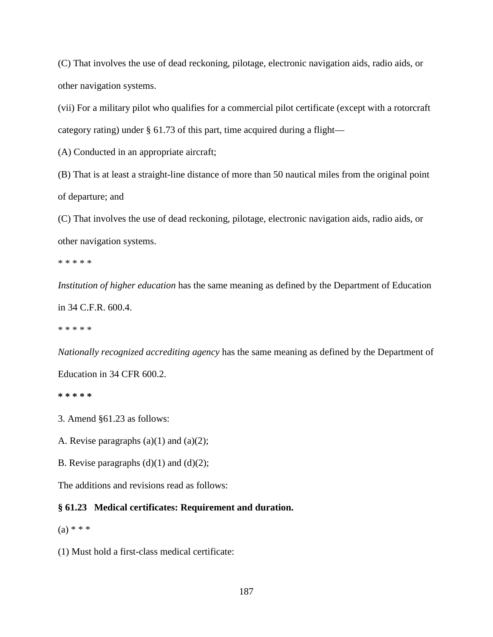(C) That involves the use of dead reckoning, pilotage, electronic navigation aids, radio aids, or other navigation systems.

(vii) For a military pilot who qualifies for a commercial pilot certificate (except with a rotorcraft category rating) under § 61.73 of this part, time acquired during a flight—

(A) Conducted in an appropriate aircraft;

(B) That is at least a straight-line distance of more than 50 nautical miles from the original point of departure; and

(C) That involves the use of dead reckoning, pilotage, electronic navigation aids, radio aids, or other navigation systems.

\* \* \* \* \*

*Institution of higher education* has the same meaning as defined by the Department of Education in 34 C.F.R. 600.4.

\* \* \* \* \*

*Nationally recognized accrediting agency* has the same meaning as defined by the Department of Education in 34 CFR 600.2.

**\* \* \* \* \***

- 3. Amend §61.23 as follows:
- A. Revise paragraphs  $(a)(1)$  and  $(a)(2)$ ;
- B. Revise paragraphs  $(d)(1)$  and  $(d)(2)$ ;

The additions and revisions read as follows:

#### **§ 61.23 Medical certificates: Requirement and duration.**

 $(a) * * *$ 

(1) Must hold a first-class medical certificate: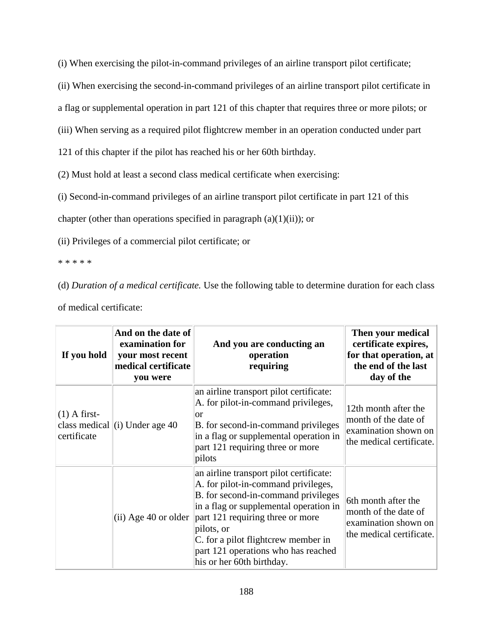(i) When exercising the pilot-in-command privileges of an airline transport pilot certificate;

(ii) When exercising the second-in-command privileges of an airline transport pilot certificate in

a flag or supplemental operation in part 121 of this chapter that requires three or more pilots; or

(iii) When serving as a required pilot flightcrew member in an operation conducted under part

121 of this chapter if the pilot has reached his or her 60th birthday.

(2) Must hold at least a second class medical certificate when exercising:

(i) Second-in-command privileges of an airline transport pilot certificate in part 121 of this

chapter (other than operations specified in paragraph  $(a)(1)(ii)$ ); or

(ii) Privileges of a commercial pilot certificate; or

\* \* \* \* \*

(d) *Duration of a medical certificate.* Use the following table to determine duration for each class of medical certificate:

| If you hold                   | And on the date of<br>examination for<br>your most recent<br>medical certificate<br>you were | And you are conducting an<br>operation<br>requiring                                                                                                                                                                                                                                                                          | Then your medical<br>certificate expires,<br>for that operation, at<br>the end of the last<br>day of the |
|-------------------------------|----------------------------------------------------------------------------------------------|------------------------------------------------------------------------------------------------------------------------------------------------------------------------------------------------------------------------------------------------------------------------------------------------------------------------------|----------------------------------------------------------------------------------------------------------|
| $(1)$ A first-<br>certificate | class medical $\left  \right $ Under age 40                                                  | an airline transport pilot certificate:<br>A. for pilot-in-command privileges,<br>lor<br>B. for second-in-command privileges<br>in a flag or supplemental operation in<br>part 121 requiring three or more<br>pilots                                                                                                         | 12th month after the<br>month of the date of<br>examination shown on<br>the medical certificate.         |
|                               | $(ii)$ Age 40 or older                                                                       | an airline transport pilot certificate:<br>A. for pilot-in-command privileges,<br>B. for second-in-command privileges<br>in a flag or supplemental operation in<br>part 121 requiring three or more<br>pilots, or<br>C. for a pilot flightcrew member in<br>part 121 operations who has reached<br>his or her 60th birthday. | 6th month after the<br>month of the date of<br>examination shown on<br>the medical certificate.          |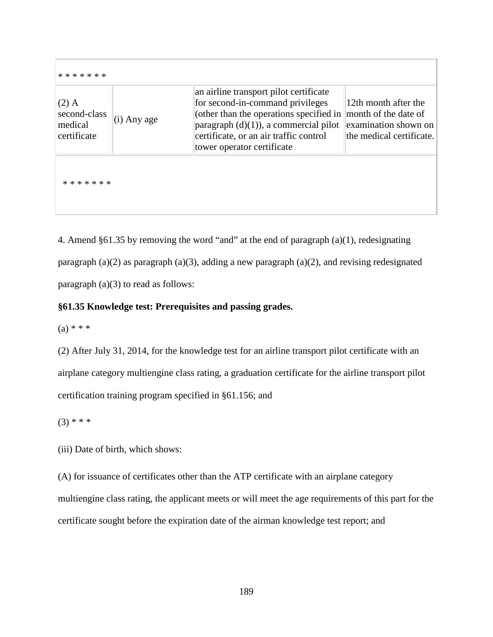| * * * * * * *                                     |             |                                                                                                                                                                                                                                          |                                                                                                  |  |  |
|---------------------------------------------------|-------------|------------------------------------------------------------------------------------------------------------------------------------------------------------------------------------------------------------------------------------------|--------------------------------------------------------------------------------------------------|--|--|
| $(2)$ A<br>second-class<br>medical<br>certificate | (i) Any age | an airline transport pilot certificate<br>for second-in-command privileges<br>(other than the operations specified in<br>paragraph $(d)(1)$ , a commercial pilot<br>certificate, or an air traffic control<br>tower operator certificate | 12th month after the<br>month of the date of<br>examination shown on<br>the medical certificate. |  |  |
| * * * * * * *                                     |             |                                                                                                                                                                                                                                          |                                                                                                  |  |  |

4. Amend §61.35 by removing the word "and" at the end of paragraph (a)(1), redesignating paragraph (a)(2) as paragraph (a)(3), adding a new paragraph (a)(2), and revising redesignated paragraph  $(a)(3)$  to read as follows:

## **§61.35 Knowledge test: Prerequisites and passing grades.**

 $(a) * * *$ 

(2) After July 31, 2014, for the knowledge test for an airline transport pilot certificate with an airplane category multiengine class rating, a graduation certificate for the airline transport pilot certification training program specified in §61.156; and

 $(3)$  \* \* \*

(iii) Date of birth, which shows:

(A) for issuance of certificates other than the ATP certificate with an airplane category multiengine class rating, the applicant meets or will meet the age requirements of this part for the certificate sought before the expiration date of the airman knowledge test report; and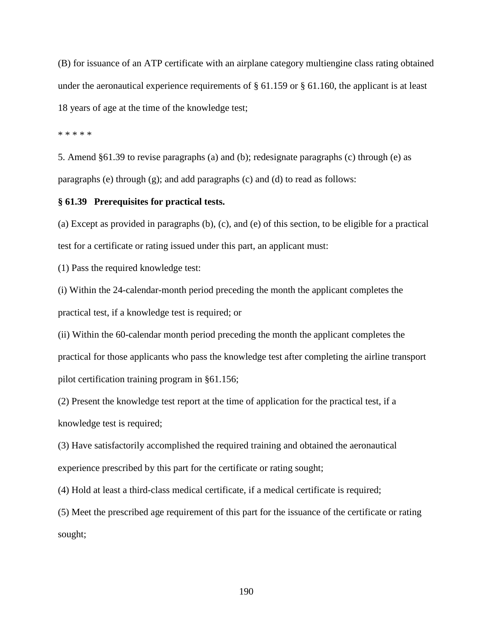(B) for issuance of an ATP certificate with an airplane category multiengine class rating obtained under the aeronautical experience requirements of § 61.159 or § 61.160, the applicant is at least 18 years of age at the time of the knowledge test;

\* \* \* \* \*

5. Amend §61.39 to revise paragraphs (a) and (b); redesignate paragraphs (c) through (e) as paragraphs (e) through (g); and add paragraphs (c) and (d) to read as follows:

#### **§ 61.39 Prerequisites for practical tests.**

(a) Except as provided in paragraphs (b), (c), and (e) of this section, to be eligible for a practical test for a certificate or rating issued under this part, an applicant must:

(1) Pass the required knowledge test:

(i) Within the 24-calendar-month period preceding the month the applicant completes the practical test, if a knowledge test is required; or

(ii) Within the 60-calendar month period preceding the month the applicant completes the practical for those applicants who pass the knowledge test after completing the airline transport pilot certification training program in §61.156;

(2) Present the knowledge test report at the time of application for the practical test, if a knowledge test is required;

(3) Have satisfactorily accomplished the required training and obtained the aeronautical experience prescribed by this part for the certificate or rating sought;

(4) Hold at least a third-class medical certificate, if a medical certificate is required;

(5) Meet the prescribed age requirement of this part for the issuance of the certificate or rating sought;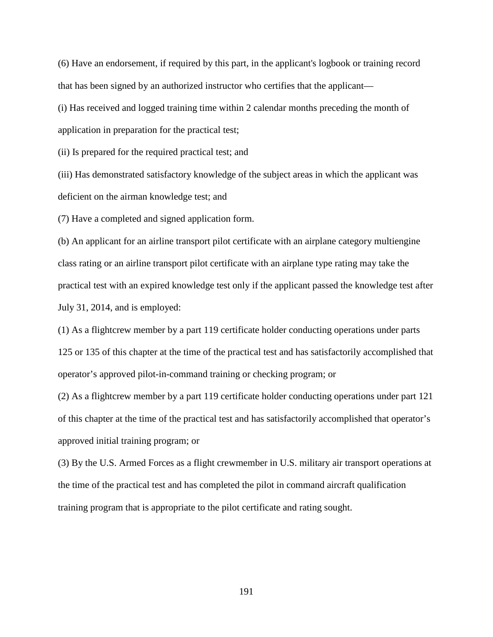(6) Have an endorsement, if required by this part, in the applicant's logbook or training record that has been signed by an authorized instructor who certifies that the applicant—

(i) Has received and logged training time within 2 calendar months preceding the month of application in preparation for the practical test;

(ii) Is prepared for the required practical test; and

(iii) Has demonstrated satisfactory knowledge of the subject areas in which the applicant was deficient on the airman knowledge test; and

(7) Have a completed and signed application form.

(b) An applicant for an airline transport pilot certificate with an airplane category multiengine class rating or an airline transport pilot certificate with an airplane type rating may take the practical test with an expired knowledge test only if the applicant passed the knowledge test after July 31, 2014, and is employed:

(1) As a flightcrew member by a part 119 certificate holder conducting operations under parts 125 or 135 of this chapter at the time of the practical test and has satisfactorily accomplished that operator's approved pilot-in-command training or checking program; or

(2) As a flightcrew member by a part 119 certificate holder conducting operations under part 121 of this chapter at the time of the practical test and has satisfactorily accomplished that operator's approved initial training program; or

(3) By the U.S. Armed Forces as a flight crewmember in U.S. military air transport operations at the time of the practical test and has completed the pilot in command aircraft qualification training program that is appropriate to the pilot certificate and rating sought.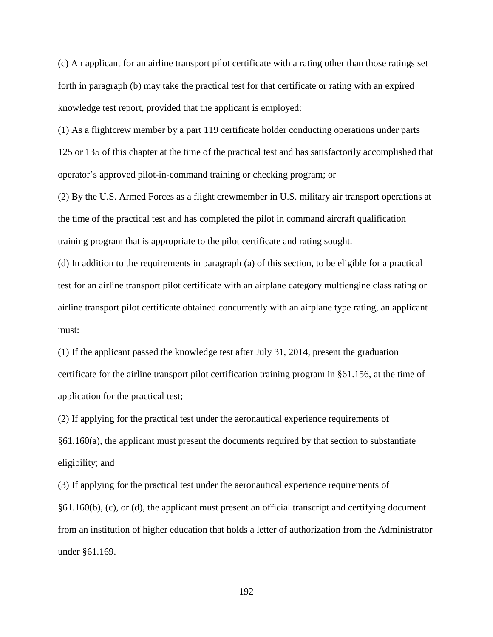(c) An applicant for an airline transport pilot certificate with a rating other than those ratings set forth in paragraph (b) may take the practical test for that certificate or rating with an expired knowledge test report, provided that the applicant is employed:

(1) As a flightcrew member by a part 119 certificate holder conducting operations under parts 125 or 135 of this chapter at the time of the practical test and has satisfactorily accomplished that operator's approved pilot-in-command training or checking program; or

(2) By the U.S. Armed Forces as a flight crewmember in U.S. military air transport operations at the time of the practical test and has completed the pilot in command aircraft qualification training program that is appropriate to the pilot certificate and rating sought.

(d) In addition to the requirements in paragraph (a) of this section, to be eligible for a practical test for an airline transport pilot certificate with an airplane category multiengine class rating or airline transport pilot certificate obtained concurrently with an airplane type rating, an applicant must:

(1) If the applicant passed the knowledge test after July 31, 2014, present the graduation certificate for the airline transport pilot certification training program in §61.156, at the time of application for the practical test;

(2) If applying for the practical test under the aeronautical experience requirements of §61.160(a), the applicant must present the documents required by that section to substantiate eligibility; and

(3) If applying for the practical test under the aeronautical experience requirements of §61.160(b), (c), or (d), the applicant must present an official transcript and certifying document from an institution of higher education that holds a letter of authorization from the Administrator under §61.169.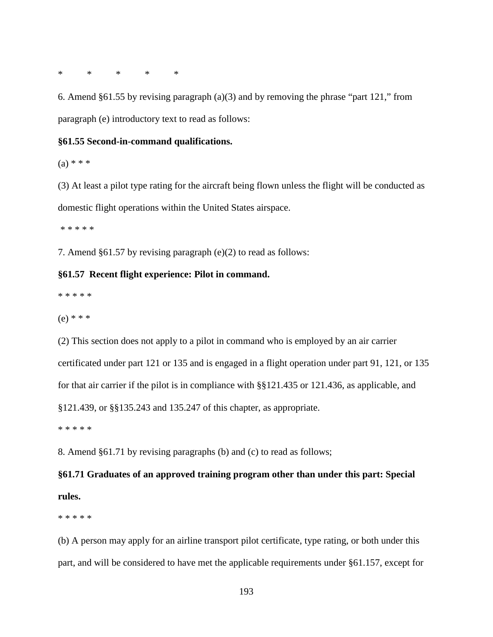\* \* \* \* \*

6. Amend §61.55 by revising paragraph (a)(3) and by removing the phrase "part 121," from paragraph (e) introductory text to read as follows:

## **§61.55 Second-in-command qualifications.**

 $(a) * * *$ 

(3) At least a pilot type rating for the aircraft being flown unless the flight will be conducted as domestic flight operations within the United States airspace.

\* \* \* \* \*

7. Amend §61.57 by revising paragraph (e)(2) to read as follows:

## **§61.57 Recent flight experience: Pilot in command.**

\* \* \* \* \*

(e) \* \* \*

(2) This section does not apply to a pilot in command who is employed by an air carrier certificated under part 121 or 135 and is engaged in a flight operation under part 91, 121, or 135 for that air carrier if the pilot is in compliance with §§121.435 or 121.436, as applicable, and §121.439, or §§135.243 and 135.247 of this chapter, as appropriate.

\* \* \* \* \*

8. Amend §61.71 by revising paragraphs (b) and (c) to read as follows;

# **§61.71 Graduates of an approved training program other than under this part: Special rules.**

\* \* \* \* \*

(b) A person may apply for an airline transport pilot certificate, type rating, or both under this part, and will be considered to have met the applicable requirements under §61.157, except for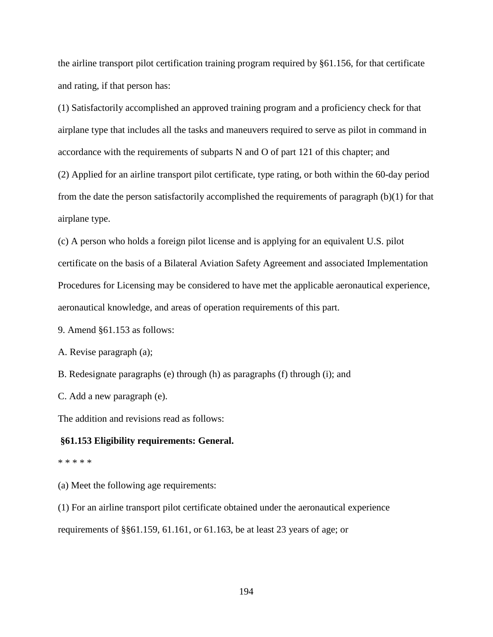the airline transport pilot certification training program required by §61.156, for that certificate and rating, if that person has:

(1) Satisfactorily accomplished an approved training program and a proficiency check for that airplane type that includes all the tasks and maneuvers required to serve as pilot in command in accordance with the requirements of subparts N and O of part 121 of this chapter; and

(2) Applied for an airline transport pilot certificate, type rating, or both within the 60-day period from the date the person satisfactorily accomplished the requirements of paragraph (b)(1) for that airplane type.

(c) A person who holds a foreign pilot license and is applying for an equivalent U.S. pilot certificate on the basis of a Bilateral Aviation Safety Agreement and associated Implementation Procedures for Licensing may be considered to have met the applicable aeronautical experience, aeronautical knowledge, and areas of operation requirements of this part.

9. Amend §61.153 as follows:

A. Revise paragraph (a);

B. Redesignate paragraphs (e) through (h) as paragraphs (f) through (i); and

C. Add a new paragraph (e).

The addition and revisions read as follows:

#### **§61.153 Eligibility requirements: General.**

#### \* \* \* \* \*

(a) Meet the following age requirements:

(1) For an airline transport pilot certificate obtained under the aeronautical experience requirements of §§61.159, 61.161, or 61.163, be at least 23 years of age; or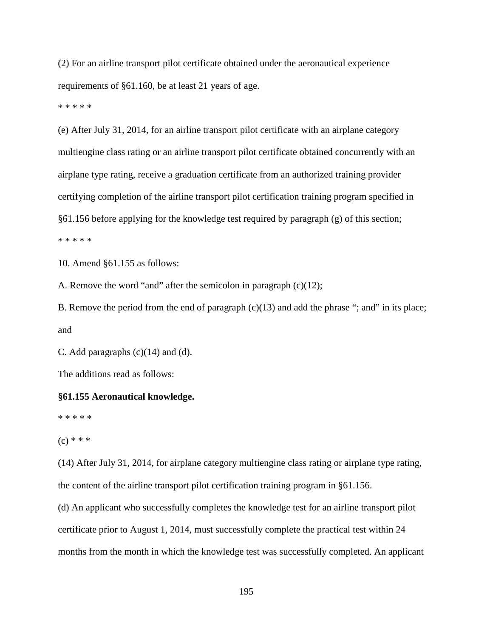(2) For an airline transport pilot certificate obtained under the aeronautical experience requirements of §61.160, be at least 21 years of age.

\* \* \* \* \*

(e) After July 31, 2014, for an airline transport pilot certificate with an airplane category multiengine class rating or an airline transport pilot certificate obtained concurrently with an airplane type rating, receive a graduation certificate from an authorized training provider certifying completion of the airline transport pilot certification training program specified in §61.156 before applying for the knowledge test required by paragraph (g) of this section; \* \* \* \* \*

10. Amend §61.155 as follows:

A. Remove the word "and" after the semicolon in paragraph (c)(12);

B. Remove the period from the end of paragraph  $(c)(13)$  and add the phrase "; and" in its place; and

C. Add paragraphs  $(c)(14)$  and  $(d)$ .

The additions read as follows:

## **§61.155 Aeronautical knowledge.**

\* \* \* \* \*

## $(c) * * *$

(14) After July 31, 2014, for airplane category multiengine class rating or airplane type rating, the content of the airline transport pilot certification training program in §61.156.

(d) An applicant who successfully completes the knowledge test for an airline transport pilot certificate prior to August 1, 2014, must successfully complete the practical test within 24 months from the month in which the knowledge test was successfully completed. An applicant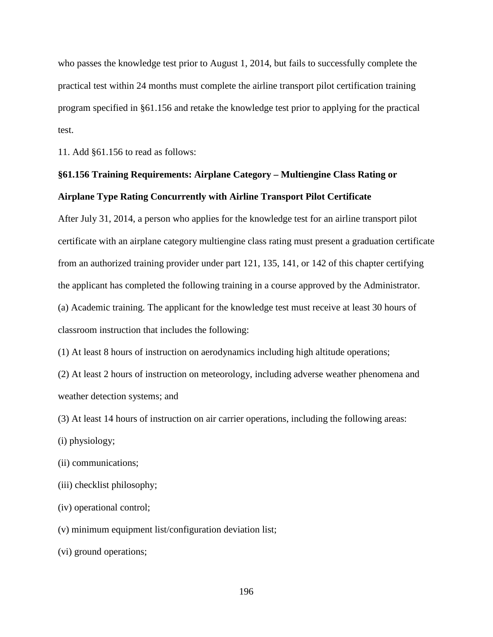who passes the knowledge test prior to August 1, 2014, but fails to successfully complete the practical test within 24 months must complete the airline transport pilot certification training program specified in §61.156 and retake the knowledge test prior to applying for the practical test.

11. Add §61.156 to read as follows:

## **§61.156 Training Requirements: Airplane Category – Multiengine Class Rating or Airplane Type Rating Concurrently with Airline Transport Pilot Certificate**

After July 31, 2014, a person who applies for the knowledge test for an airline transport pilot certificate with an airplane category multiengine class rating must present a graduation certificate from an authorized training provider under part 121, 135, 141, or 142 of this chapter certifying the applicant has completed the following training in a course approved by the Administrator. (a) Academic training. The applicant for the knowledge test must receive at least 30 hours of classroom instruction that includes the following:

(1) At least 8 hours of instruction on aerodynamics including high altitude operations;

(2) At least 2 hours of instruction on meteorology, including adverse weather phenomena and weather detection systems; and

(3) At least 14 hours of instruction on air carrier operations, including the following areas:

- (i) physiology;
- (ii) communications;
- (iii) checklist philosophy;
- (iv) operational control;

(v) minimum equipment list/configuration deviation list;

(vi) ground operations;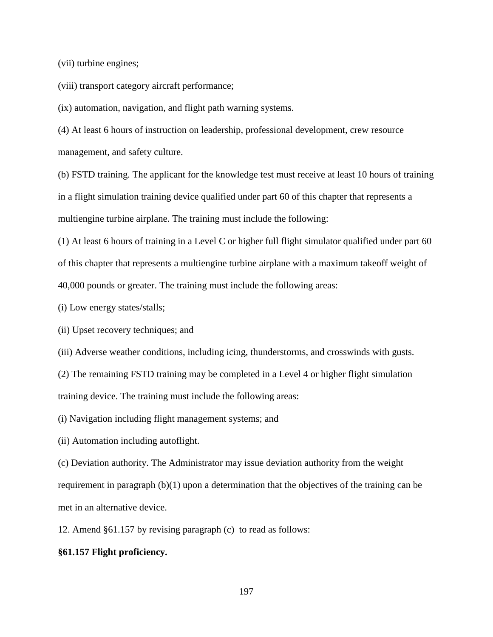(vii) turbine engines;

(viii) transport category aircraft performance;

(ix) automation, navigation, and flight path warning systems.

(4) At least 6 hours of instruction on leadership, professional development, crew resource management, and safety culture.

(b) FSTD training. The applicant for the knowledge test must receive at least 10 hours of training in a flight simulation training device qualified under part 60 of this chapter that represents a multiengine turbine airplane. The training must include the following:

(1) At least 6 hours of training in a Level C or higher full flight simulator qualified under part 60 of this chapter that represents a multiengine turbine airplane with a maximum takeoff weight of 40,000 pounds or greater. The training must include the following areas:

(i) Low energy states/stalls;

(ii) Upset recovery techniques; and

(iii) Adverse weather conditions, including icing, thunderstorms, and crosswinds with gusts.

(2) The remaining FSTD training may be completed in a Level 4 or higher flight simulation training device. The training must include the following areas:

(i) Navigation including flight management systems; and

(ii) Automation including autoflight.

(c) Deviation authority. The Administrator may issue deviation authority from the weight requirement in paragraph (b)(1) upon a determination that the objectives of the training can be met in an alternative device.

12. Amend §61.157 by revising paragraph (c) to read as follows:

#### **§61.157 Flight proficiency.**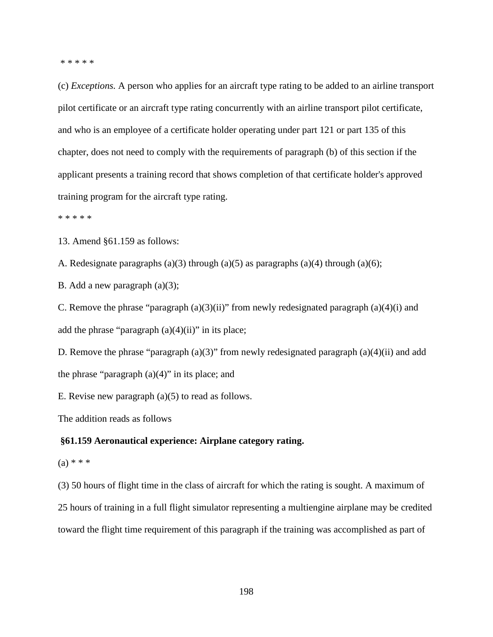#### \* \* \* \* \*

(c) *Exceptions.* A person who applies for an aircraft type rating to be added to an airline transport pilot certificate or an aircraft type rating concurrently with an airline transport pilot certificate, and who is an employee of a certificate holder operating under part 121 or part 135 of this chapter, does not need to comply with the requirements of paragraph (b) of this section if the applicant presents a training record that shows completion of that certificate holder's approved training program for the aircraft type rating.

\* \* \* \* \*

13. Amend §61.159 as follows:

A. Redesignate paragraphs (a)(3) through (a)(5) as paragraphs (a)(4) through (a)(6);

B. Add a new paragraph  $(a)(3)$ ;

C. Remove the phrase "paragraph  $(a)(3)(ii)$ " from newly redesignated paragraph  $(a)(4)(i)$  and add the phrase "paragraph  $(a)(4)(ii)$ " in its place;

D. Remove the phrase "paragraph (a)(3)" from newly redesignated paragraph (a)(4)(ii) and add the phrase "paragraph  $(a)(4)$ " in its place; and

E. Revise new paragraph  $(a)(5)$  to read as follows.

The addition reads as follows

#### **§61.159 Aeronautical experience: Airplane category rating.**

 $(a) * * *$ 

(3) 50 hours of flight time in the class of aircraft for which the rating is sought. A maximum of 25 hours of training in a full flight simulator representing a multiengine airplane may be credited toward the flight time requirement of this paragraph if the training was accomplished as part of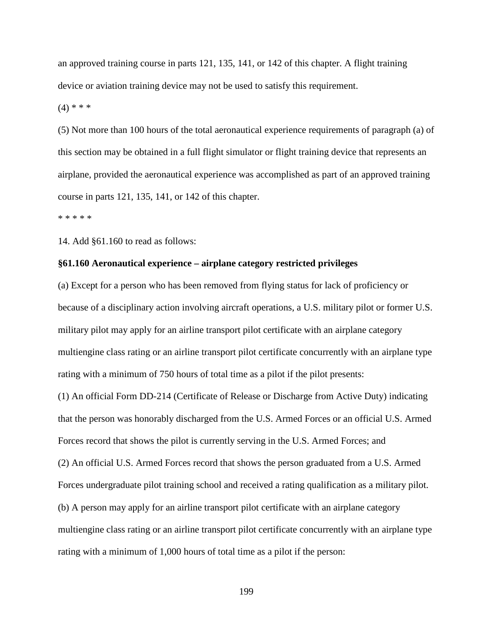an approved training course in parts 121, 135, 141, or 142 of this chapter. A flight training device or aviation training device may not be used to satisfy this requirement.

 $(4)$  \* \* \*

(5) Not more than 100 hours of the total aeronautical experience requirements of paragraph (a) of this section may be obtained in a full flight simulator or flight training device that represents an airplane, provided the aeronautical experience was accomplished as part of an approved training course in parts 121, 135, 141, or 142 of this chapter.

\* \* \* \* \*

14. Add §61.160 to read as follows:

## **§61.160 Aeronautical experience – airplane category restricted privileges**

(a) Except for a person who has been removed from flying status for lack of proficiency or because of a disciplinary action involving aircraft operations, a U.S. military pilot or former U.S. military pilot may apply for an airline transport pilot certificate with an airplane category multiengine class rating or an airline transport pilot certificate concurrently with an airplane type rating with a minimum of 750 hours of total time as a pilot if the pilot presents:

(1) An official Form DD-214 (Certificate of Release or Discharge from Active Duty) indicating that the person was honorably discharged from the U.S. Armed Forces or an official U.S. Armed Forces record that shows the pilot is currently serving in the U.S. Armed Forces; and (2) An official U.S. Armed Forces record that shows the person graduated from a U.S. Armed Forces undergraduate pilot training school and received a rating qualification as a military pilot. (b) A person may apply for an airline transport pilot certificate with an airplane category multiengine class rating or an airline transport pilot certificate concurrently with an airplane type rating with a minimum of 1,000 hours of total time as a pilot if the person: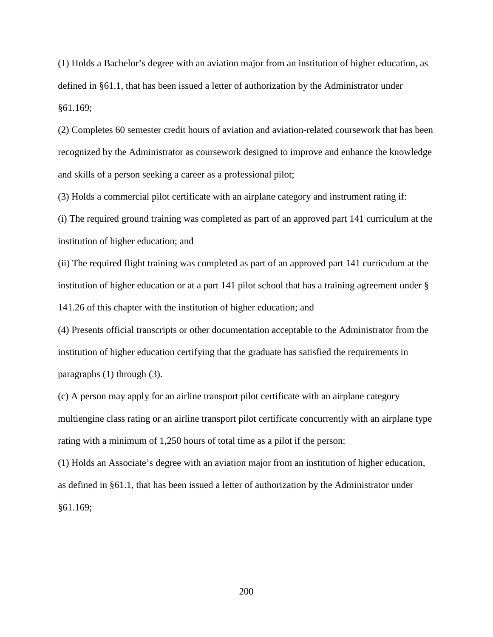(1) Holds a Bachelor's degree with an aviation major from an institution of higher education, as defined in §61.1, that has been issued a letter of authorization by the Administrator under §61.169;

(2) Completes 60 semester credit hours of aviation and aviation-related coursework that has been recognized by the Administrator as coursework designed to improve and enhance the knowledge and skills of a person seeking a career as a professional pilot;

(3) Holds a commercial pilot certificate with an airplane category and instrument rating if:

(i) The required ground training was completed as part of an approved part 141 curriculum at the institution of higher education; and

(ii) The required flight training was completed as part of an approved part 141 curriculum at the institution of higher education or at a part 141 pilot school that has a training agreement under § 141.26 of this chapter with the institution of higher education; and

(4) Presents official transcripts or other documentation acceptable to the Administrator from the institution of higher education certifying that the graduate has satisfied the requirements in paragraphs (1) through (3).

(c) A person may apply for an airline transport pilot certificate with an airplane category multiengine class rating or an airline transport pilot certificate concurrently with an airplane type rating with a minimum of 1,250 hours of total time as a pilot if the person:

(1) Holds an Associate's degree with an aviation major from an institution of higher education, as defined in §61.1, that has been issued a letter of authorization by the Administrator under §61.169;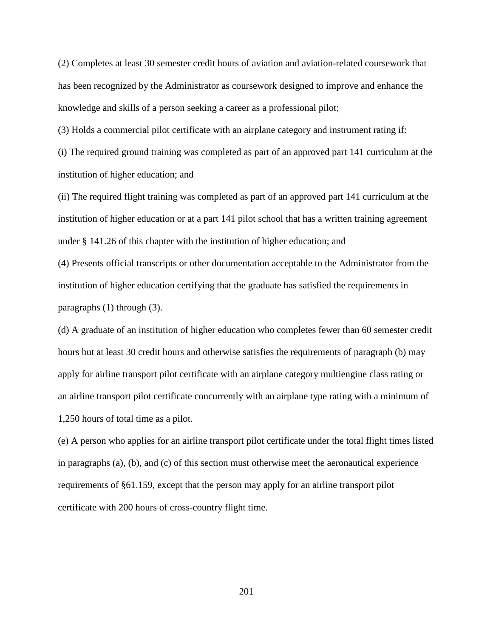(2) Completes at least 30 semester credit hours of aviation and aviation-related coursework that has been recognized by the Administrator as coursework designed to improve and enhance the knowledge and skills of a person seeking a career as a professional pilot;

(3) Holds a commercial pilot certificate with an airplane category and instrument rating if:

(i) The required ground training was completed as part of an approved part 141 curriculum at the institution of higher education; and

(ii) The required flight training was completed as part of an approved part 141 curriculum at the institution of higher education or at a part 141 pilot school that has a written training agreement under § 141.26 of this chapter with the institution of higher education; and

(4) Presents official transcripts or other documentation acceptable to the Administrator from the institution of higher education certifying that the graduate has satisfied the requirements in paragraphs (1) through (3).

(d) A graduate of an institution of higher education who completes fewer than 60 semester credit hours but at least 30 credit hours and otherwise satisfies the requirements of paragraph (b) may apply for airline transport pilot certificate with an airplane category multiengine class rating or an airline transport pilot certificate concurrently with an airplane type rating with a minimum of 1,250 hours of total time as a pilot.

(e) A person who applies for an airline transport pilot certificate under the total flight times listed in paragraphs (a), (b), and (c) of this section must otherwise meet the aeronautical experience requirements of §61.159, except that the person may apply for an airline transport pilot certificate with 200 hours of cross-country flight time.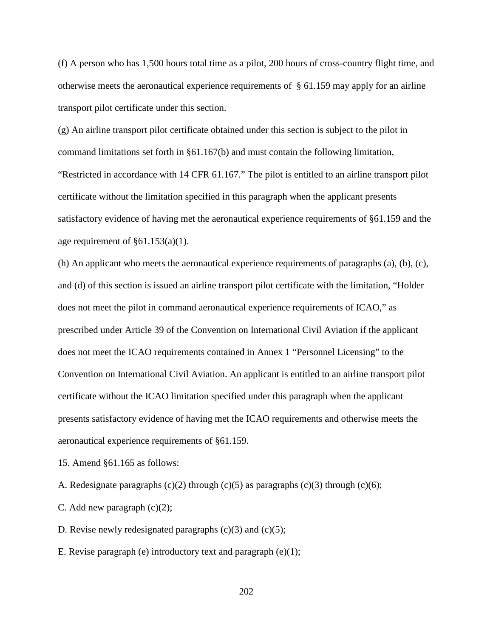(f) A person who has 1,500 hours total time as a pilot, 200 hours of cross-country flight time, and otherwise meets the aeronautical experience requirements of § 61.159 may apply for an airline transport pilot certificate under this section.

(g) An airline transport pilot certificate obtained under this section is subject to the pilot in command limitations set forth in §61.167(b) and must contain the following limitation, "Restricted in accordance with 14 CFR 61.167." The pilot is entitled to an airline transport pilot certificate without the limitation specified in this paragraph when the applicant presents satisfactory evidence of having met the aeronautical experience requirements of §61.159 and the age requirement of  $\S 61.153(a)(1)$ .

(h) An applicant who meets the aeronautical experience requirements of paragraphs (a), (b), (c), and (d) of this section is issued an airline transport pilot certificate with the limitation, "Holder does not meet the pilot in command aeronautical experience requirements of ICAO," as prescribed under Article 39 of the Convention on International Civil Aviation if the applicant does not meet the ICAO requirements contained in Annex 1 "Personnel Licensing" to the Convention on International Civil Aviation. An applicant is entitled to an airline transport pilot certificate without the ICAO limitation specified under this paragraph when the applicant presents satisfactory evidence of having met the ICAO requirements and otherwise meets the aeronautical experience requirements of §61.159.

15. Amend §61.165 as follows:

A. Redesignate paragraphs  $(c)(2)$  through  $(c)(5)$  as paragraphs  $(c)(3)$  through  $(c)(6)$ ;

C. Add new paragraph  $(c)(2)$ ;

D. Revise newly redesignated paragraphs  $(c)(3)$  and  $(c)(5)$ ;

E. Revise paragraph (e) introductory text and paragraph  $(e)(1)$ ;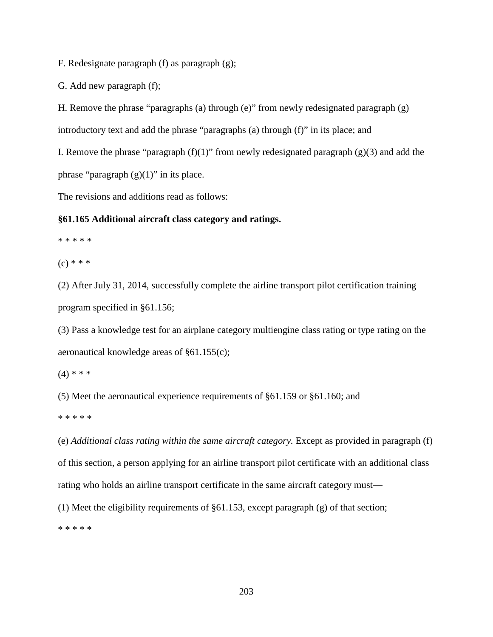F. Redesignate paragraph (f) as paragraph (g);

G. Add new paragraph (f);

H. Remove the phrase "paragraphs (a) through (e)" from newly redesignated paragraph (g) introductory text and add the phrase "paragraphs (a) through (f)" in its place; and I. Remove the phrase "paragraph  $(f)(1)$ " from newly redesignated paragraph  $(g)(3)$  and add the

phrase "paragraph  $(g)(1)$ " in its place.

The revisions and additions read as follows:

## **§61.165 Additional aircraft class category and ratings.**

\* \* \* \* \*

 $(c) * * *$ 

(2) After July 31, 2014, successfully complete the airline transport pilot certification training program specified in §61.156;

(3) Pass a knowledge test for an airplane category multiengine class rating or type rating on the aeronautical knowledge areas of §61.155(c);

 $(4)$  \* \* \*

(5) Meet the aeronautical experience requirements of §61.159 or §61.160; and

\* \* \* \* \*

(e) *Additional class rating within the same aircraft category.* Except as provided in paragraph (f) of this section, a person applying for an airline transport pilot certificate with an additional class rating who holds an airline transport certificate in the same aircraft category must— (1) Meet the eligibility requirements of §61.153, except paragraph (g) of that section;

\* \* \* \* \*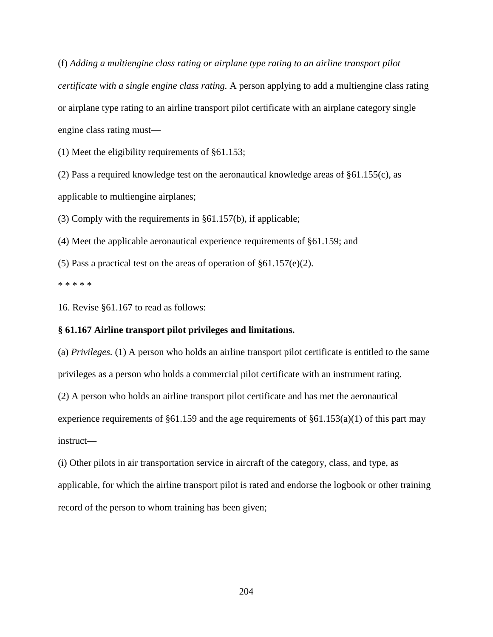(f) *Adding a multiengine class rating or airplane type rating to an airline transport pilot certificate with a single engine class rating.* A person applying to add a multiengine class rating or airplane type rating to an airline transport pilot certificate with an airplane category single engine class rating must—

(1) Meet the eligibility requirements of §61.153;

(2) Pass a required knowledge test on the aeronautical knowledge areas of §61.155(c), as applicable to multiengine airplanes;

(3) Comply with the requirements in §61.157(b), if applicable;

(4) Meet the applicable aeronautical experience requirements of §61.159; and

(5) Pass a practical test on the areas of operation of §61.157(e)(2).

\* \* \* \* \*

16. Revise §61.167 to read as follows:

#### **§ 61.167 Airline transport pilot privileges and limitations.**

(a) *Privileges.* (1) A person who holds an airline transport pilot certificate is entitled to the same privileges as a person who holds a commercial pilot certificate with an instrument rating.

(2) A person who holds an airline transport pilot certificate and has met the aeronautical

experience requirements of  $\S61.159$  and the age requirements of  $\S61.153(a)(1)$  of this part may instruct—

(i) Other pilots in air transportation service in aircraft of the category, class, and type, as applicable, for which the airline transport pilot is rated and endorse the logbook or other training record of the person to whom training has been given;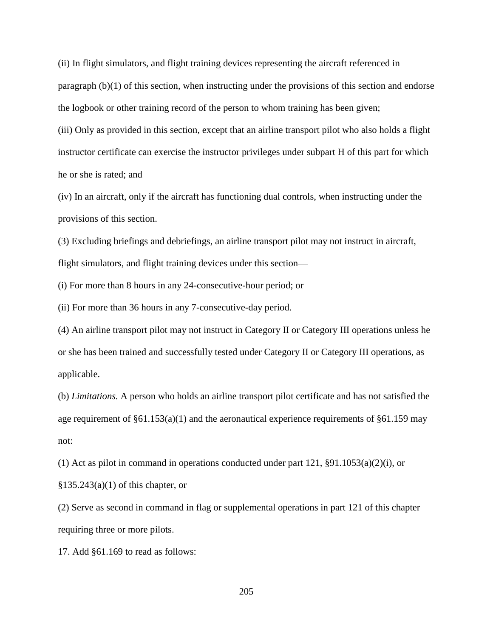(ii) In flight simulators, and flight training devices representing the aircraft referenced in paragraph (b)(1) of this section, when instructing under the provisions of this section and endorse the logbook or other training record of the person to whom training has been given;

(iii) Only as provided in this section, except that an airline transport pilot who also holds a flight instructor certificate can exercise the instructor privileges under subpart H of this part for which he or she is rated; and

(iv) In an aircraft, only if the aircraft has functioning dual controls, when instructing under the provisions of this section.

(3) Excluding briefings and debriefings, an airline transport pilot may not instruct in aircraft, flight simulators, and flight training devices under this section—

(i) For more than 8 hours in any 24-consecutive-hour period; or

(ii) For more than 36 hours in any 7-consecutive-day period.

(4) An airline transport pilot may not instruct in Category II or Category III operations unless he or she has been trained and successfully tested under Category II or Category III operations, as applicable.

(b) *Limitations.* A person who holds an airline transport pilot certificate and has not satisfied the age requirement of  $\S 61.153(a)(1)$  and the aeronautical experience requirements of  $\S 61.159$  may not:

(1) Act as pilot in command in operations conducted under part  $121$ ,  $\S91.1053(a)(2)(i)$ , or

§135.243(a)(1) of this chapter, or

(2) Serve as second in command in flag or supplemental operations in part 121 of this chapter requiring three or more pilots.

17. Add §61.169 to read as follows: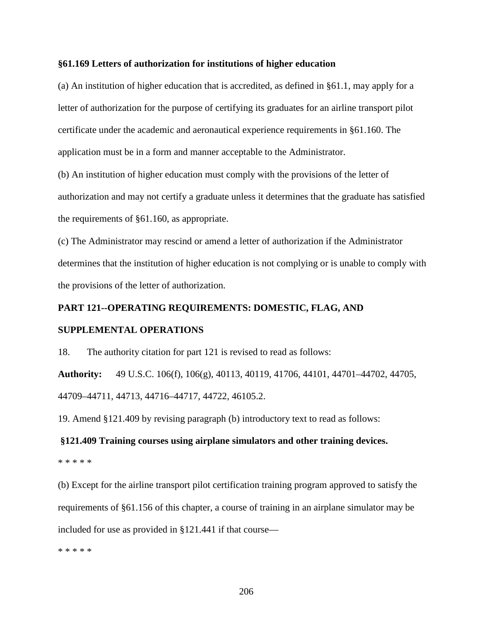#### **§61.169 Letters of authorization for institutions of higher education**

(a) An institution of higher education that is accredited, as defined in §61.1, may apply for a letter of authorization for the purpose of certifying its graduates for an airline transport pilot certificate under the academic and aeronautical experience requirements in §61.160. The application must be in a form and manner acceptable to the Administrator.

(b) An institution of higher education must comply with the provisions of the letter of authorization and may not certify a graduate unless it determines that the graduate has satisfied the requirements of §61.160, as appropriate.

(c) The Administrator may rescind or amend a letter of authorization if the Administrator determines that the institution of higher education is not complying or is unable to comply with the provisions of the letter of authorization.

## **PART 121--OPERATING REQUIREMENTS: DOMESTIC, FLAG, AND**

#### **SUPPLEMENTAL OPERATIONS**

18. The authority citation for part 121 is revised to read as follows:

**Authority:** 49 U.S.C. 106(f), 106(g), 40113, 40119, 41706, 44101, 44701–44702, 44705, 44709–44711, 44713, 44716–44717, 44722, 46105.2.

19. Amend §121.409 by revising paragraph (b) introductory text to read as follows:

## **§121.409 Training courses using airplane simulators and other training devices.** \* \* \* \* \*

(b) Except for the airline transport pilot certification training program approved to satisfy the requirements of §61.156 of this chapter, a course of training in an airplane simulator may be included for use as provided in §121.441 if that course—

\* \* \* \* \*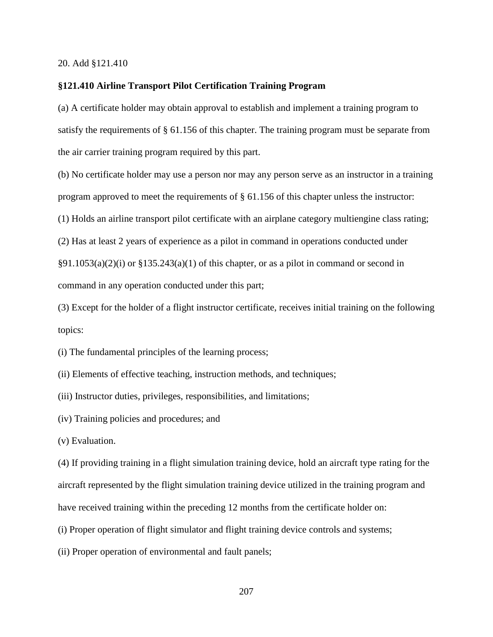#### 20. Add §121.410

#### **§121.410 Airline Transport Pilot Certification Training Program**

(a) A certificate holder may obtain approval to establish and implement a training program to satisfy the requirements of § 61.156 of this chapter. The training program must be separate from the air carrier training program required by this part.

(b) No certificate holder may use a person nor may any person serve as an instructor in a training program approved to meet the requirements of § 61.156 of this chapter unless the instructor:

(1) Holds an airline transport pilot certificate with an airplane category multiengine class rating;

(2) Has at least 2 years of experience as a pilot in command in operations conducted under

 $\S91.1053(a)(2)(i)$  or  $\S135.243(a)(1)$  of this chapter, or as a pilot in command or second in command in any operation conducted under this part;

(3) Except for the holder of a flight instructor certificate, receives initial training on the following topics:

(i) The fundamental principles of the learning process;

(ii) Elements of effective teaching, instruction methods, and techniques;

(iii) Instructor duties, privileges, responsibilities, and limitations;

(iv) Training policies and procedures; and

(v) Evaluation.

(4) If providing training in a flight simulation training device, hold an aircraft type rating for the aircraft represented by the flight simulation training device utilized in the training program and have received training within the preceding 12 months from the certificate holder on:

(i) Proper operation of flight simulator and flight training device controls and systems;

(ii) Proper operation of environmental and fault panels;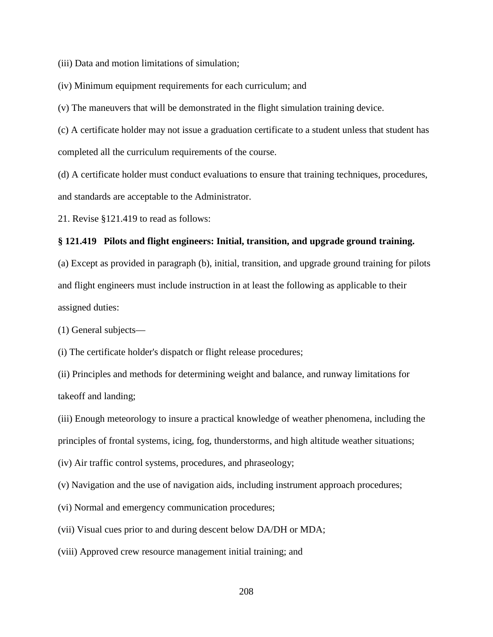(iii) Data and motion limitations of simulation;

(iv) Minimum equipment requirements for each curriculum; and

(v) The maneuvers that will be demonstrated in the flight simulation training device.

(c) A certificate holder may not issue a graduation certificate to a student unless that student has completed all the curriculum requirements of the course.

(d) A certificate holder must conduct evaluations to ensure that training techniques, procedures, and standards are acceptable to the Administrator.

21. Revise §121.419 to read as follows:

## **§ 121.419 Pilots and flight engineers: Initial, transition, and upgrade ground training.**

(a) Except as provided in paragraph (b), initial, transition, and upgrade ground training for pilots and flight engineers must include instruction in at least the following as applicable to their assigned duties:

(1) General subjects—

(i) The certificate holder's dispatch or flight release procedures;

(ii) Principles and methods for determining weight and balance, and runway limitations for takeoff and landing;

(iii) Enough meteorology to insure a practical knowledge of weather phenomena, including the principles of frontal systems, icing, fog, thunderstorms, and high altitude weather situations;

(iv) Air traffic control systems, procedures, and phraseology;

(v) Navigation and the use of navigation aids, including instrument approach procedures;

(vi) Normal and emergency communication procedures;

(vii) Visual cues prior to and during descent below DA/DH or MDA;

(viii) Approved crew resource management initial training; and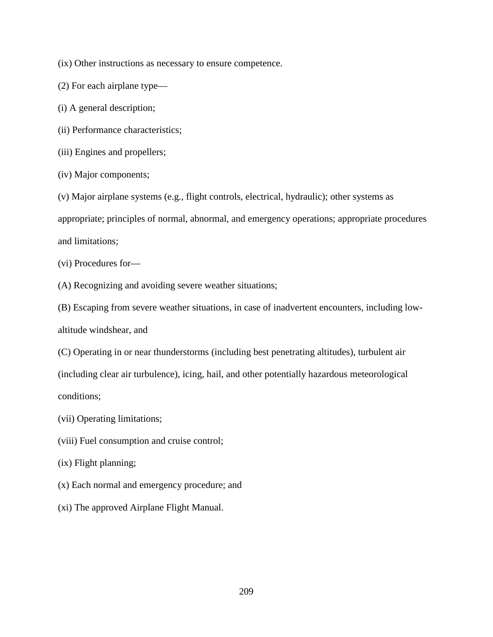(ix) Other instructions as necessary to ensure competence.

- (2) For each airplane type—
- (i) A general description;
- (ii) Performance characteristics;
- (iii) Engines and propellers;
- (iv) Major components;

(v) Major airplane systems (e.g., flight controls, electrical, hydraulic); other systems as

appropriate; principles of normal, abnormal, and emergency operations; appropriate procedures

and limitations;

(vi) Procedures for—

(A) Recognizing and avoiding severe weather situations;

(B) Escaping from severe weather situations, in case of inadvertent encounters, including low-

altitude windshear, and

- (C) Operating in or near thunderstorms (including best penetrating altitudes), turbulent air (including clear air turbulence), icing, hail, and other potentially hazardous meteorological conditions;
- (vii) Operating limitations;
- (viii) Fuel consumption and cruise control;
- (ix) Flight planning;
- (x) Each normal and emergency procedure; and
- (xi) The approved Airplane Flight Manual.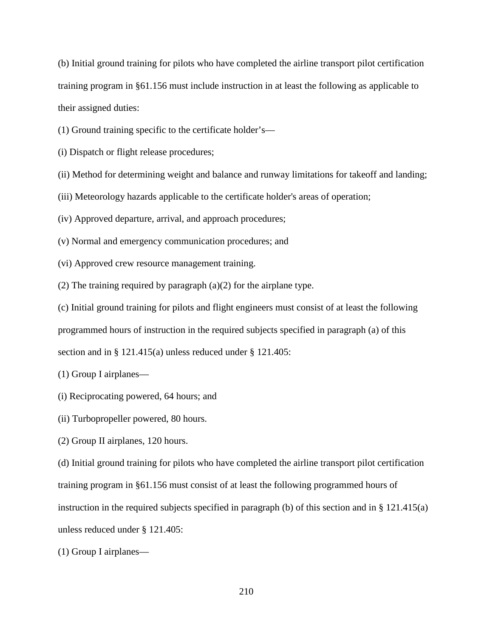(b) Initial ground training for pilots who have completed the airline transport pilot certification training program in §61.156 must include instruction in at least the following as applicable to their assigned duties:

(1) Ground training specific to the certificate holder's—

(i) Dispatch or flight release procedures;

(ii) Method for determining weight and balance and runway limitations for takeoff and landing;

(iii) Meteorology hazards applicable to the certificate holder's areas of operation;

(iv) Approved departure, arrival, and approach procedures;

(v) Normal and emergency communication procedures; and

(vi) Approved crew resource management training.

(2) The training required by paragraph (a)(2) for the airplane type.

(c) Initial ground training for pilots and flight engineers must consist of at least the following

programmed hours of instruction in the required subjects specified in paragraph (a) of this

section and in § 121.415(a) unless reduced under § 121.405:

(1) Group I airplanes—

- (i) Reciprocating powered, 64 hours; and
- (ii) Turbopropeller powered, 80 hours.
- (2) Group II airplanes, 120 hours.

(d) Initial ground training for pilots who have completed the airline transport pilot certification training program in §61.156 must consist of at least the following programmed hours of instruction in the required subjects specified in paragraph (b) of this section and in  $\S$  121.415(a) unless reduced under § 121.405:

(1) Group I airplanes—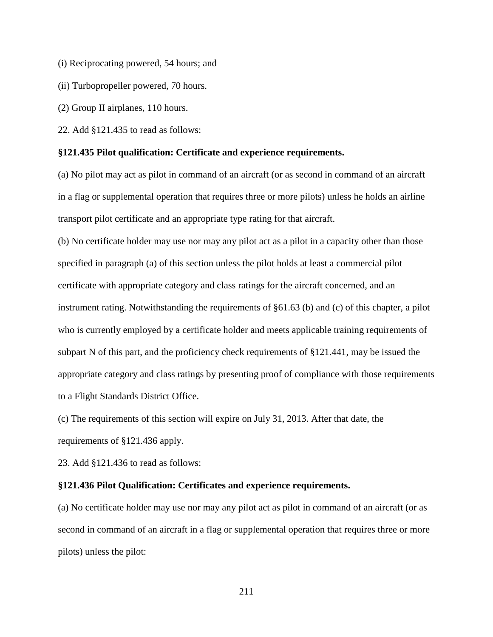- (i) Reciprocating powered, 54 hours; and
- (ii) Turbopropeller powered, 70 hours.
- (2) Group II airplanes, 110 hours.
- 22. Add §121.435 to read as follows:

#### **§121.435 Pilot qualification: Certificate and experience requirements.**

(a) No pilot may act as pilot in command of an aircraft (or as second in command of an aircraft in a flag or supplemental operation that requires three or more pilots) unless he holds an airline transport pilot certificate and an appropriate type rating for that aircraft.

(b) No certificate holder may use nor may any pilot act as a pilot in a capacity other than those specified in paragraph (a) of this section unless the pilot holds at least a commercial pilot certificate with appropriate category and class ratings for the aircraft concerned, and an instrument rating. Notwithstanding the requirements of §61.63 (b) and (c) of this chapter, a pilot who is currently employed by a certificate holder and meets applicable training requirements of subpart N of this part, and the proficiency check requirements of §121.441, may be issued the appropriate category and class ratings by presenting proof of compliance with those requirements to a Flight Standards District Office.

(c) The requirements of this section will expire on July 31, 2013. After that date, the requirements of §121.436 apply.

23. Add §121.436 to read as follows:

## **§121.436 Pilot Qualification: Certificates and experience requirements.**

(a) No certificate holder may use nor may any pilot act as pilot in command of an aircraft (or as second in command of an aircraft in a flag or supplemental operation that requires three or more pilots) unless the pilot: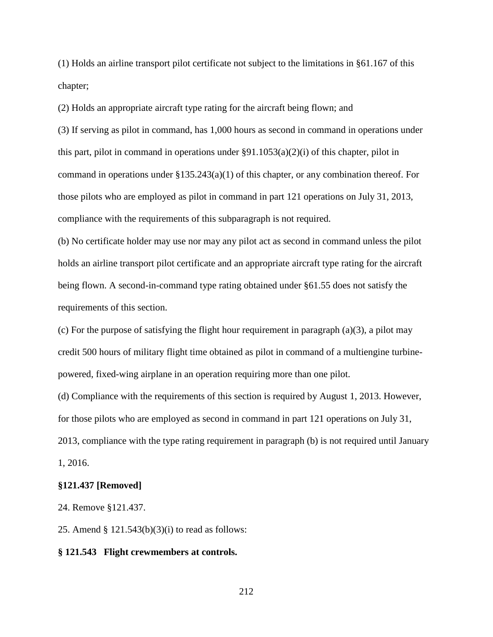(1) Holds an airline transport pilot certificate not subject to the limitations in §61.167 of this chapter;

(2) Holds an appropriate aircraft type rating for the aircraft being flown; and

(3) If serving as pilot in command, has 1,000 hours as second in command in operations under this part, pilot in command in operations under  $\S91.1053(a)(2)(i)$  of this chapter, pilot in command in operations under §135.243(a)(1) of this chapter, or any combination thereof. For those pilots who are employed as pilot in command in part 121 operations on July 31, 2013, compliance with the requirements of this subparagraph is not required.

(b) No certificate holder may use nor may any pilot act as second in command unless the pilot holds an airline transport pilot certificate and an appropriate aircraft type rating for the aircraft being flown. A second-in-command type rating obtained under §61.55 does not satisfy the requirements of this section.

(c) For the purpose of satisfying the flight hour requirement in paragraph (a)(3), a pilot may credit 500 hours of military flight time obtained as pilot in command of a multiengine turbinepowered, fixed-wing airplane in an operation requiring more than one pilot.

(d) Compliance with the requirements of this section is required by August 1, 2013. However, for those pilots who are employed as second in command in part 121 operations on July 31, 2013, compliance with the type rating requirement in paragraph (b) is not required until January 1, 2016.

#### **§121.437 [Removed]**

24. Remove §121.437.

25. Amend § 121.543(b)(3)(i) to read as follows:

#### **§ 121.543 Flight crewmembers at controls.**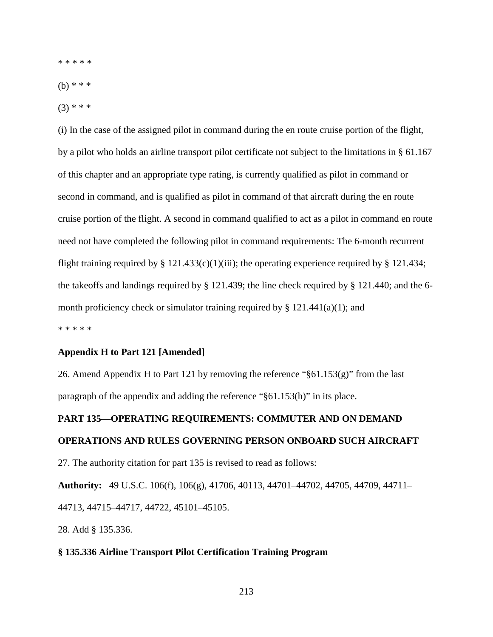\* \* \* \* \*

(b) \* \* \*

 $(3)$  \* \* \*

(i) In the case of the assigned pilot in command during the en route cruise portion of the flight, by a pilot who holds an airline transport pilot certificate not subject to the limitations in § 61.167 of this chapter and an appropriate type rating, is currently qualified as pilot in command or second in command, and is qualified as pilot in command of that aircraft during the en route cruise portion of the flight. A second in command qualified to act as a pilot in command en route need not have completed the following pilot in command requirements: The 6-month recurrent flight training required by § 121.433(c)(1)(iii); the operating experience required by § 121.434; the takeoffs and landings required by § 121.439; the line check required by § 121.440; and the 6 month proficiency check or simulator training required by §  $121.441(a)(1)$ ; and \* \* \* \* \*

#### **Appendix H to Part 121 [Amended]**

26. Amend Appendix H to Part 121 by removing the reference "§61.153(g)" from the last paragraph of the appendix and adding the reference "§61.153(h)" in its place.

# **PART 135—OPERATING REQUIREMENTS: COMMUTER AND ON DEMAND OPERATIONS AND RULES GOVERNING PERSON ONBOARD SUCH AIRCRAFT** 27. The authority citation for part 135 is revised to read as follows:

**Authority:** 49 U.S.C. 106(f), 106(g), 41706, 40113, 44701–44702, 44705, 44709, 44711– 44713, 44715–44717, 44722, 45101–45105.

28. Add § 135.336.

#### **§ 135.336 Airline Transport Pilot Certification Training Program**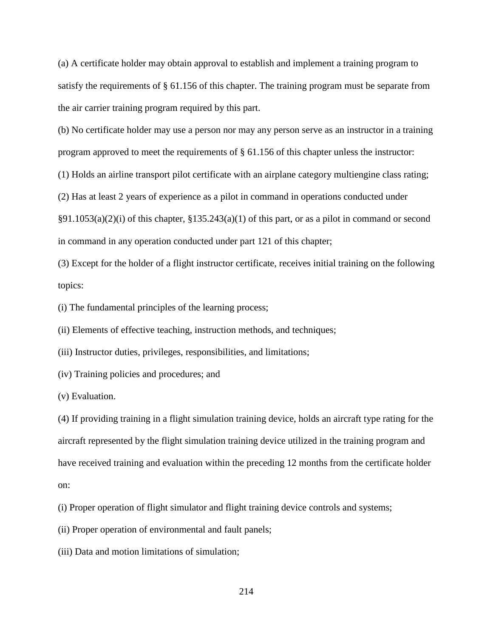(a) A certificate holder may obtain approval to establish and implement a training program to satisfy the requirements of § 61.156 of this chapter. The training program must be separate from the air carrier training program required by this part.

(b) No certificate holder may use a person nor may any person serve as an instructor in a training program approved to meet the requirements of § 61.156 of this chapter unless the instructor:

(1) Holds an airline transport pilot certificate with an airplane category multiengine class rating;

(2) Has at least 2 years of experience as a pilot in command in operations conducted under

 $\S91.1053(a)(2)(i)$  of this chapter,  $\S135.243(a)(1)$  of this part, or as a pilot in command or second in command in any operation conducted under part 121 of this chapter;

(3) Except for the holder of a flight instructor certificate, receives initial training on the following topics:

(i) The fundamental principles of the learning process;

(ii) Elements of effective teaching, instruction methods, and techniques;

(iii) Instructor duties, privileges, responsibilities, and limitations;

(iv) Training policies and procedures; and

(v) Evaluation.

(4) If providing training in a flight simulation training device, holds an aircraft type rating for the aircraft represented by the flight simulation training device utilized in the training program and have received training and evaluation within the preceding 12 months from the certificate holder on:

(i) Proper operation of flight simulator and flight training device controls and systems;

(ii) Proper operation of environmental and fault panels;

(iii) Data and motion limitations of simulation;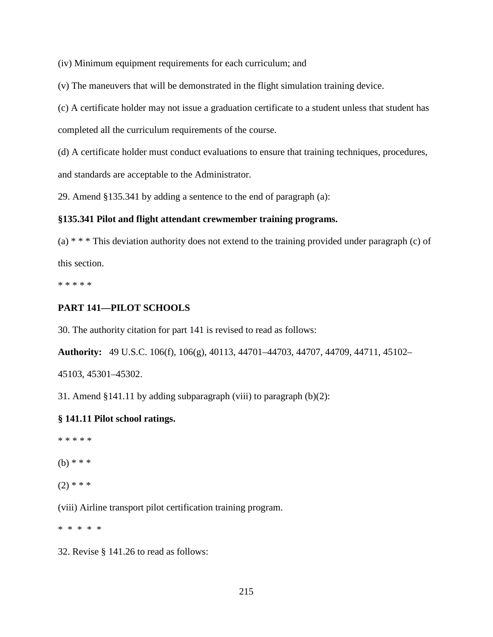(iv) Minimum equipment requirements for each curriculum; and

(v) The maneuvers that will be demonstrated in the flight simulation training device.

(c) A certificate holder may not issue a graduation certificate to a student unless that student has completed all the curriculum requirements of the course.

(d) A certificate holder must conduct evaluations to ensure that training techniques, procedures, and standards are acceptable to the Administrator.

29. Amend §135.341 by adding a sentence to the end of paragraph (a):

## **§135.341 Pilot and flight attendant crewmember training programs.**

(a)  $***$  This deviation authority does not extend to the training provided under paragraph (c) of this section.

\* \* \* \* \*

## **PART 141—PILOT SCHOOLS**

30. The authority citation for part 141 is revised to read as follows:

**Authority:** 49 U.S.C. 106(f), 106(g), 40113, 44701–44703, 44707, 44709, 44711, 45102– 45103, 45301–45302.

31. Amend  $§141.11$  by adding subparagraph (viii) to paragraph (b)(2):

## **§ 141.11 Pilot school ratings.**

\* \* \* \* \*

(b) \* \* \*

 $(2)$  \* \* \*

(viii) Airline transport pilot certification training program.

\* \* \* \* \*

32. Revise § 141.26 to read as follows: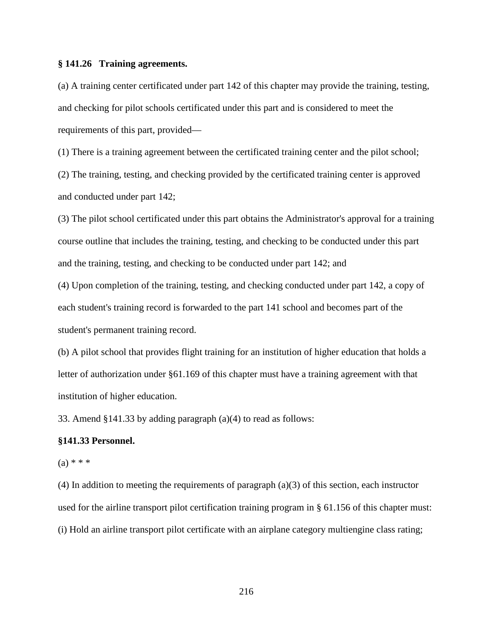## **§ 141.26 Training agreements.**

(a) A training center certificated under part 142 of this chapter may provide the training, testing, and checking for pilot schools certificated under this part and is considered to meet the requirements of this part, provided—

(1) There is a training agreement between the certificated training center and the pilot school;

(2) The training, testing, and checking provided by the certificated training center is approved and conducted under part 142;

(3) The pilot school certificated under this part obtains the Administrator's approval for a training course outline that includes the training, testing, and checking to be conducted under this part and the training, testing, and checking to be conducted under part 142; and

(4) Upon completion of the training, testing, and checking conducted under part 142, a copy of each student's training record is forwarded to the part 141 school and becomes part of the student's permanent training record.

(b) A pilot school that provides flight training for an institution of higher education that holds a letter of authorization under §61.169 of this chapter must have a training agreement with that institution of higher education.

33. Amend §141.33 by adding paragraph (a)(4) to read as follows:

## **§141.33 Personnel.**

#### $(a) * * *$

(4) In addition to meeting the requirements of paragraph (a)(3) of this section, each instructor used for the airline transport pilot certification training program in § 61.156 of this chapter must: (i) Hold an airline transport pilot certificate with an airplane category multiengine class rating;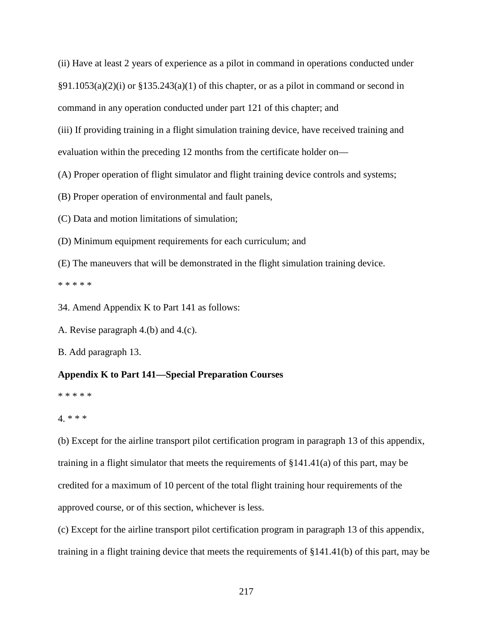(ii) Have at least 2 years of experience as a pilot in command in operations conducted under  $§91.1053(a)(2)(i)$  or  $§135.243(a)(1)$  of this chapter, or as a pilot in command or second in command in any operation conducted under part 121 of this chapter; and

(iii) If providing training in a flight simulation training device, have received training and evaluation within the preceding 12 months from the certificate holder on—

(A) Proper operation of flight simulator and flight training device controls and systems;

(B) Proper operation of environmental and fault panels,

(C) Data and motion limitations of simulation;

(D) Minimum equipment requirements for each curriculum; and

(E) The maneuvers that will be demonstrated in the flight simulation training device.

\* \* \* \* \*

34. Amend Appendix K to Part 141 as follows:

A. Revise paragraph 4.(b) and 4.(c).

B. Add paragraph 13.

# **Appendix K to Part 141—Special Preparation Courses**

\* \* \* \* \*

4. \* \* \*

(b) Except for the airline transport pilot certification program in paragraph 13 of this appendix, training in a flight simulator that meets the requirements of §141.41(a) of this part, may be credited for a maximum of 10 percent of the total flight training hour requirements of the approved course, or of this section, whichever is less.

(c) Except for the airline transport pilot certification program in paragraph 13 of this appendix, training in a flight training device that meets the requirements of §141.41(b) of this part, may be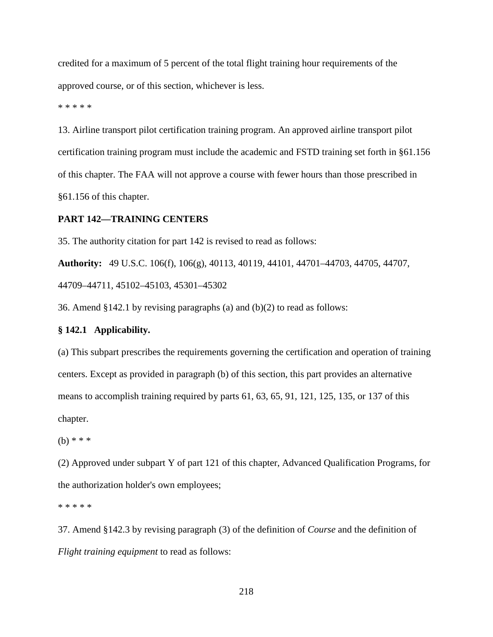credited for a maximum of 5 percent of the total flight training hour requirements of the approved course, or of this section, whichever is less.

\* \* \* \* \*

13. Airline transport pilot certification training program. An approved airline transport pilot certification training program must include the academic and FSTD training set forth in §61.156 of this chapter. The FAA will not approve a course with fewer hours than those prescribed in §61.156 of this chapter.

# **PART 142—TRAINING CENTERS**

35. The authority citation for part 142 is revised to read as follows:

**Authority:** 49 U.S.C. 106(f), 106(g), 40113, 40119, 44101, 44701–44703, 44705, 44707, 44709–44711, 45102–45103, 45301–45302

36. Amend §142.1 by revising paragraphs (a) and (b)(2) to read as follows:

## **§ 142.1 Applicability.**

(a) This subpart prescribes the requirements governing the certification and operation of training centers. Except as provided in paragraph (b) of this section, this part provides an alternative means to accomplish training required by parts 61, 63, 65, 91, 121, 125, 135, or 137 of this chapter.

(b) \* \* \*

(2) Approved under subpart Y of part 121 of this chapter, Advanced Qualification Programs, for the authorization holder's own employees;

\* \* \* \* \*

37. Amend §142.3 by revising paragraph (3) of the definition of *Course* and the definition of *Flight training equipment* to read as follows: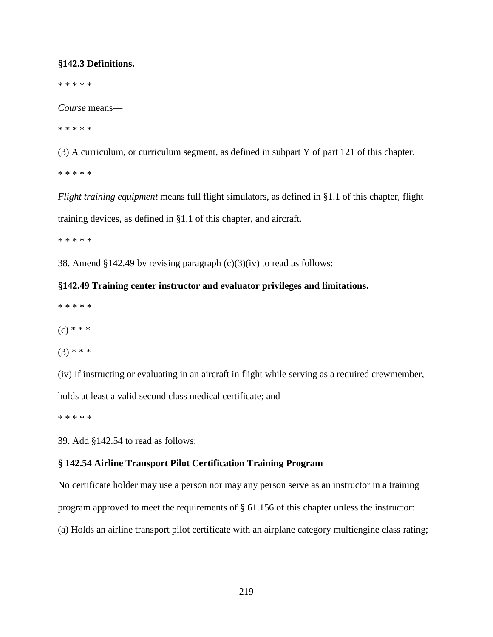### **§142.3 Definitions.**

\* \* \* \* \*

*Course* means—

\* \* \* \* \*

(3) A curriculum, or curriculum segment, as defined in subpart Y of part 121 of this chapter.

\* \* \* \* \*

*Flight training equipment* means full flight simulators, as defined in §1.1 of this chapter, flight training devices, as defined in §1.1 of this chapter, and aircraft.

\* \* \* \* \*

38. Amend  $$142.49$  by revising paragraph (c)(3)(iv) to read as follows:

## **§142.49 Training center instructor and evaluator privileges and limitations.**

- \* \* \* \* \*
- $(c) * * *$

 $(3)$  \* \* \*

(iv) If instructing or evaluating in an aircraft in flight while serving as a required crewmember,

holds at least a valid second class medical certificate; and

\* \* \* \* \*

39. Add §142.54 to read as follows:

#### **§ 142.54 Airline Transport Pilot Certification Training Program**

No certificate holder may use a person nor may any person serve as an instructor in a training

program approved to meet the requirements of  $\S$  61.156 of this chapter unless the instructor:

(a) Holds an airline transport pilot certificate with an airplane category multiengine class rating;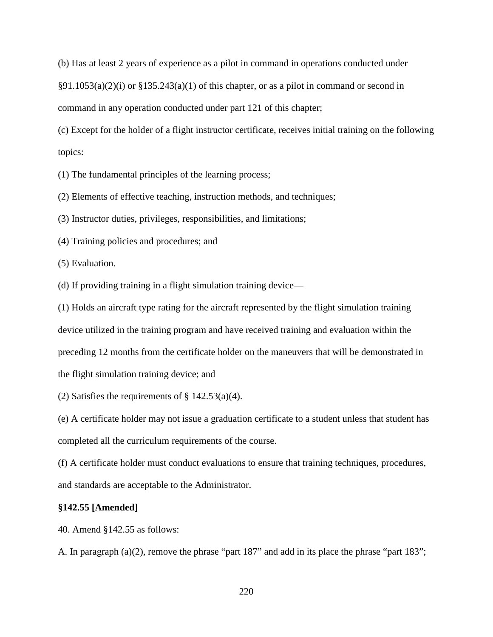(b) Has at least 2 years of experience as a pilot in command in operations conducted under  $\S91.1053(a)(2)(i)$  or  $\S135.243(a)(1)$  of this chapter, or as a pilot in command or second in command in any operation conducted under part 121 of this chapter;

(c) Except for the holder of a flight instructor certificate, receives initial training on the following topics:

(1) The fundamental principles of the learning process;

(2) Elements of effective teaching, instruction methods, and techniques;

(3) Instructor duties, privileges, responsibilities, and limitations;

(4) Training policies and procedures; and

(5) Evaluation.

(d) If providing training in a flight simulation training device—

(1) Holds an aircraft type rating for the aircraft represented by the flight simulation training device utilized in the training program and have received training and evaluation within the preceding 12 months from the certificate holder on the maneuvers that will be demonstrated in the flight simulation training device; and

(2) Satisfies the requirements of  $\S 142.53(a)(4)$ .

(e) A certificate holder may not issue a graduation certificate to a student unless that student has completed all the curriculum requirements of the course.

(f) A certificate holder must conduct evaluations to ensure that training techniques, procedures, and standards are acceptable to the Administrator.

#### **§142.55 [Amended]**

40. Amend §142.55 as follows:

A. In paragraph (a)(2), remove the phrase "part 187" and add in its place the phrase "part 183";